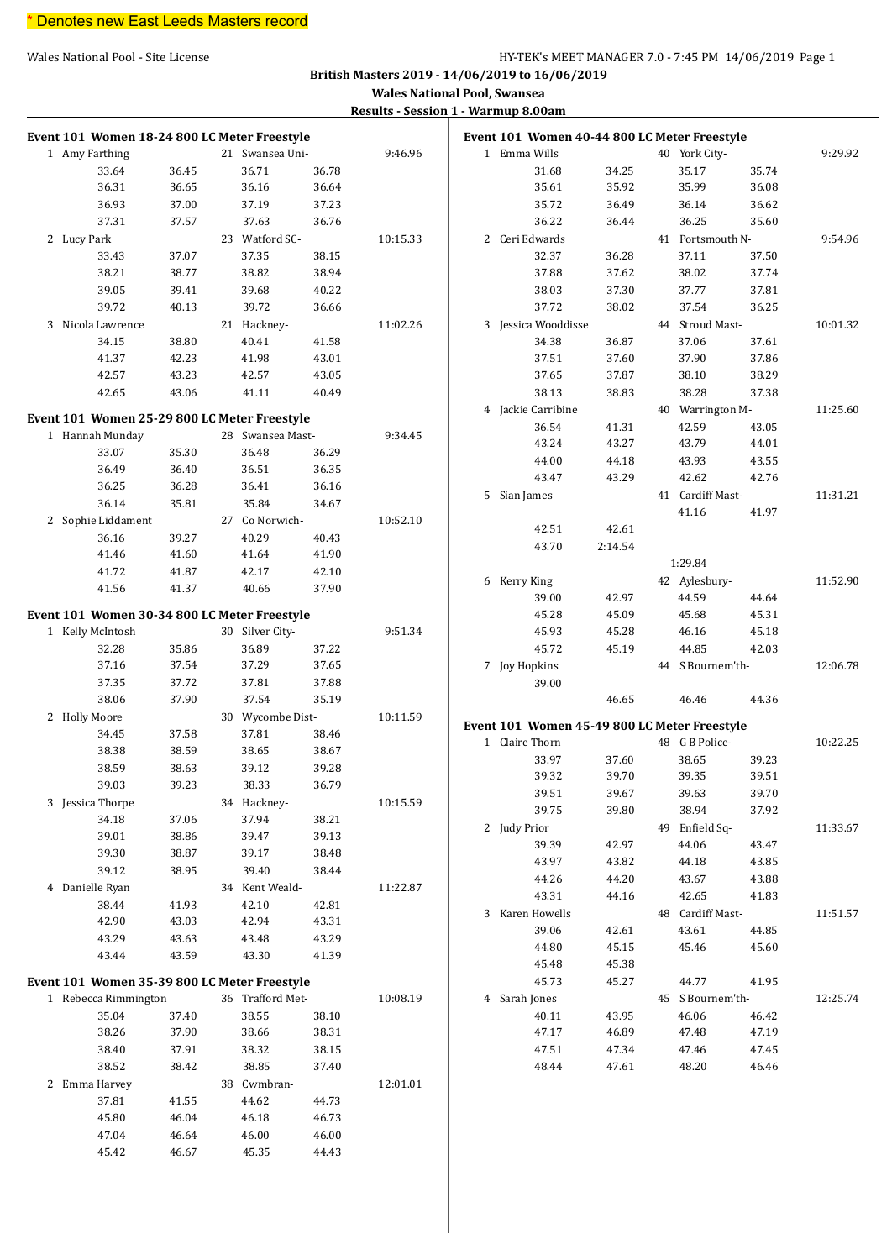#### Wales National Pool - Site License **HY-TEK's MEET MANAGER 7.0 - 7:45 PM 14/06/2019** Page 1

**British Masters 2019 - 14/06/2019 to 16/06/2019**

**Wales National Pool, Swansea**

**Results - Session 1 - Warmup 8.00am**

| Event 101 Women 18-24 800 LC Meter Freestyle |       |                  |       |          | Event 101 Women 40-44 800 LC Meter Freestyle |         |                  |       |          |
|----------------------------------------------|-------|------------------|-------|----------|----------------------------------------------|---------|------------------|-------|----------|
| 1 Amy Farthing                               |       | 21 Swansea Uni-  |       | 9:46.96  | 1 Emma Wills                                 |         | 40 York City-    |       | 9:29.92  |
| 33.64                                        | 36.45 | 36.71            | 36.78 |          | 31.68                                        | 34.25   | 35.17            | 35.74 |          |
| 36.31                                        | 36.65 | 36.16            | 36.64 |          | 35.61                                        | 35.92   | 35.99            | 36.08 |          |
| 36.93                                        | 37.00 | 37.19            | 37.23 |          | 35.72                                        | 36.49   | 36.14            | 36.62 |          |
| 37.31                                        | 37.57 | 37.63            | 36.76 |          | 36.22                                        | 36.44   | 36.25            | 35.60 |          |
| 2 Lucy Park                                  |       | 23 Watford SC-   |       | 10:15.33 | 2 Ceri Edwards                               |         | 41 Portsmouth N- |       | 9:54.96  |
| 33.43                                        | 37.07 | 37.35            | 38.15 |          | 32.37                                        | 36.28   | 37.11            | 37.50 |          |
| 38.21                                        | 38.77 | 38.82            | 38.94 |          | 37.88                                        | 37.62   | 38.02            | 37.74 |          |
| 39.05                                        | 39.41 | 39.68            | 40.22 |          | 38.03                                        | 37.30   | 37.77            | 37.81 |          |
| 39.72                                        | 40.13 | 39.72            | 36.66 |          | 37.72                                        | 38.02   | 37.54            | 36.25 |          |
| 3 Nicola Lawrence                            |       | 21 Hackney-      |       | 11:02.26 | 3 Jessica Wooddisse                          |         | 44 Stroud Mast-  |       | 10:01.32 |
| 34.15                                        | 38.80 | 40.41            | 41.58 |          | 34.38                                        | 36.87   | 37.06            | 37.61 |          |
| 41.37                                        | 42.23 | 41.98            | 43.01 |          | 37.51                                        | 37.60   | 37.90            | 37.86 |          |
| 42.57                                        | 43.23 | 42.57            | 43.05 |          | 37.65                                        | 37.87   | 38.10            | 38.29 |          |
| 42.65                                        | 43.06 | 41.11            | 40.49 |          | 38.13                                        | 38.83   | 38.28            | 37.38 |          |
|                                              |       |                  |       |          | 4 Jackie Carribine                           |         | 40 Warrington M- |       | 11:25.60 |
| Event 101 Women 25-29 800 LC Meter Freestyle |       |                  |       |          | 36.54                                        | 41.31   | 42.59            | 43.05 |          |
| 1 Hannah Munday                              |       | 28 Swansea Mast- |       | 9:34.45  | 43.24                                        | 43.27   | 43.79            | 44.01 |          |
| 33.07                                        | 35.30 | 36.48            | 36.29 |          | 44.00                                        |         | 43.93            | 43.55 |          |
| 36.49                                        | 36.40 | 36.51            | 36.35 |          |                                              | 44.18   | 42.62            |       |          |
| 36.25                                        | 36.28 | 36.41            | 36.16 |          | 43.47                                        | 43.29   |                  | 42.76 |          |
| 36.14                                        | 35.81 | 35.84            | 34.67 |          | 5 Sian James                                 |         | 41 Cardiff Mast- |       | 11:31.21 |
| 2 Sophie Liddament                           |       | 27 Co Norwich-   |       | 10:52.10 |                                              |         | 41.16            | 41.97 |          |
| 36.16                                        | 39.27 | 40.29            | 40.43 |          | 42.51                                        | 42.61   |                  |       |          |
| 41.46                                        | 41.60 | 41.64            | 41.90 |          | 43.70                                        | 2:14.54 |                  |       |          |
| 41.72                                        | 41.87 | 42.17            | 42.10 |          |                                              |         | 1:29.84          |       |          |
| 41.56                                        | 41.37 | 40.66            | 37.90 |          | 6 Kerry King                                 |         | 42 Aylesbury-    |       | 11:52.90 |
|                                              |       |                  |       |          | 39.00                                        | 42.97   | 44.59            | 44.64 |          |
| Event 101 Women 30-34 800 LC Meter Freestyle |       |                  |       |          | 45.28                                        | 45.09   | 45.68            | 45.31 |          |
| 1 Kelly McIntosh                             |       | 30 Silver City-  |       | 9:51.34  | 45.93                                        | 45.28   | 46.16            | 45.18 |          |
| 32.28                                        | 35.86 | 36.89            | 37.22 |          | 45.72                                        | 45.19   | 44.85            | 42.03 |          |
| 37.16                                        | 37.54 | 37.29            | 37.65 |          | 7 Joy Hopkins                                |         | 44 S Bournem'th- |       | 12:06.78 |
| 37.35                                        | 37.72 | 37.81            | 37.88 |          | 39.00                                        |         |                  |       |          |
| 38.06                                        | 37.90 | 37.54            | 35.19 |          |                                              | 46.65   | 46.46            | 44.36 |          |
| 2 Holly Moore                                |       | 30 Wycombe Dist- |       | 10:11.59 | Event 101 Women 45-49 800 LC Meter Freestyle |         |                  |       |          |
| 34.45                                        | 37.58 | 37.81            | 38.46 |          | 1 Claire Thorn                               |         | 48 G B Police-   |       | 10:22.25 |
| 38.38                                        | 38.59 | 38.65            | 38.67 |          | 33.97                                        | 37.60   | 38.65            | 39.23 |          |
| 38.59                                        | 38.63 | 39.12            | 39.28 |          | 39.32                                        | 39.70   | 39.35            | 39.51 |          |
| 39.03                                        | 39.23 | 38.33            | 36.79 |          | 39.51                                        | 39.67   | 39.63            | 39.70 |          |
| 3 Jessica Thorpe                             |       | 34 Hackney-      |       | 10:15.59 | 39.75                                        | 39.80   | 38.94            | 37.92 |          |
| 34.18                                        | 37.06 | 37.94            | 38.21 |          | 2 Judy Prior                                 |         | 49 Enfield Sq-   |       | 11:33.67 |
| 39.01                                        | 38.86 | 39.47            | 39.13 |          | 39.39                                        | 42.97   | 44.06            |       |          |
| 39.30                                        | 38.87 | 39.17            | 38.48 |          |                                              |         |                  | 43.47 |          |
| 39.12                                        | 38.95 | 39.40            | 38.44 |          | 43.97                                        | 43.82   | 44.18            | 43.85 |          |
| 4 Danielle Ryan                              |       | 34 Kent Weald-   |       | 11:22.87 | 44.26                                        | 44.20   | 43.67            | 43.88 |          |
| 38.44                                        | 41.93 | 42.10            | 42.81 |          | 43.31                                        | 44.16   | 42.65            | 41.83 |          |
| 42.90                                        | 43.03 | 42.94            | 43.31 |          | 3 Karen Howells                              |         | 48 Cardiff Mast- |       | 11:51.57 |
| 43.29                                        | 43.63 | 43.48            | 43.29 |          | 39.06                                        | 42.61   | 43.61            | 44.85 |          |
| 43.44                                        | 43.59 | 43.30            | 41.39 |          | 44.80                                        | 45.15   | 45.46            | 45.60 |          |
|                                              |       |                  |       |          | 45.48                                        | 45.38   |                  |       |          |
| Event 101 Women 35-39 800 LC Meter Freestyle |       |                  |       |          | 45.73                                        | 45.27   | 44.77            | 41.95 |          |
| 1 Rebecca Rimmington                         |       | 36 Trafford Met- |       | 10:08.19 | 4 Sarah Jones                                |         | 45 S Bournem'th- |       | 12:25.74 |
| 35.04                                        | 37.40 | 38.55            | 38.10 |          | 40.11                                        | 43.95   | 46.06            | 46.42 |          |
| 38.26                                        | 37.90 | 38.66            | 38.31 |          | 47.17                                        | 46.89   | 47.48            | 47.19 |          |
| 38.40                                        | 37.91 | 38.32            | 38.15 |          | 47.51                                        | 47.34   | 47.46            | 47.45 |          |
| 38.52                                        | 38.42 | 38.85            | 37.40 |          | 48.44                                        | 47.61   | 48.20            | 46.46 |          |
| 2 Emma Harvey                                |       | 38 Cwmbran-      |       | 12:01.01 |                                              |         |                  |       |          |
| 37.81                                        | 41.55 | 44.62            | 44.73 |          |                                              |         |                  |       |          |
| 45.80                                        | 46.04 | 46.18            | 46.73 |          |                                              |         |                  |       |          |
| 47.04                                        | 46.64 | 46.00            | 46.00 |          |                                              |         |                  |       |          |
| 45.42                                        | 46.67 | 45.35            | 44.43 |          |                                              |         |                  |       |          |
|                                              |       |                  |       |          |                                              |         |                  |       |          |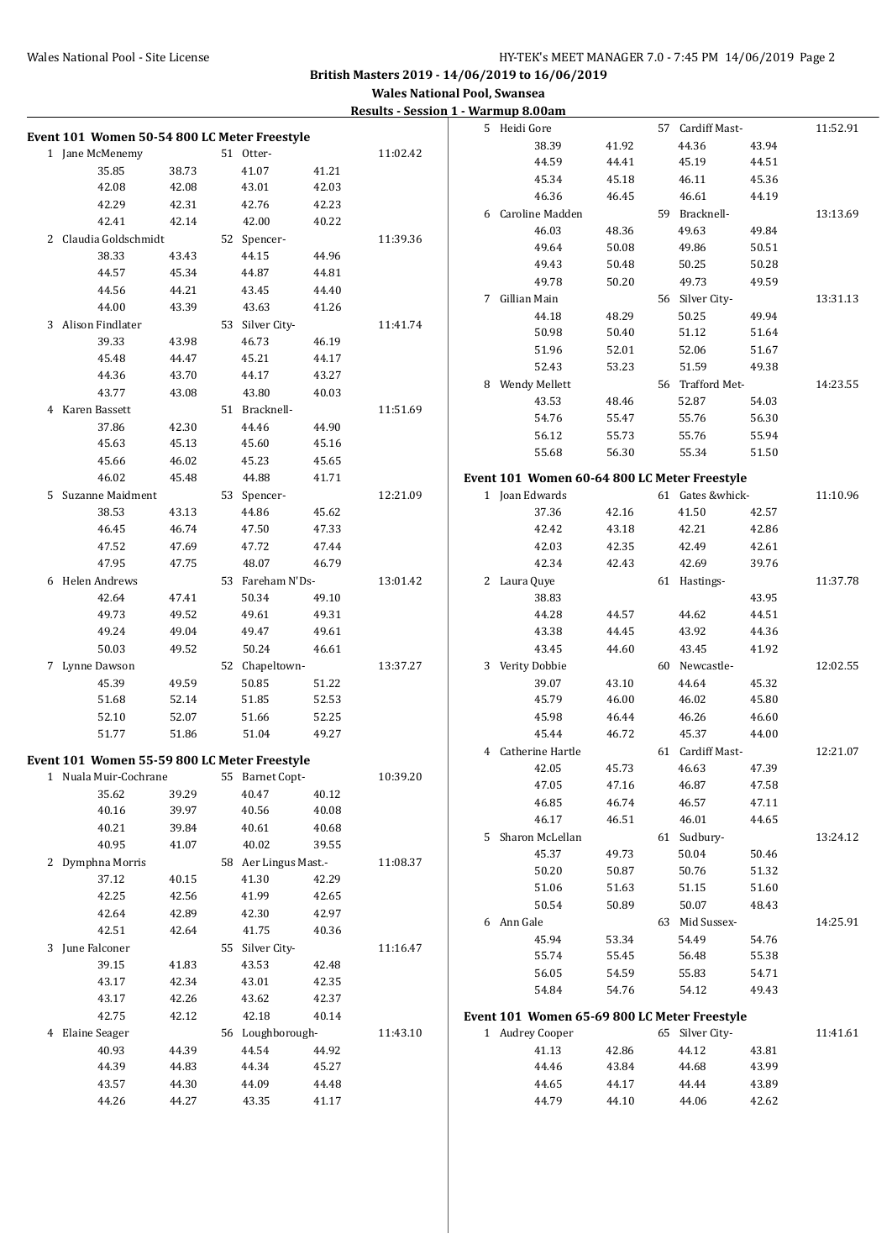#### Wales National Pool - Site License **HY-TEK's MEET MANAGER 7.0 - 7:45 PM 14/06/2019** Page 2

**British Masters 2019 - 14/06/2019 to 16/06/2019**

|                                              |                |                      |                | <u>Results - Session 1 - Warmup 6.00am</u> |                                              |       |                  |                |          |
|----------------------------------------------|----------------|----------------------|----------------|--------------------------------------------|----------------------------------------------|-------|------------------|----------------|----------|
|                                              |                |                      |                |                                            | 5 Heidi Gore                                 |       | 57 Cardiff Mast- |                | 11:52.91 |
| Event 101 Women 50-54 800 LC Meter Freestyle |                |                      |                |                                            | 38.39                                        | 41.92 | 44.36            | 43.94          |          |
| 1 Jane McMenemy                              |                | 51 Otter-            |                | 11:02.42                                   | 44.59                                        | 44.41 | 45.19            | 44.51          |          |
| 35.85<br>42.08                               | 38.73<br>42.08 | 41.07<br>43.01       | 41.21<br>42.03 |                                            | 45.34                                        | 45.18 | 46.11            | 45.36          |          |
| 42.29                                        | 42.31          | 42.76                | 42.23          |                                            | 46.36                                        | 46.45 | 46.61            | 44.19          |          |
| 42.41                                        | 42.14          | 42.00                | 40.22          |                                            | 6 Caroline Madden                            |       | 59 Bracknell-    |                | 13:13.69 |
| 2 Claudia Goldschmidt                        |                |                      |                |                                            | 46.03                                        | 48.36 | 49.63            | 49.84          |          |
|                                              | 43.43          | 52 Spencer-          |                | 11:39.36                                   | 49.64                                        | 50.08 | 49.86            | 50.51          |          |
| 38.33<br>44.57                               | 45.34          | 44.15<br>44.87       | 44.96<br>44.81 |                                            | 49.43                                        | 50.48 | 50.25            | 50.28          |          |
| 44.56                                        | 44.21          | 43.45                | 44.40          |                                            | 49.78                                        | 50.20 | 49.73            | 49.59          |          |
| 44.00                                        | 43.39          | 43.63                | 41.26          |                                            | 7 Gillian Main                               |       | 56 Silver City-  |                | 13:31.13 |
| 3 Alison Findlater                           |                | 53 Silver City-      |                | 11:41.74                                   | 44.18                                        | 48.29 | 50.25            | 49.94          |          |
| 39.33                                        | 43.98          | 46.73                | 46.19          |                                            | 50.98                                        | 50.40 | 51.12            | 51.64          |          |
| 45.48                                        | 44.47          | 45.21                | 44.17          |                                            | 51.96                                        | 52.01 | 52.06            | 51.67          |          |
| 44.36                                        | 43.70          | 44.17                | 43.27          |                                            | 52.43                                        | 53.23 | 51.59            | 49.38          |          |
| 43.77                                        | 43.08          | 43.80                | 40.03          |                                            | 8 Wendy Mellett                              |       | 56 Trafford Met- |                | 14:23.55 |
| 4 Karen Bassett                              |                | 51 Bracknell-        |                | 11:51.69                                   | 43.53                                        | 48.46 | 52.87            | 54.03          |          |
| 37.86                                        | 42.30          | 44.46                | 44.90          |                                            | 54.76                                        | 55.47 | 55.76            | 56.30          |          |
| 45.63                                        | 45.13          | 45.60                | 45.16          |                                            | 56.12                                        | 55.73 | 55.76            | 55.94          |          |
| 45.66                                        | 46.02          | 45.23                | 45.65          |                                            | 55.68                                        | 56.30 | 55.34            | 51.50          |          |
| 46.02                                        | 45.48          | 44.88                | 41.71          |                                            | Event 101 Women 60-64 800 LC Meter Freestyle |       |                  |                |          |
| 5 Suzanne Maidment                           |                | 53 Spencer-          |                | 12:21.09                                   | 1 Joan Edwards                               |       | 61 Gates &whick- |                | 11:10.96 |
| 38.53                                        | 43.13          | 44.86                | 45.62          |                                            | 37.36                                        | 42.16 | 41.50            | 42.57          |          |
| 46.45                                        | 46.74          | 47.50                | 47.33          |                                            | 42.42                                        | 43.18 | 42.21            | 42.86          |          |
| 47.52                                        | 47.69          | 47.72                | 47.44          |                                            | 42.03                                        | 42.35 | 42.49            | 42.61          |          |
| 47.95                                        | 47.75          | 48.07                | 46.79          |                                            | 42.34                                        | 42.43 | 42.69            | 39.76          |          |
| 6 Helen Andrews                              |                | 53 Fareham N'Ds-     |                | 13:01.42                                   | 2 Laura Quye                                 |       | 61 Hastings-     |                | 11:37.78 |
| 42.64                                        | 47.41          | 50.34                | 49.10          |                                            | 38.83                                        |       |                  | 43.95          |          |
| 49.73                                        | 49.52          | 49.61                | 49.31          |                                            | 44.28                                        | 44.57 | 44.62            | 44.51          |          |
| 49.24                                        | 49.04          | 49.47                | 49.61          |                                            | 43.38                                        | 44.45 | 43.92            | 44.36          |          |
| 50.03                                        | 49.52          | 50.24                | 46.61          |                                            | 43.45                                        | 44.60 | 43.45            | 41.92          |          |
| 7 Lynne Dawson                               |                | 52 Chapeltown-       |                | 13:37.27                                   | 3 Verity Dobbie                              |       | 60 Newcastle-    |                | 12:02.55 |
| 45.39                                        | 49.59          | 50.85                | 51.22          |                                            | 39.07                                        | 43.10 | 44.64            | 45.32          |          |
| 51.68                                        | 52.14          | 51.85                | 52.53          |                                            | 45.79                                        | 46.00 | 46.02            | 45.80          |          |
| 52.10                                        | 52.07          | 51.66                | 52.25          |                                            | 45.98                                        | 46.44 | 46.26            | 46.60          |          |
| 51.77                                        | 51.86          | 51.04                | 49.27          |                                            | 45.44                                        | 46.72 | 45.37            | 44.00          |          |
|                                              |                |                      |                |                                            | 4 Catherine Hartle                           |       | 61 Cardiff Mast- |                | 12:21.07 |
| Event 101 Women 55-59 800 LC Meter Freestyle |                |                      |                |                                            | 42.05                                        | 45.73 | 46.63            | 47.39          |          |
| 1 Nuala Muir-Cochrane                        |                | 55 Barnet Copt-      |                | 10:39.20                                   | 47.05                                        | 47.16 | 46.87            | 47.58          |          |
| 35.62                                        | 39.29          | 40.47                | 40.12          |                                            | 46.85                                        | 46.74 | 46.57            | 47.11          |          |
| 40.16                                        | 39.97          | 40.56                | 40.08          |                                            | 46.17                                        | 46.51 | 46.01            | 44.65          |          |
| 40.21                                        | 39.84          | 40.61                | 40.68          |                                            | 5 Sharon McLellan                            |       | 61 Sudbury-      |                | 13:24.12 |
| 40.95                                        | 41.07          | 40.02                | 39.55          |                                            | 45.37                                        | 49.73 | 50.04            | 50.46          |          |
| 2 Dymphna Morris                             |                | 58 Aer Lingus Mast.- |                | 11:08.37                                   | 50.20                                        | 50.87 | 50.76            | 51.32          |          |
| 37.12<br>42.25                               | 40.15          | 41.30<br>41.99       | 42.29          |                                            | 51.06                                        | 51.63 | 51.15            | 51.60          |          |
|                                              | 42.56          |                      | 42.65          |                                            | 50.54                                        | 50.89 | 50.07            | 48.43          |          |
| 42.64                                        | 42.89          | 42.30                | 42.97          |                                            | 6 Ann Gale                                   |       | 63 Mid Sussex-   |                | 14:25.91 |
| 42.51                                        | 42.64          | 41.75                | 40.36          |                                            | 45.94                                        | 53.34 | 54.49            | 54.76          |          |
| 3 June Falconer                              |                | 55 Silver City-      |                | 11:16.47                                   | 55.74                                        | 55.45 | 56.48            | 55.38          |          |
| 39.15                                        | 41.83          | 43.53                | 42.48          |                                            | 56.05                                        | 54.59 | 55.83            | 54.71          |          |
| 43.17                                        | 42.34          | 43.01                | 42.35          |                                            | 54.84                                        | 54.76 | 54.12            | 49.43          |          |
| 43.17                                        | 42.26          | 43.62                | 42.37          |                                            |                                              |       |                  |                |          |
| 42.75                                        | 42.12          | 42.18                | 40.14          |                                            | Event 101 Women 65-69 800 LC Meter Freestyle |       |                  |                |          |
| 4 Elaine Seager                              |                | 56 Loughborough-     |                | 11:43.10                                   | 1 Audrey Cooper                              |       | 65 Silver City-  |                | 11:41.61 |
| 40.93                                        | 44.39          | 44.54                | 44.92          |                                            | 41.13                                        | 42.86 | 44.12            | 43.81          |          |
| 44.39                                        | 44.83          | 44.34                | 45.27          |                                            | 44.46                                        | 43.84 | 44.68            | 43.99          |          |
| 43.57                                        | 44.30          | 44.09                | 44.48          |                                            | 44.65                                        | 44.17 | 44.44            | 43.89<br>42.62 |          |
| 44.26                                        | 44.27          | 43.35                | 41.17          |                                            | 44.79                                        | 44.10 | 44.06            |                |          |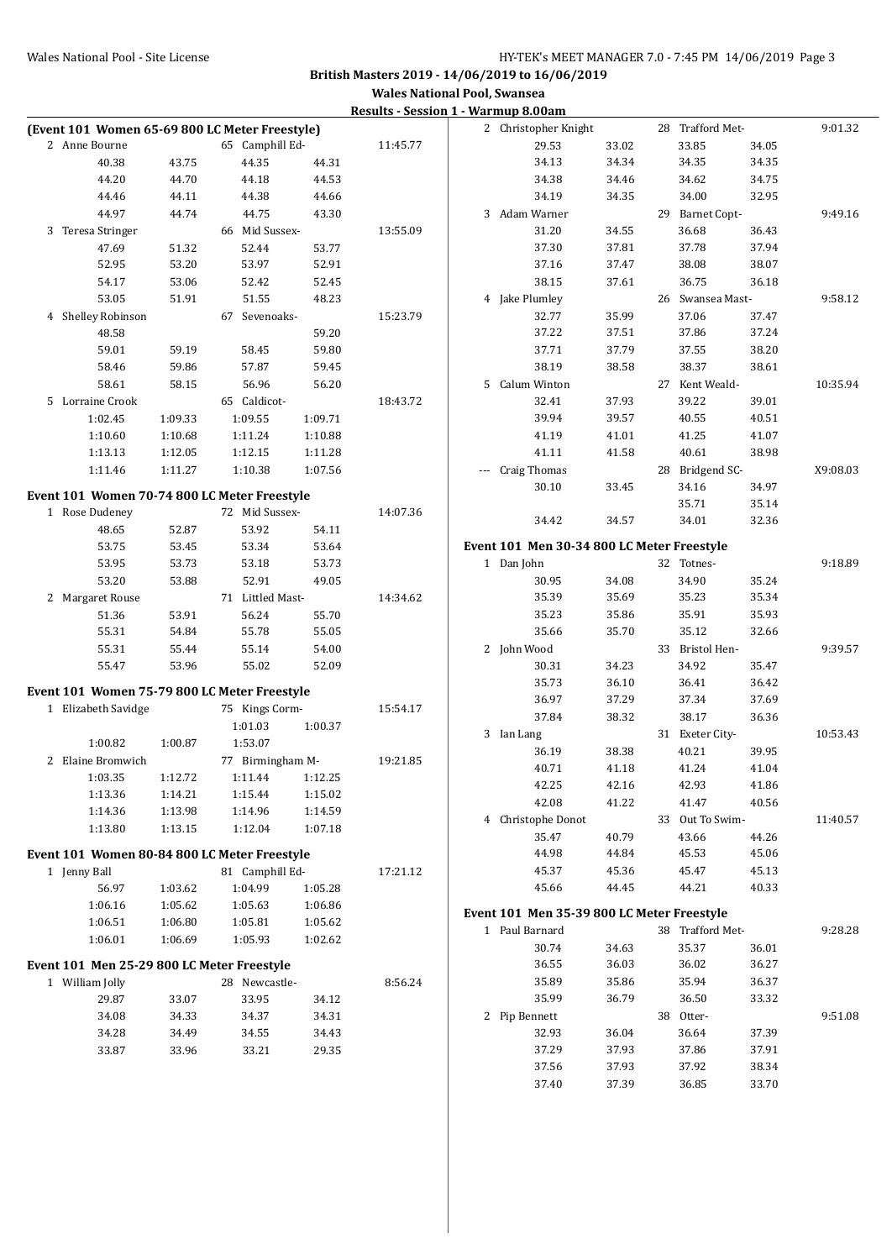| (Event 101 Women 65-69 800 LC Meter Freestyle) |                    |                    |                    |          | 2 Christopher Knight                       |       | 28 Trafford Met- |       | 9:01.32  |
|------------------------------------------------|--------------------|--------------------|--------------------|----------|--------------------------------------------|-------|------------------|-------|----------|
| 2 Anne Bourne                                  |                    | 65 Camphill Ed-    |                    | 11:45.77 | 29.53                                      | 33.02 | 33.85            | 34.05 |          |
| 40.38                                          | 43.75              | 44.35              | 44.31              |          | 34.13                                      | 34.34 | 34.35            | 34.35 |          |
| 44.20                                          | 44.70              | 44.18              | 44.53              |          | 34.38                                      | 34.46 | 34.62            | 34.75 |          |
| 44.46                                          | 44.11              | 44.38              | 44.66              |          | 34.19                                      | 34.35 | 34.00            | 32.95 |          |
| 44.97                                          | 44.74              | 44.75              | 43.30              |          | 3 Adam Warner                              |       | 29 Barnet Copt-  |       | 9:49.16  |
| 3 Teresa Stringer                              |                    | 66 Mid Sussex-     |                    | 13:55.09 | 31.20                                      | 34.55 | 36.68            | 36.43 |          |
| 47.69                                          | 51.32              | 52.44              | 53.77              |          | 37.30                                      | 37.81 | 37.78            | 37.94 |          |
| 52.95                                          | 53.20              | 53.97              | 52.91              |          | 37.16                                      | 37.47 | 38.08            | 38.07 |          |
| 54.17                                          | 53.06              | 52.42              | 52.45              |          | 38.15                                      | 37.61 | 36.75            | 36.18 |          |
| 53.05                                          | 51.91              | 51.55              | 48.23              |          | 4 Jake Plumley                             |       | 26 Swansea Mast- |       | 9:58.12  |
| 4 Shelley Robinson                             |                    | 67 Sevenoaks-      |                    | 15:23.79 | 32.77                                      | 35.99 | 37.06            | 37.47 |          |
| 48.58                                          |                    |                    | 59.20              |          | 37.22                                      | 37.51 | 37.86            | 37.24 |          |
| 59.01                                          | 59.19              | 58.45              | 59.80              |          | 37.71                                      | 37.79 | 37.55            | 38.20 |          |
| 58.46                                          | 59.86              | 57.87              | 59.45              |          | 38.19                                      | 38.58 | 38.37            | 38.61 |          |
| 58.61                                          | 58.15              | 56.96              | 56.20              |          | 5 Calum Winton                             |       | 27 Kent Weald-   |       | 10:35.94 |
| 5 Lorraine Crook                               |                    | 65 Caldicot-       |                    | 18:43.72 | 32.41                                      | 37.93 | 39.22            | 39.01 |          |
| 1:02.45                                        | 1:09.33            | 1:09.55            | 1:09.71            |          | 39.94                                      | 39.57 | 40.55            | 40.51 |          |
| 1:10.60                                        | 1:10.68            | 1:11.24            | 1:10.88            |          | 41.19                                      | 41.01 | 41.25            | 41.07 |          |
| 1:13.13                                        | 1:12.05            | 1:12.15            | 1:11.28            |          | 41.11                                      | 41.58 | 40.61            | 38.98 |          |
| 1:11.46                                        | 1:11.27            | 1:10.38            | 1:07.56            |          | --- Craig Thomas                           |       | 28 Bridgend SC-  |       | X9:08.03 |
| Event 101 Women 70-74 800 LC Meter Freestyle   |                    |                    |                    |          | 30.10                                      | 33.45 | 34.16            | 34.97 |          |
| 1 Rose Dudeney                                 |                    | 72 Mid Sussex-     |                    | 14:07.36 |                                            |       | 35.71            | 35.14 |          |
| 48.65                                          | 52.87              | 53.92              | 54.11              |          | 34.42                                      | 34.57 | 34.01            | 32.36 |          |
| 53.75                                          | 53.45              | 53.34              | 53.64              |          | Event 101 Men 30-34 800 LC Meter Freestyle |       |                  |       |          |
| 53.95                                          | 53.73              | 53.18              | 53.73              |          | 1 Dan John                                 |       | 32 Totnes-       |       | 9:18.89  |
| 53.20                                          | 53.88              | 52.91              | 49.05              |          | 30.95                                      | 34.08 | 34.90            | 35.24 |          |
| 2 Margaret Rouse                               |                    | 71 Littled Mast-   |                    | 14:34.62 | 35.39                                      | 35.69 | 35.23            | 35.34 |          |
| 51.36                                          | 53.91              | 56.24              | 55.70              |          | 35.23                                      | 35.86 | 35.91            | 35.93 |          |
| 55.31                                          | 54.84              | 55.78              | 55.05              |          | 35.66                                      | 35.70 | 35.12            | 32.66 |          |
| 55.31                                          | 55.44              | 55.14              | 54.00              |          | 2 John Wood                                |       | 33 Bristol Hen-  |       | 9:39.57  |
| 55.47                                          | 53.96              | 55.02              | 52.09              |          | 30.31                                      | 34.23 | 34.92            | 35.47 |          |
|                                                |                    |                    |                    |          | 35.73                                      | 36.10 | 36.41            | 36.42 |          |
| Event 101 Women 75-79 800 LC Meter Freestyle   |                    |                    |                    |          | 36.97                                      | 37.29 | 37.34            | 37.69 |          |
| 1 Elizabeth Savidge                            |                    | 75 Kings Corm-     |                    | 15:54.17 | 37.84                                      | 38.32 | 38.17            | 36.36 |          |
|                                                |                    | 1:01.03            | 1:00.37            |          | 3 Ian Lang                                 |       | 31 Exeter City-  |       | 10:53.43 |
| 1:00.82                                        | 1:00.87            | 1:53.07            |                    |          | 36.19                                      | 38.38 | 40.21            | 39.95 |          |
| 2 Elaine Bromwich                              |                    | 77 Birmingham M-   |                    | 19:21.85 | 40.71                                      | 41.18 | 41.24            | 41.04 |          |
| 1:03.35<br>1:13.36                             | 1:12.72<br>1:14.21 | 1:11.44<br>1:15.44 | 1:12.25<br>1:15.02 |          | 42.25                                      | 42.16 | 42.93            | 41.86 |          |
| 1:14.36                                        | 1:13.98            | 1:14.96            | 1:14.59            |          | 42.08                                      | 41.22 | 41.47            | 40.56 |          |
| 1:13.80                                        | 1:13.15            | 1:12.04            | 1:07.18            |          | 4 Christophe Donot                         |       | 33 Out To Swim-  |       | 11:40.57 |
|                                                |                    |                    |                    |          | 35.47                                      | 40.79 | 43.66            | 44.26 |          |
| Event 101 Women 80-84 800 LC Meter Freestyle   |                    |                    |                    |          | 44.98                                      | 44.84 | 45.53            | 45.06 |          |
| 1 Jenny Ball                                   |                    | 81 Camphill Ed-    |                    | 17:21.12 | 45.37                                      | 45.36 | 45.47            | 45.13 |          |
| 56.97                                          | 1:03.62            | 1:04.99            | 1:05.28            |          | 45.66                                      | 44.45 | 44.21            | 40.33 |          |
| 1:06.16                                        | 1:05.62            | 1:05.63            | 1:06.86            |          | Event 101 Men 35-39 800 LC Meter Freestyle |       |                  |       |          |
| 1:06.51                                        | 1:06.80            | 1:05.81            | 1:05.62            |          | 1 Paul Barnard                             |       | 38 Trafford Met- |       | 9:28.28  |
| 1:06.01                                        | 1:06.69            | 1:05.93            | 1:02.62            |          | 30.74                                      | 34.63 | 35.37            | 36.01 |          |
| Event 101 Men 25-29 800 LC Meter Freestyle     |                    |                    |                    |          | 36.55                                      | 36.03 | 36.02            | 36.27 |          |
| 1 William Jolly                                |                    | 28 Newcastle-      |                    | 8:56.24  | 35.89                                      | 35.86 | 35.94            | 36.37 |          |
| 29.87                                          | 33.07              | 33.95              | 34.12              |          | 35.99                                      | 36.79 | 36.50            | 33.32 |          |
| 34.08                                          | 34.33              | 34.37              | 34.31              |          | 2 Pip Bennett                              |       | 38 Otter-        |       | 9:51.08  |
| 34.28                                          | 34.49              | 34.55              | 34.43              |          | 32.93                                      | 36.04 | 36.64            | 37.39 |          |
| 33.87                                          | 33.96              | 33.21              | 29.35              |          | 37.29                                      | 37.93 | 37.86            | 37.91 |          |
|                                                |                    |                    |                    |          | 37.56                                      | 37.93 | 37.92            | 38.34 |          |
|                                                |                    |                    |                    |          | 37.40                                      | 37.39 | 36.85            | 33.70 |          |
|                                                |                    |                    |                    |          |                                            |       |                  |       |          |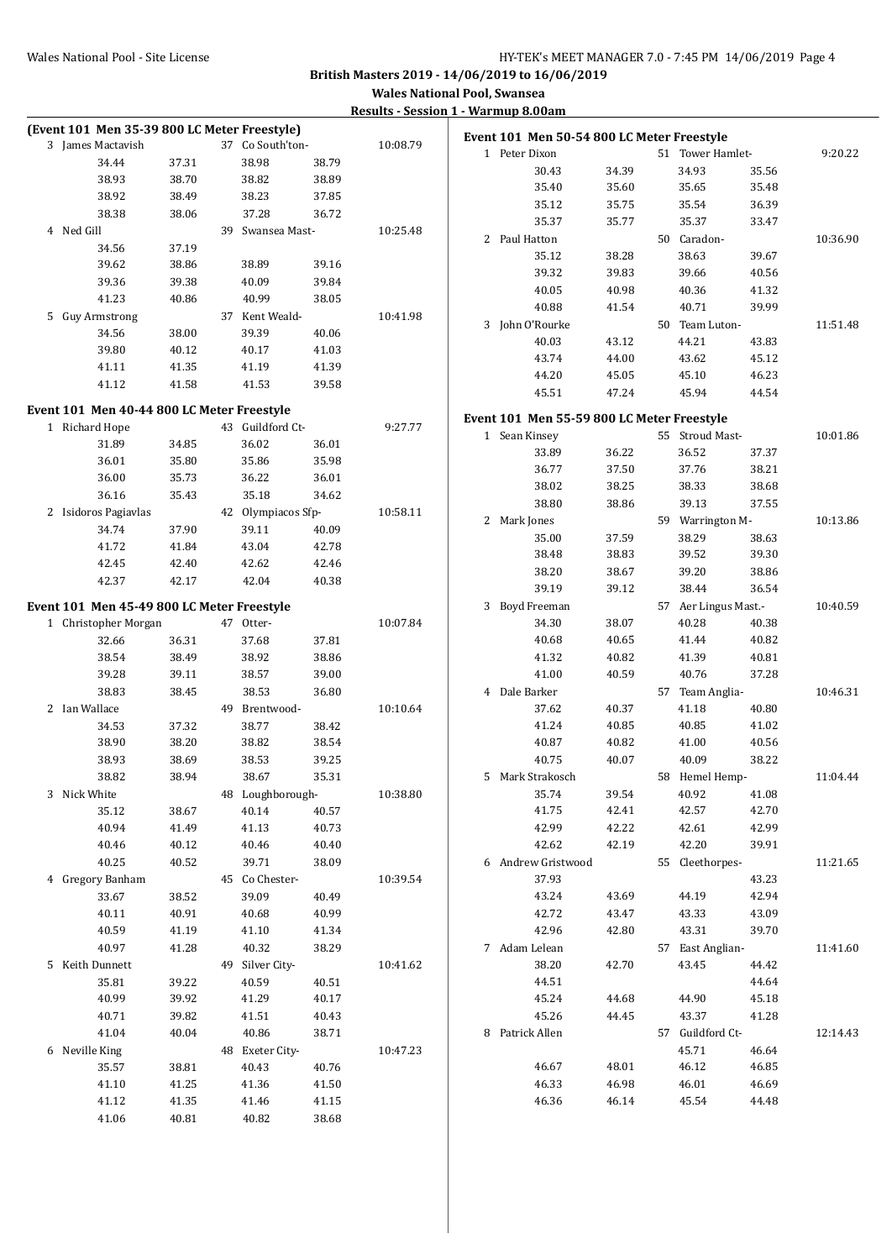| (Event 101 Men 35-39 800 LC Meter Freestyle) |                |                    |       |          | Event 101 Men 50-54 800 LC Meter Freestyle |                |                          |                |          |
|----------------------------------------------|----------------|--------------------|-------|----------|--------------------------------------------|----------------|--------------------------|----------------|----------|
| 3 James Mactavish                            |                | 37 Co South'ton-   |       | 10:08.79 | 1 Peter Dixon                              |                | 51 Tower Hamlet-         |                | 9:20.22  |
| 34.44                                        | 37.31          | 38.98              | 38.79 |          |                                            |                |                          |                |          |
| 38.93                                        | 38.70          | 38.82              | 38.89 |          | 30.43<br>35.40                             | 34.39<br>35.60 | 34.93<br>35.65           | 35.56<br>35.48 |          |
| 38.92                                        | 38.49          | 38.23              | 37.85 |          |                                            |                |                          |                |          |
| 38.38                                        | 38.06          | 37.28              | 36.72 |          | 35.12                                      | 35.75          | 35.54                    | 36.39          |          |
| 4 Ned Gill                                   |                | 39 Swansea Mast-   |       | 10:25.48 | 35.37                                      | 35.77          | 35.37                    | 33.47          |          |
| 34.56                                        | 37.19          |                    |       |          | 2 Paul Hatton                              |                | 50 Caradon-              |                | 10:36.90 |
| 39.62                                        | 38.86          | 38.89              | 39.16 |          | 35.12                                      | 38.28          | 38.63                    | 39.67          |          |
| 39.36                                        | 39.38          | 40.09              | 39.84 |          | 39.32                                      | 39.83          | 39.66                    | 40.56          |          |
| 41.23                                        | 40.86          | 40.99              | 38.05 |          | 40.05                                      | 40.98          | 40.36                    | 41.32          |          |
| 5 Guy Armstrong                              |                | 37 Kent Weald-     |       | 10:41.98 | 40.88                                      | 41.54          | 40.71                    | 39.99          |          |
| 34.56                                        | 38.00          | 39.39              | 40.06 |          | 3 John O'Rourke                            |                | 50 Team Luton-           |                | 11:51.48 |
| 39.80                                        | 40.12          | 40.17              | 41.03 |          | 40.03                                      | 43.12          | 44.21                    | 43.83          |          |
| 41.11                                        | 41.35          | 41.19              | 41.39 |          | 43.74                                      | 44.00          | 43.62                    | 45.12          |          |
| 41.12                                        | 41.58          | 41.53              | 39.58 |          | 44.20                                      | 45.05          | 45.10                    | 46.23          |          |
|                                              |                |                    |       |          | 45.51                                      | 47.24          | 45.94                    | 44.54          |          |
| Event 101 Men 40-44 800 LC Meter Freestyle   |                |                    |       |          | Event 101 Men 55-59 800 LC Meter Freestyle |                |                          |                |          |
| 1 Richard Hope                               |                | 43 Guildford Ct-   |       | 9:27.77  | 1 Sean Kinsey                              |                | 55 Stroud Mast-          |                | 10:01.86 |
| 31.89                                        | 34.85          | 36.02              | 36.01 |          | 33.89                                      | 36.22          | 36.52                    | 37.37          |          |
| 36.01                                        | 35.80          | 35.86              | 35.98 |          | 36.77                                      | 37.50          | 37.76                    | 38.21          |          |
| 36.00                                        | 35.73          | 36.22              | 36.01 |          | 38.02                                      | 38.25          | 38.33                    | 38.68          |          |
| 36.16                                        | 35.43          | 35.18              | 34.62 |          | 38.80                                      | 38.86          | 39.13                    | 37.55          |          |
| 2 Isidoros Pagiavlas                         |                | 42 Olympiacos Sfp- |       | 10:58.11 | 2 Mark Jones                               |                | 59 Warrington M-         |                | 10:13.86 |
| 34.74                                        | 37.90          | 39.11              | 40.09 |          | 35.00                                      | 37.59          | 38.29                    | 38.63          |          |
| 41.72                                        | 41.84          | 43.04              | 42.78 |          | 38.48                                      | 38.83          | 39.52                    | 39.30          |          |
| 42.45                                        | 42.40          | 42.62              | 42.46 |          | 38.20                                      | 38.67          | 39.20                    | 38.86          |          |
| 42.37                                        | 42.17          | 42.04              | 40.38 |          | 39.19                                      | 39.12          | 38.44                    | 36.54          |          |
| Event 101 Men 45-49 800 LC Meter Freestyle   |                |                    |       |          | 3 Boyd Freeman                             |                | 57 Aer Lingus Mast.-     |                | 10:40.59 |
| 1 Christopher Morgan                         |                | 47 Otter-          |       | 10:07.84 | 34.30                                      | 38.07          | 40.28                    | 40.38          |          |
| 32.66                                        | 36.31          | 37.68              | 37.81 |          | 40.68                                      | 40.65          | 41.44                    | 40.82          |          |
| 38.54                                        | 38.49          | 38.92              | 38.86 |          | 41.32                                      | 40.82          | 41.39                    | 40.81          |          |
| 39.28                                        | 39.11          | 38.57              | 39.00 |          | 41.00                                      | 40.59          | 40.76                    | 37.28          |          |
| 38.83                                        | 38.45          | 38.53              | 36.80 |          | 4 Dale Barker                              |                | 57 Team Anglia-          |                | 10:46.31 |
| 2 Ian Wallace                                |                | 49 Brentwood-      |       | 10:10.64 | 37.62                                      | 40.37          | 41.18                    | 40.80          |          |
| 34.53                                        | 37.32          | 38.77              | 38.42 |          | 41.24                                      | 40.85          | 40.85                    | 41.02          |          |
| 38.90                                        | 38.20          | 38.82              | 38.54 |          | 40.87                                      | 40.82          | 41.00                    | 40.56          |          |
| 38.93                                        | 38.69          | 38.53              | 39.25 |          | 40.75                                      | 40.07          | 40.09                    | 38.22          |          |
| 38.82                                        | 38.94          | 38.67              | 35.31 |          | 5 Mark Strakosch                           |                | 58 Hemel Hemp-           |                | 11:04.44 |
| 3 Nick White                                 |                | 48 Loughborough-   |       | 10:38.80 | 35.74                                      | 39.54          | 40.92                    | 41.08          |          |
|                                              |                |                    |       |          | 41.75                                      | 42.41          | 42.57                    | 42.70          |          |
| 35.12<br>40.94                               | 38.67          | 40.14<br>41.13     | 40.57 |          | 42.99                                      | 42.22          |                          | 42.99          |          |
|                                              | 41.49          |                    | 40.73 |          |                                            |                | 42.61                    |                |          |
| 40.46<br>40.25                               | 40.12<br>40.52 | 40.46<br>39.71     | 40.40 |          | 42.62<br>6 Andrew Gristwood                | 42.19          | 42.20<br>55 Cleethorpes- | 39.91          |          |
|                                              |                |                    | 38.09 | 10:39.54 | 37.93                                      |                |                          |                | 11:21.65 |
| 4 Gregory Banham                             |                | 45 Co Chester-     |       |          |                                            |                |                          | 43.23<br>42.94 |          |
| 33.67                                        | 38.52          | 39.09              | 40.49 |          | 43.24                                      | 43.69          | 44.19                    |                |          |
| 40.11                                        | 40.91          | 40.68              | 40.99 |          | 42.72                                      | 43.47          | 43.33                    | 43.09          |          |
| 40.59                                        | 41.19          | 41.10              | 41.34 |          | 42.96                                      | 42.80          | 43.31                    | 39.70          |          |
| 40.97                                        | 41.28          | 40.32              | 38.29 |          | 7 Adam Lelean                              |                | 57 East Anglian-         |                | 11:41.60 |
| 5 Keith Dunnett                              |                | 49 Silver City-    |       | 10:41.62 | 38.20                                      | 42.70          | 43.45                    | 44.42          |          |
| 35.81                                        | 39.22          | 40.59              | 40.51 |          | 44.51                                      |                |                          | 44.64          |          |
| 40.99                                        | 39.92          | 41.29              | 40.17 |          | 45.24                                      | 44.68          | 44.90                    | 45.18          |          |
| 40.71                                        | 39.82          | 41.51              | 40.43 |          | 45.26                                      | 44.45          | 43.37                    | 41.28          |          |
| 41.04                                        | 40.04          | 40.86              | 38.71 |          | 8 Patrick Allen                            |                | 57 Guildford Ct-         |                | 12:14.43 |
| 6 Neville King                               |                | 48 Exeter City-    |       | 10:47.23 |                                            |                | 45.71                    | 46.64          |          |
| 35.57                                        | 38.81          | 40.43              | 40.76 |          | 46.67                                      | 48.01          | 46.12                    | 46.85          |          |
| 41.10                                        | 41.25          | 41.36              | 41.50 |          | 46.33                                      | 46.98          | 46.01                    | 46.69          |          |
| 41.12                                        | 41.35          | 41.46              | 41.15 |          | 46.36                                      | 46.14          | 45.54                    | 44.48          |          |
| 41.06                                        | 40.81          | 40.82              | 38.68 |          |                                            |                |                          |                |          |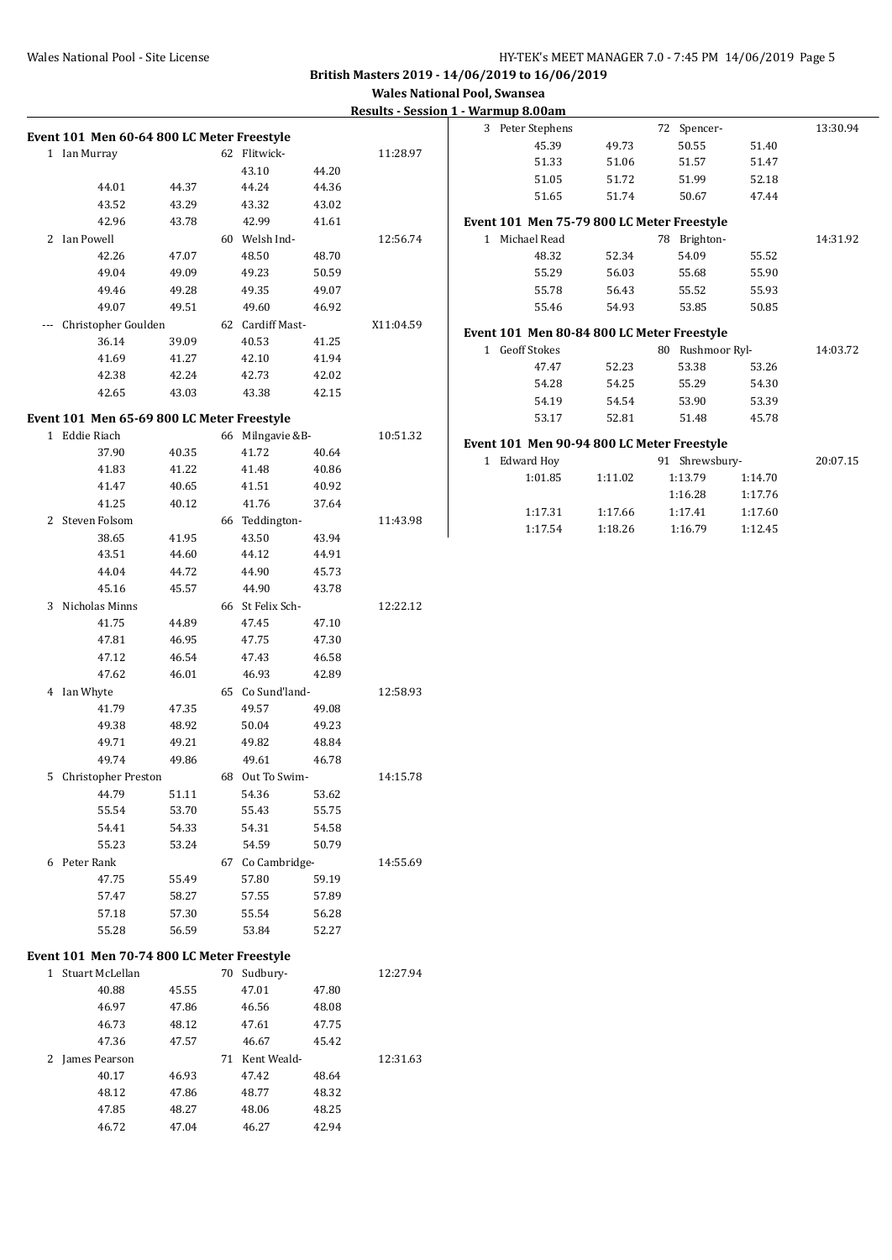#### Wales National Pool - Site License **HY-TEK's MEET MANAGER 7.0 - 7:45 PM 14/06/2019** Page 5

# **British Masters 2019 - 14/06/2019 to 16/06/2019**

**Wales National Pool, Swansea**

## **Results - Session**

|           | Event 101 Men 60-64 800 LC Meter Freestyle |       |    |                  |       |           |
|-----------|--------------------------------------------|-------|----|------------------|-------|-----------|
| $1\,$     | Ian Murray                                 |       | 62 | Flitwick-        |       | 11:28.97  |
|           |                                            |       |    | 43.10            | 44.20 |           |
|           | 44.01                                      | 44.37 |    | 44.24            | 44.36 |           |
|           | 43.52                                      | 43.29 |    | 43.32            | 43.02 |           |
|           | 42.96                                      | 43.78 |    | 42.99            | 41.61 |           |
| 2         | Ian Powell                                 |       |    | 60 Welsh Ind-    |       | 12:56.74  |
|           | 42.26                                      | 47.07 |    | 48.50            | 48.70 |           |
|           | 49.04                                      | 49.09 |    | 49.23            | 50.59 |           |
|           | 49.46                                      | 49.28 |    | 49.35            | 49.07 |           |
|           | 49.07                                      | 49.51 |    | 49.60            | 46.92 |           |
|           | Christopher Goulden                        |       |    | 62 Cardiff Mast- |       | X11:04.59 |
|           | 36.14                                      | 39.09 |    | 40.53            | 41.25 |           |
|           | 41.69                                      | 41.27 |    | 42.10            | 41.94 |           |
|           | 42.38                                      | 42.24 |    | 42.73            | 42.02 |           |
|           | 42.65                                      | 43.03 |    | 43.38            | 42.15 |           |
|           | Event 101 Men 65-69 800 LC Meter Freestyle |       |    |                  |       |           |
| 1         | Eddie Riach                                |       | 66 | Milngavie &B-    |       | 10:51.32  |
|           | 37.90                                      | 40.35 |    | 41.72            | 40.64 |           |
|           | 41.83                                      | 41.22 |    | 41.48            | 40.86 |           |
|           | 41.47                                      | 40.65 |    | 41.51            | 40.92 |           |
|           | 41.25                                      | 40.12 |    | 41.76            | 37.64 |           |
| 2         | Steven Folsom                              |       |    | 66 Teddington-   |       | 11:43.98  |
|           | 38.65                                      | 41.95 |    | 43.50            | 43.94 |           |
|           | 43.51                                      | 44.60 |    | 44.12            | 44.91 |           |
|           | 44.04                                      | 44.72 |    | 44.90            | 45.73 |           |
|           | 45.16                                      | 45.57 |    | 44.90            | 43.78 |           |
| 3         | Nicholas Minns                             |       | 66 | St Felix Sch-    |       | 12:22.12  |
|           | 41.75                                      | 44.89 |    | 47.45            | 47.10 |           |
|           | 47.81                                      | 46.95 |    | 47.75            | 47.30 |           |
|           | 47.12                                      | 46.54 |    | 47.43            | 46.58 |           |
|           | 47.62                                      | 46.01 |    | 46.93            | 42.89 |           |
| 4         | Ian Whyte                                  |       | 65 | Co Sund'land-    |       | 12:58.93  |
|           | 41.79                                      | 47.35 |    | 49.57            | 49.08 |           |
|           | 49.38                                      | 48.92 |    | 50.04            | 49.23 |           |
|           | 49.71                                      | 49.21 |    | 49.82            | 48.84 |           |
|           | 49.74                                      | 49.86 |    | 49.61            | 46.78 |           |
| 5         | Christopher Preston                        |       | 68 | Out To Swim-     |       | 14:15.78  |
|           | 44.79                                      | 51.11 |    | 54.36            | 53.62 |           |
|           | 55.54                                      | 53.70 |    | 55.43            | 55.75 |           |
|           | 54.41                                      | 54.33 |    | 54.31            | 54.58 |           |
|           | 55.23                                      | 53.24 |    | 54.59            | 50.79 |           |
|           | 6 Peter Rank                               |       | 67 | Co Cambridge-    |       | 14:55.69  |
|           | 47.75                                      | 55.49 |    | 57.80            | 59.19 |           |
|           | 57.47                                      | 58.27 |    | 57.55            | 57.89 |           |
|           | 57.18                                      | 57.30 |    | 55.54            | 56.28 |           |
|           | 55.28                                      | 56.59 |    | 53.84            | 52.27 |           |
|           | Event 101 Men 70-74 800 LC Meter Freestyle |       |    |                  |       |           |
| $1 \quad$ | Stuart McLellan                            |       | 70 | Sudbury-         |       | 12:27.94  |
|           | 40.88                                      | 45.55 |    | 47.01            | 47.80 |           |
|           | 46.97                                      | 47.86 |    | 46.56            | 48.08 |           |
|           | 46.73                                      | 48.12 |    | 47.61            | 47.75 |           |
|           | 47.36                                      | 47.57 |    | 46.67            | 45.42 |           |
| 2         | James Pearson                              |       |    | 71 Kent Weald-   |       | 12:31.63  |
|           | 40.17                                      | 46.93 |    | 47.42            | 48.64 |           |
|           | 48.12                                      | 47.86 |    | 48.77            | 48.32 |           |
|           | 47.85                                      | 48.27 |    | 48.06            | 48.25 |           |
|           | 46.72                                      | 47.04 |    | 46.27            | 42.94 |           |

|              | 1 - Warmup 8.00am                          |         |    |                  |         |          |
|--------------|--------------------------------------------|---------|----|------------------|---------|----------|
|              | 3 Peter Stephens                           |         | 72 | Spencer-         |         | 13:30.94 |
|              | 45.39                                      | 49.73   |    | 50.55            | 51.40   |          |
|              | 51.33                                      | 51.06   |    | 51.57            | 51.47   |          |
|              | 51.05                                      | 51.72   |    | 51.99            | 52.18   |          |
|              | 51.65                                      | 51.74   |    | 50.67            | 47.44   |          |
|              | Event 101 Men 75-79 800 LC Meter Freestyle |         |    |                  |         |          |
| $\mathbf{1}$ | Michael Read                               |         | 78 | Brighton-        |         | 14:31.92 |
|              | 48.32                                      | 52.34   |    | 54.09            | 55.52   |          |
|              | 55.29                                      | 56.03   |    | 55.68            | 55.90   |          |
|              | 55.78                                      | 56.43   |    | 55.52            | 55.93   |          |
|              | 55.46                                      | 54.93   |    | 53.85            | 50.85   |          |
|              | Event 101 Men 80-84 800 LC Meter Freestyle |         |    |                  |         |          |
|              | 1 Geoff Stokes                             |         |    | 80 Rushmoor Ryl- |         | 14:03.72 |
|              | 47.47                                      | 52.23   |    | 53.38            | 53.26   |          |
|              | 54.28                                      | 54.25   |    | 55.29            | 54.30   |          |
|              | 54.19                                      | 54.54   |    | 53.90            | 53.39   |          |
|              | 53.17                                      | 52.81   |    | 51.48            | 45.78   |          |
|              | Event 101 Men 90-94 800 LC Meter Freestyle |         |    |                  |         |          |
| $\mathbf{1}$ | Edward Hoy                                 |         |    | 91 Shrewsbury-   |         | 20:07.15 |
|              | 1:01.85                                    | 1:11.02 |    | 1:13.79          | 1:14.70 |          |
|              |                                            |         |    | 1:16.28          | 1:17.76 |          |
|              | 1:17.31                                    | 1:17.66 |    | 1:17.41          | 1:17.60 |          |
|              | 1:17.54                                    | 1:18.26 |    | 1:16.79          | 1:12.45 |          |
|              |                                            |         |    |                  |         |          |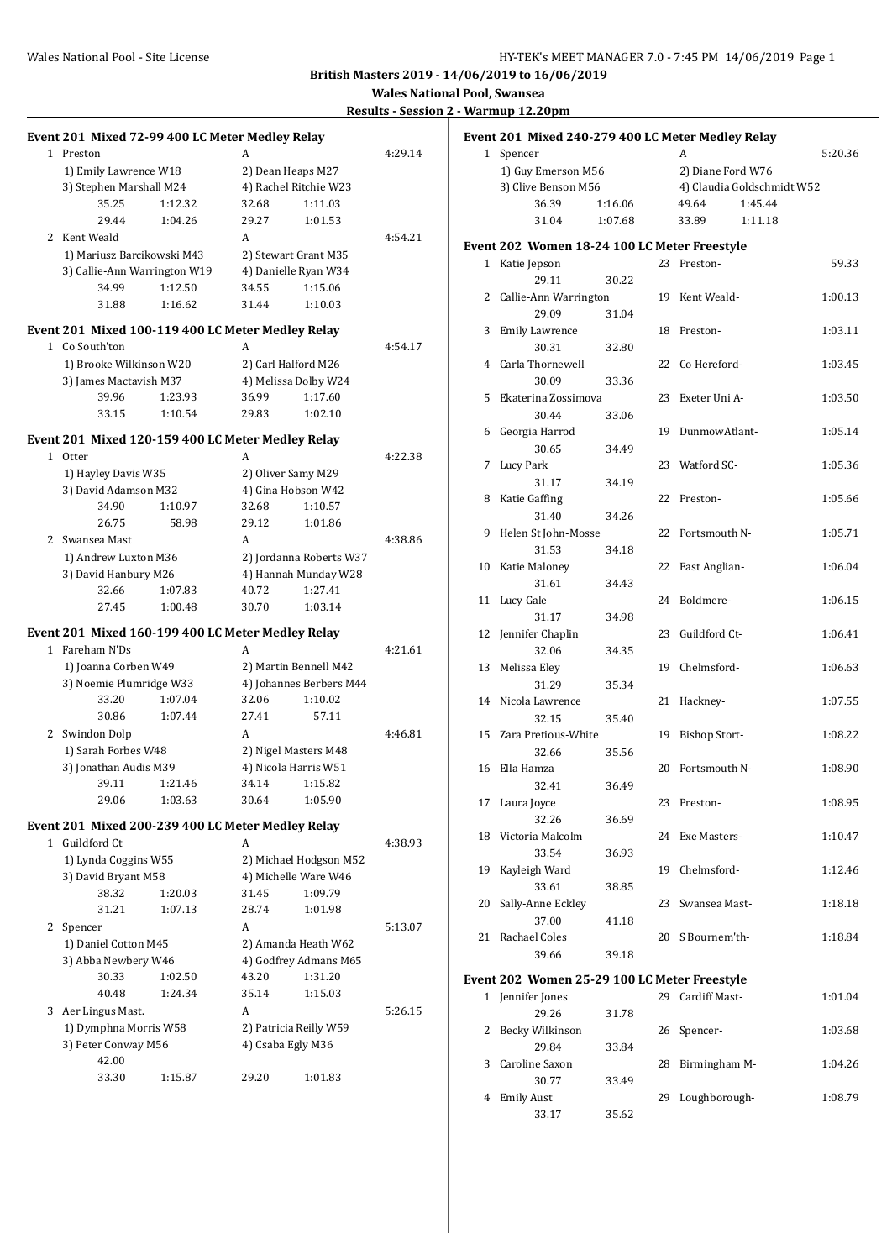| Results - Session Z - Warmup 12.20p |  |  |
|-------------------------------------|--|--|
|                                     |  |  |
|                                     |  |  |

| Event 201 Mixed 72-99 400 LC Meter Medley Relay   |         |       |                         |         |  | Event 201 Mixed 240-279 400 LC Meter Medley Relay |         |  |                   |                            |         |
|---------------------------------------------------|---------|-------|-------------------------|---------|--|---------------------------------------------------|---------|--|-------------------|----------------------------|---------|
| 1 Preston                                         |         | A     |                         | 4:29.14 |  | 1 Spencer                                         |         |  | A                 |                            | 5:20.36 |
| 1) Emily Lawrence W18                             |         |       | 2) Dean Heaps M27       |         |  | 1) Guy Emerson M56                                |         |  | 2) Diane Ford W76 |                            |         |
| 3) Stephen Marshall M24                           |         |       | 4) Rachel Ritchie W23   |         |  | 3) Clive Benson M56                               |         |  |                   | 4) Claudia Goldschmidt W52 |         |
| 35.25                                             | 1:12.32 | 32.68 | 1:11.03                 |         |  | 36.39                                             | 1:16.06 |  | 49.64             | 1:45.44                    |         |
| 29.44                                             | 1:04.26 | 29.27 | 1:01.53                 |         |  | 31.04                                             | 1:07.68 |  | 33.89             | 1:11.18                    |         |
| 2 Kent Weald                                      |         | A     |                         | 4:54.21 |  |                                                   |         |  |                   |                            |         |
| 1) Mariusz Barcikowski M43                        |         |       | 2) Stewart Grant M35    |         |  | Event 202 Women 18-24 100 LC Meter Freestyle      |         |  |                   |                            |         |
| 3) Callie-Ann Warrington W19                      |         |       | 4) Danielle Ryan W34    |         |  | 1 Katie Jepson                                    |         |  | 23 Preston-       |                            | 59.33   |
| 34.99                                             | 1:12.50 | 34.55 | 1:15.06                 |         |  | 29.11                                             | 30.22   |  |                   |                            |         |
| 31.88                                             | 1:16.62 | 31.44 | 1:10.03                 |         |  | 2 Callie-Ann Warrington                           |         |  | 19 Kent Weald-    |                            | 1:00.13 |
|                                                   |         |       |                         |         |  | 29.09                                             | 31.04   |  |                   |                            |         |
| Event 201 Mixed 100-119 400 LC Meter Medley Relay |         |       |                         |         |  | 3 Emily Lawrence                                  |         |  | 18 Preston-       |                            | 1:03.11 |
| 1 Co South'ton                                    |         | A     |                         | 4:54.17 |  | 30.31                                             | 32.80   |  |                   |                            |         |
| 1) Brooke Wilkinson W20                           |         |       | 2) Carl Halford M26     |         |  | 4 Carla Thornewell                                |         |  | 22 Co Hereford-   |                            | 1:03.45 |
| 3) James Mactavish M37                            |         |       | 4) Melissa Dolby W24    |         |  | 30.09                                             | 33.36   |  |                   |                            |         |
| 39.96                                             | 1:23.93 | 36.99 | 1:17.60                 |         |  | 5 Ekaterina Zossimova                             |         |  | 23 Exeter Uni A-  |                            | 1:03.50 |
| 33.15                                             | 1:10.54 | 29.83 | 1:02.10                 |         |  | 30.44                                             | 33.06   |  |                   |                            |         |
|                                                   |         |       |                         |         |  | 6 Georgia Harrod                                  |         |  | 19 DunmowAtlant-  |                            | 1:05.14 |
| Event 201 Mixed 120-159 400 LC Meter Medley Relay |         |       |                         |         |  | 30.65                                             | 34.49   |  |                   |                            |         |
| 1 Otter                                           |         | A     |                         | 4:22.38 |  | 7 Lucy Park                                       |         |  | 23 Watford SC-    |                            | 1:05.36 |
| 1) Hayley Davis W35                               |         |       | 2) Oliver Samy M29      |         |  | 31.17                                             | 34.19   |  |                   |                            |         |
| 3) David Adamson M32                              |         |       | 4) Gina Hobson W42      |         |  | 8 Katie Gaffing                                   |         |  | 22 Preston-       |                            | 1:05.66 |
| 34.90                                             | 1:10.97 | 32.68 | 1:10.57                 |         |  | 31.40                                             | 34.26   |  |                   |                            |         |
| 26.75                                             | 58.98   | 29.12 | 1:01.86                 |         |  | 9 Helen St John-Mosse                             |         |  | 22 Portsmouth N-  |                            | 1:05.71 |
| 2 Swansea Mast                                    |         | A     |                         | 4:38.86 |  | 31.53                                             | 34.18   |  |                   |                            |         |
| 1) Andrew Luxton M36                              |         |       | 2) Jordanna Roberts W37 |         |  | 10 Katie Maloney                                  |         |  | 22 East Anglian-  |                            | 1:06.04 |
| 3) David Hanbury M26                              |         |       | 4) Hannah Munday W28    |         |  | 31.61                                             | 34.43   |  |                   |                            |         |
| 32.66                                             | 1:07.83 | 40.72 | 1:27.41                 |         |  | 11 Lucy Gale                                      |         |  | 24 Boldmere-      |                            | 1:06.15 |
| 27.45                                             | 1:00.48 | 30.70 | 1:03.14                 |         |  | 31.17                                             | 34.98   |  |                   |                            |         |
| Event 201 Mixed 160-199 400 LC Meter Medley Relay |         |       |                         |         |  | 12 Jennifer Chaplin                               |         |  | 23 Guildford Ct-  |                            | 1:06.41 |
| 1 Fareham N'Ds                                    |         | A     |                         | 4:21.61 |  | 32.06                                             | 34.35   |  |                   |                            |         |
| 1) Joanna Corben W49                              |         |       | 2) Martin Bennell M42   |         |  | 13 Melissa Eley                                   |         |  | 19 Chelmsford-    |                            | 1:06.63 |
| 3) Noemie Plumridge W33                           |         |       | 4) Johannes Berbers M44 |         |  | 31.29                                             | 35.34   |  |                   |                            |         |
| 33.20                                             | 1:07.04 | 32.06 | 1:10.02                 |         |  | 14 Nicola Lawrence                                |         |  | 21 Hackney-       |                            | 1:07.55 |
| 30.86                                             | 1:07.44 | 27.41 | 57.11                   |         |  | 32.15                                             | 35.40   |  |                   |                            |         |
| 2 Swindon Dolp                                    |         | A     |                         | 4:46.81 |  | 15 Zara Pretious-White                            |         |  | 19 Bishop Stort-  |                            | 1:08.22 |
| 1) Sarah Forbes W48                               |         |       | 2) Nigel Masters M48    |         |  | 32.66                                             | 35.56   |  |                   |                            |         |
| 3) Jonathan Audis M39                             |         |       | 4) Nicola Harris W51    |         |  | 16 Ella Hamza                                     |         |  | 20 Portsmouth N-  |                            | 1:08.90 |
| 39.11                                             | 1:21.46 | 34.14 | 1:15.82                 |         |  | 32.41                                             | 36.49   |  |                   |                            |         |
| 29.06                                             | 1:03.63 | 30.64 | 1:05.90                 |         |  | 17 Laura Joyce                                    |         |  | 23 Preston-       |                            | 1:08.95 |
|                                                   |         |       |                         |         |  | 32.26                                             | 36.69   |  |                   |                            |         |
| Event 201 Mixed 200-239 400 LC Meter Medley Relay |         |       |                         |         |  | 18 Victoria Malcolm                               |         |  | 24 Exe Masters-   |                            | 1:10.47 |
| 1 Guildford Ct                                    |         | A     |                         | 4:38.93 |  | 33.54                                             |         |  |                   |                            |         |
| 1) Lynda Coggins W55                              |         |       | 2) Michael Hodgson M52  |         |  |                                                   | 36.93   |  |                   |                            |         |
| 3) David Bryant M58                               |         |       | 4) Michelle Ware W46    |         |  | 19 Kayleigh Ward                                  |         |  | 19 Chelmsford-    |                            | 1:12.46 |
| 38.32                                             | 1:20.03 | 31.45 | 1:09.79                 |         |  | 33.61                                             | 38.85   |  |                   |                            |         |
| 31.21                                             | 1:07.13 | 28.74 | 1:01.98                 |         |  | 20 Sally-Anne Eckley                              |         |  | 23 Swansea Mast-  |                            | 1:18.18 |
| 2 Spencer                                         |         | A     |                         | 5:13.07 |  | 37.00                                             | 41.18   |  |                   |                            |         |
| 1) Daniel Cotton M45                              |         |       | 2) Amanda Heath W62     |         |  | 21 Rachael Coles                                  |         |  | 20 S Bournem'th-  |                            | 1:18.84 |
| 3) Abba Newbery W46                               |         |       | 4) Godfrey Admans M65   |         |  | 39.66                                             | 39.18   |  |                   |                            |         |
| 30.33                                             | 1:02.50 | 43.20 | 1:31.20                 |         |  | Event 202 Women 25-29 100 LC Meter Freestyle      |         |  |                   |                            |         |
| 40.48                                             | 1:24.34 | 35.14 | 1:15.03                 |         |  | 1 Jennifer Jones                                  |         |  | 29 Cardiff Mast-  |                            | 1:01.04 |
| 3 Aer Lingus Mast.                                |         | A     |                         | 5:26.15 |  | 29.26                                             | 31.78   |  |                   |                            |         |
| 1) Dymphna Morris W58                             |         |       | 2) Patricia Reilly W59  |         |  | 2 Becky Wilkinson                                 |         |  | 26 Spencer-       |                            | 1:03.68 |
| 3) Peter Conway M56                               |         |       | 4) Csaba Egly M36       |         |  | 29.84                                             | 33.84   |  |                   |                            |         |
| 42.00                                             |         |       |                         |         |  | 3 Caroline Saxon                                  |         |  | 28 Birmingham M-  |                            | 1:04.26 |
| 33.30                                             | 1:15.87 | 29.20 | 1:01.83                 |         |  | 30.77                                             | 33.49   |  |                   |                            |         |
|                                                   |         |       |                         |         |  | 4 Emily Aust                                      |         |  | 29 Loughborough-  |                            | 1:08.79 |
|                                                   |         |       |                         |         |  | 33.17                                             | 35.62   |  |                   |                            |         |
|                                                   |         |       |                         |         |  |                                                   |         |  |                   |                            |         |

|              | 3) Clive Benson M56                        |         |    |                      | 4) Claudia Goldschmidt W52 |         |
|--------------|--------------------------------------------|---------|----|----------------------|----------------------------|---------|
|              | 36.39                                      | 1:16.06 |    | 49.64                | 1:45.44                    |         |
|              | 31.04                                      | 1:07.68 |    | 33.89                | 1:11.18                    |         |
|              | ent 202 Women 18-24 100 LC Meter Freestyle |         |    |                      |                            |         |
|              | 1 Katie Jepson                             |         |    | 23 Preston-          |                            | 59.33   |
|              | 29.11                                      | 30.22   |    |                      |                            |         |
|              | 2 Callie-Ann Warrington                    |         |    | 19 Kent Weald-       |                            | 1:00.13 |
|              | 29.09                                      | 31.04   |    |                      |                            |         |
| 3            | <b>Emily Lawrence</b>                      |         |    | 18 Preston-          |                            | 1:03.11 |
|              | 30.31                                      | 32.80   |    |                      |                            |         |
|              | 4 Carla Thornewell                         |         |    | 22 Co Hereford-      |                            | 1:03.45 |
|              | 30.09                                      | 33.36   |    |                      |                            |         |
| 5            | Ekaterina Zossimova                        |         |    | 23 Exeter Uni A-     |                            | 1:03.50 |
|              | 30.44                                      | 33.06   |    |                      |                            |         |
|              | 6 Georgia Harrod                           |         |    | 19 DunmowAtlant-     |                            | 1:05.14 |
|              | 30.65                                      | 34.49   |    |                      |                            |         |
| 7            | <b>Lucy Park</b>                           |         |    | 23 Watford SC-       |                            | 1:05.36 |
|              | 31.17                                      | 34.19   |    |                      |                            |         |
|              | Katie Gaffing                              |         |    | 22 Preston-          |                            |         |
| 8            |                                            |         |    |                      |                            | 1:05.66 |
|              | 31.40                                      | 34.26   |    |                      |                            |         |
| 9            | Helen St John-Mosse<br>31.53               |         | 22 | Portsmouth N-        |                            | 1:05.71 |
|              |                                            | 34.18   |    |                      |                            |         |
|              | 10 Katie Maloney                           |         | 22 | East Anglian-        |                            | 1:06.04 |
|              | 31.61                                      | 34.43   |    |                      |                            |         |
| 11           | Lucy Gale                                  |         |    | 24 Boldmere-         |                            | 1:06.15 |
|              | 31.17                                      | 34.98   |    |                      |                            |         |
| 12           | Jennifer Chaplin                           |         |    | 23 Guildford Ct-     |                            | 1:06.41 |
|              | 32.06                                      | 34.35   |    |                      |                            |         |
| 13           | Melissa Eley                               |         | 19 | Chelmsford-          |                            | 1:06.63 |
|              | 31.29                                      | 35.34   |    |                      |                            |         |
| 14           | Nicola Lawrence                            |         | 21 | Hackney-             |                            | 1:07.55 |
|              | 32.15                                      | 35.40   |    |                      |                            |         |
| 15           | Zara Pretious-White                        |         | 19 | <b>Bishop Stort-</b> |                            | 1:08.22 |
|              | 32.66                                      | 35.56   |    |                      |                            |         |
| 16           | Ella Hamza                                 |         |    | 20 Portsmouth N-     |                            | 1:08.90 |
|              | 32.41                                      | 36.49   |    |                      |                            |         |
|              | 17 Laura Joyce                             |         | 23 | Preston-             |                            | 1:08.95 |
|              | 32.26                                      | 36.69   |    |                      |                            |         |
|              | 18 Victoria Malcolm                        |         |    | 24 Exe Masters-      |                            | 1:10.47 |
|              | 33.54                                      | 36.93   |    |                      |                            |         |
| 19           | Kayleigh Ward                              |         | 19 | Chelmsford-          |                            | 1:12.46 |
|              | 33.61                                      | 38.85   |    |                      |                            |         |
| 20           | Sally-Anne Eckley                          |         | 23 | Swansea Mast-        |                            | 1:18.18 |
|              | 37.00                                      | 41.18   |    |                      |                            |         |
| 21           | Rachael Coles                              |         | 20 | S Bournem'th-        |                            | 1:18.84 |
|              | 39.66                                      | 39.18   |    |                      |                            |         |
|              | ent 202 Women 25-29 100 LC Meter Freestyle |         |    |                      |                            |         |
| $\mathbf{1}$ | Jennifer Jones                             |         | 29 | Cardiff Mast-        |                            | 1:01.04 |
|              | 29.26                                      | 31.78   |    |                      |                            |         |
| 2            | Becky Wilkinson                            |         | 26 | Spencer-             |                            | 1:03.68 |
|              | 29.84                                      | 33.84   |    |                      |                            |         |
| 3            | Caroline Saxon                             |         | 28 | Birmingham M-        |                            | 1:04.26 |
|              | 30.77                                      | 33.49   |    |                      |                            |         |
| 4            | <b>Emily Aust</b>                          |         | 29 | Loughborough-        |                            | 1:08.79 |
|              |                                            |         |    |                      |                            |         |
|              | 33.17                                      | 35.62   |    |                      |                            |         |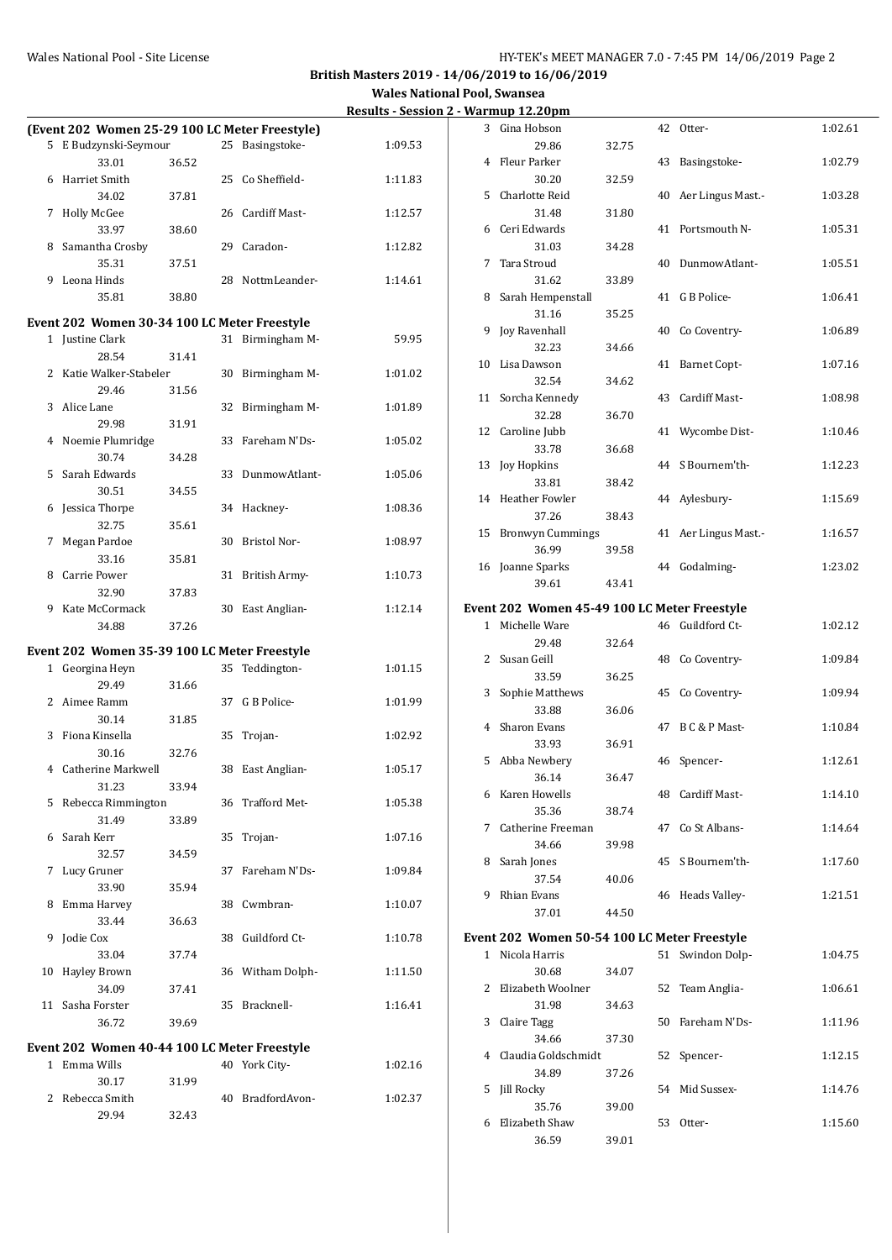**Wales National Pool, Swansea Results - Session 2 - Warmup 12.20pm**

|              | (Event 202 Women 25-29 100 LC Meter Freestyle) |       |    |                  |         |
|--------------|------------------------------------------------|-------|----|------------------|---------|
| 5.           | E Budzynski-Seymour                            |       | 25 | Basingstoke-     | 1:09.53 |
|              | 33.01                                          | 36.52 |    |                  |         |
| 6            | Harriet Smith                                  |       |    | 25 Co Sheffield- | 1:11.83 |
|              | 34.02                                          | 37.81 |    |                  |         |
| 7            | <b>Holly McGee</b>                             |       |    | 26 Cardiff Mast- | 1:12.57 |
|              | 33.97                                          | 38.60 |    |                  |         |
| 8            | Samantha Crosby                                |       |    | 29 Caradon-      | 1:12.82 |
|              | 35.31                                          | 37.51 |    |                  |         |
| 9            | Leona Hinds                                    |       | 28 | NottmLeander-    | 1:14.61 |
|              | 35.81                                          | 38.80 |    |                  |         |
|              | Event 202 Women 30-34 100 LC Meter Freestyle   |       |    |                  |         |
|              | 1 Justine Clark                                |       | 31 | Birmingham M-    | 59.95   |
|              | 28.54                                          | 31.41 |    |                  |         |
| 2            | Katie Walker-Stabeler                          |       | 30 | Birmingham M-    | 1:01.02 |
|              | 29.46                                          | 31.56 |    |                  |         |
| 3            | Alice Lane                                     |       | 32 | Birmingham M-    | 1:01.89 |
|              | 29.98                                          | 31.91 |    |                  |         |
| 4            | Noemie Plumridge                               |       | 33 | Fareham N'Ds-    | 1:05.02 |
|              | 30.74                                          | 34.28 |    |                  |         |
| 5            | Sarah Edwards                                  |       | 33 | DunmowAtlant-    | 1:05.06 |
|              | 30.51                                          | 34.55 |    |                  |         |
| 6            | Jessica Thorpe                                 |       | 34 | Hackney-         | 1:08.36 |
|              | 32.75                                          | 35.61 |    |                  |         |
| 7            | Megan Pardoe                                   |       | 30 | Bristol Nor-     | 1:08.97 |
|              | 33.16                                          | 35.81 |    |                  |         |
| 8            | Carrie Power                                   |       | 31 | British Army-    | 1:10.73 |
|              | 32.90<br>9 Kate McCormack                      | 37.83 |    |                  | 1:12.14 |
|              | 34.88                                          | 37.26 |    | 30 East Anglian- |         |
|              |                                                |       |    |                  |         |
|              | Event 202 Women 35-39 100 LC Meter Freestyle   |       |    |                  |         |
| $\mathbf{1}$ | Georgina Heyn                                  |       | 35 | Teddington-      | 1:01.15 |
|              | 29.49                                          | 31.66 |    |                  |         |
| $\mathbf{2}$ | Aimee Ramm                                     |       |    | 37 G B Police-   | 1:01.99 |
|              | 30.14                                          | 31.85 |    |                  |         |
| 3            | Fiona Kinsella                                 |       | 35 | Trojan-          | 1:02.92 |
|              | 30.16                                          | 32.76 |    |                  |         |
|              | 4 Catherine Markwell                           |       | 38 | East Anglian-    | 1:05.17 |
|              | 31.23<br>5 Rebecca Rimmington                  | 33.94 |    | 36 Trafford Met- | 1:05.38 |
|              | 31.49                                          |       |    |                  |         |
| 6            | Sarah Kerr                                     | 33.89 | 35 | Trojan-          | 1:07.16 |
|              | 32.57                                          | 34.59 |    |                  |         |
| 7            | Lucy Gruner                                    |       | 37 | Fareham N'Ds-    | 1:09.84 |
|              | 33.90                                          | 35.94 |    |                  |         |
| 8            | Emma Harvey                                    |       |    | 38 Cwmbran-      | 1:10.07 |
|              | 33.44                                          | 36.63 |    |                  |         |
| 9            | Jodie Cox                                      |       | 38 | Guildford Ct-    | 1:10.78 |
|              | 33.04                                          | 37.74 |    |                  |         |
| 10           | Hayley Brown                                   |       | 36 | Witham Dolph-    | 1:11.50 |
|              | 34.09                                          | 37.41 |    |                  |         |
| 11           | Sasha Forster                                  |       | 35 | Bracknell-       | 1:16.41 |
|              | 36.72                                          | 39.69 |    |                  |         |
|              | Event 202 Women 40-44 100 LC Meter Freestyle   |       |    |                  |         |
|              | 1 Emma Wills                                   |       |    | 40 York City-    | 1:02.16 |
|              | 30.17                                          | 31.99 |    |                  |         |
| 2            | Rebecca Smith                                  |       | 40 | BradfordAvon-    | 1:02.37 |
|              | 29.94                                          | 32.43 |    |                  |         |
|              |                                                |       |    |                  |         |

| 3              | Gina Hobson                                  |       | 42 | Otter-              | 1:02.61 |
|----------------|----------------------------------------------|-------|----|---------------------|---------|
|                | 29.86                                        | 32.75 |    |                     |         |
| 4              | Fleur Parker                                 |       | 43 | Basingstoke-        | 1:02.79 |
|                | 30.20                                        | 32.59 |    |                     |         |
| 5              | Charlotte Reid                               |       | 40 | Aer Lingus Mast.-   | 1:03.28 |
|                | 31.48                                        | 31.80 |    |                     |         |
| 6              | Ceri Edwards                                 |       | 41 | Portsmouth N-       | 1:05.31 |
|                | 31.03                                        | 34.28 |    |                     |         |
| 7              | Tara Stroud                                  |       | 40 | DunmowAtlant-       | 1:05.51 |
| 8              | 31.62<br>Sarah Hempenstall                   | 33.89 | 41 | G B Police-         | 1:06.41 |
|                | 31.16                                        | 35.25 |    |                     |         |
| 9              | <b>Joy Ravenhall</b>                         |       | 40 | Co Coventry-        | 1:06.89 |
|                | 32.23                                        | 34.66 |    |                     |         |
| 10             | Lisa Dawson                                  |       | 41 | <b>Barnet Copt-</b> | 1:07.16 |
|                | 32.54                                        | 34.62 |    |                     |         |
| 11             | Sorcha Kennedy                               |       | 43 | Cardiff Mast-       | 1:08.98 |
|                | 32.28                                        | 36.70 |    |                     |         |
| 12             | Caroline Jubb                                |       | 41 | Wycombe Dist-       | 1:10.46 |
|                | 33.78                                        | 36.68 |    |                     |         |
| 13             | Joy Hopkins                                  |       |    | 44 S Bournem'th-    | 1:12.23 |
|                | 33.81                                        | 38.42 |    |                     |         |
| 14             | Heather Fowler                               |       | 44 | Aylesbury-          | 1:15.69 |
|                | 37.26                                        | 38.43 |    |                     |         |
| 15             | <b>Bronwyn Cummings</b>                      |       | 41 | Aer Lingus Mast.-   | 1:16.57 |
|                | 36.99                                        | 39.58 |    |                     |         |
|                | 16 Joanne Sparks                             |       |    | 44 Godalming-       | 1:23.02 |
|                | 39.61                                        | 43.41 |    |                     |         |
|                | Event 202 Women 45-49 100 LC Meter Freestyle |       |    |                     |         |
| $\mathbf{1}$   | Michelle Ware                                |       |    | 46 Guildford Ct-    | 1:02.12 |
|                | 29.48                                        | 32.64 |    |                     |         |
| $\overline{2}$ | Susan Geill                                  |       | 48 | Co Coventry-        | 1:09.84 |
|                | 33.59                                        | 36.25 |    |                     |         |
| 3              | Sophie Matthews                              |       | 45 | Co Coventry-        | 1:09.94 |
|                | 33.88                                        | 36.06 |    | B C & P Mast-       |         |
|                | 4 Sharon Evans<br>33.93                      | 36.91 | 47 |                     | 1:10.84 |
|                | 5 Abba Newbery                               |       |    | 46 Spencer-         | 1:12.61 |
|                | 36.14                                        | 36.47 |    |                     |         |
|                | 6 Karen Howells                              |       | 48 | Cardiff Mast-       | 1:14.10 |
|                | 35.36                                        | 38.74 |    |                     |         |
| 7              | Catherine Freeman                            |       | 47 | Co St Albans-       | 1:14.64 |
|                | 34.66                                        | 39.98 |    |                     |         |
| 8              | Sarah Jones                                  |       | 45 | S Bournem'th-       | 1:17.60 |
|                | 37.54                                        | 40.06 |    |                     |         |
| 9              | Rhian Evans                                  |       |    | 46 Heads Valley-    | 1:21.51 |
|                | 37.01                                        | 44.50 |    |                     |         |
|                | Event 202 Women 50-54 100 LC Meter Freestyle |       |    |                     |         |
|                | 1 Nicola Harris                              |       | 51 | Swindon Dolp-       | 1:04.75 |
|                | 30.68                                        | 34.07 |    |                     |         |
| 2              | Elizabeth Woolner                            |       | 52 | Team Anglia-        | 1:06.61 |
|                | 31.98                                        | 34.63 |    |                     |         |
| 3              | Claire Tagg                                  |       | 50 | Fareham N'Ds-       | 1:11.96 |
|                | 34.66                                        | 37.30 |    |                     |         |
| 4              | Claudia Goldschmidt                          |       | 52 | Spencer-            | 1:12.15 |
|                | 34.89                                        | 37.26 |    |                     |         |
| 5              | Jill Rocky<br>35.76                          | 39.00 | 54 | Mid Sussex-         | 1:14.76 |
| 6              | Elizabeth Shaw                               |       | 53 | Otter-              | 1:15.60 |
|                | 36.59                                        | 39.01 |    |                     |         |
|                |                                              |       |    |                     |         |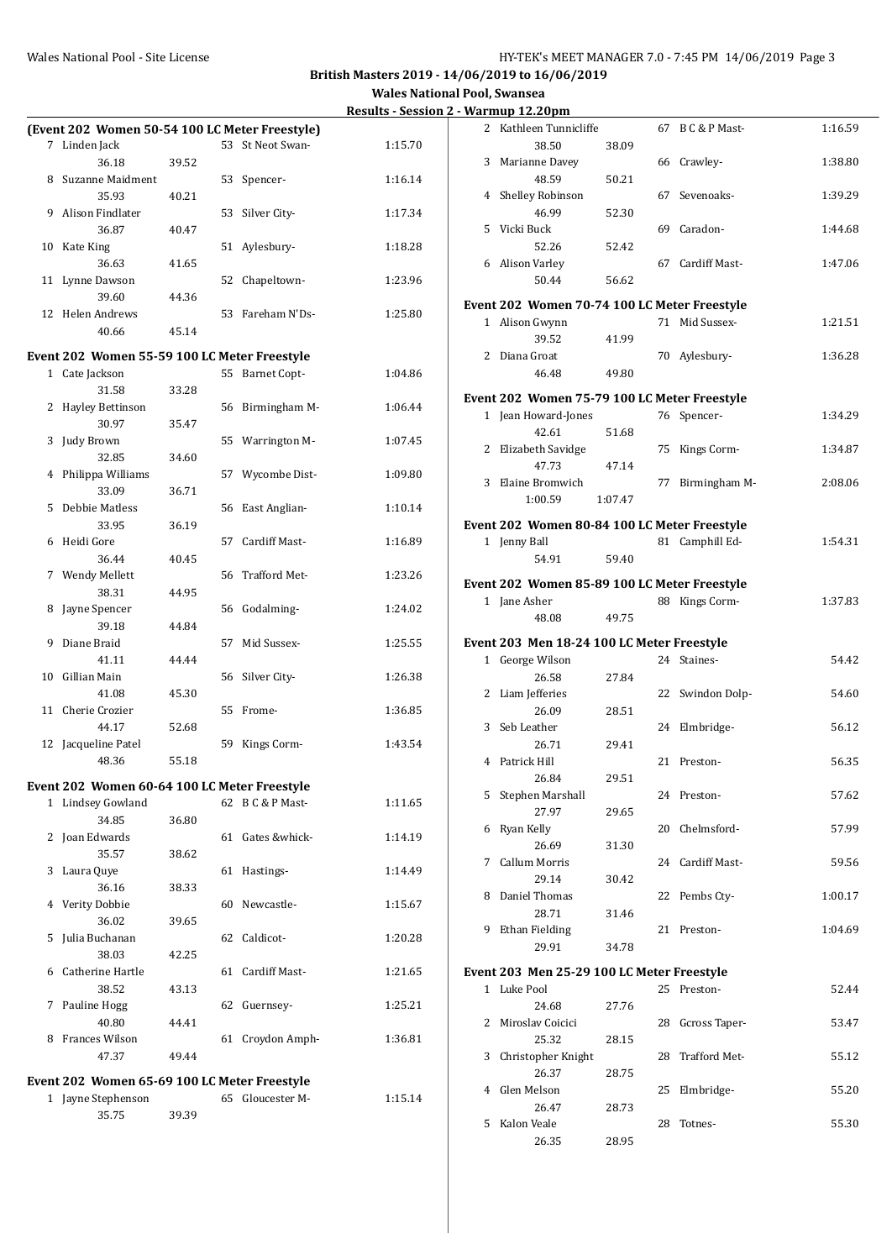|    |                                                |       |    |                     | <u>Results - Jessit</u> |
|----|------------------------------------------------|-------|----|---------------------|-------------------------|
|    | (Event 202 Women 50-54 100 LC Meter Freestyle) |       |    |                     |                         |
|    | 7 Linden Jack                                  |       |    | 53 St Neot Swan-    | 1:15.70                 |
|    | 36.18                                          | 39.52 |    |                     |                         |
|    | 8 Suzanne Maidment                             |       | 53 | Spencer-            | 1:16.14                 |
|    | 35.93                                          | 40.21 |    |                     |                         |
|    | 9 Alison Findlater                             |       | 53 | Silver City-        | 1:17.34                 |
|    | 36.87                                          | 40.47 |    |                     |                         |
| 10 | Kate King                                      |       | 51 | Aylesbury-          | 1:18.28                 |
|    | 36.63                                          | 41.65 |    |                     |                         |
| 11 | Lynne Dawson                                   |       | 52 | Chapeltown-         | 1:23.96                 |
|    | 39.60                                          | 44.36 |    |                     |                         |
|    | 12 Helen Andrews                               |       | 53 | Fareham N'Ds-       | 1:25.80                 |
|    | 40.66                                          | 45.14 |    |                     |                         |
|    |                                                |       |    |                     |                         |
|    | Event 202 Women 55-59 100 LC Meter Freestyle   |       | 55 |                     |                         |
|    | 1 Cate Jackson                                 |       |    | <b>Barnet Copt-</b> | 1:04.86                 |
| 2  | 31.58                                          | 33.28 |    |                     | 1:06.44                 |
|    | <b>Hayley Bettinson</b>                        |       | 56 | Birmingham M-       |                         |
|    | 30.97                                          | 35.47 |    |                     |                         |
| 3  | Judy Brown                                     |       | 55 | Warrington M-       | 1:07.45                 |
|    | 32.85                                          | 34.60 |    |                     |                         |
| 4  | Philippa Williams                              |       | 57 | Wycombe Dist-       | 1:09.80                 |
|    | 33.09                                          | 36.71 |    |                     |                         |
| 5  | <b>Debbie Matless</b>                          |       | 56 | East Anglian-       | 1:10.14                 |
|    | 33.95                                          | 36.19 |    |                     |                         |
| 6  | Heidi Gore                                     |       | 57 | Cardiff Mast-       | 1:16.89                 |
|    | 36.44                                          | 40.45 |    |                     |                         |
| 7  | Wendy Mellett                                  |       | 56 | Trafford Met-       | 1:23.26                 |
|    | 38.31                                          | 44.95 |    |                     |                         |
| 8  | Jayne Spencer                                  |       | 56 | Godalming-          | 1:24.02                 |
|    | 39.18                                          | 44.84 |    |                     |                         |
| 9  | Diane Braid                                    |       | 57 | Mid Sussex-         | 1:25.55                 |
|    | 41.11                                          | 44.44 |    |                     |                         |
| 10 | Gillian Main<br>41.08                          | 45.30 | 56 | Silver City-        | 1:26.38                 |
|    | Cherie Crozier                                 |       | 55 | Frome-              |                         |
| 11 | 44.17                                          | 52.68 |    |                     | 1:36.85                 |
|    | Jacqueline Patel                               |       | 59 |                     | 1:43.54                 |
| 12 | 48.36                                          | 55.18 |    | Kings Corm-         |                         |
|    |                                                |       |    |                     |                         |
|    | Event 202 Women 60-64 100 LC Meter Freestyle   |       |    |                     |                         |
|    | 1 Lindsey Gowland                              |       |    | 62 B C & P Mast-    | 1:11.65                 |
|    | 34.85                                          | 36.80 |    |                     |                         |
|    | 2 Joan Edwards                                 |       | 61 | Gates &whick-       | 1:14.19                 |
|    | 35.57                                          | 38.62 |    |                     |                         |
|    | 3 Laura Quye                                   |       | 61 | Hastings-           | 1:14.49                 |
|    | 36.16                                          | 38.33 |    |                     |                         |
|    | 4 Verity Dobbie                                |       | 60 | Newcastle-          | 1:15.67                 |
|    | 36.02                                          | 39.65 |    |                     |                         |
| 5  | Julia Buchanan                                 |       | 62 | Caldicot-           | 1:20.28                 |
|    | 38.03                                          | 42.25 |    |                     |                         |
| 6  | Catherine Hartle                               |       | 61 | Cardiff Mast-       | 1:21.65                 |
|    | 38.52                                          | 43.13 |    |                     |                         |
| 7  | Pauline Hogg                                   |       | 62 | Guernsey-           | 1:25.21                 |
|    | 40.80                                          | 44.41 |    |                     |                         |
|    | 8 Frances Wilson                               |       | 61 | Croydon Amph-       | 1:36.81                 |
|    | 47.37                                          | 49.44 |    |                     |                         |
|    | Event 202 Women 65-69 100 LC Meter Freestyle   |       |    |                     |                         |
|    | 1 Jayne Stephenson                             |       |    | 65 Gloucester M-    | 1:15.14                 |
|    | 35.75                                          | 39.39 |    |                     |                         |
|    |                                                |       |    |                     |                         |

|   | $5 - 1 - 0$ pm                               |         |    |                  |         |
|---|----------------------------------------------|---------|----|------------------|---------|
|   | 2 Kathleen Tunnicliffe                       |         | 67 | B C & P Mast-    | 1:16.59 |
|   | 38.50                                        | 38.09   |    |                  |         |
| 3 | Marianne Davey                               |         | 66 | Crawley-         | 1:38.80 |
| 4 | 48.59<br>Shelley Robinson                    | 50.21   | 67 | Sevenoaks-       | 1:39.29 |
|   | 46.99                                        | 52.30   |    |                  |         |
| 5 | Vicki Buck                                   |         |    | 69 Caradon-      | 1:44.68 |
|   | 52.26                                        | 52.42   |    |                  |         |
|   | 6 Alison Varley                              |         | 67 | Cardiff Mast-    | 1:47.06 |
|   | 50.44                                        | 56.62   |    |                  |         |
|   | Event 202 Women 70-74 100 LC Meter Freestyle |         |    |                  |         |
|   | 1 Alison Gwynn                               |         |    | 71 Mid Sussex-   | 1:21.51 |
|   | 39.52                                        | 41.99   |    |                  |         |
|   | 2 Diana Groat<br>46.48                       | 49.80   |    | 70 Aylesbury-    | 1:36.28 |
|   |                                              |         |    |                  |         |
|   | Event 202 Women 75-79 100 LC Meter Freestyle |         |    |                  |         |
|   | 1 Jean Howard-Jones<br>42.61                 | 51.68   |    | 76 Spencer-      | 1:34.29 |
|   | 2 Elizabeth Savidge                          |         | 75 | Kings Corm-      | 1:34.87 |
|   | 47.73                                        | 47.14   |    |                  |         |
|   | 3 Elaine Bromwich                            |         |    | 77 Birmingham M- | 2:08.06 |
|   | 1:00.59                                      | 1:07.47 |    |                  |         |
|   | Event 202 Women 80-84 100 LC Meter Freestyle |         |    |                  |         |
|   | 1 Jenny Ball                                 |         |    | 81 Camphill Ed-  | 1:54.31 |
|   | 54.91                                        | 59.40   |    |                  |         |
|   | Event 202 Women 85-89 100 LC Meter Freestyle |         |    |                  |         |
|   | 1 Jane Asher                                 |         |    | 88 Kings Corm-   | 1:37.83 |
|   | 48.08                                        | 49.75   |    |                  |         |
|   | Event 203 Men 18-24 100 LC Meter Freestyle   |         |    |                  |         |
|   | 1 George Wilson                              |         |    | 24 Staines-      | 54.42   |
|   | 26.58                                        | 27.84   |    |                  |         |
|   | 2 Liam Jefferies                             |         |    | 22 Swindon Dolp- | 54.60   |
|   | 26.09                                        | 28.51   |    |                  |         |
|   | 3 Seb Leather                                |         | 24 | Elmbridge-       | 56.12   |
| 4 | 26.71<br>Patrick Hill                        | 29.41   | 21 | Preston-         | 56.35   |
|   | 26.84                                        | 29.51   |    |                  |         |
| 5 | Stephen Marshall                             |         |    | 24 Preston-      | 57.62   |
|   | 27.97                                        | 29.65   |    |                  |         |
| 6 | Ryan Kelly                                   |         | 20 | Chelmsford-      | 57.99   |
|   | 26.69                                        | 31.30   |    |                  |         |
| 7 | Callum Morris<br>29.14                       | 30.42   | 24 | Cardiff Mast-    | 59.56   |
| 8 | Daniel Thomas                                |         | 22 | Pembs Cty-       | 1:00.17 |
|   | 28.71                                        | 31.46   |    |                  |         |
|   | 9 Ethan Fielding                             |         | 21 | Preston-         | 1:04.69 |
|   | 29.91                                        | 34.78   |    |                  |         |
|   | Event 203 Men 25-29 100 LC Meter Freestyle   |         |    |                  |         |
|   | 1 Luke Pool                                  |         |    | 25 Preston-      | 52.44   |
|   | 24.68                                        | 27.76   |    |                  |         |
| 2 | Miroslav Coicici                             |         | 28 | Gcross Taper-    | 53.47   |
|   | 25.32                                        | 28.15   |    |                  |         |
| 3 | Christopher Knight                           | 28.75   | 28 | Trafford Met-    | 55.12   |
| 4 |                                              |         |    |                  |         |
|   | 26.37<br>Glen Melson                         |         | 25 |                  |         |
|   | 26.47                                        | 28.73   |    | Elmbridge-       | 55.20   |
| 5 | Kalon Veale                                  |         | 28 | Totnes-          | 55.30   |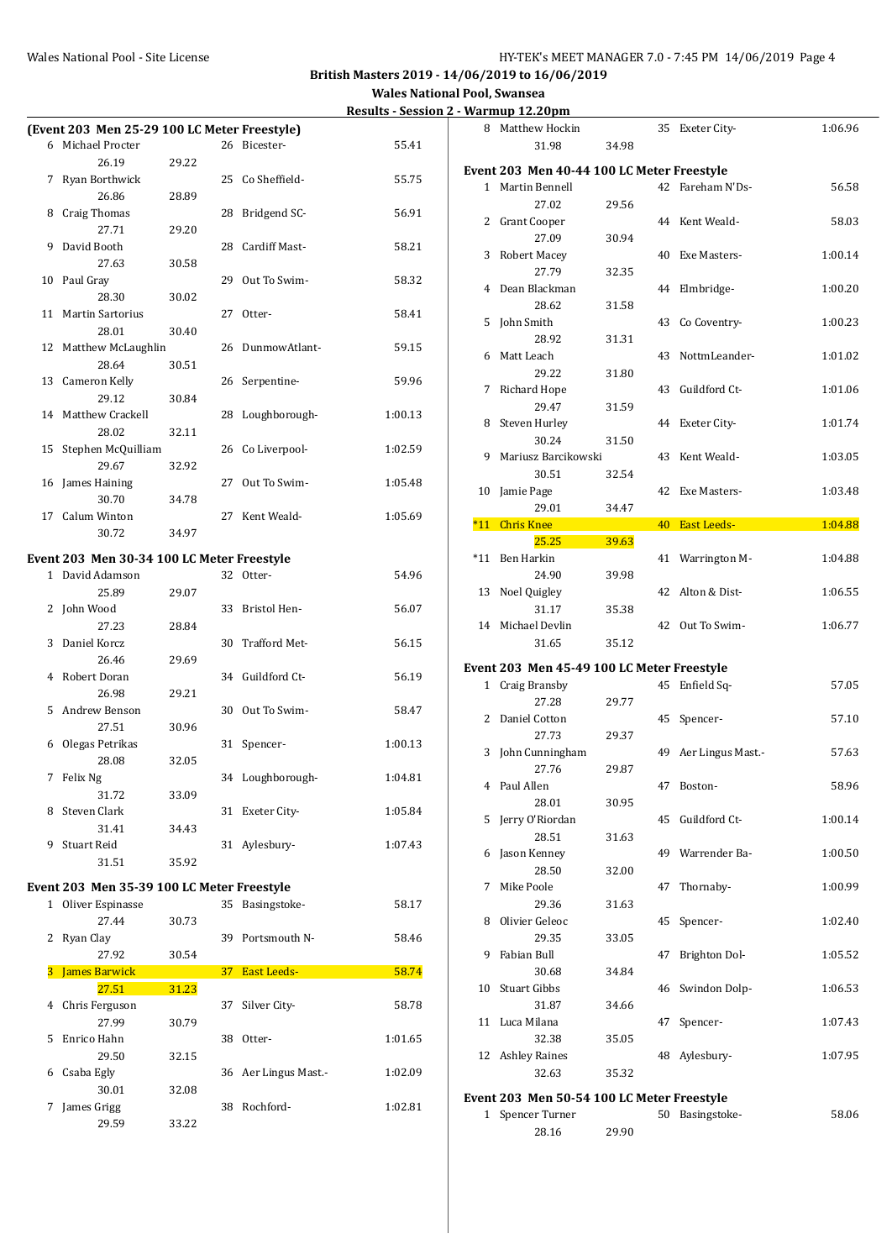#### Wales National Pool - Site License **HY-TEK's MEET MANAGER 7.0 - 7:45 PM 14/06/2019** Page 4

**British Masters 2019 - 14/06/2019 to 16/06/2019**

**Wales National Pool, Swansea Results - Session 2 - Warmup 12.20pm**<br>8 Matthew Hockin

|              |                                              |       |                 |                    | ncəunə<br>JLJJIUI |
|--------------|----------------------------------------------|-------|-----------------|--------------------|-------------------|
|              | (Event 203 Men 25-29 100 LC Meter Freestyle) |       |                 |                    |                   |
|              | 6 Michael Procter                            |       |                 | 26 Bicester-       | 55.41             |
|              | 26.19                                        | 29.22 |                 |                    |                   |
| 7            | Ryan Borthwick                               |       | 25              | Co Sheffield-      | 55.75             |
|              | 26.86                                        | 28.89 |                 |                    |                   |
| 8            | Craig Thomas                                 |       | 28              | Bridgend SC-       | 56.91             |
|              | 27.71                                        | 29.20 |                 |                    |                   |
| 9            | David Booth                                  |       | 28              | Cardiff Mast-      | 58.21             |
|              | 27.63                                        | 30.58 |                 |                    |                   |
| 10           | Paul Gray                                    |       | 29              | Out To Swim-       | 58.32             |
|              | 28.30                                        | 30.02 |                 |                    |                   |
| 11           | <b>Martin Sartorius</b>                      |       | 27              | Otter-             | 58.41             |
|              | 28.01                                        | 30.40 |                 |                    |                   |
| 12           | Matthew McLaughlin                           |       | 26              | DunmowAtlant-      | 59.15             |
|              | 28.64                                        | 30.51 |                 |                    |                   |
| 13           | Cameron Kelly                                |       | 26              | Serpentine-        | 59.96             |
|              | 29.12                                        | 30.84 |                 |                    |                   |
| 14           | Matthew Crackell                             |       | 28              | Loughborough-      | 1:00.13           |
|              | 28.02                                        | 32.11 |                 |                    |                   |
| 15           | Stephen McQuilliam                           |       | 26              | Co Liverpool-      | 1:02.59           |
|              | 29.67                                        | 32.92 |                 |                    |                   |
| 16           | James Haining                                |       | 27              | Out To Swim-       | 1:05.48           |
|              | 30.70                                        | 34.78 |                 |                    |                   |
| 17           | Calum Winton                                 |       | 27              | Kent Weald-        | 1:05.69           |
|              | 30.72                                        | 34.97 |                 |                    |                   |
|              |                                              |       |                 |                    |                   |
|              | Event 203 Men 30-34 100 LC Meter Freestyle   |       |                 |                    |                   |
| $\mathbf{1}$ | David Adamson                                |       |                 | 32 Otter-          | 54.96             |
|              | 25.89                                        | 29.07 |                 |                    |                   |
| 2            | John Wood                                    |       | 33              | Bristol Hen-       | 56.07             |
|              | 27.23                                        | 28.84 |                 |                    |                   |
| 3            | Daniel Korcz                                 |       | 30              | Trafford Met-      | 56.15             |
|              | 26.46                                        | 29.69 |                 |                    |                   |
| 4            | Robert Doran                                 |       | 34              | Guildford Ct-      | 56.19             |
|              | 26.98                                        | 29.21 |                 |                    |                   |
| 5            | Andrew Benson                                |       | 30              | Out To Swim-       | 58.47             |
|              | 27.51                                        | 30.96 |                 |                    |                   |
| 6            | Olegas Petrikas                              |       | 31              | Spencer-           | 1:00.13           |
|              | 28.08                                        | 32.05 |                 |                    |                   |
| 7            | Felix Ng                                     |       | 34              | Loughborough-      | 1:04.81           |
|              | 31.72                                        | 33.09 |                 |                    |                   |
| 8            | Steven Clark                                 |       | 31              | Exeter City-       | 1:05.84           |
|              | 31.41                                        | 34.43 |                 |                    |                   |
| 9            | Stuart Reid                                  |       | 31              | Aylesbury-         | 1:07.43           |
|              | 31.51                                        | 35.92 |                 |                    |                   |
|              | Event 203 Men 35-39 100 LC Meter Freestyle   |       |                 |                    |                   |
|              | 1 Oliver Espinasse                           |       | 35              | Basingstoke-       | 58.17             |
|              | 27.44                                        | 30.73 |                 |                    |                   |
| 2            | Ryan Clay                                    |       | 39              | Portsmouth N-      | 58.46             |
|              | 27.92                                        | 30.54 |                 |                    |                   |
| 3            | <b>James Barwick</b>                         |       | 37 <sup>°</sup> | <b>East Leeds-</b> | 58.74             |
|              | 27.51                                        | 31.23 |                 |                    |                   |
| 4            | Chris Ferguson                               |       | 37              | Silver City-       | 58.78             |
|              | 27.99                                        | 30.79 |                 |                    |                   |
| 5            | Enrico Hahn                                  |       | 38              | Otter-             | 1:01.65           |
|              | 29.50                                        | 32.15 |                 |                    |                   |
| 6            | Csaba Egly                                   |       | 36              | Aer Lingus Mast.-  | 1:02.09           |
|              | 30.01                                        | 32.08 |                 |                    |                   |
| 7            | James Grigg                                  |       | 38              | Rochford-          | 1:02.81           |
|              | 29.59                                        | 33.22 |                 |                    |                   |
|              |                                              |       |                 |                    |                   |

| 8     | Matthew Hockin                                              |       | 35 | Exeter City-         | 1:06.96 |
|-------|-------------------------------------------------------------|-------|----|----------------------|---------|
|       | 31.98                                                       | 34.98 |    |                      |         |
|       | Event 203 Men 40-44 100 LC Meter Freestyle                  |       |    |                      |         |
|       | 1 Martin Bennell                                            |       |    | 42 Fareham N'Ds-     | 56.58   |
|       | 27.02                                                       | 29.56 |    |                      |         |
| 2     | Grant Cooper                                                |       | 44 | Kent Weald-          | 58.03   |
|       | 27.09                                                       | 30.94 |    |                      |         |
| 3     | Robert Macey<br>27.79                                       | 32.35 | 40 | Exe Masters-         | 1:00.14 |
| 4     | Dean Blackman                                               |       | 44 | Elmbridge-           | 1:00.20 |
|       | 28.62                                                       | 31.58 |    |                      |         |
| 5     | John Smith                                                  |       | 43 | Co Coventry-         | 1:00.23 |
|       | 28.92                                                       | 31.31 |    |                      |         |
| 6     | Matt Leach                                                  |       | 43 | NottmLeander-        | 1:01.02 |
|       | 29.22                                                       | 31.80 |    |                      |         |
| 7     | Richard Hope                                                |       | 43 | Guildford Ct-        | 1:01.06 |
|       | 29.47                                                       | 31.59 |    |                      |         |
| 8     | Steven Hurley<br>30.24                                      |       | 44 | Exeter City-         | 1:01.74 |
| 9     | Mariusz Barcikowski                                         | 31.50 | 43 | Kent Weald-          | 1:03.05 |
|       | 30.51                                                       | 32.54 |    |                      |         |
| 10    | Jamie Page                                                  |       | 42 | Exe Masters-         | 1:03.48 |
|       | 29.01                                                       | 34.47 |    |                      |         |
| $*11$ | <b>Chris Knee</b>                                           |       | 40 | <b>East Leeds-</b>   | 1:04.88 |
|       | 25.25                                                       | 39.63 |    |                      |         |
| $*11$ | Ben Harkin                                                  |       | 41 | Warrington M-        | 1:04.88 |
|       | 24.90                                                       | 39.98 |    |                      |         |
| 13    | Noel Quigley<br>31.17                                       | 35.38 | 42 | Alton & Dist-        | 1:06.55 |
| 14    | Michael Devlin                                              |       | 42 | Out To Swim-         | 1:06.77 |
|       | 31.65                                                       | 35.12 |    |                      |         |
|       |                                                             |       |    |                      |         |
| 1     | Event 203 Men 45-49 100 LC Meter Freestyle<br>Craig Bransby |       | 45 | Enfield Sq-          | 57.05   |
|       | 27.28                                                       | 29.77 |    |                      |         |
|       | 2 Daniel Cotton                                             |       | 45 | Spencer-             | 57.10   |
|       | 27.73                                                       | 29.37 |    |                      |         |
| 3     | John Cunningham                                             |       | 49 | Aer Lingus Mast.-    | 57.63   |
|       | 27.76                                                       | 29.87 |    |                      |         |
|       | 4 Paul Allen                                                |       |    | 47 Boston-           | 58.96   |
|       | 28.01                                                       | 30.95 |    |                      |         |
| 5     | Jerry O'Riordan<br>28.51                                    |       | 45 | Guildford Ct-        | 1:00.14 |
| 6     | Jason Kenney                                                | 31.63 | 49 | Warrender Ba-        | 1:00.50 |
|       | 28.50                                                       | 32.00 |    |                      |         |
| 7     | Mike Poole                                                  |       | 47 | Thornaby-            | 1:00.99 |
|       | 29.36                                                       | 31.63 |    |                      |         |
| 8     | Olivier Geleoc                                              |       | 45 | Spencer-             | 1:02.40 |
|       | 29.35                                                       | 33.05 |    |                      |         |
| 9     | Fabian Bull                                                 |       | 47 | <b>Brighton Dol-</b> | 1:05.52 |
|       | 30.68                                                       | 34.84 |    |                      |         |
| 10    | Stuart Gibbs<br>31.87                                       | 34.66 | 46 | Swindon Dolp-        | 1:06.53 |
| 11    | Luca Milana                                                 |       | 47 | Spencer-             | 1:07.43 |
|       | 32.38                                                       | 35.05 |    |                      |         |
| 12    | Ashley Raines                                               |       | 48 | Aylesbury-           | 1:07.95 |
|       | 32.63                                                       | 35.32 |    |                      |         |
|       | Event 203 Men 50-54 100 LC Meter Freestyle                  |       |    |                      |         |

1 Spencer Turner 50 Basingstoke- 58.06

28.16 29.90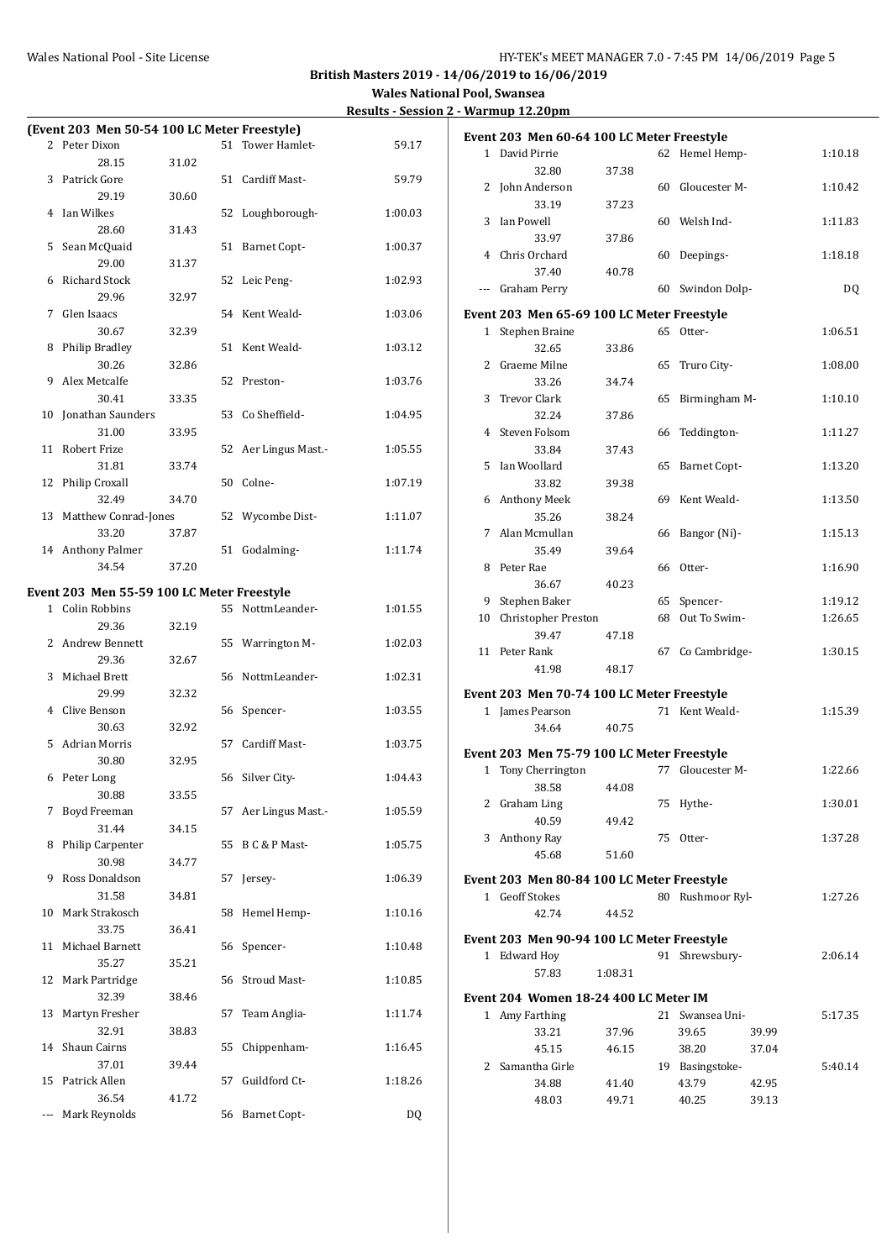|              |                                              |       |    |                     | <u>Results - Jessit</u> |
|--------------|----------------------------------------------|-------|----|---------------------|-------------------------|
|              | (Event 203 Men 50-54 100 LC Meter Freestyle) |       |    |                     |                         |
|              | 2 Peter Dixon                                |       |    | 51 Tower Hamlet-    | 59.17                   |
|              | 28.15                                        | 31.02 |    |                     |                         |
| 3            | Patrick Gore                                 |       |    | 51 Cardiff Mast-    | 59.79                   |
|              | 29.19                                        | 30.60 |    |                     |                         |
| 4            | Ian Wilkes                                   |       |    | 52 Loughborough-    | 1:00.03                 |
|              | 28.60                                        | 31.43 |    |                     |                         |
| 5            | Sean McQuaid                                 |       |    | 51 Barnet Copt-     | 1:00.37                 |
|              | 29.00                                        | 31.37 |    |                     |                         |
| 6            | <b>Richard Stock</b>                         |       |    | 52 Leic Peng-       | 1:02.93                 |
|              | 29.96                                        | 32.97 |    |                     |                         |
| 7            | Glen Isaacs                                  |       |    | 54 Kent Weald-      | 1:03.06                 |
|              | 30.67                                        | 32.39 |    |                     |                         |
| 8            | <b>Philip Bradley</b>                        |       |    | 51 Kent Weald-      | 1:03.12                 |
|              | 30.26                                        | 32.86 |    |                     |                         |
| 9            | Alex Metcalfe                                |       |    | 52 Preston-         | 1:03.76                 |
|              | 30.41                                        | 33.35 |    |                     |                         |
| 10           | Jonathan Saunders                            |       | 53 | Co Sheffield-       | 1:04.95                 |
|              | 31.00                                        | 33.95 |    |                     |                         |
| 11           | <b>Robert Frize</b>                          |       | 52 | Aer Lingus Mast.-   | 1:05.55                 |
|              | 31.81                                        | 33.74 |    |                     |                         |
| 12           | Philip Croxall                               |       | 50 | Colne-              | 1:07.19                 |
|              | 32.49                                        | 34.70 |    |                     |                         |
| 13           | Matthew Conrad-Jones                         |       |    | 52 Wycombe Dist-    | 1:11.07                 |
|              | 33.20                                        | 37.87 |    |                     |                         |
|              | 14 Anthony Palmer                            |       | 51 | Godalming-          | 1:11.74                 |
|              | 34.54                                        | 37.20 |    |                     |                         |
|              |                                              |       |    |                     |                         |
|              | Event 203 Men 55-59 100 LC Meter Freestyle   |       |    |                     |                         |
| $\mathbf{1}$ | Colin Robbins                                |       |    | 55 NottmLeander-    | 1:01.55                 |
|              | 29.36                                        | 32.19 |    |                     |                         |
| 2            | Andrew Bennett                               |       |    | 55 Warrington M-    | 1:02.03                 |
|              | 29.36                                        | 32.67 |    |                     |                         |
| 3            | Michael Brett                                |       |    | 56 NottmLeander-    | 1:02.31                 |
|              | 29.99                                        | 32.32 |    |                     |                         |
| 4            | Clive Benson                                 |       | 56 | Spencer-            | 1:03.55                 |
|              | 30.63                                        | 32.92 |    |                     |                         |
| 5            | <b>Adrian Morris</b>                         |       | 57 | Cardiff Mast-       | 1:03.75                 |
|              | 30.80                                        | 32.95 |    |                     |                         |
| 6            | Peter Long                                   |       | 56 | Silver City-        | 1:04.43                 |
|              | 30.88                                        | 33.55 |    |                     |                         |
| 7            | Boyd Freeman                                 |       | 57 | Aer Lingus Mast.-   | 1:05.59                 |
|              | 31.44                                        | 34.15 |    |                     |                         |
| 8            | Philip Carpenter                             |       | 55 | B C & P Mast-       | 1:05.75                 |
|              | 30.98                                        | 34.77 |    |                     |                         |
| 9            | Ross Donaldson                               |       | 57 | Jersey-             | 1:06.39                 |
|              | 31.58                                        | 34.81 |    |                     |                         |
| 10           | Mark Strakosch                               |       | 58 | Hemel Hemp-         | 1:10.16                 |
|              | 33.75                                        | 36.41 |    |                     |                         |
| 11           | Michael Barnett                              |       | 56 | Spencer-            | 1:10.48                 |
|              | 35.27                                        | 35.21 |    |                     |                         |
| 12           | Mark Partridge                               |       | 56 | <b>Stroud Mast-</b> | 1:10.85                 |
|              | 32.39                                        | 38.46 |    |                     |                         |
| 13           | Martyn Fresher                               |       | 57 | Team Anglia-        | 1:11.74                 |
|              | 32.91                                        | 38.83 |    |                     |                         |
| 14           | Shaun Cairns                                 |       | 55 | Chippenham-         | 1:16.45                 |
|              | 37.01                                        | 39.44 |    |                     |                         |
| 15           | Patrick Allen                                |       | 57 | Guildford Ct-       | 1:18.26                 |
|              | 36.54                                        | 41.72 |    |                     |                         |
| ---          | Mark Reynolds                                |       | 56 | <b>Barnet Copt-</b> | DQ                      |

|                | Event 203 Men 60-64 100 LC Meter Freestyle |         |    |                     |       |           |
|----------------|--------------------------------------------|---------|----|---------------------|-------|-----------|
| $\mathbf{1}$   | David Pirrie                               |         | 62 | Hemel Hemp-         |       | 1:10.18   |
|                | 32.80                                      | 37.38   |    |                     |       |           |
| 2              | John Anderson                              |         | 60 | Gloucester M-       |       | 1:10.42   |
|                | 33.19                                      | 37.23   |    |                     |       |           |
| 3              | Ian Powell                                 |         | 60 | Welsh Ind-          |       | 1:11.83   |
|                | 33.97                                      | 37.86   |    |                     |       |           |
| 4              | Chris Orchard                              |         | 60 | Deepings-           |       | 1:18.18   |
|                | 37.40                                      | 40.78   |    |                     |       |           |
| ---            | Graham Perry                               |         | 60 | Swindon Dolp-       |       | <b>DQ</b> |
|                | Event 203 Men 65-69 100 LC Meter Freestyle |         |    |                     |       |           |
|                | 1 Stephen Braine                           |         | 65 | Otter-              |       | 1:06.51   |
|                | 32.65                                      | 33.86   |    |                     |       |           |
| $\overline{2}$ | Graeme Milne                               |         | 65 | Truro City-         |       | 1:08.00   |
|                | 33.26                                      | 34.74   |    |                     |       |           |
| 3              | <b>Trevor Clark</b>                        |         | 65 | Birmingham M-       |       | 1:10.10   |
|                | 32.24                                      | 37.86   |    |                     |       |           |
| 4              | Steven Folsom                              |         | 66 | Teddington-         |       | 1:11.27   |
|                | 33.84                                      | 37.43   |    |                     |       |           |
| 5              | Ian Woollard                               |         | 65 | <b>Barnet Copt-</b> |       | 1:13.20   |
|                | 33.82                                      | 39.38   |    |                     |       |           |
|                | 6 Anthony Meek                             |         | 69 | Kent Weald-         |       | 1:13.50   |
|                | 35.26                                      | 38.24   |    |                     |       |           |
|                | 7 Alan Mcmullan                            |         | 66 | Bangor (Ni)-        |       | 1:15.13   |
|                | 35.49                                      | 39.64   |    |                     |       |           |
| 8              | Peter Rae                                  |         | 66 | Otter-              |       | 1:16.90   |
|                | 36.67                                      | 40.23   |    |                     |       |           |
| 9              | Stephen Baker                              |         | 65 | Spencer-            |       | 1:19.12   |
| 10             | <b>Christopher Preston</b>                 |         | 68 | Out To Swim-        |       | 1:26.65   |
|                | 39.47                                      | 47.18   |    |                     |       |           |
|                | 11 Peter Rank                              |         | 67 | Co Cambridge-       |       | 1:30.15   |
|                | 41.98                                      | 48.17   |    |                     |       |           |
|                |                                            |         |    |                     |       |           |
|                | Event 203 Men 70-74 100 LC Meter Freestyle |         |    |                     |       |           |
|                | 1 James Pearson                            |         |    | 71 Kent Weald-      |       | 1:15.39   |
|                | 34.64                                      | 40.75   |    |                     |       |           |
|                | Event 203 Men 75-79 100 LC Meter Freestyle |         |    |                     |       |           |
| $\mathbf{1}$   | Tony Cherrington                           |         |    | 77 Gloucester M-    |       | 1:22.66   |
|                | 38.58                                      | 44.08   |    |                     |       |           |
|                | 2 Graham Ling                              |         | 75 | Hythe-              |       | 1:30.01   |
|                | 40.59                                      | 49.42   |    |                     |       |           |
|                | 3 Anthony Ray                              |         | 75 | Otter-              |       | 1:37.28   |
|                | 45.68                                      | 51.60   |    |                     |       |           |
|                | Event 203 Men 80-84 100 LC Meter Freestyle |         |    |                     |       |           |
|                | 1 Geoff Stokes                             |         |    | 80 Rushmoor Ryl-    |       | 1:27.26   |
|                | 42.74                                      | 44.52   |    |                     |       |           |
|                |                                            |         |    |                     |       |           |
|                | Event 203 Men 90-94 100 LC Meter Freestyle |         |    |                     |       |           |
|                | 1 Edward Hoy                               |         |    | 91 Shrewsbury-      |       | 2:06.14   |
|                | 57.83                                      | 1:08.31 |    |                     |       |           |
|                | Event 204 Women 18-24 400 LC Meter IM      |         |    |                     |       |           |
|                | 1 Amy Farthing                             |         |    | 21 Swansea Uni-     |       | 5:17.35   |
|                | 33.21                                      | 37.96   |    | 39.65               | 39.99 |           |
|                | 45.15                                      | 46.15   |    | 38.20               | 37.04 |           |
|                | 2 Samantha Girle                           |         |    | 19 Basingstoke-     |       | 5:40.14   |
|                | 34.88                                      | 41.40   |    | 43.79               | 42.95 |           |
|                | 48.03                                      | 49.71   |    | 40.25               | 39.13 |           |
|                |                                            |         |    |                     |       |           |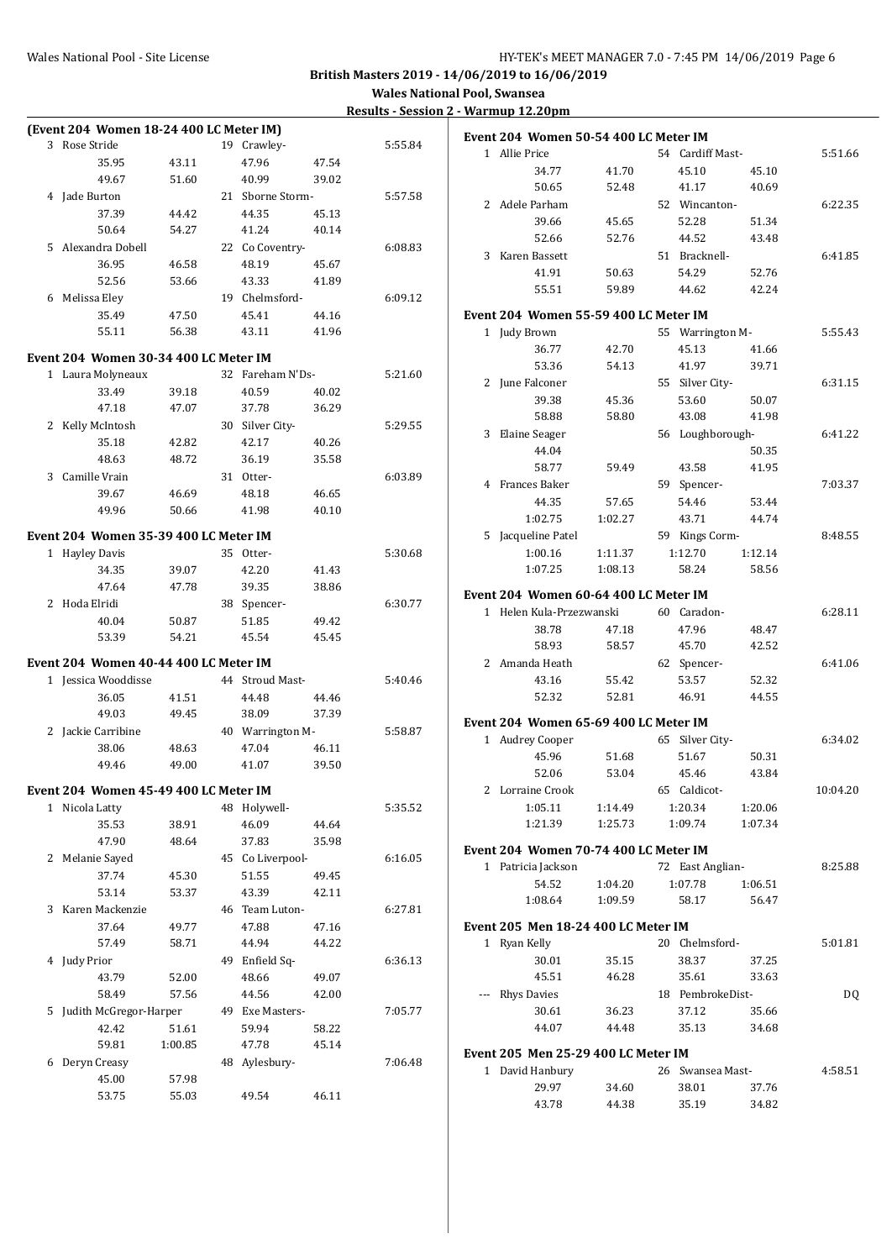$5:51.66$ 

 $6:41.85$ 

 $5:55.43$ 

 $8:48.55\,$ 

 $6:41.06$ 

 $10:04.20$ 

8:25.88

**British Masters 2019 - 14/06/2019 to 16/06/2019**

| (Event 204 Women 18-24 400 LC Meter IM) |         |                  |       |         | Event 204 Women 50-54 400 LC Meter IM |                |                  |                |          |
|-----------------------------------------|---------|------------------|-------|---------|---------------------------------------|----------------|------------------|----------------|----------|
| 3 Rose Stride                           |         | 19 Crawley-      |       | 5:55.84 |                                       |                |                  |                |          |
| 35.95                                   | 43.11   | 47.96            | 47.54 |         | 1 Allie Price                         |                | 54 Cardiff Mast- |                | 5:51.66  |
| 49.67                                   | 51.60   | 40.99            | 39.02 |         | 34.77<br>50.65                        | 41.70          | 45.10            | 45.10<br>40.69 |          |
| 4 Jade Burton                           |         | 21 Sborne Storm- |       | 5:57.58 |                                       | 52.48          | 41.17            |                |          |
| 37.39                                   | 44.42   | 44.35            | 45.13 |         | 2 Adele Parham                        |                | 52 Wincanton-    |                | 6:22.35  |
| 50.64                                   | 54.27   | 41.24            | 40.14 |         | 39.66                                 | 45.65          | 52.28            | 51.34          |          |
| 5 Alexandra Dobell                      |         | 22 Co Coventry-  |       | 6:08.83 | 52.66                                 | 52.76          | 44.52            | 43.48          |          |
| 36.95                                   | 46.58   | 48.19            | 45.67 |         | 3 Karen Bassett                       |                | 51 Bracknell-    |                | 6:41.85  |
| 52.56                                   | 53.66   | 43.33            | 41.89 |         | 41.91                                 | 50.63          | 54.29            | 52.76          |          |
| 6 Melissa Eley                          |         | 19 Chelmsford-   |       | 6:09.12 | 55.51                                 | 59.89          | 44.62            | 42.24          |          |
| 35.49                                   | 47.50   | 45.41            | 44.16 |         | Event 204 Women 55-59 400 LC Meter IM |                |                  |                |          |
| 55.11                                   | 56.38   | 43.11            | 41.96 |         | 1 Judy Brown                          |                | 55 Warrington M- |                | 5:55.43  |
|                                         |         |                  |       |         | 36.77                                 | 42.70          | 45.13            | 41.66          |          |
| Event 204 Women 30-34 400 LC Meter IM   |         |                  |       |         | 53.36                                 | 54.13          | 41.97            | 39.71          |          |
| 1 Laura Molyneaux                       |         | 32 Fareham N'Ds- |       | 5:21.60 | 2 June Falconer                       |                | 55 Silver City-  |                | 6:31.15  |
| 33.49                                   | 39.18   | 40.59            | 40.02 |         | 39.38                                 | 45.36          | 53.60            | 50.07          |          |
| 47.18                                   | 47.07   | 37.78            | 36.29 |         | 58.88                                 | 58.80          | 43.08            | 41.98          |          |
| 2 Kelly McIntosh                        |         | 30 Silver City-  |       | 5:29.55 | 3 Elaine Seager                       |                | 56 Loughborough- |                | 6:41.22  |
| 35.18                                   | 42.82   | 42.17            | 40.26 |         | 44.04                                 |                |                  | 50.35          |          |
| 48.63                                   | 48.72   | 36.19            | 35.58 |         | 58.77                                 | 59.49          | 43.58            | 41.95          |          |
| 3 Camille Vrain                         |         | 31 Otter-        |       | 6:03.89 | 4 Frances Baker                       |                | 59 Spencer-      |                | 7:03.37  |
| 39.67                                   | 46.69   | 48.18            | 46.65 |         | 44.35                                 | 57.65          | 54.46            | 53.44          |          |
| 49.96                                   | 50.66   | 41.98            | 40.10 |         | 1:02.75                               | 1:02.27        | 43.71            | 44.74          |          |
| Event 204 Women 35-39 400 LC Meter IM   |         |                  |       |         | 5 Jacqueline Patel                    |                | 59 Kings Corm-   |                | 8:48.55  |
| 1 Hayley Davis                          |         | 35 Otter-        |       | 5:30.68 | 1:00.16                               | 1:11.37        | 1:12.70          | 1:12.14        |          |
| 34.35                                   | 39.07   | 42.20            | 41.43 |         | 1:07.25                               | 1:08.13        | 58.24            | 58.56          |          |
| 47.64                                   | 47.78   | 39.35            | 38.86 |         |                                       |                |                  |                |          |
|                                         |         |                  |       |         | Event 204 Women 60-64 400 LC Meter IM |                |                  |                |          |
| 2 Hoda Elridi                           |         | 38 Spencer-      |       | 6:30.77 | 1 Helen Kula-Przezwanski              |                | 60 Caradon-      |                | 6:28.11  |
| 40.04                                   | 50.87   | 51.85            | 49.42 |         | 38.78                                 | 47.18          | 47.96            | 48.47          |          |
| 53.39                                   | 54.21   | 45.54            | 45.45 |         | 58.93                                 | 58.57          | 45.70            | 42.52          |          |
| Event 204 Women 40-44 400 LC Meter IM   |         |                  |       |         | 2 Amanda Heath                        |                | 62 Spencer-      |                | 6:41.06  |
| 1 Jessica Wooddisse                     |         | 44 Stroud Mast-  |       | 5:40.46 | 43.16                                 | 55.42          | 53.57            | 52.32          |          |
| 36.05                                   | 41.51   | 44.48            | 44.46 |         | 52.32                                 | 52.81          | 46.91            | 44.55          |          |
| 49.03                                   | 49.45   | 38.09            | 37.39 |         |                                       |                |                  |                |          |
| 2 Jackie Carribine                      |         | 40 Warrington M- |       | 5:58.87 | Event 204 Women 65-69 400 LC Meter IM |                |                  |                |          |
| 38.06                                   | 48.63   | 47.04            | 46.11 |         | 1 Audrey Cooper                       |                | 65 Silver City-  |                | 6:34.02  |
| 49.46                                   | 49.00   | 41.07            | 39.50 |         | 45.96                                 | 51.68          | 51.67            | 50.31          |          |
|                                         |         |                  |       |         | 52.06                                 | 53.04          | 45.46            | 43.84          |          |
| Event 204 Women 45-49 400 LC Meter IM   |         |                  |       |         | 2 Lorraine Crook                      |                | 65 Caldicot-     |                | 10:04.20 |
| 1 Nicola Latty                          |         | 48 Holywell-     |       | 5:35.52 | 1:05.11                               | 1:14.49        | 1:20.34          | 1:20.06        |          |
| 35.53                                   | 38.91   | 46.09            | 44.64 |         | 1:21.39                               | 1:25.73        | 1:09.74          | 1:07.34        |          |
| 47.90                                   | 48.64   | 37.83            | 35.98 |         | Event 204 Women 70-74 400 LC Meter IM |                |                  |                |          |
| 2 Melanie Sayed                         |         | 45 Co Liverpool- |       | 6:16.05 | 1 Patricia Jackson                    |                | 72 East Anglian- |                | 8:25.88  |
| 37.74                                   | 45.30   | 51.55            | 49.45 |         | 54.52                                 | 1:04.20        | 1:07.78          | 1:06.51        |          |
| 53.14                                   | 53.37   | 43.39            | 42.11 |         | 1:08.64                               | 1:09.59        | 58.17            | 56.47          |          |
| 3 Karen Mackenzie                       |         | 46 Team Luton-   |       | 6:27.81 |                                       |                |                  |                |          |
| 37.64                                   | 49.77   | 47.88            | 47.16 |         | Event 205 Men 18-24 400 LC Meter IM   |                |                  |                |          |
| 57.49                                   | 58.71   | 44.94            | 44.22 |         | 1 Ryan Kelly                          |                | 20 Chelmsford-   |                | 5:01.81  |
| 4 Judy Prior                            |         | 49 Enfield Sq-   |       | 6:36.13 | 30.01                                 | 35.15          | 38.37            | 37.25          |          |
| 43.79                                   | 52.00   | 48.66            | 49.07 |         | 45.51                                 | 46.28          | 35.61            | 33.63          |          |
| 58.49                                   | 57.56   | 44.56            | 42.00 |         | --- Rhys Davies                       |                | 18 PembrokeDist- |                | DQ       |
| 5 Judith McGregor-Harper                |         | 49 Exe Masters-  |       | 7:05.77 | 30.61                                 | 36.23          | 37.12            | 35.66          |          |
| 42.42                                   | 51.61   | 59.94            | 58.22 |         | 44.07                                 | 44.48          | 35.13            | 34.68          |          |
| 59.81                                   | 1:00.85 | 47.78            | 45.14 |         | Event 205 Men 25-29 400 LC Meter IM   |                |                  |                |          |
| 6 Deryn Creasy                          |         | 48 Aylesbury-    |       | 7:06.48 | 1 David Hanbury                       |                | 26 Swansea Mast- |                | 4:58.51  |
| 45.00                                   | 57.98   |                  |       |         |                                       |                |                  |                |          |
| 53.75                                   | 55.03   | 49.54            | 46.11 |         | 29.97<br>43.78                        | 34.60<br>44.38 | 38.01<br>35.19   | 37.76<br>34.82 |          |
|                                         |         |                  |       |         |                                       |                |                  |                |          |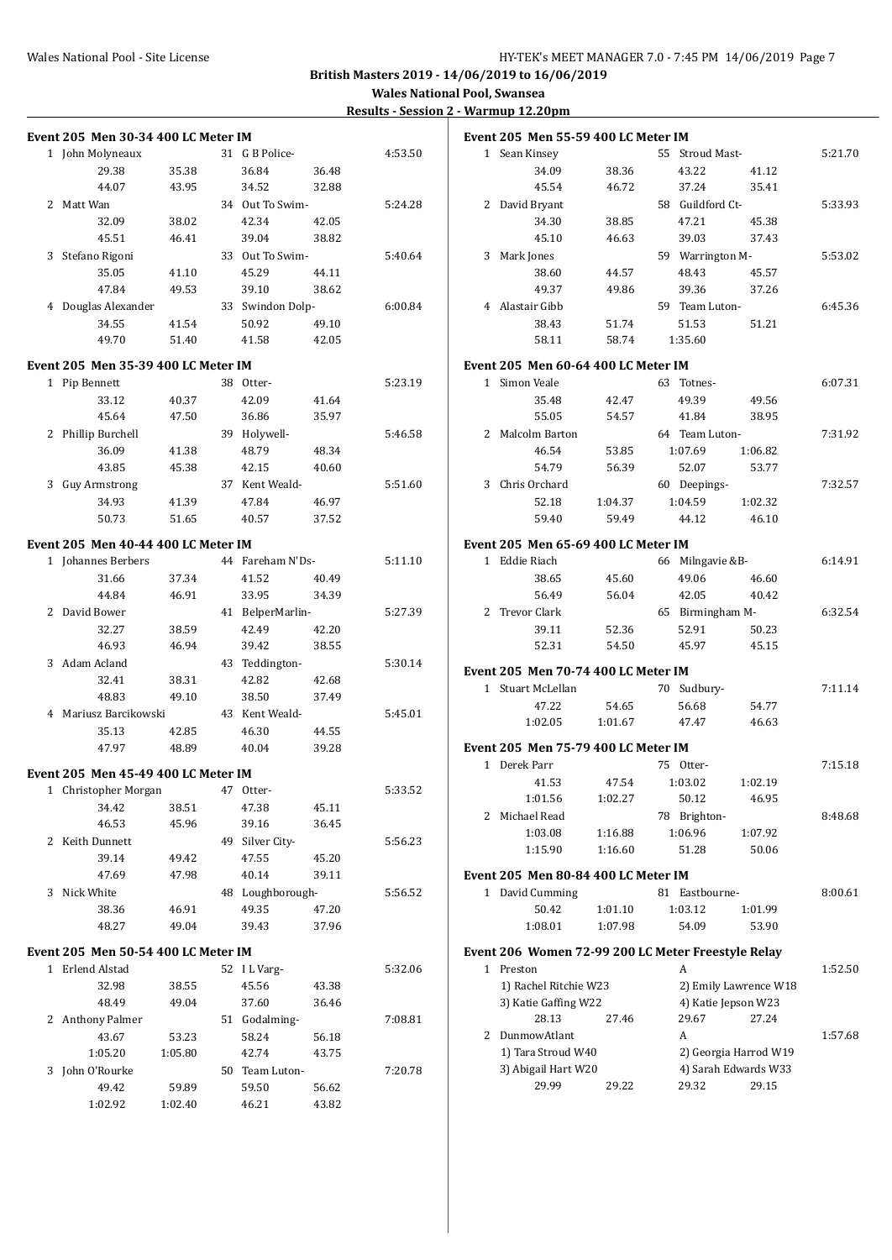| <b>Event 205 Men 30-34 400 LC Meter IM</b> |         |                  |       |         | <b>Event 2</b>     |
|--------------------------------------------|---------|------------------|-------|---------|--------------------|
| 1 John Molyneaux                           |         | 31 G B Police-   |       | 4:53.50 | 1 S                |
| 29.38                                      | 35.38   | 36.84            | 36.48 |         |                    |
| 44.07                                      | 43.95   | 34.52            | 32.88 |         |                    |
| 2 Matt Wan                                 |         | 34 Out To Swim-  |       | 5:24.28 | 2 <sub>D</sub>     |
| 32.09                                      | 38.02   | 42.34            | 42.05 |         |                    |
| 45.51                                      | 46.41   | 39.04            | 38.82 |         |                    |
| 3 Stefano Rigoni                           |         | 33 Out To Swim-  |       | 5:40.64 | 3 M                |
| 35.05                                      | 41.10   | 45.29            | 44.11 |         |                    |
| 47.84                                      | 49.53   | 39.10            | 38.62 |         |                    |
| 4 Douglas Alexander                        |         | 33 Swindon Dolp- |       | 6:00.84 | 4 A                |
| 34.55                                      | 41.54   | 50.92            | 49.10 |         |                    |
| 49.70                                      | 51.40   | 41.58            | 42.05 |         |                    |
|                                            |         |                  |       |         |                    |
| Event 205 Men 35-39 400 LC Meter IM        |         |                  |       |         | Event <sub>2</sub> |
| 1 Pip Bennett                              |         | 38 Otter-        |       | 5:23.19 | 1 Si               |
| 33.12                                      | 40.37   | 42.09            | 41.64 |         |                    |
| 45.64                                      | 47.50   | 36.86            | 35.97 |         |                    |
| 2 Phillip Burchell                         |         | 39 Holywell-     |       | 5:46.58 | 2 M                |
| 36.09                                      | 41.38   | 48.79            | 48.34 |         |                    |
| 43.85                                      | 45.38   | 42.15            | 40.60 |         |                    |
| 3 Guy Armstrong                            |         | 37 Kent Weald-   |       | 5:51.60 | 3 <sup>C</sup>     |
| 34.93                                      | 41.39   | 47.84            | 46.97 |         |                    |
| 50.73                                      | 51.65   | 40.57            | 37.52 |         |                    |
| Event 205 Men 40-44 400 LC Meter IM        |         |                  |       |         | Event <sub>2</sub> |
| 1 Johannes Berbers                         |         | 44 Fareham N'Ds- |       | 5:11.10 | 1 E                |
| 31.66                                      | 37.34   | 41.52            | 40.49 |         |                    |
| 44.84                                      | 46.91   | 33.95            | 34.39 |         |                    |
| 2 David Bower                              |         | 41 BelperMarlin- |       | 5:27.39 | 2 <sub>T</sub>     |
| 32.27                                      | 38.59   | 42.49            | 42.20 |         |                    |
| 46.93                                      | 46.94   | 39.42            | 38.55 |         |                    |
| 3 Adam Acland                              |         | 43 Teddington-   |       | 5:30.14 |                    |
| 32.41                                      | 38.31   | 42.82            | 42.68 |         | <b>Event 2</b>     |
| 48.83                                      | 49.10   | 38.50            | 37.49 |         | 1 S1               |
| 4 Mariusz Barcikowski                      |         | 43 Kent Weald-   |       | 5:45.01 |                    |
| 35.13                                      | 42.85   | 46.30            | 44.55 |         |                    |
| 47.97                                      | 48.89   | 40.04            | 39.28 |         | Event <sub>2</sub> |
|                                            |         |                  |       |         | 1 D                |
| Event 205 Men 45-49 400 LC Meter IM        |         |                  |       |         |                    |
| 1 Christopher Morgan                       |         | 47 Otter-        |       | 5:33.52 |                    |
| 34.42                                      | 38.51   | 47.38            | 45.11 |         | 2 M                |
| 46.53                                      | 45.96   | 39.16            | 36.45 |         |                    |
| 2 Keith Dunnett                            |         | 49 Silver City-  |       | 5:56.23 |                    |
| 39.14                                      | 49.42   | 47.55            | 45.20 |         |                    |
| 47.69                                      | 47.98   | 40.14            | 39.11 |         | Event <sub>2</sub> |
| 3 Nick White                               |         | 48 Loughborough- |       | 5:56.52 | $1\quad D$         |
| 38.36                                      | 46.91   | 49.35            | 47.20 |         |                    |
| 48.27                                      | 49.04   | 39.43            | 37.96 |         |                    |
| Event 205 Men 50-54 400 LC Meter IM        |         |                  |       |         | <b>Event 2</b>     |
| 1 Erlend Alstad                            |         | 52 ILVarg-       |       | 5:32.06 | $1 \quad P$        |
| 32.98                                      | 38.55   | 45.56            | 43.38 |         | $\mathbf{1}$       |
| 48.49                                      | 49.04   | 37.60            | 36.46 |         | $3^{\circ}$        |
| 2 Anthony Palmer                           |         | 51 Godalming-    |       | 7:08.81 |                    |
| 43.67                                      |         | 58.24            | 56.18 |         | 2 D                |
|                                            | 53.23   |                  |       |         | $\mathbf{1}$       |
| 1:05.20                                    | 1:05.80 | 42.74            | 43.75 |         | $3^{\circ}$        |
| 3 John O'Rourke                            |         | 50 Team Luton-   |       | 7:20.78 |                    |
| 49.42                                      | 59.89   | 59.50            | 56.62 |         |                    |
| 1:02.92                                    | 1:02.40 | 46.21            | 43.82 |         |                    |

|   | Event 205 Men 55-59 400 LC Meter IM                |                  |                  |                       |         |
|---|----------------------------------------------------|------------------|------------------|-----------------------|---------|
|   | 1 Sean Kinsey                                      |                  | 55 Stroud Mast-  |                       | 5:21.70 |
|   | 34.09                                              | 38.36            | 43.22            | 41.12                 |         |
|   | 45.54                                              | 46.72            | 37.24            | 35.41                 |         |
|   | 2 David Bryant                                     |                  | 58 Guildford Ct- |                       | 5:33.93 |
|   | 34.30                                              | 38.85            | 47.21            | 45.38                 |         |
|   | 45.10                                              | 46.63            | 39.03            | 37.43                 |         |
| 3 | Mark Jones                                         |                  | 59 Warrington M- |                       | 5:53.02 |
|   | 38.60                                              | 44.57            | 48.43            | 45.57                 |         |
|   | 49.37                                              | 49.86            | 39.36            | 37.26                 |         |
|   | 4 Alastair Gibb                                    |                  | 59 Team Luton-   |                       | 6:45.36 |
|   | 38.43                                              | 51.74            | 51.53            | 51.21                 |         |
|   | 58.11                                              | 58.74            | 1:35.60          |                       |         |
|   | Event 205 Men 60-64 400 LC Meter IM                |                  |                  |                       |         |
|   | 1 Simon Veale                                      |                  | 63 Totnes-       |                       | 6:07.31 |
|   |                                                    |                  |                  |                       |         |
|   | 35.48<br>55.05                                     | 42.47            | 49.39            | 49.56                 |         |
|   |                                                    | 54.57            | 41.84            | 38.95                 |         |
|   | 2 Malcolm Barton<br>46.54                          |                  | 64 Team Luton-   |                       | 7:31.92 |
|   |                                                    | 53.85            | 1:07.69          | 1:06.82               |         |
|   | 54.79<br>Chris Orchard                             | 56.39            | 52.07            | 53.77                 |         |
| 3 |                                                    |                  | 60 Deepings-     |                       | 7:32.57 |
|   | 52.18<br>59.40                                     | 1:04.37<br>59.49 | 1:04.59<br>44.12 | 1:02.32<br>46.10      |         |
|   |                                                    |                  |                  |                       |         |
|   | Event 205 Men 65-69 400 LC Meter IM                |                  |                  |                       |         |
|   | 1 Eddie Riach                                      |                  | 66 Milngavie &B- |                       | 6:14.91 |
|   | 38.65                                              | 45.60            | 49.06            | 46.60                 |         |
|   | 56.49                                              | 56.04            | 42.05            | 40.42                 |         |
| 2 | <b>Trevor Clark</b>                                |                  | 65 Birmingham M- |                       | 6:32.54 |
|   | 39.11                                              | 52.36            | 52.91            | 50.23                 |         |
|   | 52.31                                              | 54.50            | 45.97            | 45.15                 |         |
|   | Event 205 Men 70-74 400 LC Meter IM                |                  |                  |                       |         |
|   | 1 Stuart McLellan                                  |                  | 70 Sudbury-      |                       | 7:11.14 |
|   | 47.22                                              | 54.65            | 56.68            | 54.77                 |         |
|   | 1:02.05                                            | 1:01.67          | 47.47            | 46.63                 |         |
|   | Event 205 Men 75-79 400 LC Meter IM                |                  |                  |                       |         |
|   | 1 Derek Parr                                       |                  | 75 Otter-        |                       | 7:15.18 |
|   | 41.53                                              | 47.54            | 1:03.02          | 1:02.19               |         |
|   | 1:01.56                                            | 1:02.27          | 50.12            | 46.95                 |         |
| 2 | Michael Read                                       |                  | 78 Brighton-     |                       | 8:48.68 |
|   | 1:03.08                                            | 1:16.88          | 1:06.96          | 1:07.92               |         |
|   | 1:15.90                                            | 1:16.60          | 51.28            | 50.06                 |         |
|   |                                                    |                  |                  |                       |         |
|   | Event 205 Men 80-84 400 LC Meter IM                |                  |                  |                       |         |
| 1 | David Cumming                                      |                  | 81 Eastbourne-   |                       | 8:00.61 |
|   | 50.42                                              | 1:01.10          | 1:03.12          | 1:01.99               |         |
|   | 1:08.01                                            | 1:07.98          | 54.09            | 53.90                 |         |
|   | Event 206 Women 72-99 200 LC Meter Freestyle Relay |                  |                  |                       |         |
|   | 1 Preston                                          |                  | A                |                       | 1:52.50 |
|   | 1) Rachel Ritchie W23                              |                  |                  | 2) Emily Lawrence W18 |         |
|   | 3) Katie Gaffing W22                               |                  |                  | 4) Katie Jepson W23   |         |
|   | 28.13                                              | 27.46            | 29.67            | 27.24                 |         |
| 2 | DunmowAtlant                                       |                  | A                |                       | 1:57.68 |
|   | 1) Tara Stroud W40                                 |                  |                  | 2) Georgia Harrod W19 |         |
|   | 3) Abigail Hart W20                                |                  |                  | 4) Sarah Edwards W33  |         |
|   | 29.99                                              | 29.22            | 29.32            | 29.15                 |         |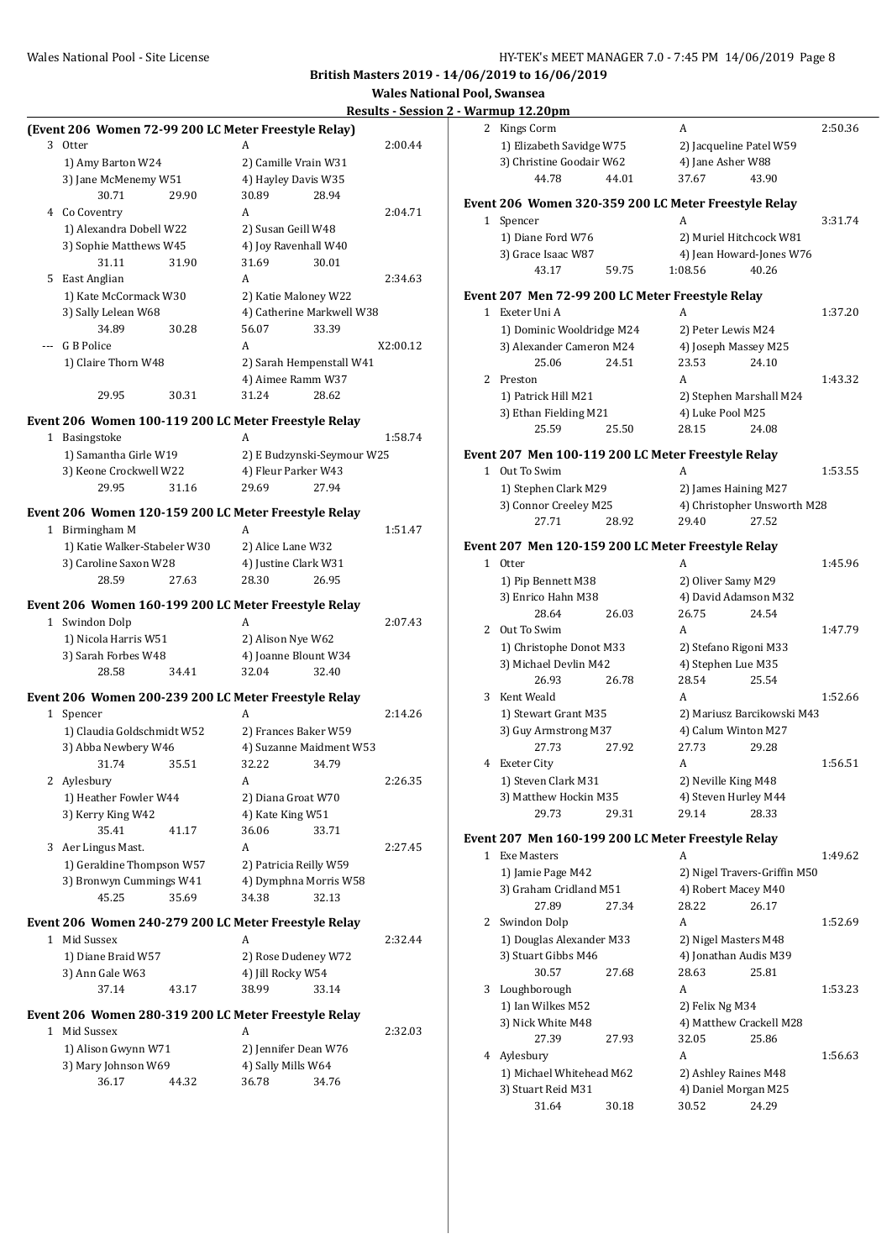**Wales National Pool, Swansea**

#### **Results - Session 2 - Warmup 12.20pm**

| (Event 206 Women 72-99 200 LC Meter Freestyle Relay) |                                         | 2 Kings Corm<br>A                                                                |
|------------------------------------------------------|-----------------------------------------|----------------------------------------------------------------------------------|
| 3 Otter                                              | 2:00.44<br>А                            | 1) Elizabeth Savidge W75<br>2) Jacqueline Patel W5                               |
| 1) Amy Barton W24                                    | 2) Camille Vrain W31                    | 3) Christine Goodair W62<br>4) Jane Asher W88                                    |
| 3) Jane McMenemy W51                                 | 4) Hayley Davis W35                     | 43.90<br>44.78<br>44.01<br>37.67                                                 |
| 30.71<br>29.90                                       | 30.89<br>28.94                          | Event 206 Women 320-359 200 LC Meter Freestyle Rela                              |
| 4 Co Coventry                                        | 2:04.71<br>A                            | 1 Spencer<br>A                                                                   |
| 1) Alexandra Dobell W22                              | 2) Susan Geill W48                      | 1) Diane Ford W76                                                                |
| 3) Sophie Matthews W45                               | 4) Joy Ravenhall W40                    | 2) Muriel Hitchcock W                                                            |
| 31.11<br>31.90                                       | 31.69<br>30.01                          | 3) Grace Isaac W87<br>4) Jean Howard-Jones<br>43.17<br>59.75<br>40.26<br>1:08.56 |
| 5 East Anglian                                       | 2:34.63<br>A                            |                                                                                  |
| 1) Kate McCormack W30                                | 2) Katie Maloney W22                    | Event 207 Men 72-99 200 LC Meter Freestyle Relay                                 |
| 3) Sally Lelean W68                                  | 4) Catherine Markwell W38               | A<br>1 Exeter Uni A                                                              |
| 34.89<br>30.28                                       | 33.39<br>56.07                          | 1) Dominic Wooldridge M24<br>2) Peter Lewis M24                                  |
| --- G B Police                                       | A<br>X2:00.12                           | 3) Alexander Cameron M24<br>4) Joseph Massey M25                                 |
| 1) Claire Thorn W48                                  | 2) Sarah Hempenstall W41                | 25.06<br>24.51<br>23.53<br>24.10                                                 |
|                                                      | 4) Aimee Ramm W37                       | 2 Preston<br>A                                                                   |
| 29.95<br>30.31                                       | 31.24<br>28.62                          | 1) Patrick Hill M21<br>2) Stephen Marshall M                                     |
| Event 206 Women 100-119 200 LC Meter Freestyle Relay |                                         | 4) Luke Pool M25<br>3) Ethan Fielding M21                                        |
| 1 Basingstoke                                        | A<br>1:58.74                            | 25.59<br>25.50<br>28.15<br>24.08                                                 |
| 1) Samantha Girle W19                                | 2) E Budzynski-Seymour W25              | Event 207 Men 100-119 200 LC Meter Freestyle Relay                               |
| 3) Keone Crockwell W22                               | 4) Fleur Parker W43                     | 1 Out To Swim<br>A                                                               |
| 29.95<br>31.16                                       | 29.69<br>27.94                          | 1) Stephen Clark M29<br>2) James Haining M27                                     |
|                                                      |                                         | 3) Connor Creeley M25<br>4) Christopher Unswo                                    |
| Event 206 Women 120-159 200 LC Meter Freestyle Relay |                                         | 27.71<br>28.92<br>29.40<br>27.52                                                 |
| 1 Birmingham M                                       | A<br>1:51.47                            |                                                                                  |
| 1) Katie Walker-Stabeler W30                         | 2) Alice Lane W32                       | Event 207 Men 120-159 200 LC Meter Freestyle Relay                               |
| 3) Caroline Saxon W28                                | 4) Justine Clark W31                    | A<br>1 Otter                                                                     |
| 28.59<br>27.63                                       | 26.95<br>28.30                          | 2) Oliver Samy M29<br>1) Pip Bennett M38                                         |
| Event 206 Women 160-199 200 LC Meter Freestyle Relay |                                         | 4) David Adamson M3<br>3) Enrico Hahn M38                                        |
| 1 Swindon Dolp                                       | 2:07.43<br>A                            | 28.64<br>26.75<br>24.54<br>26.03                                                 |
| 1) Nicola Harris W51                                 | 2) Alison Nye W62                       | 2 Out To Swim<br>A                                                               |
| 3) Sarah Forbes W48                                  | 4) Joanne Blount W34                    | 1) Christophe Donot M33<br>2) Stefano Rigoni M33                                 |
| 28.58<br>34.41                                       | 32.04<br>32.40                          | 4) Stephen Lue M35<br>3) Michael Devlin M42                                      |
|                                                      |                                         | 28.54<br>26.93<br>26.78<br>25.54                                                 |
| Event 206 Women 200-239 200 LC Meter Freestyle Relay |                                         | 3 Kent Weald<br>A                                                                |
| 1 Spencer                                            | 2:14.26<br>A                            | 1) Stewart Grant M35<br>2) Mariusz Barcikowsł                                    |
| 1) Claudia Goldschmidt W52                           | 2) Frances Baker W59                    | 4) Calum Winton M27<br>3) Guy Armstrong M37                                      |
| 3) Abba Newbery W46                                  | 4) Suzanne Maidment W53                 | 27.73<br>27.92<br>27.73<br>29.28                                                 |
| 31.74<br>35.51                                       | 32.22<br>34.79                          | 4 Exeter City<br>A                                                               |
| 2 Aylesbury                                          | А<br>2:26.35                            | 1) Steven Clark M31<br>2) Neville King M48                                       |
| 1) Heather Fowler W44                                | 2) Diana Groat W70                      | 3) Matthew Hockin M35<br>4) Steven Hurley M44<br>29.73<br>29.14<br>28.33         |
| 3) Kerry King W42<br>35.41<br>41.17                  | 4) Kate King W51<br>36.06<br>33.71      | 29.31                                                                            |
| 3 Aer Lingus Mast.                                   | 2:27.45<br>A                            | Event 207 Men 160-199 200 LC Meter Freestyle Relay                               |
| 1) Geraldine Thompson W57                            | 2) Patricia Reilly W59                  | 1 Exe Masters<br>A                                                               |
|                                                      |                                         | 2) Nigel Travers-Griffi<br>1) Jamie Page M42                                     |
| 3) Bronwyn Cummings W41<br>45.25<br>35.69            | 4) Dymphna Morris W58<br>32.13<br>34.38 | 4) Robert Macey M40<br>3) Graham Cridland M51                                    |
|                                                      |                                         | 27.89<br>28.22<br>27.34<br>26.17                                                 |
| Event 206 Women 240-279 200 LC Meter Freestyle Relay |                                         | 2 Swindon Dolp<br>A                                                              |
| 1 Mid Sussex                                         | 2:32.44<br>A                            | 1) Douglas Alexander M33<br>2) Nigel Masters M48                                 |
| 1) Diane Braid W57                                   | 2) Rose Dudeney W72                     | 3) Stuart Gibbs M46<br>4) Jonathan Audis M39                                     |
| 3) Ann Gale W63                                      | 4) Jill Rocky W54                       | 30.57<br>27.68<br>28.63<br>25.81                                                 |
| 37.14<br>43.17                                       | 38.99<br>33.14                          | 3 Loughborough<br>A                                                              |
| Event 206 Women 280-319 200 LC Meter Freestyle Relay |                                         | 1) Ian Wilkes M52<br>2) Felix Ng M34                                             |
| 1 Mid Sussex                                         | 2:32.03<br>A                            | 3) Nick White M48<br>4) Matthew Crackell M                                       |
| 1) Alison Gwynn W71                                  | 2) Jennifer Dean W76                    | 27.39<br>27.93<br>32.05<br>25.86                                                 |
| 3) Mary Johnson W69                                  | 4) Sally Mills W64                      | 4 Aylesbury<br>A                                                                 |
| 36.17<br>44.32                                       | 36.78<br>34.76                          | 1) Michael Whitehead M62<br>2) Ashley Raines M48                                 |
|                                                      |                                         | 3) Stuart Reid M31<br>4) Daniel Morgan M25                                       |
|                                                      |                                         | 31.64<br>30.18<br>30.52<br>24.29                                                 |

|              | 2 Kings Corm                                          |       | A                                |                              | 2:50.36 |
|--------------|-------------------------------------------------------|-------|----------------------------------|------------------------------|---------|
|              | 1) Elizabeth Savidge W75                              |       | 2) Jacqueline Patel W59          |                              |         |
|              | 3) Christine Goodair W62                              |       | 4) Jane Asher W88                |                              |         |
|              | 44.78                                                 | 44.01 | 37.67                            | 43.90                        |         |
|              | Event 206  Women 320-359 200 LC Meter Freestyle Relay |       |                                  |                              |         |
| $\mathbf{1}$ | Spencer                                               |       |                                  |                              | 3:31.74 |
|              | 1) Diane Ford W76                                     |       | 2) Muriel Hitchcock W81          |                              |         |
|              | 3) Grace Isaac W87                                    |       |                                  | 4) Jean Howard-Jones W76     |         |
|              | 43.17                                                 | 59.75 | 1:08.56                          | 40.26                        |         |
|              | Event 207 Men 72-99 200 LC Meter Freestyle Relay      |       |                                  |                              |         |
|              | 1 Exeter Uni A                                        |       | A                                |                              | 1:37.20 |
|              | 1) Dominic Wooldridge M24                             |       | 2) Peter Lewis M24               |                              |         |
|              | 3) Alexander Cameron M24                              |       | 4) Joseph Massey M25             |                              |         |
|              | 25.06                                                 | 24.51 | 23.53                            | 24.10                        |         |
|              | 2 Preston                                             |       | A                                |                              | 1:43.32 |
|              | 1) Patrick Hill M21                                   |       | 2) Stephen Marshall M24          |                              |         |
|              | 3) Ethan Fielding M21                                 |       | 4) Luke Pool M25                 |                              |         |
|              | 25.59                                                 | 25.50 | 28.15                            | 24.08                        |         |
|              |                                                       |       |                                  |                              |         |
|              | Event 207 Men 100-119 200 LC Meter Freestyle Relay    |       |                                  |                              |         |
|              | 1 Out To Swim                                         |       | A                                |                              | 1:53.55 |
|              | 1) Stephen Clark M29                                  |       | 2) James Haining M27             |                              |         |
|              | 3) Connor Creeley M25                                 |       |                                  | 4) Christopher Unsworth M28  |         |
|              | 27.71                                                 | 28.92 | 29.40                            | 27.52                        |         |
|              | Event 207 Men 120-159 200 LC Meter Freestyle Relay    |       |                                  |                              |         |
|              | 1 Otter                                               |       | A                                |                              | 1:45.96 |
|              | 1) Pip Bennett M38                                    |       | 2) Oliver Samy M29               |                              |         |
|              | 3) Enrico Hahn M38                                    |       | 4) David Adamson M32             |                              |         |
|              | 28.64                                                 | 26.03 | 26.75                            | 24.54                        |         |
|              | 2 Out To Swim                                         |       | A                                |                              | 1:47.79 |
|              | 1) Christophe Donot M33                               |       | 2) Stefano Rigoni M33            |                              |         |
|              | 3) Michael Devlin M42                                 |       |                                  |                              |         |
|              | 26.93                                                 | 26.78 | 4) Stephen Lue M35<br>28.54      | 25.54                        |         |
|              |                                                       |       |                                  |                              |         |
| 3            | Kent Weald                                            |       | A                                |                              | 1:52.66 |
|              | 1) Stewart Grant M35                                  |       |                                  | 2) Mariusz Barcikowski M43   |         |
|              | 3) Guy Armstrong M37                                  |       | 4) Calum Winton M27              |                              |         |
|              | 27.73                                                 | 27.92 | 27.73                            | 29.28                        |         |
|              | 4 Exeter City                                         |       | A                                |                              | 1:56.51 |
|              | 1) Steven Clark M31                                   |       | 2) Neville King M48              |                              |         |
|              | 3) Matthew Hockin M35                                 |       | 4) Steven Hurley M44             |                              |         |
|              | 29.73                                                 | 29.31 | 29.14                            | 28.33                        |         |
|              | Event 207 Men 160-199 200 LC Meter Freestyle Relay    |       |                                  |                              |         |
|              | 1 Exe Masters                                         |       | A                                |                              | 1:49.62 |
|              | 1) Jamie Page M42                                     |       |                                  | 2) Nigel Travers-Griffin M50 |         |
|              | 3) Graham Cridland M51                                |       | 4) Robert Macey M40              |                              |         |
|              | 27.89                                                 | 27.34 | 28.22                            | 26.17                        |         |
|              | 2 Swindon Dolp                                        |       | A                                |                              | 1:52.69 |
|              | 1) Douglas Alexander M33                              |       | 2) Nigel Masters M48             |                              |         |
|              | 3) Stuart Gibbs M46                                   |       | 4) Jonathan Audis M39            |                              |         |
|              | 30.57                                                 | 27.68 | 28.63                            | 25.81                        |         |
| 3            | Loughborough                                          |       | A                                |                              | 1:53.23 |
|              | 1) Ian Wilkes M52                                     |       | 2) Felix Ng M34                  |                              |         |
|              |                                                       |       |                                  |                              |         |
|              | 3) Nick White M48<br>27.39                            |       | 4) Matthew Crackell M28<br>32.05 | 25.86                        |         |
|              |                                                       | 27.93 |                                  |                              |         |
| 4            | Aylesbury                                             |       | A                                |                              | 1:56.63 |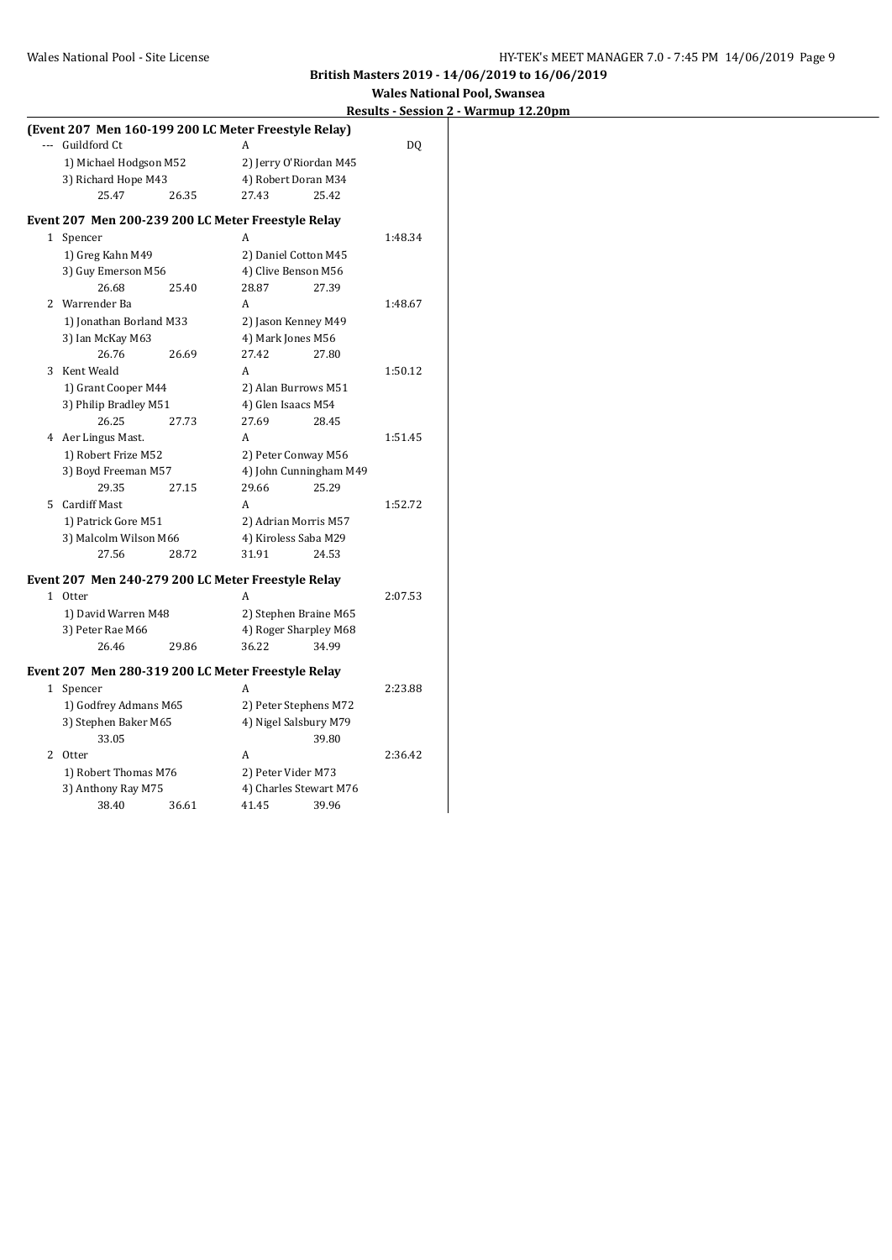**Results - Session 2 - Warmup 12.20pm**

|                         |       | (Event 207 Men 160-199 200 LC Meter Freestyle Relay) |         |
|-------------------------|-------|------------------------------------------------------|---------|
| --- Guildford Ct        |       | A                                                    | DQ      |
| 1) Michael Hodgson M52  |       | 2) Jerry O'Riordan M45                               |         |
| 3) Richard Hope M43     |       | 4) Robert Doran M34                                  |         |
| 25.47                   | 26.35 | 25.42<br>27.43                                       |         |
|                         |       | Event 207 Men 200-239 200 LC Meter Freestyle Relay   |         |
| 1 Spencer               |       | A                                                    | 1:48.34 |
| 1) Greg Kahn M49        |       | 2) Daniel Cotton M45                                 |         |
| 3) Guy Emerson M56      |       | 4) Clive Benson M56                                  |         |
| 26.68                   | 25.40 | 28.87<br>27.39                                       |         |
| 2 Warrender Ba          |       | A                                                    | 1:48.67 |
| 1) Jonathan Borland M33 |       | 2) Jason Kenney M49                                  |         |
| 3) Ian McKay M63        |       | 4) Mark Jones M56                                    |         |
| 26.76                   | 26.69 | 27.80<br>27.42                                       |         |
| 3 Kent Weald            |       | A                                                    | 1:50.12 |
| 1) Grant Cooper M44     |       | 2) Alan Burrows M51                                  |         |
| 3) Philip Bradley M51   |       | 4) Glen Isaacs M54                                   |         |
| 26.25                   | 27.73 | 27.69<br>28.45                                       |         |
| 4 Aer Lingus Mast.      |       | A                                                    | 1:51.45 |
| 1) Robert Frize M52     |       | 2) Peter Conway M56                                  |         |
| 3) Boyd Freeman M57     |       | 4) John Cunningham M49                               |         |
| 29.35                   | 27.15 | 29.66<br>25.29                                       |         |
| 5 Cardiff Mast          |       | A                                                    | 1:52.72 |
| 1) Patrick Gore M51     |       | 2) Adrian Morris M57                                 |         |
| 3) Malcolm Wilson M66   |       | 4) Kiroless Saba M29                                 |         |
| 27.56                   | 28.72 | 31.91<br>24.53                                       |         |
|                         |       | Event 207 Men 240-279 200 LC Meter Freestyle Relay   |         |
| 1 Otter                 |       | A                                                    | 2:07.53 |
| 1) David Warren M48     |       | 2) Stephen Braine M65                                |         |
| 3) Peter Rae M66        |       | 4) Roger Sharpley M68                                |         |
| 26.46                   | 29.86 | 36.22<br>34.99                                       |         |
|                         |       | Event 207 Men 280-319 200 LC Meter Freestyle Relay   |         |
| 1 Spencer               |       | A                                                    | 2:23.88 |
| 1) Godfrey Admans M65   |       | 2) Peter Stephens M72                                |         |
| 3) Stephen Baker M65    |       | 4) Nigel Salsbury M79                                |         |
| 33.05                   |       | 39.80                                                |         |
| 2 Otter                 |       | A                                                    | 2:36.42 |
| 1) Robert Thomas M76    |       | 2) Peter Vider M73                                   |         |
| 3) Anthony Ray M75      |       | 4) Charles Stewart M76                               |         |
| 38.40                   | 36.61 | 41.45<br>39.96                                       |         |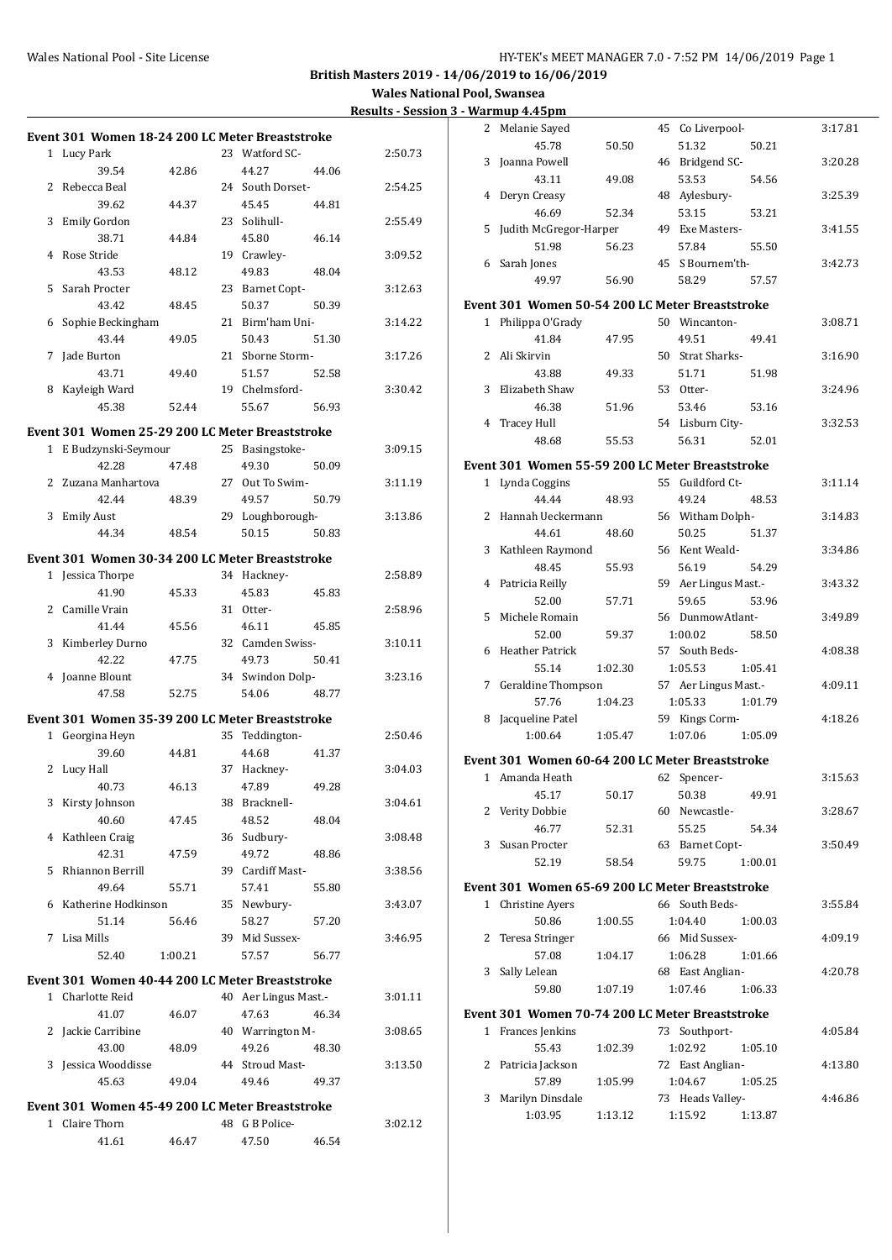**Wales National Pool, Swansea**

| <b>Results - Session 3 - Warmup 4.45pm</b> |
|--------------------------------------------|
|                                            |

|              |                                                 |         |    |                      |       | Results - Sess |
|--------------|-------------------------------------------------|---------|----|----------------------|-------|----------------|
|              | Event 301 Women 18-24 200 LC Meter Breaststroke |         |    |                      |       |                |
|              | 1 Lucy Park                                     |         |    | 23 Watford SC-       |       | 2:50.73        |
|              | 39.54                                           | 42.86   |    | 44.27                | 44.06 |                |
| 2            | Rebecca Beal                                    |         |    | 24 South Dorset-     |       | 2:54.25        |
|              |                                                 |         |    |                      |       |                |
|              | 39.62                                           | 44.37   |    | 45.45                | 44.81 |                |
| 3            | <b>Emily Gordon</b>                             |         | 23 | Solihull-            |       | 2:55.49        |
|              | 38.71                                           | 44.84   |    | 45.80                | 46.14 |                |
| 4            | Rose Stride                                     |         |    | 19 Crawley-          |       | 3:09.52        |
|              | 43.53                                           | 48.12   |    | 49.83                | 48.04 |                |
| 5            | Sarah Procter                                   |         |    | 23 Barnet Copt-      |       | 3:12.63        |
|              | 43.42                                           | 48.45   |    | 50.37                | 50.39 |                |
| 6            | Sophie Beckingham                               |         |    | 21 Birm'ham Uni-     |       | 3:14.22        |
|              | 43.44                                           | 49.05   |    | 50.43                | 51.30 |                |
| 7            | Jade Burton                                     |         |    | 21 Sborne Storm-     |       | 3:17.26        |
|              | 43.71                                           | 49.40   |    | 51.57                | 52.58 |                |
| 8            | Kayleigh Ward                                   |         |    | 19 Chelmsford-       |       | 3:30.42        |
|              | 45.38                                           | 52.44   |    | 55.67                | 56.93 |                |
|              |                                                 |         |    |                      |       |                |
|              | Event 301 Women 25-29 200 LC Meter Breaststroke |         |    |                      |       |                |
|              | 1 E Budzynski-Seymour                           |         |    | 25 Basingstoke-      |       | 3:09.15        |
|              | 42.28                                           | 47.48   |    | 49.30                | 50.09 |                |
| 2            | Zuzana Manhartova                               |         |    | 27 Out To Swim-      |       | 3:11.19        |
|              | 42.44                                           | 48.39   |    | 49.57                | 50.79 |                |
| 3            | <b>Emily Aust</b>                               |         |    | 29 Loughborough-     |       | 3:13.86        |
|              | 44.34                                           | 48.54   |    | 50.15                | 50.83 |                |
|              | Event 301 Women 30-34 200 LC Meter Breaststroke |         |    |                      |       |                |
|              | 1 Jessica Thorpe                                |         |    | 34 Hackney-          |       | 2:58.89        |
|              | 41.90                                           | 45.33   |    | 45.83                | 45.83 |                |
|              |                                                 |         |    |                      |       |                |
|              | 2 Camille Vrain                                 |         |    | 31 Otter-            |       | 2:58.96        |
|              | 41.44                                           | 45.56   |    | 46.11                | 45.85 |                |
| 3            | Kimberley Durno                                 |         |    | 32 Camden Swiss-     |       | 3:10.11        |
|              | 42.22                                           | 47.75   |    | 49.73                | 50.41 |                |
| 4            | Joanne Blount                                   |         |    | 34 Swindon Dolp-     |       | 3:23.16        |
|              | 47.58                                           | 52.75   |    | 54.06                | 48.77 |                |
|              | Event 301 Women 35-39 200 LC Meter Breaststroke |         |    |                      |       |                |
| $\mathbf{1}$ | Georgina Heyn                                   |         | 35 | Teddington-          |       | 2:50.46        |
|              | 39.60                                           | 44.81   |    | 44.68                | 41.37 |                |
| 2            | Lucy Hall                                       |         | 37 | Hackney-             |       | 3:04.03        |
|              | 40.73                                           | 46.13   |    | 47.89                | 49.28 |                |
| 3            | Kirsty Johnson                                  |         |    | 38 Bracknell-        |       | 3:04.61        |
|              | 40.60                                           | 47.45   |    | 48.52                | 48.04 |                |
| 4            | Kathleen Craig                                  |         |    | 36 Sudbury-          |       | 3:08.48        |
|              | 42.31                                           | 47.59   |    | 49.72                | 48.86 |                |
| 5            | Rhiannon Berrill                                |         |    | 39 Cardiff Mast-     |       | 3:38.56        |
|              |                                                 |         |    |                      |       |                |
|              | 49.64                                           | 55.71   |    | 57.41                | 55.80 |                |
| 6            | Katherine Hodkinson                             |         |    | 35 Newbury-          |       | 3:43.07        |
|              | 51.14                                           | 56.46   |    | 58.27                | 57.20 |                |
|              | 7 Lisa Mills                                    |         |    | 39 Mid Sussex-       |       | 3:46.95        |
|              | 52.40                                           | 1:00.21 |    | 57.57                | 56.77 |                |
|              | Event 301 Women 40-44 200 LC Meter Breaststroke |         |    |                      |       |                |
|              | 1 Charlotte Reid                                |         |    | 40 Aer Lingus Mast.- |       | 3:01.11        |
|              | 41.07                                           | 46.07   |    | 47.63                | 46.34 |                |
| 2            | Jackie Carribine                                |         |    | 40 Warrington M-     |       | 3:08.65        |
|              | 43.00                                           | 48.09   |    | 49.26                | 48.30 |                |
| 3            | Jessica Wooddisse                               |         |    | 44 Stroud Mast-      |       | 3:13.50        |
|              | 45.63                                           | 49.04   |    | 49.46                | 49.37 |                |
|              |                                                 |         |    |                      |       |                |
|              | Event 301 Women 45-49 200 LC Meter Breaststroke |         |    |                      |       |                |
|              | 1 Claire Thorn                                  |         |    | 48 G B Police-       |       | 3:02.12        |
|              | 41.61                                           | 46.47   |    | 47.50                | 46.54 |                |
|              |                                                 |         |    |                      |       |                |

| 2                     | Melanie Sayed                |         | 45 Co Liverpool-                                | 3:17.81 |
|-----------------------|------------------------------|---------|-------------------------------------------------|---------|
|                       | 45.78                        | 50.50   | 51.32<br>50.21                                  |         |
| 3                     | Joanna Powell                |         | 46 Bridgend SC-                                 | 3:20.28 |
|                       | 43.11                        | 49.08   | 53.53<br>54.56                                  |         |
| 4                     | Deryn Creasy                 |         | 48 Aylesbury-                                   | 3:25.39 |
|                       | 46.69                        | 52.34   | 53.15<br>53.21                                  |         |
| 5                     | Judith McGregor-Harper       |         | 49 Exe Masters-                                 | 3:41.55 |
|                       | 51.98                        | 56.23   | 57.84<br>55.50                                  |         |
| 6                     | Sarah Jones                  |         | 45 S Bournem'th-                                | 3:42.73 |
|                       | 49.97                        | 56.90   | 58.29<br>57.57                                  |         |
|                       |                              |         | Event 301 Women 50-54 200 LC Meter Breaststroke |         |
|                       | 1 Philippa O'Grady           |         | 50 Wincanton-                                   | 3:08.71 |
|                       | 41.84                        | 47.95   | 49.51<br>49.41                                  |         |
|                       | Ali Skirvin<br>$\mathbf{2}$  |         | 50 Strat Sharks-                                | 3:16.90 |
|                       | 43.88                        |         |                                                 |         |
| 3                     | Elizabeth Shaw               | 49.33   | 51.71<br>51.98<br>53 Otter-                     | 3:24.96 |
|                       | 46.38                        | 51.96   | 53.46<br>53.16                                  |         |
| 4                     | <b>Tracey Hull</b>           |         | 54 Lisburn City-                                | 3:32.53 |
|                       | 48.68                        | 55.53   | 56.31<br>52.01                                  |         |
|                       |                              |         |                                                 |         |
|                       |                              |         | Event 301 Women 55-59 200 LC Meter Breaststroke |         |
|                       | 1 Lynda Coggins              |         | Guildford Ct-<br>55                             | 3:11.14 |
|                       | 44.44                        | 48.93   | 49.24<br>48.53                                  |         |
| $\mathbf{2}^{\prime}$ | Hannah Ueckermann            |         | 56 Witham Dolph-                                | 3:14.83 |
|                       | 44.61                        | 48.60   | 50.25<br>51.37                                  |         |
| 3                     | Kathleen Raymond             |         | 56 Kent Weald-                                  | 3:34.86 |
|                       | 48.45                        | 55.93   | 56.19<br>54.29                                  |         |
| 4                     | Patricia Reilly              |         | 59 Aer Lingus Mast.-                            | 3:43.32 |
|                       | 52.00                        | 57.71   | 59.65<br>53.96                                  |         |
| 5                     | Michele Romain               |         | 56 DunmowAtlant-                                | 3:49.89 |
|                       | 52.00                        | 59.37   | 1:00.02<br>58.50                                |         |
| 6                     | Heather Patrick              |         | 57 South Beds-                                  | 4:08.38 |
|                       | 55.14                        | 1:02.30 | 1:05.53<br>1:05.41                              |         |
|                       | Geraldine Thompson<br>7      |         | 57 Aer Lingus Mast.-                            | 4:09.11 |
|                       | 57.76                        | 1:04.23 | 1:05.33<br>1:01.79                              |         |
| 8                     | Jacqueline Patel             |         | 59 Kings Corm-                                  | 4:18.26 |
|                       | 1:00.64                      | 1:05.47 | 1:07.06<br>1:05.09                              |         |
|                       |                              |         | Event 301 Women 60-64 200 LC Meter Breaststroke |         |
|                       | 1 Amanda Heath               |         | 62 Spencer-                                     | 3:15.63 |
|                       | 45.17                        | 50.17   | 49.91<br>50.38                                  |         |
|                       | 2 Verity Dobbie              |         | 60 Newcastle-                                   | 3:28.67 |
|                       | 46.77                        | 52.31   | 55.25<br>54.34                                  |         |
| 3                     | Susan Procter                |         | 63 Barnet Copt-                                 | 3:50.49 |
|                       | 52.19                        | 58.54   | 59.75<br>1:00.01                                |         |
|                       |                              |         | Event 301 Women 65-69 200 LC Meter Breaststroke |         |
|                       | Christine Ayers<br>1         |         | 66 South Beds-                                  | 3:55.84 |
|                       | 50.86                        | 1:00.55 | 1:04.40<br>1:00.03                              |         |
| 2                     | Teresa Stringer              |         | 66 Mid Sussex-                                  | 4:09.19 |
|                       | 57.08                        | 1:04.17 | 1:06.28<br>1:01.66                              |         |
| 3                     | Sally Lelean                 |         | 68 East Anglian-                                | 4:20.78 |
|                       | 59.80                        | 1:07.19 | 1:07.46<br>1:06.33                              |         |
|                       |                              |         |                                                 |         |
|                       |                              |         | Event 301 Women 70-74 200 LC Meter Breaststroke |         |
|                       | Frances Jenkins<br>$1 \quad$ |         | Southport-<br>73                                | 4:05.84 |
|                       | 55.43                        | 1:02.39 | 1:02.92<br>1:05.10                              |         |
| 2                     | Patricia Jackson             |         | 72 East Anglian-                                | 4:13.80 |
|                       | 57.89                        | 1:05.99 | 1:04.67<br>1:05.25                              |         |
| 3                     | Marilyn Dinsdale             |         | 73 Heads Valley-                                | 4:46.86 |
|                       | 1:03.95                      | 1:13.12 | 1:15.92<br>1:13.87                              |         |
|                       |                              |         |                                                 |         |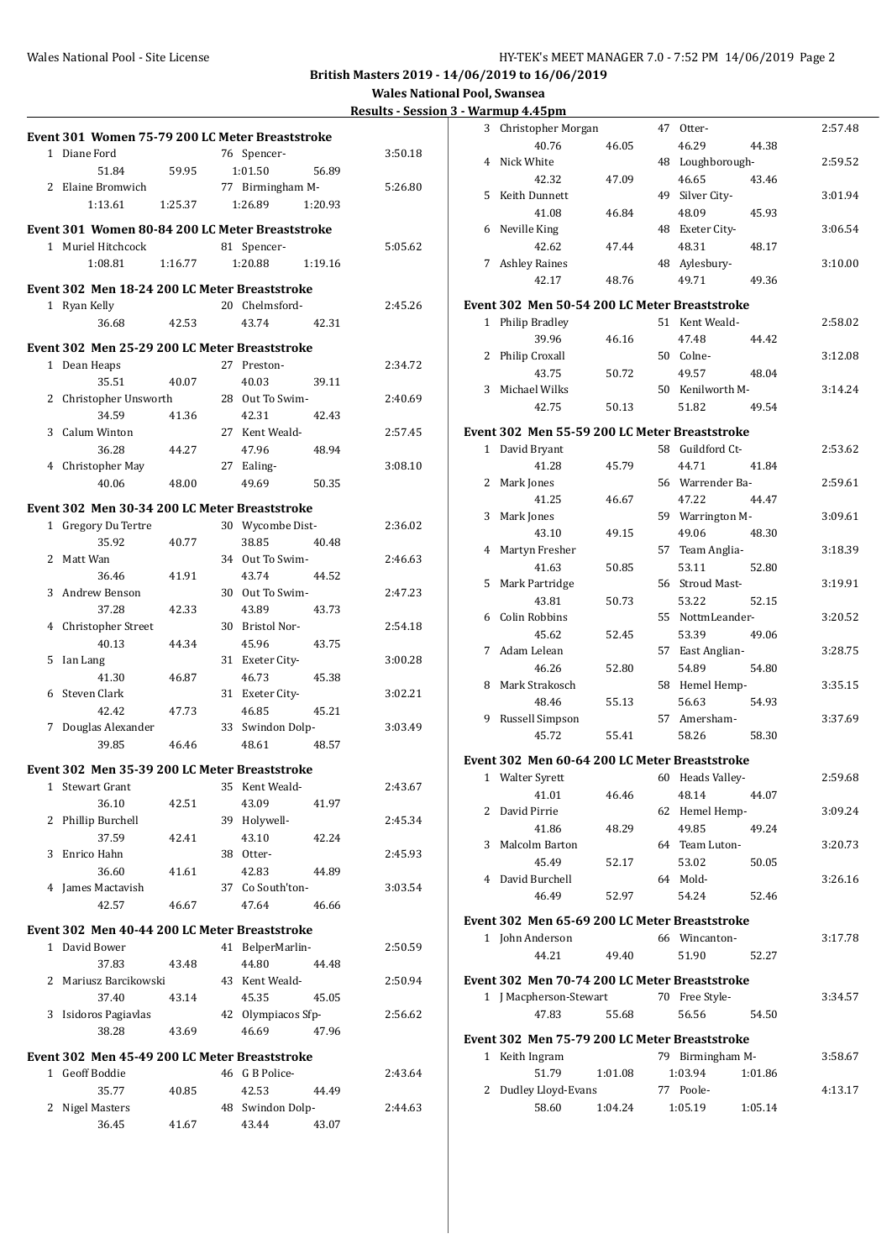**Wales National Pool, Swansea**<br>sults - Session 3 - Warmun 4 45

| <b>Results - Session 3 - Warmup 4.45pm</b> |
|--------------------------------------------|
|                                            |

| Event 301 Women 75-79 200 LC Meter Breaststroke |         |                          |         |         | 3 Christopher Morgan                          |         | 47 Otter-        |         | 2:57.48 |
|-------------------------------------------------|---------|--------------------------|---------|---------|-----------------------------------------------|---------|------------------|---------|---------|
| 1 Diane Ford                                    |         | 76 Spencer-              |         | 3:50.18 | 40.76                                         | 46.05   | 46.29            | 44.38   |         |
| 51.84                                           | 59.95   | 1:01.50                  | 56.89   |         | 4 Nick White                                  |         | 48 Loughborough- |         | 2:59.52 |
| 2 Elaine Bromwich                               |         | 77 Birmingham M-         |         | 5:26.80 | 42.32                                         | 47.09   | 46.65            | 43.46   |         |
| 1:13.61                                         | 1:25.37 | 1:26.89                  | 1:20.93 |         | 5 Keith Dunnett                               |         | 49 Silver City-  |         | 3:01.94 |
|                                                 |         |                          |         |         | 41.08                                         | 46.84   | 48.09            | 45.93   |         |
| Event 301 Women 80-84 200 LC Meter Breaststroke |         |                          |         |         | 6 Neville King                                |         | 48 Exeter City-  |         | 3:06.54 |
| 1 Muriel Hitchcock                              |         | 81 Spencer-              |         | 5:05.62 | 42.62                                         | 47.44   | 48.31            | 48.17   |         |
| 1:08.81                                         | 1:16.77 | 1:20.88                  | 1:19.16 |         | 7 Ashley Raines                               |         | 48 Aylesbury-    |         | 3:10.00 |
| Event 302 Men 18-24 200 LC Meter Breaststroke   |         |                          |         |         | 42.17                                         | 48.76   | 49.71            | 49.36   |         |
| 1 Ryan Kelly                                    |         | 20 Chelmsford-           |         | 2:45.26 | Event 302 Men 50-54 200 LC Meter Breaststroke |         |                  |         |         |
| 36.68                                           | 42.53   | 43.74                    | 42.31   |         | 1 Philip Bradley                              |         | 51 Kent Weald-   |         | 2:58.02 |
| Event 302 Men 25-29 200 LC Meter Breaststroke   |         |                          |         |         | 39.96                                         | 46.16   | 47.48            | 44.42   |         |
| 1 Dean Heaps                                    |         | 27 Preston-              |         | 2:34.72 | 2 Philip Croxall                              |         | 50 Colne-        |         | 3:12.08 |
| 35.51                                           | 40.07   | 40.03                    | 39.11   |         | 43.75                                         | 50.72   | 49.57            | 48.04   |         |
| 2 Christopher Unsworth                          |         | 28 Out To Swim-          |         | 2:40.69 | 3 Michael Wilks                               |         | 50 Kenilworth M- |         | 3:14.24 |
| 34.59                                           | 41.36   | 42.31                    | 42.43   |         | 42.75                                         | 50.13   | 51.82            | 49.54   |         |
| 3 Calum Winton                                  |         | 27 Kent Weald-           |         | 2:57.45 | Event 302 Men 55-59 200 LC Meter Breaststroke |         |                  |         |         |
| 36.28                                           | 44.27   | 47.96                    | 48.94   |         | 1 David Bryant                                |         | 58 Guildford Ct- |         | 2:53.62 |
| 4 Christopher May                               |         | 27 Ealing-               |         | 3:08.10 | 41.28                                         | 45.79   | 44.71            | 41.84   |         |
| 40.06                                           | 48.00   | 49.69                    | 50.35   |         | 2 Mark Jones                                  |         | 56 Warrender Ba- |         | 2:59.61 |
|                                                 |         |                          |         |         | 41.25                                         | 46.67   | 47.22            | 44.47   |         |
| Event 302 Men 30-34 200 LC Meter Breaststroke   |         |                          |         |         | 3 Mark Jones                                  |         | 59 Warrington M- |         | 3:09.61 |
| 1 Gregory Du Tertre                             |         | 30 Wycombe Dist-         |         | 2:36.02 | 43.10                                         | 49.15   | 49.06            | 48.30   |         |
| 35.92                                           | 40.77   | 38.85                    | 40.48   |         | 4 Martyn Fresher                              |         | 57 Team Anglia-  |         | 3:18.39 |
| 2 Matt Wan                                      |         | 34 Out To Swim-          |         | 2:46.63 | 41.63                                         | 50.85   | 53.11            | 52.80   |         |
| 36.46<br>3 Andrew Benson                        | 41.91   | 43.74<br>30 Out To Swim- | 44.52   |         | 5 Mark Partridge                              |         | 56 Stroud Mast-  |         | 3:19.91 |
| 37.28                                           | 42.33   | 43.89                    | 43.73   | 2:47.23 | 43.81                                         | 50.73   | 53.22            | 52.15   |         |
| 4 Christopher Street                            |         | 30 Bristol Nor-          |         | 2:54.18 | 6 Colin Robbins                               |         | 55 NottmLeander- |         | 3:20.52 |
| 40.13                                           | 44.34   | 45.96                    | 43.75   |         | 45.62                                         | 52.45   | 53.39            | 49.06   |         |
| 5 Ian Lang                                      |         | 31 Exeter City-          |         | 3:00.28 | 7 Adam Lelean                                 |         | 57 East Anglian- |         | 3:28.75 |
| 41.30                                           | 46.87   | 46.73                    | 45.38   |         | 46.26                                         | 52.80   | 54.89            | 54.80   |         |
| 6 Steven Clark                                  |         | 31 Exeter City-          |         | 3:02.21 | 8 Mark Strakosch                              |         | 58 Hemel Hemp-   |         | 3:35.15 |
| 42.42                                           | 47.73   | 46.85                    | 45.21   |         | 48.46                                         | 55.13   | 56.63            | 54.93   |         |
| 7 Douglas Alexander                             |         | 33 Swindon Dolp-         |         | 3:03.49 | 9 Russell Simpson                             |         | 57 Amersham-     |         | 3:37.69 |
| 39.85                                           | 46.46   | 48.61                    | 48.57   |         | 45.72                                         | 55.41   | 58.26            | 58.30   |         |
|                                                 |         |                          |         |         | Event 302 Men 60-64 200 LC Meter Breaststroke |         |                  |         |         |
| Event 302 Men 35-39 200 LC Meter Breaststroke   |         |                          |         |         | 1 Walter Syrett                               |         | 60 Heads Valley- |         | 2:59.68 |
| 1 Stewart Grant                                 |         | 35 Kent Weald-           |         | 2:43.67 | 41.01                                         | 46.46   | 48.14            | 44.07   |         |
| 36.10                                           | 42.51   | 43.09                    | 41.97   |         | 2 David Pirrie                                |         | 62 Hemel Hemp-   |         | 3:09.24 |
| 2 Phillip Burchell<br>37.59                     |         | 39 Holywell-<br>43.10    | 42.24   | 2:45.34 | 41.86                                         | 48.29   | 49.85            | 49.24   |         |
| 3 Enrico Hahn                                   | 42.41   | 38 Otter-                |         | 2:45.93 | 3 Malcolm Barton                              |         | 64 Team Luton-   |         | 3:20.73 |
| 36.60                                           | 41.61   | 42.83                    | 44.89   |         | 45.49                                         | 52.17   | 53.02            | 50.05   |         |
| 4 James Mactavish                               |         | 37 Co South'ton-         |         | 3:03.54 | 4 David Burchell                              |         | 64 Mold-         |         | 3:26.16 |
| 42.57                                           | 46.67   | 47.64                    | 46.66   |         | 46.49                                         | 52.97   | 54.24            | 52.46   |         |
|                                                 |         |                          |         |         | Event 302 Men 65-69 200 LC Meter Breaststroke |         |                  |         |         |
| Event 302 Men 40-44 200 LC Meter Breaststroke   |         |                          |         |         | 1 John Anderson                               |         | 66 Wincanton-    |         | 3:17.78 |
| 1 David Bower                                   |         | 41 BelperMarlin-         |         | 2:50.59 | 44.21                                         | 49.40   | 51.90            | 52.27   |         |
| 37.83                                           | 43.48   | 44.80                    | 44.48   |         |                                               |         |                  |         |         |
| 2 Mariusz Barcikowski                           |         | 43 Kent Weald-           |         | 2:50.94 | Event 302 Men 70-74 200 LC Meter Breaststroke |         |                  |         |         |
| 37.40                                           | 43.14   | 45.35                    | 45.05   |         | 1 J Macpherson-Stewart                        |         | 70 Free Style-   |         | 3:34.57 |
| 3 Isidoros Pagiavlas                            |         | 42 Olympiacos Sfp-       |         | 2:56.62 | 47.83                                         | 55.68   | 56.56            | 54.50   |         |
| 38.28                                           | 43.69   | 46.69                    | 47.96   |         | Event 302 Men 75-79 200 LC Meter Breaststroke |         |                  |         |         |
| Event 302 Men 45-49 200 LC Meter Breaststroke   |         |                          |         |         | 1 Keith Ingram                                |         | 79 Birmingham M- |         | 3:58.67 |
| 1 Geoff Boddie                                  |         | 46 G B Police-           |         | 2:43.64 | 51.79                                         | 1:01.08 | 1:03.94          | 1:01.86 |         |
| 35.77                                           | 40.85   | 42.53                    | 44.49   |         | 2 Dudley Lloyd-Evans                          |         | 77 Poole-        |         | 4:13.17 |
| 2 Nigel Masters                                 |         | 48 Swindon Dolp-         |         | 2:44.63 | 58.60                                         | 1:04.24 | 1:05.19          | 1:05.14 |         |
| 36.45                                           | 41.67   | 43.44                    | 43.07   |         |                                               |         |                  |         |         |
|                                                 |         |                          |         |         |                                               |         |                  |         |         |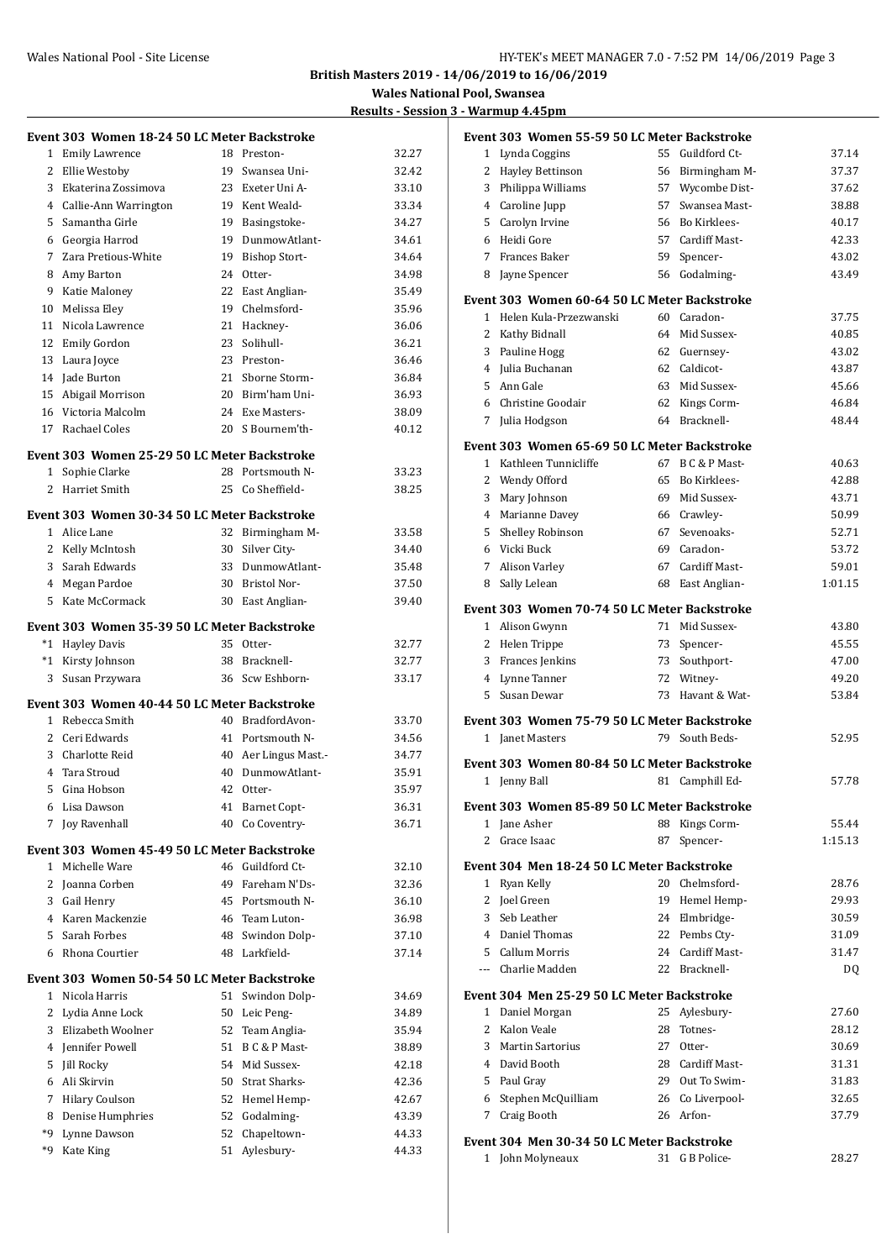#### Wales National Pool - Site License **HY-TEK's MEET MANAGER 7.0 - 7:52 PM 14/06/2019** Page 3

**British Masters 2019 - 14/06/2019 to 16/06/2019**

**Wales National Pool, Swansea**

## **Results - Session 3 - Warmup 4.45pm**

|                | Event 303 Women 18-24 50 LC Meter Backstroke  |    |                      |       |
|----------------|-----------------------------------------------|----|----------------------|-------|
| 1              | <b>Emily Lawrence</b>                         |    | 18 Preston-          | 32.27 |
| 2              | Ellie Westoby                                 |    | 19 Swansea Uni-      | 32.42 |
| 3              | Ekaterina Zossimova                           |    | 23 Exeter Uni A-     | 33.10 |
|                | 4 Callie-Ann Warrington                       |    | 19 Kent Weald-       | 33.34 |
|                | 5 Samantha Girle                              |    | 19 Basingstoke-      | 34.27 |
|                | 6 Georgia Harrod                              | 19 | DunmowAtlant-        | 34.61 |
|                | 7 Zara Pretious-White                         |    | 19 Bishop Stort-     | 34.64 |
| 8              | Amy Barton                                    |    | 24 Otter-            | 34.98 |
|                | 9 Katie Maloney                               |    | 22 East Anglian-     | 35.49 |
|                | 10 Melissa Eley                               |    | 19 Chelmsford-       | 35.96 |
|                | 11 Nicola Lawrence                            |    | 21 Hackney-          | 36.06 |
|                | 12 Emily Gordon                               |    | 23 Solihull-         | 36.21 |
| 13             | Laura Joyce                                   |    | 23 Preston-          | 36.46 |
|                | 14 Jade Burton                                |    | 21 Sborne Storm-     | 36.84 |
|                | 15 Abigail Morrison                           |    | 20 Birm'ham Uni-     | 36.93 |
|                | 16 Victoria Malcolm                           |    | 24 Exe Masters-      | 38.09 |
|                | 17 Rachael Coles                              |    | 20 S Bournem'th-     | 40.12 |
|                | Event 303  Women 25-29 50 LC Meter Backstroke |    |                      |       |
| 1              | Sophie Clarke                                 | 28 | Portsmouth N-        | 33.23 |
| 2              | Harriet Smith                                 | 25 | Co Sheffield-        | 38.25 |
|                | Event 303 Women 30-34 50 LC Meter Backstroke  |    |                      |       |
|                | 1 Alice Lane                                  |    | 32 Birmingham M-     | 33.58 |
|                | 2 Kelly McIntosh                              | 30 | Silver City-         | 34.40 |
|                | 3 Sarah Edwards                               | 33 | DunmowAtlant-        | 35.48 |
|                | 4 Megan Pardoe                                |    | 30 Bristol Nor-      | 37.50 |
|                | 5 Kate McCormack                              | 30 | East Anglian-        | 39.40 |
|                | Event 303  Women 35-39 50 LC Meter Backstroke |    |                      |       |
| *1             | <b>Hayley Davis</b>                           |    | 35 Otter-            | 32.77 |
|                | *1 Kirsty Johnson                             |    | 38 Bracknell-        | 32.77 |
| 3              | Susan Przywara                                | 36 | Scw Eshborn-         | 33.17 |
|                | Event 303 Women 40-44 50 LC Meter Backstroke  |    |                      |       |
|                | 1 Rebecca Smith                               |    | 40 BradfordAvon-     | 33.70 |
|                | 2 Ceri Edwards                                |    | 41 Portsmouth N-     | 34.56 |
|                | 3 Charlotte Reid                              |    | 40 Aer Lingus Mast.- | 34.77 |
|                | 4 Tara Stroud                                 |    | 40 DunmowAtlant-     | 35.91 |
|                | 5 Gina Hobson                                 |    | 42 Otter-            | 35.97 |
| 6              | Lisa Dawson                                   | 41 | <b>Barnet Copt-</b>  | 36.31 |
| 7              | Joy Ravenhall                                 | 40 | Co Coventry-         | 36.71 |
|                | Event 303 Women 45-49 50 LC Meter Backstroke  |    |                      |       |
| 1              | Michelle Ware                                 |    | 46 Guildford Ct-     | 32.10 |
|                | 2 Joanna Corben                               |    | 49 Fareham N'Ds-     | 32.36 |
|                | 3 Gail Henry                                  | 45 | Portsmouth N-        | 36.10 |
|                | 4 Karen Mackenzie                             |    | 46 Team Luton-       | 36.98 |
|                | 5 Sarah Forbes                                | 48 | Swindon Dolp-        | 37.10 |
| 6              | Rhona Courtier                                | 48 | Larkfield-           | 37.14 |
|                | Event 303  Women 50-54 50 LC Meter Backstroke |    |                      |       |
|                | 1 Nicola Harris                               | 51 | Swindon Dolp-        | 34.69 |
| 2              | Lydia Anne Lock                               |    | 50 Leic Peng-        | 34.89 |
| 3              | Elizabeth Woolner                             |    | 52 Team Anglia-      | 35.94 |
| $\overline{4}$ | Jennifer Powell                               |    | 51 B C & P Mast-     | 38.89 |
| 5              | <b>Jill Rocky</b>                             |    | 54 Mid Sussex-       | 42.18 |
| 6              | Ali Skirvin                                   |    | 50 Strat Sharks-     | 42.36 |
| 7              | <b>Hilary Coulson</b>                         |    | 52 Hemel Hemp-       | 42.67 |
| 8<br>*9        | Denise Humphries                              |    | 52 Godalming-        | 43.39 |
| *9             | Lynne Dawson                                  | 52 | Chapeltown-          | 44.33 |
|                | Kate King                                     | 51 | Aylesbury-           | 44.33 |

|             | Event 303 Women 55-59 50 LC Meter Backstroke                   |    |                  |         |
|-------------|----------------------------------------------------------------|----|------------------|---------|
|             | 1 Lynda Coggins                                                | 55 | Guildford Ct-    | 37.14   |
| 2           | Hayley Bettinson                                               |    | 56 Birmingham M- | 37.37   |
|             | 3 Philippa Williams                                            |    | 57 Wycombe Dist- | 37.62   |
|             | 4 Caroline Jupp                                                |    | 57 Swansea Mast- | 38.88   |
|             | 5 Carolyn Irvine                                               |    | 56 Bo Kirklees-  | 40.17   |
|             | 6 Heidi Gore                                                   |    | 57 Cardiff Mast- | 42.33   |
|             | 7 Frances Baker                                                | 59 | Spencer-         | 43.02   |
| 8           | Jayne Spencer                                                  | 56 | Godalming-       | 43.49   |
|             | Event 303 Women 60-64 50 LC Meter Backstroke                   |    |                  |         |
|             | 1 Helen Kula-Przezwanski                                       |    | 60 Caradon-      | 37.75   |
|             | 2 Kathy Bidnall                                                |    | 64 Mid Sussex-   | 40.85   |
|             | 3 Pauline Hogg                                                 |    | 62 Guernsey-     | 43.02   |
| 4           | Julia Buchanan                                                 |    | 62 Caldicot-     | 43.87   |
| 5           | Ann Gale                                                       |    | 63 Mid Sussex-   | 45.66   |
|             | 6 Christine Goodair                                            |    | 62 Kings Corm-   | 46.84   |
| 7           | Julia Hodgson                                                  |    | 64 Bracknell-    | 48.44   |
|             | Event 303 Women 65-69 50 LC Meter Backstroke                   |    |                  |         |
|             | 1 Kathleen Tunnicliffe                                         |    | 67 B C & P Mast- | 40.63   |
|             | 2 Wendy Offord                                                 |    | 65 Bo Kirklees-  | 42.88   |
| 3           | Mary Johnson                                                   |    | 69 Mid Sussex-   | 43.71   |
|             | 4 Marianne Davey                                               |    | 66 Crawley-      | 50.99   |
|             | 5 Shelley Robinson                                             | 67 | Sevenoaks-       | 52.71   |
|             | 6 Vicki Buck                                                   |    | 69 Caradon-      | 53.72   |
| $7^{\circ}$ | Alison Varley                                                  | 67 | Cardiff Mast-    | 59.01   |
|             | 8 Sally Lelean                                                 | 68 | East Anglian-    | 1:01.15 |
|             | Event 303 Women 70-74 50 LC Meter Backstroke                   |    |                  |         |
|             | 1 Alison Gwynn                                                 |    | 71 Mid Sussex-   | 43.80   |
|             | 2 Helen Trippe                                                 |    | 73 Spencer-      | 45.55   |
|             | 3 Frances Jenkins                                              |    | 73 Southport-    | 47.00   |
|             | 4 Lynne Tanner                                                 |    | 72 Witney-       | 49.20   |
|             | 5 Susan Dewar                                                  | 73 | Havant & Wat-    | 53.84   |
|             |                                                                |    |                  |         |
|             | Event 303 Women 75-79 50 LC Meter Backstroke                   | 79 | South Beds-      | 52.95   |
|             | 1 Janet Masters                                                |    |                  |         |
|             | Event 303 Women 80-84 50 LC Meter Backstroke                   |    |                  |         |
|             | 1 Jenny Ball                                                   |    | 81 Camphill Ed-  | 57.78   |
|             | Event 303 Women 85-89 50 LC Meter Backstroke                   |    |                  |         |
|             | 1 Jane Asher                                                   |    | 88 Kings Corm-   | 55.44   |
| 2           | Grace Isaac                                                    | 87 | Spencer-         | 1:15.13 |
|             | Event 304 Men 18-24 50 LC Meter Backstroke                     |    |                  |         |
|             | 1 Ryan Kelly                                                   |    | 20 Chelmsford-   | 28.76   |
|             | 2 Joel Green                                                   |    | 19 Hemel Hemp-   | 29.93   |
|             | 3 Seb Leather                                                  |    | 24 Elmbridge-    | 30.59   |
|             | 4 Daniel Thomas                                                |    | 22 Pembs Cty-    | 31.09   |
|             | 5 Callum Morris                                                |    | 24 Cardiff Mast- | 31.47   |
|             | --- Charlie Madden                                             |    | 22 Bracknell-    | DQ      |
|             | Event 304 Men 25-29 50 LC Meter Backstroke                     |    |                  |         |
|             | 1 Daniel Morgan                                                |    | 25 Aylesbury-    | 27.60   |
|             | 2 Kalon Veale                                                  | 28 | Totnes-          | 28.12   |
| 3           | Martin Sartorius                                               |    | 27 Otter-        | 30.69   |
|             | 4 David Booth                                                  |    | 28 Cardiff Mast- | 31.31   |
|             | 5 Paul Gray                                                    |    | 29 Out To Swim-  | 31.83   |
|             | 6 Stephen McQuilliam                                           |    | 26 Co Liverpool- | 32.65   |
| 7           | Craig Booth                                                    |    | 26 Arfon-        | 37.79   |
|             |                                                                |    |                  |         |
|             | Event 304 Men 30-34 50 LC Meter Backstroke<br>1 John Molyneaux | 31 | G B Police-      | 28.27   |
|             |                                                                |    |                  |         |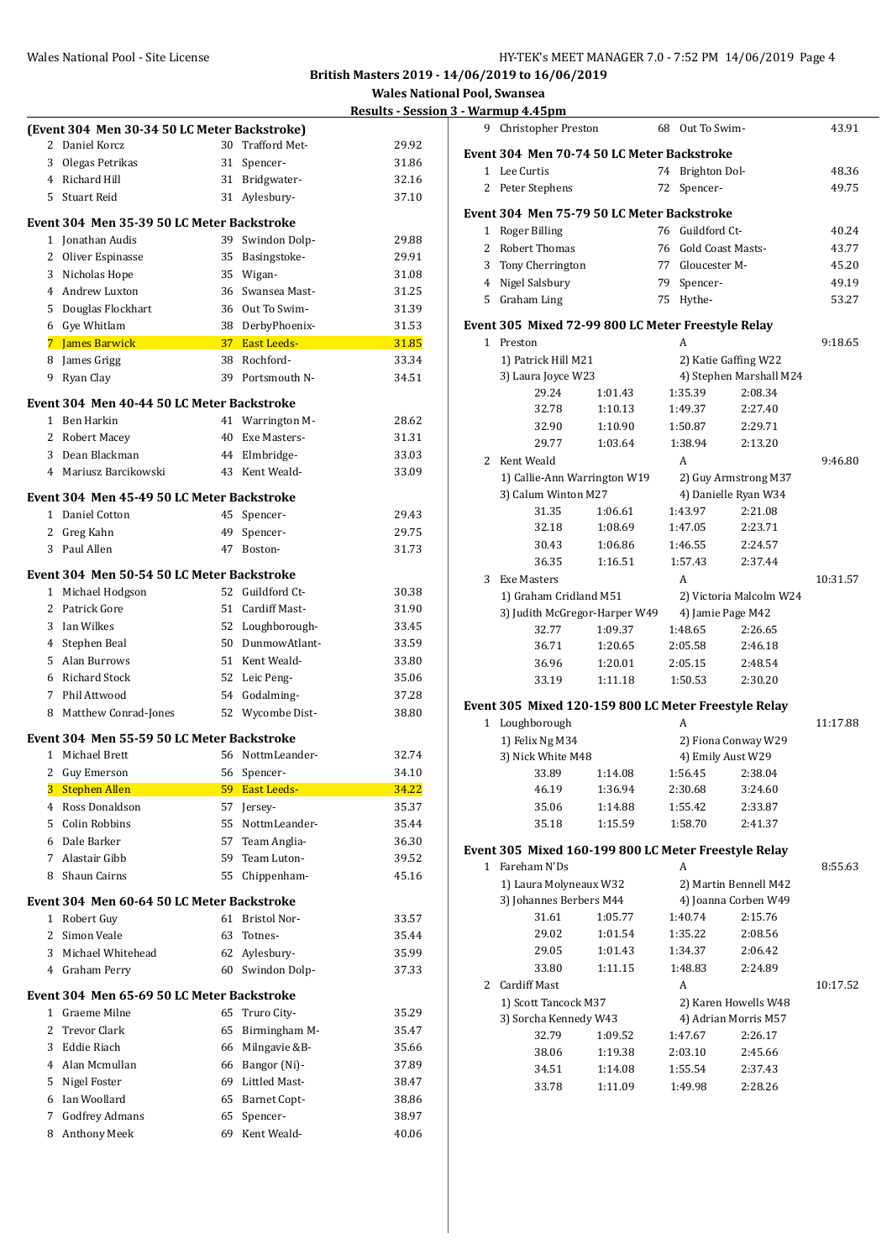|                |                                                               |          |                                | <u>Results - ses</u> |
|----------------|---------------------------------------------------------------|----------|--------------------------------|----------------------|
|                | (Event 304 Men 30-34 50 LC Meter Backstroke)                  |          |                                |                      |
| 2              | Daniel Korcz                                                  |          | 30 Trafford Met-               | 29.92                |
| 3              | Olegas Petrikas                                               | 31       | Spencer-                       | 31.86                |
|                | 4 Richard Hill                                                |          | 31 Bridgwater-                 | 32.16                |
|                | 5 Stuart Reid                                                 |          | 31 Aylesbury-                  | 37.10                |
|                | Event 304 Men 35-39 50 LC Meter Backstroke                    |          |                                |                      |
|                | 1 Jonathan Audis                                              | 39       | Swindon Dolp-                  | 29.88                |
|                | 2 Oliver Espinasse                                            |          | 35 Basingstoke-                | 29.91                |
| 3              | Nicholas Hope                                                 |          | 35 Wigan-                      | 31.08                |
|                | 4 Andrew Luxton                                               |          | 36 Swansea Mast-               | 31.25                |
| 5              | Douglas Flockhart                                             |          | 36 Out To Swim-                | 31.39                |
|                | 6 Gye Whitlam                                                 |          | 38 DerbyPhoenix-               | 31.53                |
|                | 7 James Barwick                                               |          | 37 East Leeds-                 | 31.85                |
| 8              | James Grigg                                                   |          | 38 Rochford-                   | 33.34                |
| 9              | Ryan Clay                                                     |          | 39 Portsmouth N-               | 34.51                |
|                | Event 304  Men 40-44 50 LC Meter Backstroke                   |          |                                |                      |
|                | 1 Ben Harkin                                                  | 41       | Warrington M-                  | 28.62                |
|                | 2 Robert Macey                                                |          | 40 Exe Masters-                | 31.31                |
| 3              | Dean Blackman                                                 |          | 44 Elmbridge-                  | 33.03                |
| 4              | Mariusz Barcikowski                                           |          | 43 Kent Weald-                 | 33.09                |
|                |                                                               |          |                                |                      |
|                | Event 304 Men 45-49 50 LC Meter Backstroke<br>1 Daniel Cotton | 45       | Spencer-                       | 29.43                |
|                | 2 Greg Kahn                                                   | 49       | Spencer-                       | 29.75                |
| 3              | Paul Allen                                                    |          | 47 Boston-                     | 31.73                |
|                |                                                               |          |                                |                      |
|                | Event 304  Men 50-54 50 LC Meter Backstroke                   |          |                                |                      |
|                | 1 Michael Hodgson                                             | 52       | Guildford Ct-                  | 30.38                |
|                | 2 Patrick Gore                                                |          | 51 Cardiff Mast-               | 31.90                |
| 3              | Ian Wilkes                                                    |          | 52 Loughborough-               | 33.45                |
|                | 4 Stephen Beal                                                |          | 50 DunmowAtlant-               | 33.59                |
|                | 5 Alan Burrows                                                |          | 51 Kent Weald-                 | 33.80                |
| 6              | Richard Stock                                                 |          | 52 Leic Peng-                  | 35.06                |
| 7              | Phil Attwood                                                  | 54       | Godalming-                     | 37.28                |
| 8              | Matthew Conrad-Jones                                          |          | 52 Wycombe Dist-               | 38.80                |
|                | Event 304  Men 55-59 50 LC Meter Backstroke                   |          |                                |                      |
| $\mathbf{1}$   | Michael Brett                                                 |          | 56 NottmLeander-               | 32.74                |
| $\mathbf{2}$   | Guy Emerson<br><b>Stephen Allen</b>                           | 56       | Spencer-<br><b>East Leeds-</b> | 34.10<br>34.22       |
| 3<br>4         | Ross Donaldson                                                | 59<br>57 |                                | 35.37                |
| 5              | Colin Robbins                                                 | 55       | Jersey-<br>NottmLeander-       | 35.44                |
| 6              | Dale Barker                                                   | 57       | Team Anglia-                   | 36.30                |
| 7              | Alastair Gibb                                                 | 59       | Team Luton-                    | 39.52                |
| 8              | Shaun Cairns                                                  | 55       | Chippenham-                    | 45.16                |
|                |                                                               |          |                                |                      |
|                | Event 304  Men 60-64 50 LC Meter Backstroke                   |          |                                |                      |
| $\mathbf{1}$   | Robert Guy                                                    | 61       | Bristol Nor-                   | 33.57                |
| $\overline{2}$ | Simon Veale                                                   | 63       | Totnes-                        | 35.44                |
| 3              | Michael Whitehead                                             | 62       | Aylesbury-                     | 35.99                |
| 4              | Graham Perry                                                  | 60       | Swindon Dolp-                  | 37.33                |
|                | Event 304  Men 65-69 50 LC Meter Backstroke                   |          |                                |                      |
| 1              | Graeme Milne                                                  | 65       | Truro City-                    | 35.29                |
| 2              | <b>Trevor Clark</b>                                           | 65       | Birmingham M-                  | 35.47                |
| 3              | Eddie Riach                                                   | 66       | Milngavie &B-                  | 35.66                |
| 4              | Alan Mcmullan                                                 | 66       | Bangor (Ni)-                   | 37.89                |
| 5              | Nigel Foster                                                  |          | 69 Littled Mast-               | 38.47                |
| 6              | Ian Woollard                                                  | 65       | Barnet Copt-                   | 38.86                |
| 7              | <b>Godfrey Admans</b>                                         | 65       | Spencer-                       | 38.97                |
| 8              | Anthony Meek                                                  | 69       | Kent Weald-                    | 40.06                |

| 9  | <b>Christopher Preston</b>                           |                    | 68 | Out To Swim-                             |                         | 43.91    |
|----|------------------------------------------------------|--------------------|----|------------------------------------------|-------------------------|----------|
|    | Event 304 Men 70-74 50 LC Meter Backstroke           |                    |    |                                          |                         |          |
|    | 1 Lee Curtis                                         |                    | 74 | Brighton Dol-                            |                         | 48.36    |
|    | 2 Peter Stephens                                     |                    | 72 | Spencer-                                 |                         | 49.75    |
|    | Event 304 Men 75-79 50 LC Meter Backstroke           |                    |    |                                          |                         |          |
| 1  | Roger Billing                                        |                    |    | 76 Guildford Ct-                         |                         | 40.24    |
| 2  | Robert Thomas                                        |                    | 76 | Gold Coast Masts-                        |                         | 43.77    |
| 3  | Tony Cherrington                                     |                    | 77 | Gloucester M-                            |                         | 45.20    |
|    | 4 Nigel Salsbury                                     |                    |    | 79 Spencer-                              |                         | 49.19    |
|    | 5 Graham Ling                                        |                    | 75 | Hythe-                                   |                         | 53.27    |
|    | Event 305 Mixed 72-99 800 LC Meter Freestyle Relay   |                    |    |                                          |                         |          |
|    | 1 Preston                                            |                    |    | А                                        |                         | 9:18.65  |
|    | 1) Patrick Hill M21                                  |                    |    | 2) Katie Gaffing W22                     |                         |          |
|    | 3) Laura Joyce W23                                   |                    |    |                                          | 4) Stephen Marshall M24 |          |
|    | 29.24                                                | 1:01.43            |    | 1:35.39                                  | 2:08.34                 |          |
|    | 32.78                                                | 1:10.13            |    | 1:49.37                                  | 2:27.40                 |          |
|    | 32.90<br>29.77                                       | 1:10.90<br>1:03.64 |    | 1:50.87<br>1:38.94                       | 2:29.71<br>2:13.20      |          |
| 2  | Kent Weald                                           |                    |    | A                                        |                         | 9:46.80  |
|    | 1) Callie-Ann Warrington W19                         |                    |    |                                          | 2) Guy Armstrong M37    |          |
|    | 3) Calum Winton M27                                  |                    |    | 4) Danielle Ryan W34                     |                         |          |
|    | 31.35                                                | 1:06.61            |    | 1:43.97                                  | 2:21.08                 |          |
|    | 32.18                                                | 1:08.69            |    | 1:47.05                                  | 2:23.71                 |          |
|    | 30.43                                                | 1:06.86            |    | 1:46.55                                  | 2:24.57                 |          |
|    | 36.35                                                | 1:16.51            |    | 1:57.43                                  | 2:37.44                 |          |
| 3  | <b>Exe Masters</b>                                   |                    |    | A                                        |                         | 10:31.57 |
|    | 1) Graham Cridland M51                               |                    |    |                                          | 2) Victoria Malcolm W24 |          |
|    | 3) Judith McGregor-Harper W49                        |                    |    | 4) Jamie Page M42                        |                         |          |
|    | 32.77                                                | 1:09.37            |    | 1:48.65                                  | 2:26.65                 |          |
|    | 36.71                                                | 1:20.65            |    | 2:05.58                                  | 2:46.18                 |          |
|    | 36.96<br>33.19                                       | 1:20.01<br>1:11.18 |    | 2:05.15<br>1:50.53                       | 2:48.54<br>2:30.20      |          |
|    |                                                      |                    |    |                                          |                         |          |
|    | Event 305 Mixed 120-159 800 LC Meter Freestyle Relay |                    |    |                                          |                         |          |
| 1  | Loughborough<br>1) Felix Ng M34                      |                    |    | A                                        |                         | 11:17.88 |
|    | 3) Nick White M48                                    |                    |    | 2) Fiona Conway W29<br>4) Emily Aust W29 |                         |          |
|    | 33.89                                                | 1:14.08            |    | 1:56.45                                  | 2:38.04                 |          |
|    | 46.19                                                | 1:36.94            |    | 2:30.68                                  | 3:24.60                 |          |
|    | 35.06                                                | 1:14.88            |    | 1:55.42                                  | 2:33.87                 |          |
|    | 35.18                                                | 1:15.59            |    | 1:58.70                                  | 2:41.37                 |          |
|    | Event 305 Mixed 160-199 800 LC Meter Freestyle Relay |                    |    |                                          |                         |          |
| 1. | Fareham N'Ds                                         |                    |    | А                                        |                         | 8:55.63  |
|    | 1) Laura Molyneaux W32                               |                    |    | 2) Martin Bennell M42                    |                         |          |
|    | 3) Johannes Berbers M44                              |                    |    | 4) Joanna Corben W49                     |                         |          |
|    | 31.61                                                | 1:05.77            |    | 1:40.74                                  | 2:15.76                 |          |
|    | 29.02                                                | 1:01.54            |    | 1:35.22                                  | 2:08.56                 |          |
|    | 29.05                                                | 1:01.43            |    | 1:34.37                                  | 2:06.42                 |          |
|    | 33.80                                                | 1:11.15            |    | 1:48.83                                  | 2:24.89                 |          |
| 2  | <b>Cardiff Mast</b>                                  |                    |    | A                                        |                         | 10:17.52 |
|    | 1) Scott Tancock M37                                 |                    |    | 2) Karen Howells W48                     |                         |          |
|    | 3) Sorcha Kennedy W43                                |                    |    | 4) Adrian Morris M57                     |                         |          |
|    | 32.79<br>38.06                                       | 1:09.52            |    | 1:47.67<br>2:03.10                       | 2:26.17<br>2:45.66      |          |
|    | 34.51                                                | 1:19.38<br>1:14.08 |    | 1:55.54                                  | 2:37.43                 |          |
|    | 33.78                                                | 1:11.09            |    | 1:49.98                                  | 2:28.26                 |          |
|    |                                                      |                    |    |                                          |                         |          |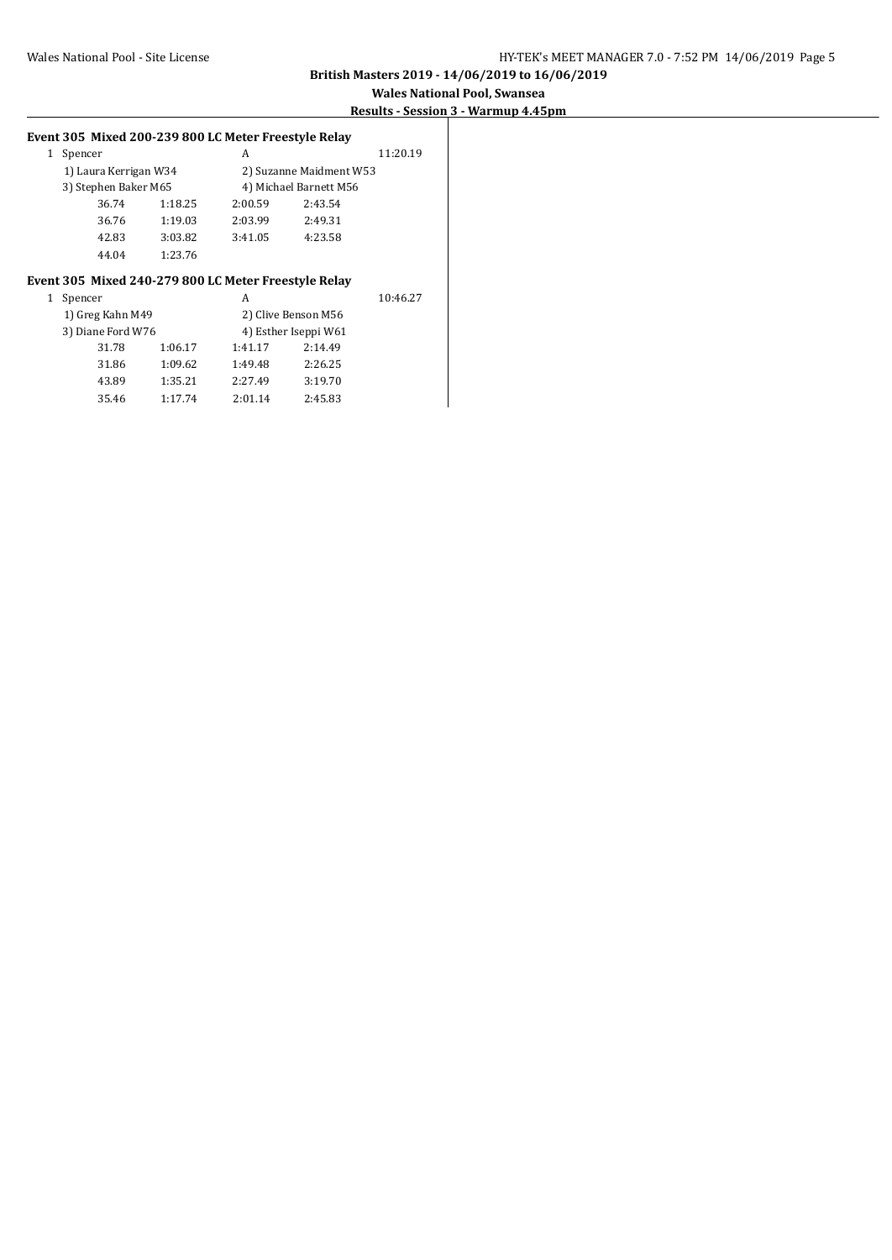#### **Wales National Pool, Swansea Results - Session 3 - Warmup 4.45pm**

#### **Event 305 Mixed 200-239 800 LC Meter Freestyle Relay**

| Spencer               |         | А                       |         | 11:20.19 |
|-----------------------|---------|-------------------------|---------|----------|
| 1) Laura Kerrigan W34 |         | 2) Suzanne Maidment W53 |         |          |
| 3) Stephen Baker M65  |         | 4) Michael Barnett M56  |         |          |
| 36.74                 | 1:18.25 | 2:00.59                 | 2:43.54 |          |
| 36.76                 | 1:19.03 | 2:03.99                 | 2:49.31 |          |
| 42.83                 | 3:03.82 | 3:41.05                 | 4:23.58 |          |
| 44.04                 | 1:23.76 |                         |         |          |

#### **Event 305 Mixed 240-279 800 LC Meter Freestyle Relay**

| 1 | Spencer           |         | А       |                      | 10:46.27 |  |
|---|-------------------|---------|---------|----------------------|----------|--|
|   | 1) Greg Kahn M49  |         |         | 2) Clive Benson M56  |          |  |
|   | 3) Diane Ford W76 |         |         | 4) Esther Iseppi W61 |          |  |
|   | 31.78             | 1:06.17 | 1:41.17 | 2:14.49              |          |  |
|   | 31.86             | 1:09.62 | 1:49.48 | 2:26.25              |          |  |
|   | 43.89             | 1:35.21 | 2:27.49 | 3:19.70              |          |  |
|   | 35.46             | 1:17.74 | 2:01.14 | 2:45.83              |          |  |
|   |                   |         |         |                      |          |  |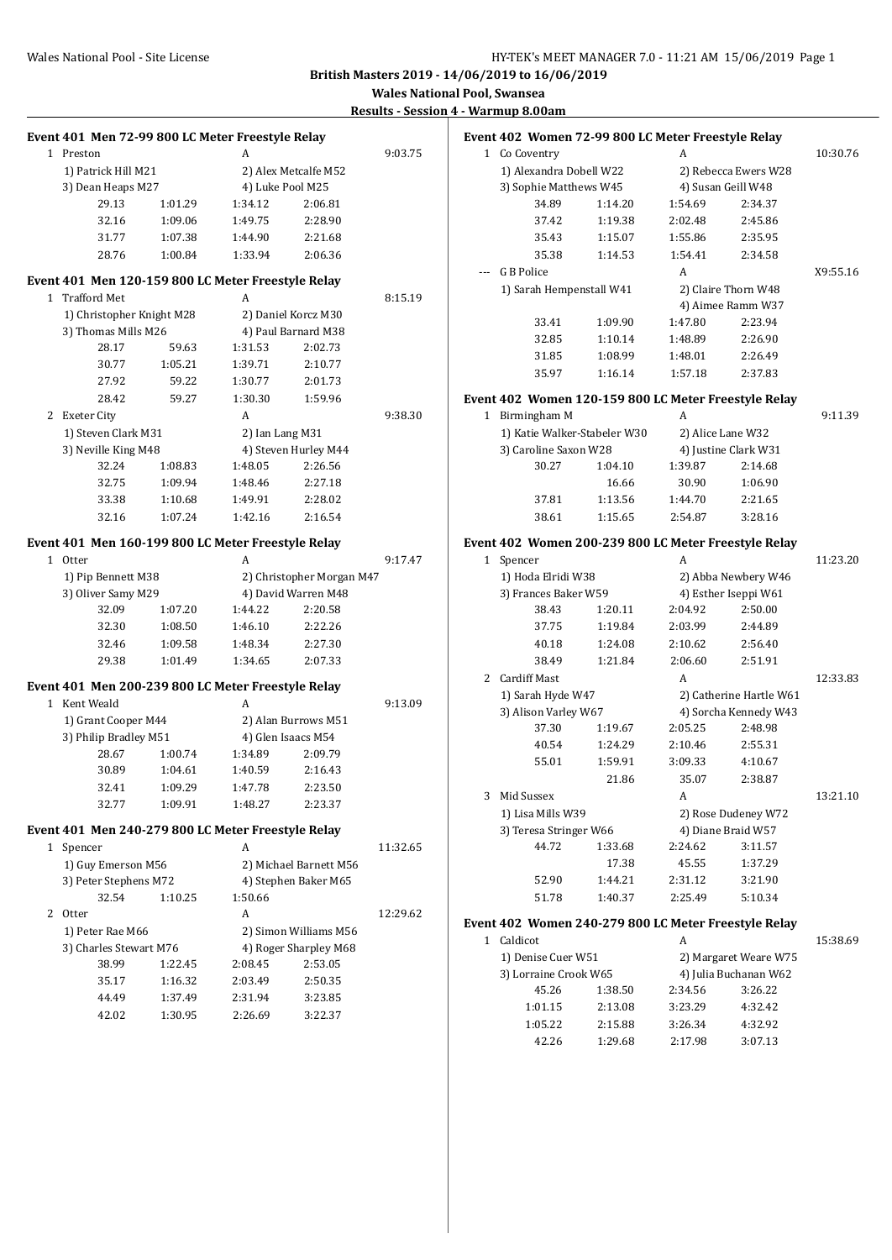10:30.76

X9:55.16

 $11:23.20$ 

 $13\mathord{:}21.10$ 

**British Masters 2019 - 14/06/2019 to 16/06/2019**

**Wales National Pool, Swansea**

**Results - Session 4 - Warmup 8.00am**

| Event 401 Men 72-99 800 LC Meter Freestyle Relay   |         |                  |                           |          | Event 402 Women 72-99 800 LC Meter Freestyle Relay   |         |         |                         |          |
|----------------------------------------------------|---------|------------------|---------------------------|----------|------------------------------------------------------|---------|---------|-------------------------|----------|
| 1 Preston                                          |         | A                |                           | 9:03.75  | 1 Co Coventry                                        |         | A       |                         | 10:30.76 |
| 1) Patrick Hill M21                                |         |                  | 2) Alex Metcalfe M52      |          | 1) Alexandra Dobell W22                              |         |         | 2) Rebecca Ewers W28    |          |
| 3) Dean Heaps M27                                  |         | 4) Luke Pool M25 |                           |          | 3) Sophie Matthews W45                               |         |         | 4) Susan Geill W48      |          |
| 29.13                                              | 1:01.29 | 1:34.12          | 2:06.81                   |          | 34.89                                                | 1:14.20 | 1:54.69 | 2:34.37                 |          |
| 32.16                                              | 1:09.06 | 1:49.75          | 2:28.90                   |          | 37.42                                                | 1:19.38 | 2:02.48 | 2:45.86                 |          |
| 31.77                                              | 1:07.38 | 1:44.90          | 2:21.68                   |          | 35.43                                                | 1:15.07 | 1:55.86 | 2:35.95                 |          |
| 28.76                                              | 1:00.84 | 1:33.94          | 2:06.36                   |          | 35.38                                                | 1:14.53 | 1:54.41 | 2:34.58                 |          |
|                                                    |         |                  |                           |          | G B Police                                           |         | A       |                         | X9:55.16 |
| Event 401 Men 120-159 800 LC Meter Freestyle Relay |         |                  |                           |          | 1) Sarah Hempenstall W41                             |         |         | 2) Claire Thorn W48     |          |
| 1 Trafford Met                                     |         | A                |                           | 8:15.19  |                                                      |         |         | 4) Aimee Ramm W37       |          |
| 1) Christopher Knight M28                          |         |                  | 2) Daniel Korcz M30       |          | 33.41                                                | 1:09.90 | 1:47.80 | 2:23.94                 |          |
| 3) Thomas Mills M26                                |         |                  | 4) Paul Barnard M38       |          | 32.85                                                | 1:10.14 | 1:48.89 | 2:26.90                 |          |
| 28.17                                              | 59.63   | 1:31.53          | 2:02.73                   |          | 31.85                                                | 1:08.99 | 1:48.01 | 2:26.49                 |          |
| 30.77                                              | 1:05.21 | 1:39.71          | 2:10.77                   |          | 35.97                                                | 1:16.14 | 1:57.18 | 2:37.83                 |          |
| 27.92                                              | 59.22   | 1:30.77          | 2:01.73                   |          |                                                      |         |         |                         |          |
| 28.42                                              | 59.27   | 1:30.30          | 1:59.96                   |          | Event 402 Women 120-159 800 LC Meter Freestyle Relay |         |         |                         |          |
| 2 Exeter City                                      |         | A                |                           | 9:38.30  | 1 Birmingham M                                       |         | A       |                         | 9:11.39  |
| 1) Steven Clark M31                                |         | 2) Ian Lang M31  |                           |          | 1) Katie Walker-Stabeler W30                         |         |         | 2) Alice Lane W32       |          |
| 3) Neville King M48                                |         |                  | 4) Steven Hurley M44      |          | 3) Caroline Saxon W28                                |         |         | 4) Justine Clark W31    |          |
| 32.24                                              | 1:08.83 | 1:48.05          | 2:26.56                   |          | 30.27                                                | 1:04.10 | 1:39.87 | 2:14.68                 |          |
| 32.75                                              | 1:09.94 | 1:48.46          | 2:27.18                   |          |                                                      | 16.66   | 30.90   | 1:06.90                 |          |
| 33.38                                              | 1:10.68 | 1:49.91          | 2:28.02                   |          | 37.81                                                | 1:13.56 | 1:44.70 | 2:21.65                 |          |
| 32.16                                              | 1:07.24 | 1:42.16          | 2:16.54                   |          | 38.61                                                | 1:15.65 | 2:54.87 | 3:28.16                 |          |
| Event 401 Men 160-199 800 LC Meter Freestyle Relay |         |                  |                           |          | Event 402 Women 200-239 800 LC Meter Freestyle Relay |         |         |                         |          |
| 1 Otter                                            |         | A                |                           | 9:17.47  | 1 Spencer                                            |         | A       |                         | 11:23.20 |
| 1) Pip Bennett M38                                 |         |                  | 2) Christopher Morgan M47 |          | 1) Hoda Elridi W38                                   |         |         | 2) Abba Newbery W46     |          |
| 3) Oliver Samy M29                                 |         |                  | 4) David Warren M48       |          | 3) Frances Baker W59                                 |         |         | 4) Esther Iseppi W61    |          |
| 32.09                                              | 1:07.20 | 1:44.22          | 2:20.58                   |          | 38.43                                                | 1:20.11 | 2:04.92 | 2:50.00                 |          |
| 32.30                                              | 1:08.50 | 1:46.10          | 2:22.26                   |          | 37.75                                                | 1:19.84 | 2:03.99 | 2:44.89                 |          |
| 32.46                                              | 1:09.58 | 1:48.34          | 2:27.30                   |          | 40.18                                                | 1:24.08 | 2:10.62 | 2:56.40                 |          |
| 29.38                                              | 1:01.49 | 1:34.65          | 2:07.33                   |          | 38.49                                                | 1:21.84 | 2:06.60 | 2:51.91                 |          |
|                                                    |         |                  |                           |          | 2 Cardiff Mast                                       |         | A       |                         | 12:33.83 |
| Event 401 Men 200-239 800 LC Meter Freestyle Relay |         |                  |                           |          | 1) Sarah Hyde W47                                    |         |         | 2) Catherine Hartle W61 |          |
| 1 Kent Weald                                       |         | A                |                           | 9:13.09  | 3) Alison Varley W67                                 |         |         | 4) Sorcha Kennedy W43   |          |
| 1) Grant Cooper M44                                |         |                  | 2) Alan Burrows M51       |          | 37.30                                                | 1:19.67 | 2:05.25 | 2:48.98                 |          |
| 3) Philip Bradley M51                              |         |                  | 4) Glen Isaacs M54        |          | 40.54                                                | 1:24.29 | 2:10.46 | 2:55.31                 |          |
| 28.67                                              | 1:00.74 | 1:34.89          | 2:09.79                   |          | 55.01                                                | 1:59.91 | 3:09.33 | 4:10.67                 |          |
| 30.89                                              | 1:04.61 | 1:40.59          | 2:16.43                   |          |                                                      | 21.86   | 35.07   | 2:38.87                 |          |
| 32.41                                              | 1:09.29 | 1:47.78          | 2:23.50                   |          | 3 Mid Sussex                                         |         | A       |                         | 13:21.10 |
| 32.77                                              | 1:09.91 | 1:48.27          | 2:23.37                   |          | 1) Lisa Mills W39                                    |         |         | 2) Rose Dudeney W72     |          |
| Event 401 Men 240-279 800 LC Meter Freestyle Relay |         |                  |                           |          | 3) Teresa Stringer W66                               |         |         | 4) Diane Braid W57      |          |
| 1 Spencer                                          |         | A                |                           | 11:32.65 | 44.72                                                | 1:33.68 | 2:24.62 | 3:11.57                 |          |
| 1) Guy Emerson M56                                 |         |                  | 2) Michael Barnett M56    |          |                                                      | 17.38   | 45.55   | 1:37.29                 |          |
| 3) Peter Stephens M72                              |         |                  | 4) Stephen Baker M65      |          | 52.90                                                | 1:44.21 | 2:31.12 | 3:21.90                 |          |
| 32.54                                              | 1:10.25 | 1:50.66          |                           |          | 51.78                                                | 1:40.37 | 2:25.49 | 5:10.34                 |          |
| 2 Otter                                            |         | A                |                           | 12:29.62 |                                                      |         |         |                         |          |
| 1) Peter Rae M66                                   |         |                  | 2) Simon Williams M56     |          | Event 402 Women 240-279 800 LC Meter Freestyle Relay |         |         |                         |          |
| 3) Charles Stewart M76                             |         |                  | 4) Roger Sharpley M68     |          | 1 Caldicot                                           |         | A       |                         | 15:38.69 |
| 38.99                                              | 1:22.45 | 2:08.45          | 2:53.05                   |          | 1) Denise Cuer W51                                   |         |         | 2) Margaret Weare W75   |          |
| 35.17                                              | 1:16.32 | 2:03.49          | 2:50.35                   |          | 3) Lorraine Crook W65                                |         |         | 4) Julia Buchanan W62   |          |
| 44.49                                              | 1:37.49 | 2:31.94          | 3:23.85                   |          | 45.26                                                | 1:38.50 | 2:34.56 | 3:26.22                 |          |
| 42.02                                              | 1:30.95 | 2:26.69          | 3:22.37                   |          | 1:01.15                                              | 2:13.08 | 3:23.29 | 4:32.42                 |          |
|                                                    |         |                  |                           |          | 1:05.22                                              | 2:15.88 | 3:26.34 | 4:32.92                 |          |
|                                                    |         |                  |                           |          | 42.26                                                | 1:29.68 | 2:17.98 | 3:07.13                 |          |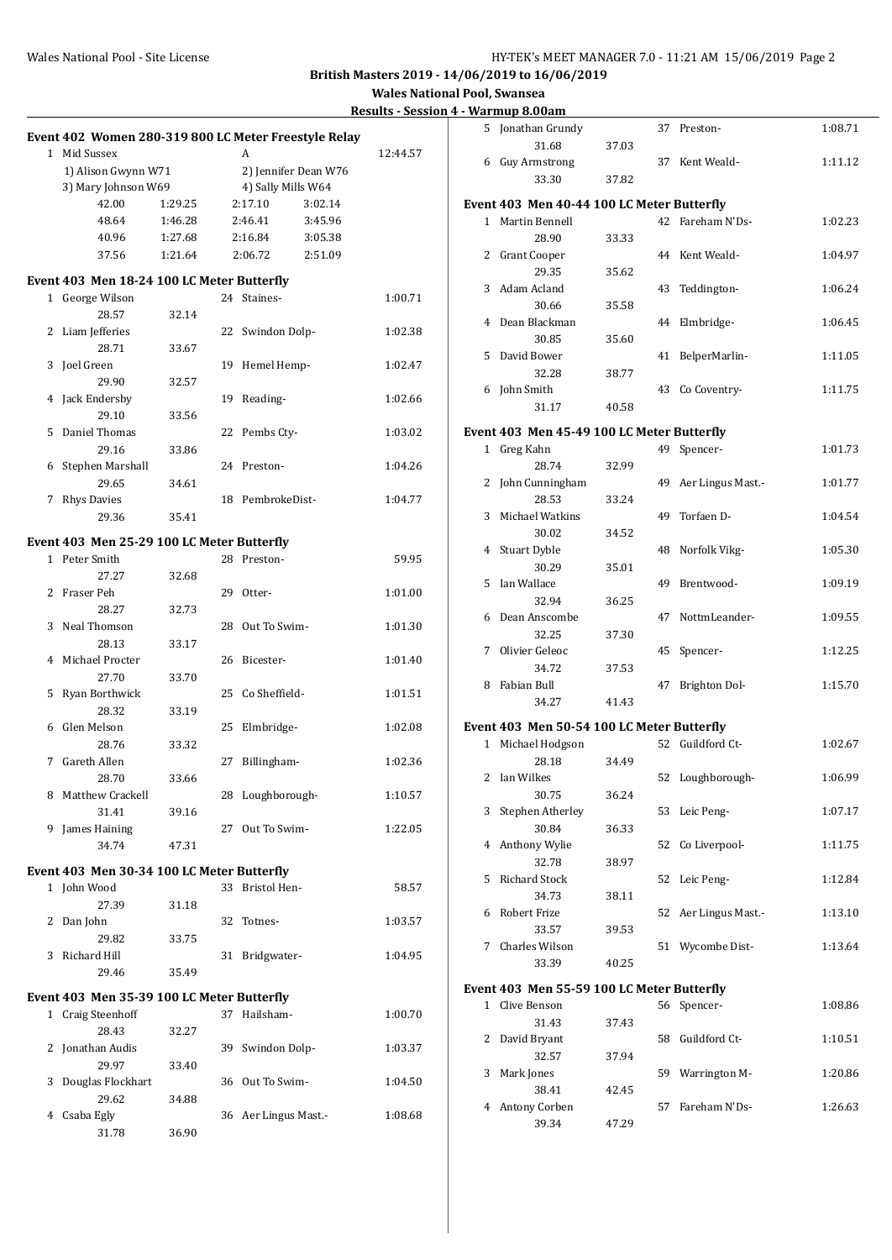**Wales National Pool, Swansea**

|  | <b>Results - Session 4 - Warmup 8.00am</b> |  |
|--|--------------------------------------------|--|
|  |                                            |  |

|                                                      |         |                               |                      | Results - Session 4 - Warmup o.uvam |                                            |       |                      |         |
|------------------------------------------------------|---------|-------------------------------|----------------------|-------------------------------------|--------------------------------------------|-------|----------------------|---------|
| Event 402 Women 280-319 800 LC Meter Freestyle Relay |         |                               |                      |                                     | 5 Jonathan Grundy                          |       | 37 Preston-          | 1:08.71 |
|                                                      |         |                               |                      |                                     | 31.68                                      | 37.03 |                      |         |
| 1 Mid Sussex                                         |         | A                             |                      | 12:44.57                            | 6 Guy Armstrong                            |       | 37 Kent Weald-       | 1:11.12 |
| 1) Alison Gwynn W71                                  |         |                               | 2) Jennifer Dean W76 |                                     | 33.30                                      | 37.82 |                      |         |
| 3) Mary Johnson W69<br>42.00                         | 1:29.25 | 4) Sally Mills W64<br>2:17.10 | 3:02.14              |                                     | Event 403 Men 40-44 100 LC Meter Butterfly |       |                      |         |
|                                                      |         |                               |                      |                                     |                                            |       |                      |         |
| 48.64                                                | 1:46.28 | 2:46.41                       | 3:45.96              |                                     | 1 Martin Bennell                           |       | 42 Fareham N'Ds-     | 1:02.23 |
| 40.96                                                | 1:27.68 | 2:16.84                       | 3:05.38              |                                     | 28.90                                      | 33.33 |                      |         |
| 37.56                                                | 1:21.64 | 2:06.72                       | 2:51.09              |                                     | 2 Grant Cooper                             |       | 44 Kent Weald-       | 1:04.97 |
| Event 403 Men 18-24 100 LC Meter Butterfly           |         |                               |                      |                                     | 29.35                                      | 35.62 |                      |         |
| 1 George Wilson                                      |         | 24 Staines-                   |                      | 1:00.71                             | 3 Adam Acland                              |       | 43 Teddington-       | 1:06.24 |
| 28.57                                                | 32.14   |                               |                      |                                     | 30.66                                      | 35.58 |                      |         |
| 2 Liam Jefferies                                     |         | 22 Swindon Dolp-              |                      | 1:02.38                             | 4 Dean Blackman                            |       | 44 Elmbridge-        | 1:06.45 |
| 28.71                                                | 33.67   |                               |                      |                                     | 30.85                                      | 35.60 |                      |         |
| 3 Joel Green                                         |         | 19 Hemel Hemp-                |                      | 1:02.47                             | 5 David Bower                              |       | 41 BelperMarlin-     | 1:11.05 |
| 29.90                                                | 32.57   |                               |                      |                                     | 32.28                                      | 38.77 |                      |         |
| 4 Jack Endersby                                      |         | 19 Reading-                   |                      | 1:02.66                             | 6 John Smith                               |       | 43 Co Coventry-      | 1:11.75 |
| 29.10                                                | 33.56   |                               |                      |                                     | 31.17                                      | 40.58 |                      |         |
| 5 Daniel Thomas                                      |         | 22 Pembs Cty-                 |                      | 1:03.02                             | Event 403 Men 45-49 100 LC Meter Butterfly |       |                      |         |
| 29.16                                                | 33.86   |                               |                      |                                     | 1 Greg Kahn                                |       | 49 Spencer-          | 1:01.73 |
| 6 Stephen Marshall                                   |         | 24 Preston-                   |                      | 1:04.26                             | 28.74                                      | 32.99 |                      |         |
| 29.65                                                | 34.61   |                               |                      |                                     | 2 John Cunningham                          |       | 49 Aer Lingus Mast.- | 1:01.77 |
| 7 Rhys Davies                                        |         | 18 PembrokeDist-              |                      | 1:04.77                             | 28.53                                      | 33.24 |                      |         |
| 29.36                                                | 35.41   |                               |                      |                                     | 3 Michael Watkins                          |       | 49 Torfaen D-        | 1:04.54 |
|                                                      |         |                               |                      |                                     | 30.02                                      | 34.52 |                      |         |
| Event 403 Men 25-29 100 LC Meter Butterfly           |         |                               |                      |                                     | 4 Stuart Dyble                             |       | 48 Norfolk Vikg-     | 1:05.30 |
| 1 Peter Smith                                        |         | 28 Preston-                   |                      | 59.95                               | 30.29                                      | 35.01 |                      |         |
| 27.27                                                | 32.68   |                               |                      |                                     | 5 Ian Wallace                              |       | 49 Brentwood-        | 1:09.19 |
| 2 Fraser Peh                                         |         | 29 Otter-                     |                      | 1:01.00                             | 32.94                                      | 36.25 |                      |         |
| 28.27                                                | 32.73   |                               |                      |                                     | 6 Dean Anscombe                            |       | 47 NottmLeander-     | 1:09.55 |
| 3 Neal Thomson                                       |         | 28 Out To Swim-               |                      | 1:01.30                             | 32.25                                      | 37.30 |                      |         |
| 28.13                                                | 33.17   |                               |                      |                                     | 7 Olivier Geleoc                           |       | 45 Spencer-          | 1:12.25 |
| 4 Michael Procter                                    |         | 26 Bicester-                  |                      | 1:01.40                             | 34.72                                      | 37.53 |                      |         |
| 27.70                                                | 33.70   |                               |                      |                                     | 8 Fabian Bull                              |       | 47 Brighton Dol-     | 1:15.70 |
| 5 Ryan Borthwick                                     |         | 25 Co Sheffield-              |                      | 1:01.51                             | 34.27                                      | 41.43 |                      |         |
| 28.32                                                | 33.19   |                               |                      |                                     |                                            |       |                      |         |
| 6 Glen Melson                                        |         | 25 Elmbridge-                 |                      | 1:02.08                             | Event 403 Men 50-54 100 LC Meter Butterfly |       |                      |         |
| 28.76                                                | 33.32   |                               |                      |                                     | 1 Michael Hodgson                          |       | 52 Guildford Ct-     | 1:02.67 |
| 7 Gareth Allen                                       |         | 27 Billingham-                |                      | 1:02.36                             | 28.18                                      | 34.49 |                      |         |
| 28.70                                                | 33.66   |                               |                      |                                     | 2 Ian Wilkes                               |       | 52 Loughborough-     | 1:06.99 |
| 8 Matthew Crackell                                   |         | 28 Loughborough-              |                      | 1:10.57                             | 30.75                                      | 36.24 |                      |         |
| 31.41                                                | 39.16   |                               |                      |                                     | 3 Stephen Atherley                         |       | 53 Leic Peng-        | 1:07.17 |
| 9 James Haining                                      |         | 27 Out To Swim-               |                      | 1:22.05                             | 30.84                                      | 36.33 |                      |         |
| 34.74                                                | 47.31   |                               |                      |                                     | 4 Anthony Wylie                            |       | 52 Co Liverpool-     | 1:11.75 |
| Event 403 Men 30-34 100 LC Meter Butterfly           |         |                               |                      |                                     | 32.78                                      | 38.97 |                      |         |
| 1 John Wood                                          |         | 33 Bristol Hen-               |                      | 58.57                               | 5 Richard Stock                            |       | 52 Leic Peng-        | 1:12.84 |
| 27.39                                                | 31.18   |                               |                      |                                     | 34.73                                      | 38.11 |                      |         |
| 2 Dan John                                           |         | 32 Totnes-                    |                      | 1:03.57                             | 6 Robert Frize                             |       | 52 Aer Lingus Mast.- | 1:13.10 |
| 29.82                                                | 33.75   |                               |                      |                                     | 33.57                                      | 39.53 |                      |         |
| 3 Richard Hill                                       |         | 31 Bridgwater-                |                      | 1:04.95                             | 7 Charles Wilson                           |       | 51 Wycombe Dist-     | 1:13.64 |
| 29.46                                                | 35.49   |                               |                      |                                     | 33.39                                      | 40.25 |                      |         |
|                                                      |         |                               |                      |                                     | Event 403 Men 55-59 100 LC Meter Butterfly |       |                      |         |
| Event 403 Men 35-39 100 LC Meter Butterfly           |         |                               |                      |                                     | 1 Clive Benson                             |       | 56 Spencer-          | 1:08.86 |
| 1 Craig Steenhoff                                    |         | 37 Hailsham-                  |                      | 1:00.70                             | 31.43                                      | 37.43 |                      |         |
| 28.43                                                | 32.27   |                               |                      |                                     | 2 David Bryant                             |       | 58 Guildford Ct-     | 1:10.51 |
| 2 Jonathan Audis                                     |         | 39 Swindon Dolp-              |                      | 1:03.37                             | 32.57                                      | 37.94 |                      |         |
| 29.97                                                | 33.40   |                               |                      |                                     | 3 Mark Jones                               |       | 59 Warrington M-     | 1:20.86 |
| 3 Douglas Flockhart                                  |         | 36 Out To Swim-               |                      | 1:04.50                             | 38.41                                      | 42.45 |                      |         |
| 29.62                                                | 34.88   |                               |                      |                                     | 4 Antony Corben                            |       | 57 Fareham N'Ds-     | 1:26.63 |
| 4 Csaba Egly                                         |         | 36 Aer Lingus Mast.-          |                      | 1:08.68                             | 39.34                                      | 47.29 |                      |         |
| 31.78                                                | 36.90   |                               |                      |                                     |                                            |       |                      |         |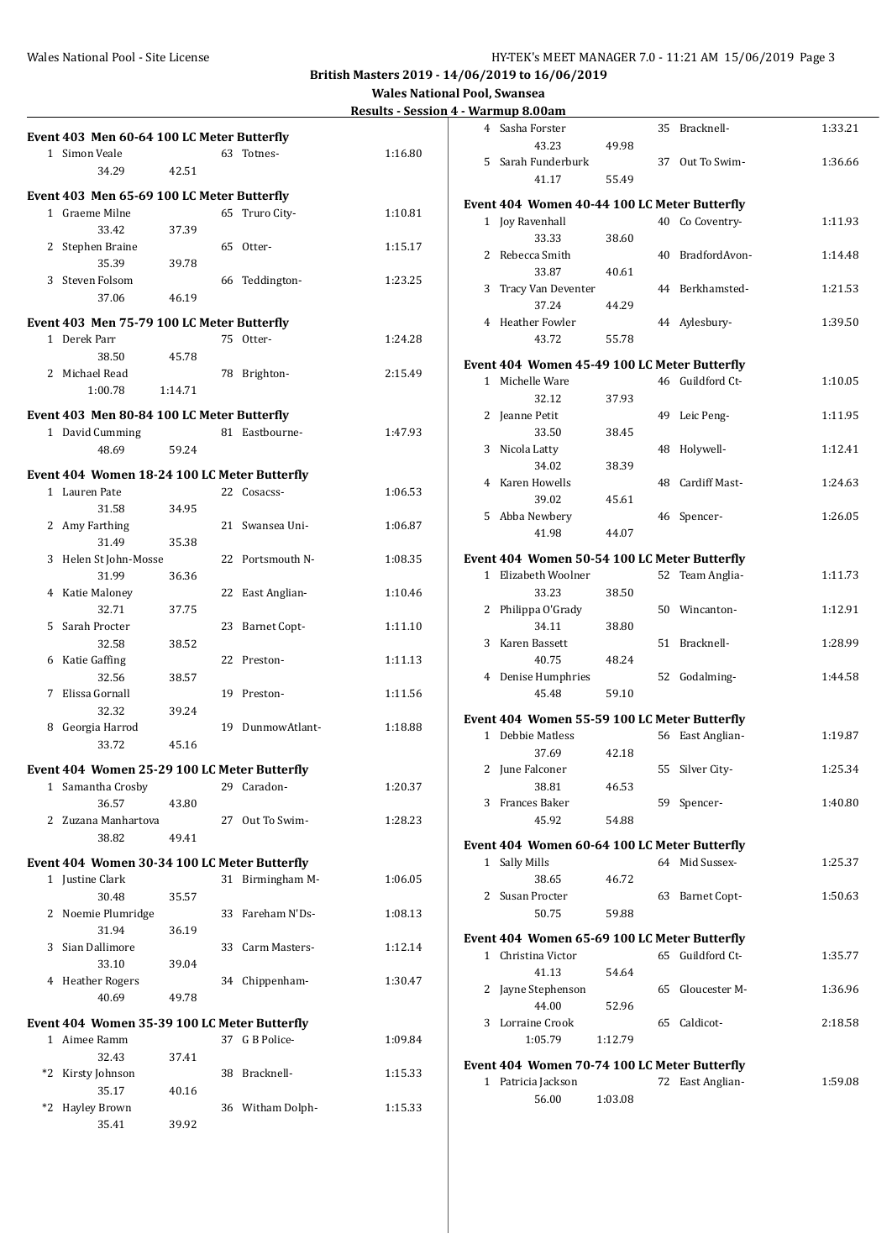#### Wales National Pool - Site License **HY-TEK's MEET MANAGER 7.0 - 11:21 AM 15/06/2019** Page 3

**British Masters 2019 - 14/06/2019 to 16/06/2019**

|              |                                              |         |    |                     | <u>Results - Sessi</u> |
|--------------|----------------------------------------------|---------|----|---------------------|------------------------|
|              | Event 403 Men 60-64 100 LC Meter Butterfly   |         |    |                     |                        |
|              | 1 Simon Veale                                |         | 63 | Totnes-             | 1:16.80                |
|              | 34.29                                        | 42.51   |    |                     |                        |
|              | Event 403 Men 65-69 100 LC Meter Butterfly   |         |    |                     |                        |
| $\mathbf{1}$ | Graeme Milne                                 |         | 65 | Truro City-         | 1:10.81                |
|              | 33.42                                        | 37.39   |    |                     |                        |
| 2            | Stephen Braine                               |         | 65 | Otter-              | 1:15.17                |
|              | 35.39                                        | 39.78   |    |                     |                        |
| 3            | Steven Folsom                                |         | 66 | Teddington-         | 1:23.25                |
|              | 37.06                                        | 46.19   |    |                     |                        |
|              | Event 403 Men 75-79 100 LC Meter Butterfly   |         |    |                     |                        |
|              | 1 Derek Parr                                 |         | 75 | Otter-              | 1:24.28                |
|              | 38.50                                        | 45.78   |    |                     |                        |
|              | 2 Michael Read                               |         |    | 78 Brighton-        | 2:15.49                |
|              | 1:00.78                                      | 1:14.71 |    |                     |                        |
|              |                                              |         |    |                     |                        |
|              | Event 403 Men 80-84 100 LC Meter Butterfly   |         |    |                     |                        |
|              | 1 David Cumming                              |         |    | 81 Eastbourne-      | 1:47.93                |
|              | 48.69                                        | 59.24   |    |                     |                        |
|              | Event 404 Women 18-24 100 LC Meter Butterfly |         |    |                     |                        |
|              | 1 Lauren Pate                                |         | 22 | Cosacss-            | 1:06.53                |
|              | 31.58                                        | 34.95   |    |                     |                        |
| 2            | Amy Farthing                                 |         |    | 21 Swansea Uni-     | 1:06.87                |
|              | 31.49                                        | 35.38   |    |                     |                        |
| 3            | Helen St John-Mosse                          |         |    | 22 Portsmouth N-    | 1:08.35                |
|              | 31.99                                        | 36.36   |    |                     |                        |
|              | 4 Katie Maloney                              |         | 22 | East Anglian-       | 1:10.46                |
|              | 32.71                                        | 37.75   |    |                     |                        |
| 5            | Sarah Procter                                |         | 23 | <b>Barnet Copt-</b> | 1:11.10                |
|              | 32.58                                        | 38.52   |    |                     |                        |
| 6            | Katie Gaffing                                |         |    | 22 Preston-         | 1:11.13                |
|              | 32.56                                        | 38.57   |    |                     | 1:11.56                |
| 7            | Elissa Gornall                               |         |    | 19 Preston-         |                        |
| 8            | 32.32<br>Georgia Harrod                      | 39.24   |    | 19 DunmowAtlant-    | 1:18.88                |
|              | 33.72                                        | 45.16   |    |                     |                        |
|              |                                              |         |    |                     |                        |
|              | Event 404 Women 25-29 100 LC Meter Butterfly |         |    |                     |                        |
|              | 1 Samantha Crosby                            |         |    | 29 Caradon-         | 1:20.37                |
|              | 36.57                                        | 43.80   |    |                     |                        |
|              | 2 Zuzana Manhartova                          |         | 27 | Out To Swim-        | 1:28.23                |
|              | 38.82                                        | 49.41   |    |                     |                        |
|              | Event 404 Women 30-34 100 LC Meter Butterfly |         |    |                     |                        |
|              | 1 Justine Clark                              |         | 31 | Birmingham M-       | 1:06.05                |
|              | 30.48                                        | 35.57   |    |                     |                        |
|              | 2 Noemie Plumridge                           |         | 33 | Fareham N'Ds-       | 1:08.13                |
|              | 31.94                                        | 36.19   |    |                     |                        |
|              | 3 Sian Dallimore                             |         | 33 | Carm Masters-       | 1:12.14                |
|              | 33.10                                        | 39.04   |    |                     |                        |
|              | 4 Heather Rogers                             |         |    | 34 Chippenham-      | 1:30.47                |
|              | 40.69                                        | 49.78   |    |                     |                        |
|              | Event 404 Women 35-39 100 LC Meter Butterfly |         |    |                     |                        |
|              | 1 Aimee Ramm                                 |         | 37 | G B Police-         | 1:09.84                |
|              | 32.43                                        | 37.41   |    |                     |                        |
| *2           | Kirsty Johnson                               |         | 38 | Bracknell-          | 1:15.33                |
|              | 35.17                                        | 40.16   |    |                     |                        |
| $*_{2}$      | <b>Hayley Brown</b>                          |         |    | 36 Witham Dolph-    | 1:15.33                |
|              | 35.41                                        | 39.92   |    |                     |                        |

|                | <u>- warmup o.vvam</u>                       |         |    |                  |         |
|----------------|----------------------------------------------|---------|----|------------------|---------|
| 4              | Sasha Forster<br>43.23                       | 49.98   | 35 | Bracknell-       | 1:33.21 |
|                | 5 Sarah Funderburk                           |         |    | 37 Out To Swim-  | 1:36.66 |
|                | 41.17                                        | 55.49   |    |                  |         |
|                | Event 404 Women 40-44 100 LC Meter Butterfly |         |    |                  |         |
|                | 1 Joy Ravenhall                              |         | 40 | Co Coventry-     | 1:11.93 |
| $\overline{2}$ | 33.33<br>Rebecca Smith                       | 38.60   |    | 40 BradfordAvon- | 1:14.48 |
|                | 33.87                                        | 40.61   |    |                  |         |
| 3              | Tracy Van Deventer<br>37.24                  | 44.29   |    | 44 Berkhamsted-  | 1:21.53 |
|                | 4 Heather Fowler                             |         |    | 44 Aylesbury-    | 1:39.50 |
|                | 43.72                                        | 55.78   |    |                  |         |
|                | Event 404 Women 45-49 100 LC Meter Butterfly |         |    |                  |         |
|                | 1 Michelle Ware<br>32.12                     | 37.93   |    | 46 Guildford Ct- | 1:10.05 |
|                | 2 Jeanne Petit                               |         |    | 49 Leic Peng-    | 1:11.95 |
| 3              | 33.50<br>Nicola Latty                        | 38.45   | 48 | Holywell-        | 1:12.41 |
|                | 34.02                                        | 38.39   |    |                  |         |
|                | 4 Karen Howells<br>39.02                     | 45.61   | 48 | Cardiff Mast-    | 1:24.63 |
|                | 5 Abba Newbery                               |         |    | 46 Spencer-      | 1:26.05 |
|                | 41.98                                        | 44.07   |    |                  |         |
|                | Event 404 Women 50-54 100 LC Meter Butterfly |         |    |                  |         |
|                | 1 Elizabeth Woolner<br>33.23                 | 38.50   | 52 | Team Anglia-     | 1:11.73 |
| 2              | Philippa O'Grady                             |         |    | 50 Wincanton-    | 1:12.91 |
| 3              | 34.11<br>Karen Bassett                       | 38.80   |    | 51 Bracknell-    | 1:28.99 |
|                | 40.75                                        | 48.24   |    |                  |         |
|                | 4 Denise Humphries<br>45.48                  | 59.10   |    | 52 Godalming-    | 1:44.58 |
|                | Event 404 Women 55-59 100 LC Meter Butterfly |         |    |                  |         |
|                | 1 Debbie Matless                             |         |    | 56 East Anglian- | 1:19.87 |
|                | 37.69                                        | 42.18   |    |                  |         |
|                | 2 June Falconer<br>38.81                     | 46.53   |    | 55 Silver City-  | 1:25.34 |
|                | 3 Frances Baker                              |         |    | 59 Spencer-      | 1:40.80 |
|                | 45.92                                        | 54.88   |    |                  |         |
|                | Event 404 Women 60-64 100 LC Meter Butterfly |         |    |                  |         |
|                | 1 Sally Mills<br>38.65                       | 46.72   |    | 64 Mid Sussex-   | 1:25.37 |
|                | 2 Susan Procter                              |         |    | 63 Barnet Copt-  | 1:50.63 |
|                | 50.75                                        | 59.88   |    |                  |         |
|                | Event 404 Women 65-69 100 LC Meter Butterfly |         |    |                  |         |
|                | 1 Christina Victor<br>41.13                  | 54.64   |    | 65 Guildford Ct- | 1:35.77 |
|                | 2 Jayne Stephenson                           |         |    | 65 Gloucester M- | 1:36.96 |
| 3              | 44.00<br>Lorraine Crook                      | 52.96   |    | 65 Caldicot-     | 2:18.58 |
|                | 1:05.79                                      | 1:12.79 |    |                  |         |
|                | Event 404 Women 70-74 100 LC Meter Butterfly |         |    |                  |         |
|                |                                              |         |    |                  |         |
|                | 1 Patricia Jackson<br>56.00                  | 1:03.08 |    | 72 East Anglian- | 1:59.08 |
|                |                                              |         |    |                  |         |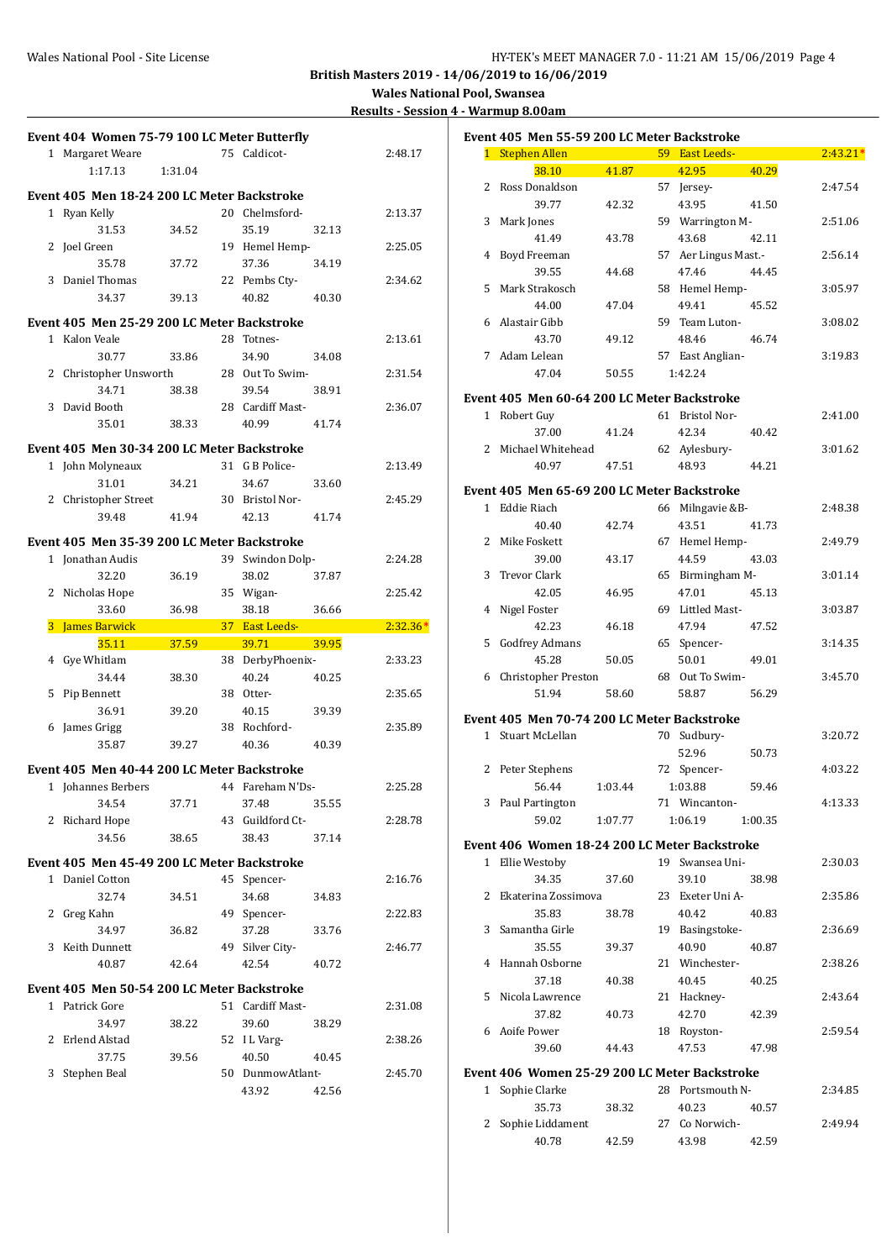**Wales National Pool, Swansea**

| <b>Results - Session 4 - Warmup 8.00am</b> |  |
|--------------------------------------------|--|
|                                            |  |

|                | Event 404 Women 75-79 100 LC Meter Butterfly |         |    |                  |       |            |
|----------------|----------------------------------------------|---------|----|------------------|-------|------------|
|                | 1 Margaret Weare                             |         | 75 | Caldicot-        |       | 2:48.17    |
|                | 1:17.13                                      | 1:31.04 |    |                  |       |            |
|                | Event 405 Men 18-24 200 LC Meter Backstroke  |         |    |                  |       |            |
| 1              | Ryan Kelly                                   |         |    | 20 Chelmsford-   |       | 2:13.37    |
|                | 31.53                                        | 34.52   |    | 35.19            | 32.13 |            |
| 2              | Joel Green                                   |         |    | 19 Hemel Hemp-   |       | 2:25.05    |
|                | 35.78                                        | 37.72   |    | 37.36            | 34.19 |            |
| 3              | Daniel Thomas                                |         |    | 22 Pembs Cty-    |       | 2:34.62    |
|                | 34.37                                        | 39.13   |    | 40.82            | 40.30 |            |
|                |                                              |         |    |                  |       |            |
|                | Event 405 Men 25-29 200 LC Meter Backstroke  |         |    |                  |       |            |
| 1              | Kalon Veale                                  |         |    | 28 Totnes-       |       | 2:13.61    |
|                | 30.77                                        | 33.86   |    | 34.90            | 34.08 |            |
| 2              | Christopher Unsworth<br>34.71                |         |    | 28 Out To Swim-  |       | 2:31.54    |
| 3              |                                              | 38.38   |    | 39.54            | 38.91 |            |
|                | David Booth<br>35.01                         | 38.33   |    | 28 Cardiff Mast- | 41.74 | 2:36.07    |
|                |                                              |         |    | 40.99            |       |            |
|                | Event 405 Men 30-34 200 LC Meter Backstroke  |         |    |                  |       |            |
|                | 1 John Molyneaux                             |         |    | 31 G B Police-   |       | 2:13.49    |
|                | 31.01                                        | 34.21   |    | 34.67            | 33.60 |            |
|                | 2 Christopher Street                         |         |    | 30 Bristol Nor-  |       | 2:45.29    |
|                | 39.48                                        | 41.94   |    | 42.13            | 41.74 |            |
|                | Event 405 Men 35-39 200 LC Meter Backstroke  |         |    |                  |       |            |
| 1              | Jonathan Audis                               |         | 39 | Swindon Dolp-    |       | 2:24.28    |
|                | 32.20                                        | 36.19   |    | 38.02            | 37.87 |            |
| 2              | Nicholas Hope                                |         | 35 | Wigan-           |       | 2:25.42    |
|                | 33.60                                        | 36.98   |    | 38.18            | 36.66 |            |
|                |                                              |         |    |                  |       |            |
| 3              | James Barwick                                |         |    | 37 East Leeds-   |       | $2:32.36*$ |
|                | 35.11                                        | 37.59   |    | 39.71            | 39.95 |            |
| $\overline{4}$ | Gye Whitlam                                  |         | 38 | DerbyPhoenix-    |       | 2:33.23    |
|                | 34.44                                        | 38.30   |    | 40.24            | 40.25 |            |
| 5              | Pip Bennett                                  |         |    | 38 Otter-        |       | 2:35.65    |
|                | 36.91                                        | 39.20   |    | 40.15            | 39.39 |            |
| 6              | James Grigg                                  |         |    | 38 Rochford-     |       | 2:35.89    |
|                | 35.87                                        | 39.27   |    | 40.36            | 40.39 |            |
|                |                                              |         |    |                  |       |            |
|                | Event 405 Men 40-44 200 LC Meter Backstroke  |         |    |                  |       |            |
|                | 1 Johannes Berbers                           |         |    | 44 Fareham N'Ds- |       | 2:25.28    |
|                | 34.54                                        | 37.71   |    | 37.48            | 35.55 |            |
|                | 2 Richard Hope                               |         |    | 43 Guildford Ct- |       | 2:28.78    |
|                | 34.56                                        | 38.65   |    | 38.43            | 37.14 |            |
|                | Event 405 Men 45-49 200 LC Meter Backstroke  |         |    |                  |       |            |
|                | 1 Daniel Cotton                              |         | 45 | Spencer-         |       | 2:16.76    |
|                | 32.74                                        | 34.51   |    | 34.68            | 34.83 |            |
| 2              | Greg Kahn                                    |         |    | 49 Spencer-      |       | 2:22.83    |
|                | 34.97                                        | 36.82   |    | 37.28            | 33.76 |            |
| 3              | Keith Dunnett                                |         |    | 49 Silver City-  |       | 2:46.77    |
|                | 40.87                                        | 42.64   |    | 42.54            | 40.72 |            |
|                | Event 405 Men 50-54 200 LC Meter Backstroke  |         |    |                  |       |            |
|                | 1 Patrick Gore                               |         |    | 51 Cardiff Mast- |       | 2:31.08    |
|                | 34.97                                        | 38.22   |    | 39.60            | 38.29 |            |
| 2              | Erlend Alstad                                |         |    | 52 I L Varg-     |       | 2:38.26    |
|                | 37.75                                        | 39.56   |    | 40.50            | 40.45 |            |
| 3              | Stephen Beal                                 |         |    | 50 DunmowAtlant- |       | 2:45.70    |
|                |                                              |         |    | 43.92            | 42.56 |            |

| Event 405 Men 55-59 200 LC Meter Backstroke |                                               |         |  |                      |         |            |
|---------------------------------------------|-----------------------------------------------|---------|--|----------------------|---------|------------|
|                                             | 1 Stephen Allen                               |         |  | 59 East Leeds-       |         | $2:43.21*$ |
|                                             | 38.10                                         | 41.87   |  | 42.95                | 40.29   |            |
| 2                                           | Ross Donaldson                                |         |  | 57 Jersey-           |         | 2:47.54    |
|                                             | 39.77                                         | 42.32   |  | 43.95                | 41.50   |            |
| 3                                           | Mark Jones                                    |         |  | 59 Warrington M-     |         | 2:51.06    |
|                                             | 41.49                                         | 43.78   |  | 43.68                | 42.11   |            |
|                                             | 4 Boyd Freeman                                |         |  | 57 Aer Lingus Mast.- |         | 2:56.14    |
|                                             | 39.55                                         | 44.68   |  | 47.46                | 44.45   |            |
| 5                                           | Mark Strakosch                                |         |  | 58 Hemel Hemp-       |         | 3:05.97    |
|                                             | 44.00                                         | 47.04   |  | 49.41                | 45.52   |            |
|                                             | 6 Alastair Gibb                               |         |  | 59 Team Luton-       |         | 3:08.02    |
|                                             | 43.70                                         | 49.12   |  | 48.46                | 46.74   |            |
| 7                                           | Adam Lelean                                   |         |  | 57 East Anglian-     |         | 3:19.83    |
|                                             | 47.04                                         | 50.55   |  | 1:42.24              |         |            |
|                                             |                                               |         |  |                      |         |            |
|                                             | Event 405 Men 60-64 200 LC Meter Backstroke   |         |  |                      |         |            |
|                                             | 1 Robert Guy                                  |         |  | 61 Bristol Nor-      |         | 2:41.00    |
|                                             | 37.00                                         | 41.24   |  | 42.34                | 40.42   |            |
|                                             | 2 Michael Whitehead                           |         |  | 62 Aylesbury-        |         | 3:01.62    |
|                                             | 40.97                                         | 47.51   |  | 48.93                | 44.21   |            |
|                                             |                                               |         |  |                      |         |            |
|                                             | Event 405 Men 65-69 200 LC Meter Backstroke   |         |  |                      |         |            |
|                                             | 1 Eddie Riach                                 |         |  | 66 Milngavie &B-     |         | 2:48.38    |
|                                             | 40.40                                         | 42.74   |  | 43.51                | 41.73   |            |
|                                             | 2 Mike Foskett                                |         |  | 67 Hemel Hemp-       |         | 2:49.79    |
|                                             | 39.00                                         | 43.17   |  | 44.59                | 43.03   |            |
| 3                                           | Trevor Clark                                  |         |  | 65 Birmingham M-     |         | 3:01.14    |
|                                             | 42.05                                         | 46.95   |  | 47.01                | 45.13   |            |
| 4                                           | Nigel Foster                                  |         |  | 69 Littled Mast-     |         | 3:03.87    |
|                                             | 42.23                                         | 46.18   |  | 47.94                | 47.52   |            |
| 5                                           | Godfrey Admans                                |         |  | 65 Spencer-          |         | 3:14.35    |
|                                             | 45.28                                         | 50.05   |  | 50.01                | 49.01   |            |
| 6                                           | Christopher Preston                           |         |  | 68 Out To Swim-      |         | 3:45.70    |
|                                             | 51.94                                         | 58.60   |  | 58.87                | 56.29   |            |
|                                             |                                               |         |  |                      |         |            |
|                                             | Event 405 Men 70-74 200 LC Meter Backstroke   |         |  |                      |         |            |
|                                             | 1 Stuart McLellan                             |         |  | 70 Sudbury-          |         | 3:20.72    |
|                                             |                                               |         |  | 52.96                | 50.73   |            |
| 2                                           | Peter Stephens                                |         |  | 72 Spencer-          |         | 4:03.22    |
|                                             | 56.44                                         | 1:03.44 |  | 1:03.88              | 59.46   |            |
|                                             | 3 Paul Partington                             |         |  | 71 Wincanton-        |         | 4:13.33    |
|                                             | 59.02                                         | 1:07.77 |  | 1:06.19              | 1:00.35 |            |
|                                             |                                               |         |  |                      |         |            |
|                                             | Event 406 Women 18-24 200 LC Meter Backstroke |         |  |                      |         |            |
|                                             | 1 Ellie Westoby                               |         |  | 19 Swansea Uni-      |         | 2:30.03    |
|                                             | 34.35                                         | 37.60   |  | 39.10                | 38.98   |            |
|                                             | 2 Ekaterina Zossimova                         |         |  | 23 Exeter Uni A-     |         | 2:35.86    |
|                                             | 35.83                                         | 38.78   |  | 40.42                | 40.83   |            |
|                                             | 3 Samantha Girle                              |         |  | 19 Basingstoke-      |         | 2:36.69    |
|                                             | 35.55                                         | 39.37   |  | 40.90                | 40.87   |            |
|                                             | 4 Hannah Osborne                              |         |  | 21 Winchester-       |         | 2:38.26    |
|                                             | 37.18                                         | 40.38   |  | 40.45                | 40.25   |            |
|                                             | 5 Nicola Lawrence                             |         |  | 21 Hackney-          |         | 2:43.64    |
|                                             | 37.82                                         | 40.73   |  | 42.70                | 42.39   |            |
|                                             | 6 Aoife Power                                 |         |  | 18 Royston-          |         | 2:59.54    |
|                                             | 39.60                                         | 44.43   |  | 47.53                | 47.98   |            |
|                                             |                                               |         |  |                      |         |            |
|                                             | Event 406 Women 25-29 200 LC Meter Backstroke |         |  |                      |         |            |
|                                             | 1 Sophie Clarke                               |         |  | 28 Portsmouth N-     |         | 2:34.85    |
|                                             | 35.73                                         | 38.32   |  | 40.23                | 40.57   |            |
| 2                                           | Sophie Liddament                              |         |  | 27 Co Norwich-       |         | 2:49.94    |
|                                             | 40.78                                         | 42.59   |  | 43.98                | 42.59   |            |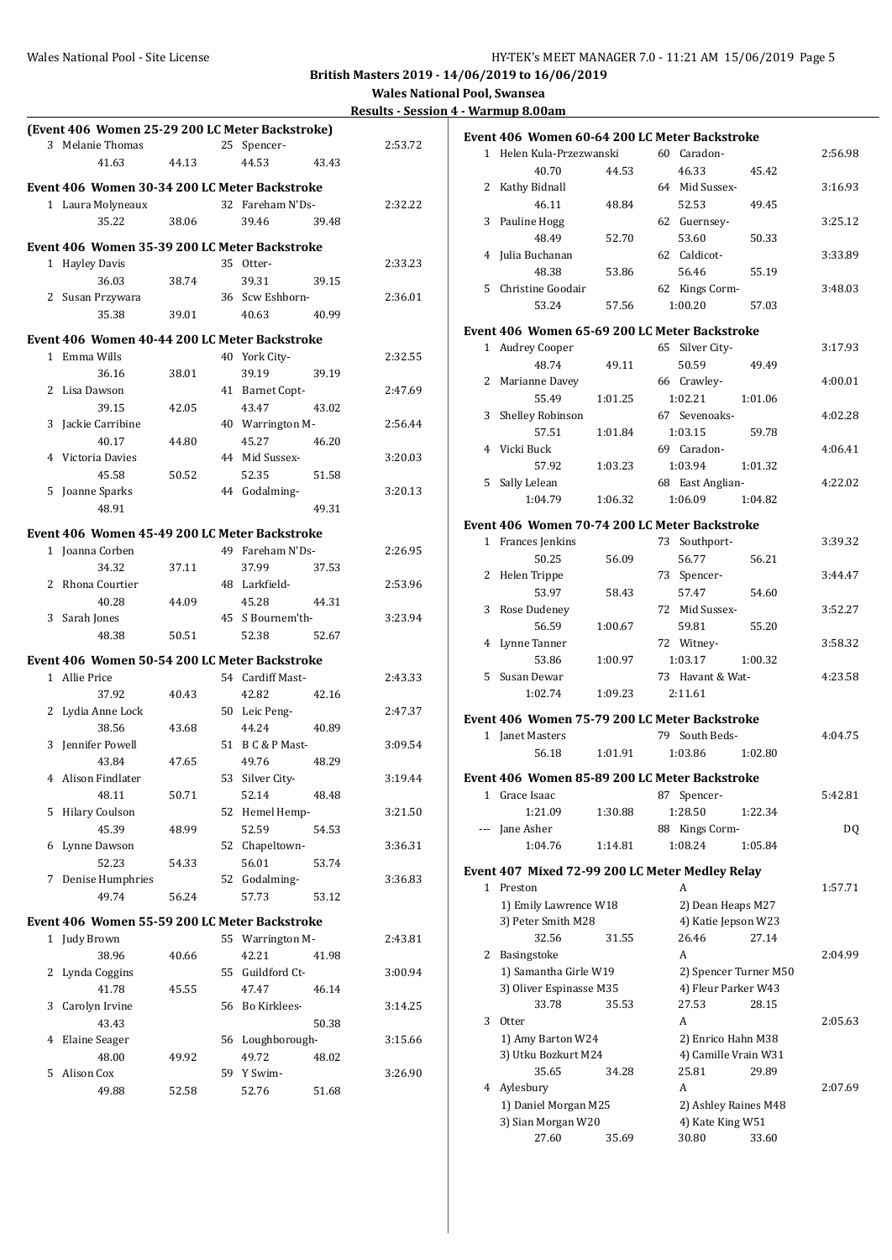|              |                                                 |       |    |                  |       | <b>Results - Sess</b> |
|--------------|-------------------------------------------------|-------|----|------------------|-------|-----------------------|
|              | (Event 406 Women 25-29 200 LC Meter Backstroke) |       |    |                  |       |                       |
| 3            | Melanie Thomas                                  |       |    | 25 Spencer-      |       | 2:53.72               |
|              | 41.63                                           | 44.13 |    | 44.53            | 43.43 |                       |
|              | Event 406 Women 30-34 200 LC Meter Backstroke   |       |    |                  |       |                       |
|              | 1 Laura Molyneaux                               |       |    | 32 Fareham N'Ds- |       | 2:32.22               |
|              | 35.22                                           | 38.06 |    | 39.46            | 39.48 |                       |
|              | Event 406 Women 35-39 200 LC Meter Backstroke   |       |    |                  |       |                       |
|              | 1 Hayley Davis                                  |       |    | 35 Otter-        |       | 2:33.23               |
|              | 36.03                                           | 38.74 |    | 39.31            | 39.15 |                       |
|              | 2 Susan Przywara                                |       |    | 36 Scw Eshborn-  |       | 2:36.01               |
|              | 35.38                                           | 39.01 |    | 40.63            | 40.99 |                       |
|              | Event 406 Women 40-44 200 LC Meter Backstroke   |       |    |                  |       |                       |
| $\mathbf{1}$ | Emma Wills                                      |       |    | 40 York City-    |       | 2:32.55               |
|              | 36.16                                           | 38.01 |    | 39.19            | 39.19 |                       |
| 2            | Lisa Dawson                                     |       |    | 41 Barnet Copt-  |       | 2:47.69               |
|              | 39.15                                           | 42.05 |    | 43.47            | 43.02 |                       |
| 3            | Jackie Carribine                                |       |    | 40 Warrington M- |       | 2:56.44               |
|              | 40.17                                           | 44.80 |    | 45.27            | 46.20 |                       |
| 4            | Victoria Davies                                 |       |    | 44 Mid Sussex-   |       | 3:20.03               |
|              | 45.58                                           | 50.52 |    | 52.35            | 51.58 |                       |
| 5            | Joanne Sparks                                   |       |    | 44 Godalming-    |       | 3:20.13               |
|              | 48.91                                           |       |    |                  | 49.31 |                       |
|              | Event 406 Women 45-49 200 LC Meter Backstroke   |       |    |                  |       |                       |
|              | 1 Joanna Corben                                 |       |    | 49 Fareham N'Ds- |       | 2:26.95               |
|              | 34.32                                           | 37.11 |    | 37.99            | 37.53 |                       |
| 2            | Rhona Courtier                                  |       |    | 48 Larkfield-    |       | 2:53.96               |
|              | 40.28                                           | 44.09 |    | 45.28            | 44.31 |                       |
|              | 3 Sarah Jones                                   |       |    | 45 S Bournem'th- |       | 3:23.94               |
|              | 48.38                                           | 50.51 |    | 52.38            | 52.67 |                       |
|              | Event 406 Women 50-54 200 LC Meter Backstroke   |       |    |                  |       |                       |
|              | 1 Allie Price                                   |       |    | 54 Cardiff Mast- |       | 2:43.33               |
|              | 37.92                                           | 40.43 |    | 42.82            | 42.16 |                       |
|              | 2 Lydia Anne Lock                               |       |    | 50 Leic Peng-    |       | 2:47.37               |
|              | 38.56                                           | 43.68 |    | 44.24            | 40.89 |                       |
| 3            | Jennifer Powell                                 |       |    | 51 B C & P Mast- |       | 3:09.54               |
|              | 43.84                                           | 47.65 |    | 49.76            | 48.29 |                       |
| 4            | Alison Findlater                                |       |    | 53 Silver City-  |       | 3:19.44               |
|              | 48.11                                           | 50.71 |    | 52.14            | 48.48 |                       |
| 5            | <b>Hilary Coulson</b>                           |       |    | 52 Hemel Hemp-   |       | 3:21.50               |
|              | 45.39                                           | 48.99 |    | 52.59            | 54.53 |                       |
| 6            | Lynne Dawson                                    |       |    | 52 Chapeltown-   |       | 3:36.31               |
|              | 52.23                                           | 54.33 |    | 56.01            | 53.74 |                       |
|              | 7 Denise Humphries                              |       | 52 | Godalming-       |       | 3:36.83               |
|              | 49.74                                           | 56.24 |    | 57.73            | 53.12 |                       |
|              | Event 406 Women 55-59 200 LC Meter Backstroke   |       |    |                  |       |                       |
|              | 1 Judy Brown                                    |       |    | 55 Warrington M- |       | 2:43.81               |
|              | 38.96                                           | 40.66 |    | 42.21            | 41.98 |                       |
| 2            | Lynda Coggins                                   |       |    | 55 Guildford Ct- |       | 3:00.94               |
|              | 41.78                                           | 45.55 |    | 47.47            | 46.14 |                       |
| 3            | Carolyn Irvine                                  |       |    | 56 Bo Kirklees-  |       | 3:14.25               |
|              | 43.43                                           |       |    |                  | 50.38 |                       |
| 4            | Elaine Seager                                   |       | 56 | Loughborough-    |       | 3:15.66               |
|              | 48.00                                           | 49.92 |    | 49.72            | 48.02 |                       |
| 5            | Alison Cox                                      |       |    | 59 Y Swim-       |       | 3:26.90               |
|              | 49.88                                           | 52.58 |    | 52.76            | 51.68 |                       |
|              |                                                 |       |    |                  |       |                       |

|              |                          |         | Event 406 Women 60-64 200 LC Meter Backstroke   |         |
|--------------|--------------------------|---------|-------------------------------------------------|---------|
|              | 1 Helen Kula-Przezwanski |         | 60 Caradon-                                     | 2:56.98 |
|              | 40.70                    | 44.53   | 46.33<br>45.42                                  |         |
|              | 2 Kathy Bidnall          |         | 64 Mid Sussex-                                  | 3:16.93 |
|              | 46.11                    | 48.84   | 52.53<br>49.45                                  |         |
| 3            | Pauline Hogg             |         | 62 Guernsey-                                    | 3:25.12 |
|              | 48.49                    | 52.70   | 53.60<br>50.33                                  |         |
| 4            | Julia Buchanan           |         | 62 Caldicot-                                    | 3:33.89 |
|              | 48.38                    | 53.86   | 56.46<br>55.19                                  |         |
| 5            | Christine Goodair        |         | 62 Kings Corm-                                  | 3:48.03 |
|              | 53.24                    | 57.56   | 1:00.20<br>57.03                                |         |
|              |                          |         |                                                 |         |
|              |                          |         | Event 406 Women 65-69 200 LC Meter Backstroke   |         |
|              | 1 Audrey Cooper          |         | 65 Silver City-                                 | 3:17.93 |
|              | 48.74                    | 49.11   | 50.59<br>49.49                                  |         |
|              | 2 Marianne Davey         |         | 66 Crawley-                                     | 4:00.01 |
|              | 55.49                    | 1:01.25 | 1:02.21<br>1:01.06                              |         |
| 3            | Shelley Robinson         |         | 67 Sevenoaks-                                   | 4:02.28 |
|              | 57.51                    | 1:01.84 | 1:03.15<br>59.78                                |         |
| 4            | Vicki Buck               |         | 69 Caradon-                                     | 4:06.41 |
|              | 57.92                    | 1:03.23 | 1:03.94<br>1:01.32                              |         |
| 5            | Sally Lelean             |         | 68 East Anglian-                                | 4:22.02 |
|              | 1:04.79                  | 1:06.32 | 1:06.09<br>1:04.82                              |         |
|              |                          |         | Event 406 Women 70-74 200 LC Meter Backstroke   |         |
|              | 1 Frances Jenkins        |         | 73 Southport-                                   | 3:39.32 |
|              | 50.25                    | 56.09   | 56.77<br>56.21                                  |         |
|              | 2 Helen Trippe           |         | 73 Spencer-                                     | 3:44.47 |
|              | 53.97                    |         | 57.47                                           |         |
|              |                          | 58.43   | 54.60                                           |         |
| 3            | Rose Dudeney             |         | 72 Mid Sussex-                                  | 3:52.27 |
|              | 56.59                    | 1:00.67 | 59.81<br>55.20                                  |         |
| 4            | Lynne Tanner             |         | 72 Witney-                                      | 3:58.32 |
|              | 53.86                    | 1:00.97 | 1:03.17<br>1:00.32                              |         |
|              | 5 Susan Dewar            |         | 73 Havant & Wat-                                | 4:23.58 |
|              | 1:02.74                  | 1:09.23 | 2:11.61                                         |         |
|              |                          |         | Event 406 Women 75-79 200 LC Meter Backstroke   |         |
|              | 1 Janet Masters          |         | 79 South Beds-                                  | 4:04.75 |
|              | 56.18                    | 1:01.91 | 1:03.86<br>1:02.80                              |         |
|              |                          |         |                                                 |         |
|              |                          |         | Event 406 Women 85-89 200 LC Meter Backstroke   |         |
|              | 1 Grace Isaac            |         | 87 Spencer-                                     | 5:42.81 |
|              | 1:21.09                  | 1:30.88 | 1:28.50<br>1:22.34                              |         |
|              | --- Jane Asher           |         | 88 Kings Corm-                                  | DQ      |
|              | 1:04.76                  | 1:14.81 | 1:08.24<br>1:05.84                              |         |
|              |                          |         | Event 407 Mixed 72-99 200 LC Meter Medley Relay |         |
| $\mathbf{1}$ | Preston                  |         | A                                               | 1:57.71 |
|              | 1) Emily Lawrence W18    |         | 2) Dean Heaps M27                               |         |
|              | 3) Peter Smith M28       |         | 4) Katie Jepson W23                             |         |
|              | 32.56                    | 31.55   | 26.46<br>27.14                                  |         |
| 2            | Basingstoke              |         | A                                               | 2:04.99 |
|              | 1) Samantha Girle W19    |         | 2) Spencer Turner M50                           |         |
|              | 3) Oliver Espinasse M35  |         | 4) Fleur Parker W43                             |         |
|              | 33.78                    | 35.53   | 27.53<br>28.15                                  |         |
| 3            | Otter                    |         | A                                               | 2:05.63 |
|              | 1) Amy Barton W24        |         | 2) Enrico Hahn M38                              |         |
|              | 3) Utku Bozkurt M24      |         | 4) Camille Vrain W31                            |         |
|              | 35.65                    | 34.28   | 25.81<br>29.89                                  |         |
|              | 4 Aylesbury              |         | A                                               | 2:07.69 |
|              | 1) Daniel Morgan M25     |         | 2) Ashley Raines M48                            |         |
|              | 3) Sian Morgan W20       |         | 4) Kate King W51                                |         |
|              | 27.60                    | 35.69   | 30.80<br>33.60                                  |         |
|              |                          |         |                                                 |         |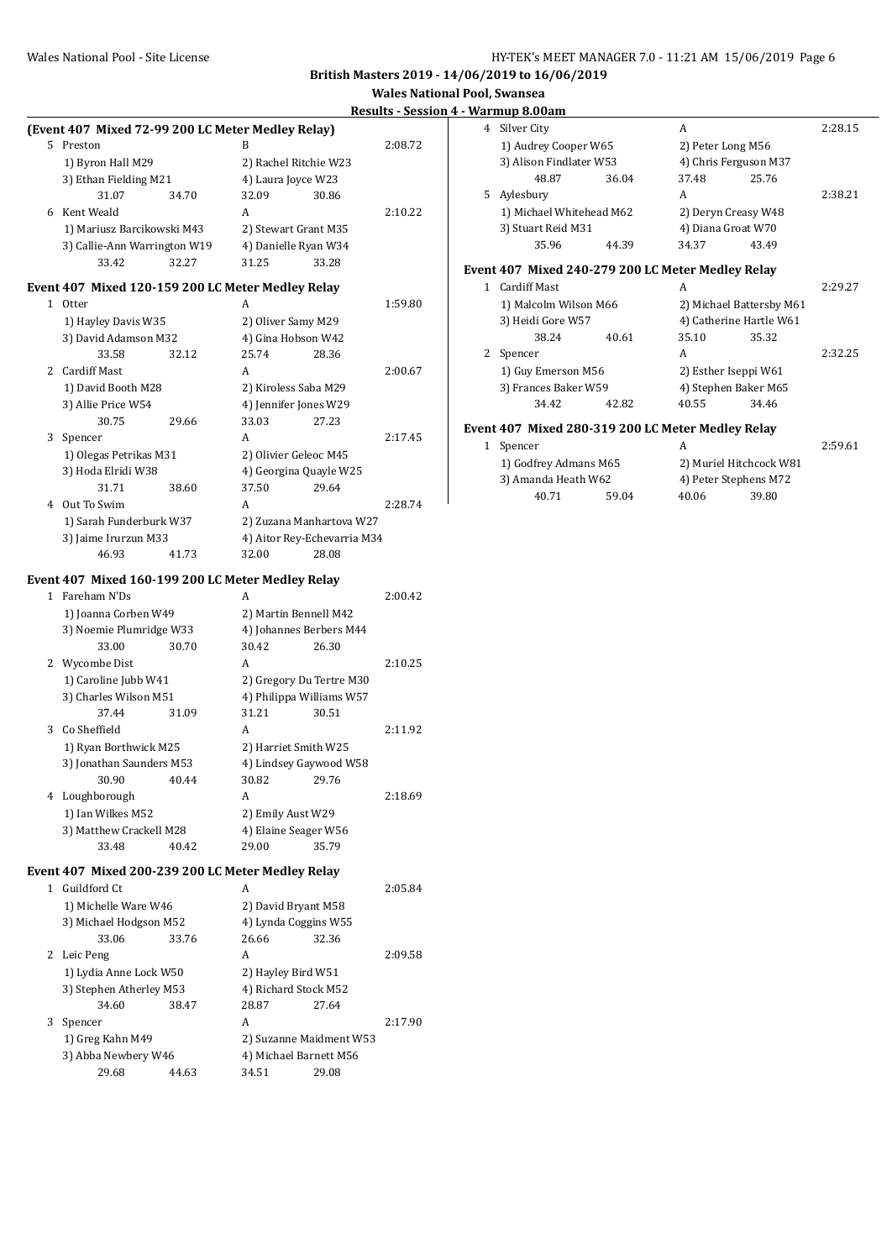#### Wales National Pool - Site License **HY-TEK's MEET MANAGER 7.0 - 11:21 AM 15/06/2019** Page 6

**British Masters 2019 - 14/06/2019 to 16/06/2019**

|    | (Event 407 Mixed 72-99 200 LC Meter Medley Relay) |       |                          |                             |         |
|----|---------------------------------------------------|-------|--------------------------|-----------------------------|---------|
| 5. | Preston                                           |       | R                        | 2:08.72                     |         |
|    | 1) Byron Hall M29                                 |       | 2) Rachel Ritchie W23    |                             |         |
|    | 3) Ethan Fielding M21                             |       | 4) Laura Joyce W23       |                             |         |
|    | 31.07                                             | 34.70 | 32.09                    | 30.86                       |         |
|    | 6 Kent Weald                                      |       | A                        |                             | 2:10.22 |
|    | 1) Mariusz Barcikowski M43                        |       | 2) Stewart Grant M35     |                             |         |
|    | 3) Callie-Ann Warrington W19                      |       | 4) Danielle Ryan W34     |                             |         |
|    | 33.42                                             | 32.27 | 31.25                    | 33.28                       |         |
|    |                                                   |       |                          |                             |         |
|    | Event 407 Mixed 120-159 200 LC Meter Medley Relay |       |                          |                             |         |
|    | 1 Otter                                           |       | A                        |                             | 1:59.80 |
|    | 1) Hayley Davis W35                               |       | 2) Oliver Samy M29       |                             |         |
|    | 3) David Adamson M32                              |       | 4) Gina Hobson W42       |                             |         |
|    | 33.58                                             | 32.12 | 25.74                    | 28.36                       |         |
|    | 2 Cardiff Mast                                    |       | A                        |                             | 2:00.67 |
|    | 1) David Booth M28                                |       | 2) Kiroless Saba M29     |                             |         |
|    | 3) Allie Price W54                                |       | 4) Jennifer Jones W29    |                             |         |
|    | 30.75                                             | 29.66 | 33.03                    | 27.23                       |         |
| 3  | Spencer                                           |       | A                        |                             | 2:17.45 |
|    | 1) Olegas Petrikas M31                            |       | 2) Olivier Geleoc M45    |                             |         |
|    | 3) Hoda Elridi W38                                |       | 4) Georgina Quayle W25   |                             |         |
|    | 31.71                                             | 38.60 | 37.50                    | 29.64                       |         |
|    | 4 Out To Swim                                     |       | A                        |                             | 2:28.74 |
|    | 1) Sarah Funderburk W37                           |       |                          | 2) Zuzana Manhartova W27    |         |
|    | 3) Jaime Irurzun M33                              |       |                          | 4) Aitor Rey-Echevarria M34 |         |
|    | 46.93                                             | 41.73 | 32.00                    | 28.08                       |         |
|    | Event 407 Mixed 160-199 200 LC Meter Medley Relay |       |                          |                             |         |
|    | 1 Fareham N'Ds                                    |       | A                        |                             | 2:00.42 |
|    | 1) Joanna Corben W49                              |       | 2) Martin Bennell M42    |                             |         |
|    | 3) Noemie Plumridge W33                           |       | 4) Johannes Berbers M44  |                             |         |
|    | 33.00                                             | 30.70 | 30.42                    | 26.30                       |         |
|    | 2 Wycombe Dist                                    |       | A                        |                             | 2:10.25 |
|    | 1) Caroline Jubb W41                              |       | 2) Gregory Du Tertre M30 |                             |         |
|    | 3) Charles Wilson M51                             |       | 4) Philippa Williams W57 |                             |         |
|    | 37.44                                             | 31.09 | 31.21                    | 30.51                       |         |
| 3  | Co Sheffield                                      |       | A                        |                             | 2:11.92 |
|    | 1) Ryan Borthwick M25                             |       | 2) Harriet Smith W25     |                             |         |
|    | 3) Jonathan Saunders M53                          |       | 4) Lindsey Gaywood W58   |                             |         |
|    | 30.90                                             | 40.44 | 30.82                    | 29.76                       |         |
|    | 4 Loughborough                                    |       | A                        |                             | 2:18.69 |
|    | 1) Ian Wilkes M52                                 |       | 2) Emily Aust W29        |                             |         |
|    | 3) Matthew Crackell M28                           |       | 4) Elaine Seager W56     |                             |         |
|    | 33.48                                             | 40.42 | 29.00                    | 35.79                       |         |
|    | Event 407 Mixed 200-239 200 LC Meter Medley Relay |       |                          |                             |         |
|    | 1 Guildford Ct                                    |       | A                        |                             | 2:05.84 |
|    | 1) Michelle Ware W46                              |       | 2) David Bryant M58      |                             |         |
|    | 3) Michael Hodgson M52                            |       | 4) Lynda Coggins W55     |                             |         |
|    | 33.06                                             | 33.76 | 26.66                    | 32.36                       |         |
|    | 2 Leic Peng                                       |       | A                        |                             | 2:09.58 |
|    | 1) Lydia Anne Lock W50                            |       | 2) Hayley Bird W51       |                             |         |
|    | 3) Stephen Atherley M53                           |       | 4) Richard Stock M52     |                             |         |
|    | 34.60                                             | 38.47 | 28.87                    | 27.64                       |         |
| 3  | Spencer                                           |       | A                        |                             | 2:17.90 |
|    | 1) Greg Kahn M49                                  |       | 2) Suzanne Maidment W53  |                             |         |
|    | 3) Abba Newbery W46                               |       | 4) Michael Barnett M56   |                             |         |
|    | 29.68                                             | 44.63 | 34.51                    | 29.08                       |         |
|    |                                                   |       |                          |                             |         |

|              | 4 - warinup o.vvam                                |       |                          |                       |         |  |
|--------------|---------------------------------------------------|-------|--------------------------|-----------------------|---------|--|
|              | 4 Silver City                                     |       | A                        |                       | 2:28.15 |  |
|              | 1) Audrey Cooper W65                              |       |                          | 2) Peter Long M56     |         |  |
|              | 3) Alison Findlater W53                           |       |                          | 4) Chris Ferguson M37 |         |  |
|              | 48.87                                             | 36.04 | 37.48                    | 25.76                 |         |  |
|              | 5 Aylesbury                                       |       | A                        |                       | 2:38.21 |  |
|              | 1) Michael Whitehead M62                          |       |                          | 2) Deryn Creasy W48   |         |  |
|              | 3) Stuart Reid M31                                |       | 4) Diana Groat W70       |                       |         |  |
|              | 35.96                                             | 44.39 | 34.37                    | 43.49                 |         |  |
|              | Event 407 Mixed 240-279 200 LC Meter Medley Relay |       |                          |                       |         |  |
| $\mathbf{1}$ | <b>Cardiff Mast</b>                               |       | A                        |                       | 2:29.27 |  |
|              | 1) Malcolm Wilson M66                             |       | 2) Michael Battersby M61 |                       |         |  |
|              | 3) Heidi Gore W57                                 |       | 4) Catherine Hartle W61  |                       |         |  |
|              | 38.24                                             | 40.61 | 35.10                    | 35.32                 |         |  |
|              | 2 Spencer                                         |       | A                        |                       | 2:32.25 |  |
|              | 1) Guy Emerson M56                                |       |                          | 2) Esther Iseppi W61  |         |  |
|              | 3) Frances Baker W59                              |       |                          | 4) Stephen Baker M65  |         |  |
|              | 34.42                                             | 42.82 | 40.55                    | 34.46                 |         |  |
|              | Event 407 Mixed 280-319 200 LC Meter Medley Relay |       |                          |                       |         |  |
| 1            | Spencer                                           |       | A                        |                       | 2:59.61 |  |
|              |                                                   |       |                          |                       |         |  |

|  | 1 Spencer                                    |       | А     |                         | 2:59.61 |  |
|--|----------------------------------------------|-------|-------|-------------------------|---------|--|
|  | 1) Godfrey Admans M65<br>3) Amanda Heath W62 |       |       | 2) Muriel Hitchcock W81 |         |  |
|  |                                              |       |       | 4) Peter Stephens M72   |         |  |
|  | 40.71                                        | 59.04 | 40.06 | 39.80                   |         |  |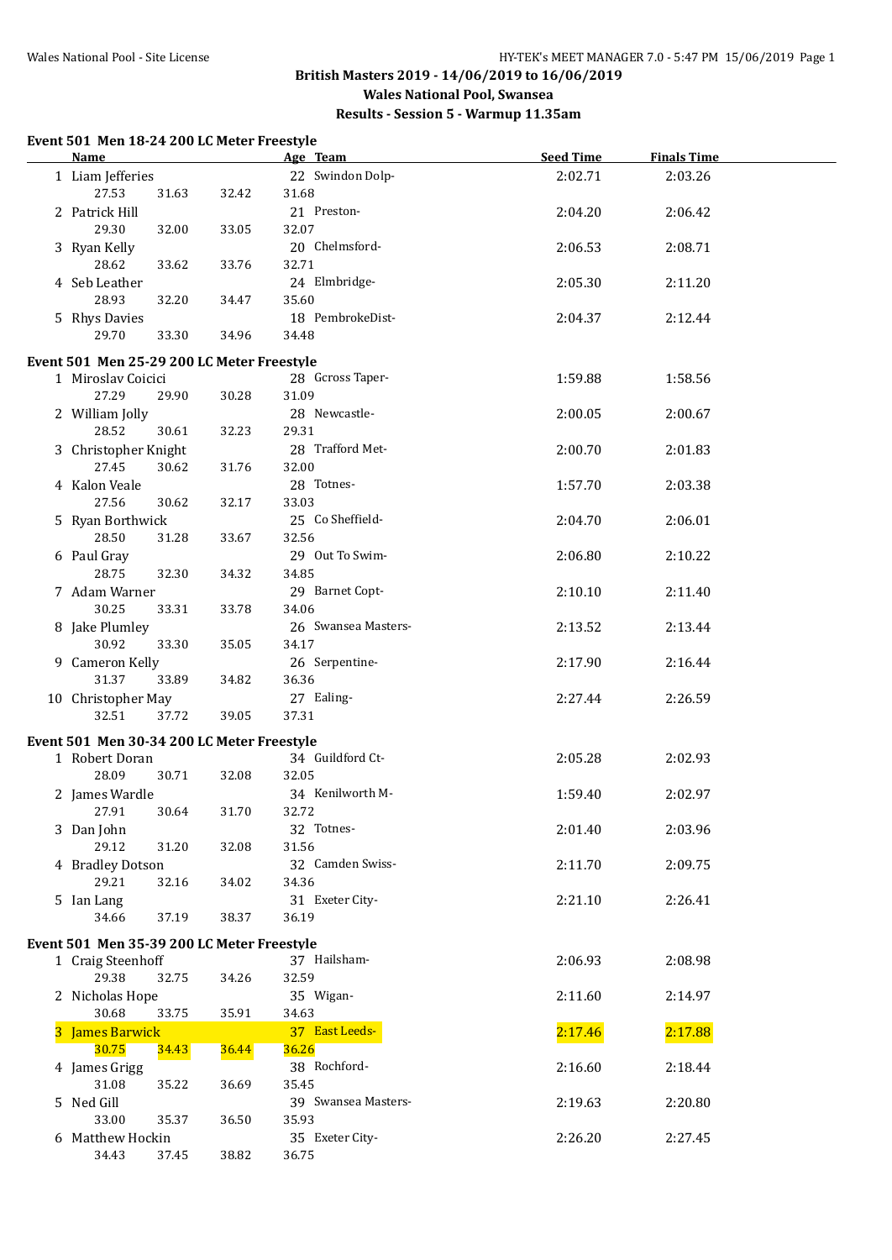**Results - Session 5 - Warmup 11.35am**

## **Event 501 Men 18-24 200 LC Meter Freestyle**

| Name                                       |       | Age Team            | <b>Seed Time</b> | <b>Finals Time</b> |  |
|--------------------------------------------|-------|---------------------|------------------|--------------------|--|
| 1 Liam Jefferies                           |       | 22 Swindon Dolp-    | 2:02.71          | 2:03.26            |  |
| 27.53<br>31.63                             | 32.42 | 31.68               |                  |                    |  |
| 2 Patrick Hill                             |       | 21 Preston-         | 2:04.20          | 2:06.42            |  |
| 29.30<br>32.00                             | 33.05 | 32.07               |                  |                    |  |
| 3 Ryan Kelly                               |       | 20 Chelmsford-      | 2:06.53          | 2:08.71            |  |
| 28.62<br>33.62                             | 33.76 | 32.71               |                  |                    |  |
| 4 Seb Leather                              |       | 24 Elmbridge-       | 2:05.30          | 2:11.20            |  |
| 28.93<br>32.20                             | 34.47 | 35.60               |                  |                    |  |
| 5 Rhys Davies                              |       | 18 PembrokeDist-    | 2:04.37          | 2:12.44            |  |
| 29.70<br>33.30                             | 34.96 | 34.48               |                  |                    |  |
|                                            |       |                     |                  |                    |  |
| Event 501 Men 25-29 200 LC Meter Freestyle |       |                     |                  |                    |  |
| 1 Miroslav Coicici                         |       | 28 Gcross Taper-    | 1:59.88          | 1:58.56            |  |
| 27.29<br>29.90                             | 30.28 | 31.09               |                  |                    |  |
| 2 William Jolly                            |       | 28 Newcastle-       | 2:00.05          | 2:00.67            |  |
| 28.52<br>30.61                             | 32.23 | 29.31               |                  |                    |  |
| 3 Christopher Knight                       |       | 28 Trafford Met-    | 2:00.70          | 2:01.83            |  |
| 27.45<br>30.62                             | 31.76 | 32.00               |                  |                    |  |
| 4 Kalon Veale                              |       | 28 Totnes-          | 1:57.70          | 2:03.38            |  |
| 27.56<br>30.62                             | 32.17 | 33.03               |                  |                    |  |
| 5 Ryan Borthwick                           |       | 25 Co Sheffield-    | 2:04.70          | 2:06.01            |  |
| 28.50<br>31.28                             | 33.67 | 32.56               |                  |                    |  |
| 6 Paul Gray                                |       | 29 Out To Swim-     | 2:06.80          | 2:10.22            |  |
| 28.75<br>32.30                             | 34.32 | 34.85               |                  |                    |  |
| 7 Adam Warner                              |       | 29 Barnet Copt-     | 2:10.10          | 2:11.40            |  |
| 30.25<br>33.31                             | 33.78 | 34.06               |                  |                    |  |
| 8 Jake Plumley                             |       | 26 Swansea Masters- | 2:13.52          | 2:13.44            |  |
| 30.92<br>33.30                             | 35.05 | 34.17               |                  |                    |  |
| 9 Cameron Kelly                            |       | 26 Serpentine-      | 2:17.90          | 2:16.44            |  |
| 31.37<br>33.89                             | 34.82 | 36.36               |                  |                    |  |
| 10 Christopher May                         |       | 27 Ealing-          | 2:27.44          | 2:26.59            |  |
| 32.51<br>37.72                             | 39.05 | 37.31               |                  |                    |  |
| Event 501 Men 30-34 200 LC Meter Freestyle |       |                     |                  |                    |  |
| 1 Robert Doran                             |       | 34 Guildford Ct-    | 2:05.28          | 2:02.93            |  |
| 28.09<br>30.71                             | 32.08 | 32.05               |                  |                    |  |
| 2 James Wardle                             |       | 34 Kenilworth M-    | 1:59.40          | 2:02.97            |  |
| 27.91<br>30.64                             | 31.70 | 32.72               |                  |                    |  |
| 3 Dan John                                 |       | 32 Totnes-          | 2:01.40          | 2:03.96            |  |
| 29.12<br>31.20                             | 32.08 | 31.56               |                  |                    |  |
| 4 Bradley Dotson                           |       | 32 Camden Swiss-    | 2:11.70          | 2:09.75            |  |
| 29.21<br>32.16                             | 34.02 | 34.36               |                  |                    |  |
|                                            |       | 31 Exeter City-     |                  | 2:26.41            |  |
| 5 Ian Lang<br>34.66<br>37.19               | 38.37 | 36.19               | 2:21.10          |                    |  |
|                                            |       |                     |                  |                    |  |
| Event 501 Men 35-39 200 LC Meter Freestyle |       |                     |                  |                    |  |
| 1 Craig Steenhoff                          |       | 37 Hailsham-        | 2:06.93          | 2:08.98            |  |
| 29.38<br>32.75                             | 34.26 | 32.59               |                  |                    |  |
| 2 Nicholas Hope                            |       | 35 Wigan-           | 2:11.60          | 2:14.97            |  |
| 30.68<br>33.75                             | 35.91 | 34.63               |                  |                    |  |
| 3 James Barwick                            |       | 37 East Leeds-      | 2:17.46          | 2:17.88            |  |
| 30.75<br>34.43                             | 36.44 | 36.26               |                  |                    |  |
| 4 James Grigg                              |       | 38 Rochford-        | 2:16.60          | 2:18.44            |  |
| 31.08<br>35.22                             | 36.69 | 35.45               |                  |                    |  |
| 5 Ned Gill                                 |       | 39 Swansea Masters- | 2:19.63          | 2:20.80            |  |
| 33.00<br>35.37                             | 36.50 | 35.93               |                  |                    |  |
| 6 Matthew Hockin                           |       | 35 Exeter City-     | 2:26.20          | 2:27.45            |  |
| 34.43<br>37.45                             | 38.82 | 36.75               |                  |                    |  |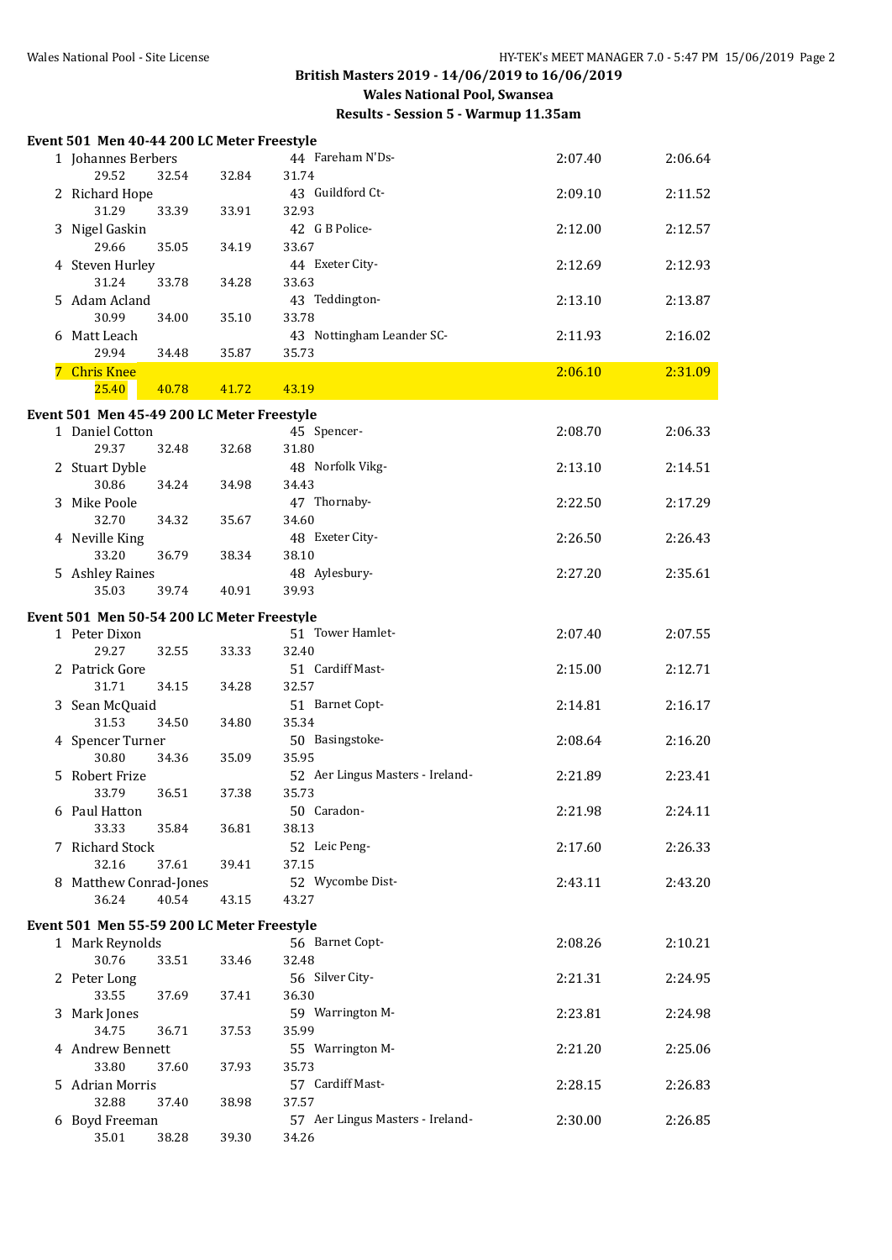## **British Masters 2019 - 14/06/2019 to 16/06/2019 Wales National Pool, Swansea Results - Session 5 - Warmup 11.35am**

|    | Event 501 Men 40-44 200 LC Meter Freestyle |       |       |                                  |         |         |
|----|--------------------------------------------|-------|-------|----------------------------------|---------|---------|
|    | 1 Johannes Berbers                         |       |       | 44 Fareham N'Ds-                 | 2:07.40 | 2:06.64 |
|    | 29.52                                      | 32.54 | 32.84 | 31.74                            |         |         |
|    | 2 Richard Hope                             |       |       | 43 Guildford Ct-                 | 2:09.10 | 2:11.52 |
|    | 31.29                                      | 33.39 | 33.91 | 32.93                            |         |         |
|    | 3 Nigel Gaskin                             |       |       | 42 G B Police-                   | 2:12.00 | 2:12.57 |
|    | 29.66                                      | 35.05 | 34.19 | 33.67                            |         |         |
|    | 4 Steven Hurley                            |       |       |                                  |         |         |
|    | 31.24                                      | 33.78 | 34.28 | 44 Exeter City-                  | 2:12.69 | 2:12.93 |
|    |                                            |       |       | 33.63                            |         |         |
|    | 5 Adam Acland                              |       |       | 43 Teddington-                   | 2:13.10 | 2:13.87 |
|    | 30.99                                      | 34.00 | 35.10 | 33.78                            |         |         |
|    | 6 Matt Leach                               |       |       | 43 Nottingham Leander SC-        | 2:11.93 | 2:16.02 |
|    | 29.94                                      | 34.48 | 35.87 | 35.73                            |         |         |
| 7. | <b>Chris Knee</b>                          |       |       |                                  | 2:06.10 | 2:31.09 |
|    | 25.40                                      | 40.78 | 41.72 | 43.19                            |         |         |
|    | Event 501 Men 45-49 200 LC Meter Freestyle |       |       |                                  |         |         |
|    | 1 Daniel Cotton                            |       |       | 45 Spencer-                      | 2:08.70 | 2:06.33 |
|    | 29.37                                      | 32.48 | 32.68 | 31.80                            |         |         |
|    | 2 Stuart Dyble                             |       |       | 48 Norfolk Vikg-                 | 2:13.10 | 2:14.51 |
|    | 30.86                                      | 34.24 | 34.98 | 34.43                            |         |         |
|    | 3 Mike Poole                               |       |       | 47 Thornaby-                     | 2:22.50 | 2:17.29 |
|    | 32.70                                      | 34.32 | 35.67 | 34.60                            |         |         |
|    |                                            |       |       |                                  |         |         |
|    | 4 Neville King                             |       |       | 48 Exeter City-                  | 2:26.50 | 2:26.43 |
|    | 33.20                                      | 36.79 | 38.34 | 38.10                            |         |         |
|    | 5 Ashley Raines                            |       |       | 48 Aylesbury-                    | 2:27.20 | 2:35.61 |
|    | 35.03                                      | 39.74 | 40.91 | 39.93                            |         |         |
|    | Event 501 Men 50-54 200 LC Meter Freestyle |       |       |                                  |         |         |
|    | 1 Peter Dixon                              |       |       | 51 Tower Hamlet-                 | 2:07.40 | 2:07.55 |
|    | 29.27                                      | 32.55 | 33.33 | 32.40                            |         |         |
|    | 2 Patrick Gore                             |       |       | 51 Cardiff Mast-                 | 2:15.00 | 2:12.71 |
|    | 31.71                                      | 34.15 | 34.28 | 32.57                            |         |         |
|    | 3 Sean McQuaid                             |       |       | 51 Barnet Copt-                  | 2:14.81 | 2:16.17 |
|    | 31.53                                      | 34.50 | 34.80 | 35.34                            |         |         |
|    | 4 Spencer Turner                           |       |       | 50 Basingstoke-                  | 2:08.64 | 2:16.20 |
|    | 30.80                                      | 34.36 | 35.09 | 35.95                            |         |         |
|    | 5 Robert Frize                             |       |       | 52 Aer Lingus Masters - Ireland- | 2:21.89 | 2:23.41 |
|    | 33.79                                      | 36.51 | 37.38 | 35.73                            |         |         |
|    | 6 Paul Hatton                              |       |       | 50 Caradon-                      | 2:21.98 | 2:24.11 |
|    | 33.33                                      | 35.84 | 36.81 | 38.13                            |         |         |
|    | 7 Richard Stock                            |       |       | 52 Leic Peng-                    | 2:17.60 | 2:26.33 |
|    |                                            | 37.61 |       |                                  |         |         |
|    | 32.16<br>8 Matthew Conrad-Jones            |       | 39.41 | 37.15<br>52 Wycombe Dist-        | 2:43.11 |         |
|    |                                            |       |       |                                  |         | 2:43.20 |
|    | 36.24                                      | 40.54 | 43.15 | 43.27                            |         |         |
|    | Event 501 Men 55-59 200 LC Meter Freestyle |       |       |                                  |         |         |
|    | 1 Mark Reynolds                            |       |       | 56 Barnet Copt-                  | 2:08.26 | 2:10.21 |
|    | 30.76                                      | 33.51 | 33.46 | 32.48                            |         |         |
|    | 2 Peter Long                               |       |       | 56 Silver City-                  | 2:21.31 | 2:24.95 |
|    | 33.55                                      | 37.69 | 37.41 | 36.30                            |         |         |
|    | 3 Mark Jones                               |       |       | 59 Warrington M-                 | 2:23.81 | 2:24.98 |
|    | 34.75                                      | 36.71 | 37.53 | 35.99                            |         |         |
|    | 4 Andrew Bennett                           |       |       | 55 Warrington M-                 | 2:21.20 | 2:25.06 |
|    | 33.80                                      | 37.60 | 37.93 | 35.73                            |         |         |
|    | 5 Adrian Morris                            |       |       | 57 Cardiff Mast-                 | 2:28.15 | 2:26.83 |
|    | 32.88                                      | 37.40 | 38.98 | 37.57                            |         |         |
|    | 6 Boyd Freeman                             |       |       | 57 Aer Lingus Masters - Ireland- | 2:30.00 | 2:26.85 |
|    | 35.01                                      | 38.28 | 39.30 | 34.26                            |         |         |
|    |                                            |       |       |                                  |         |         |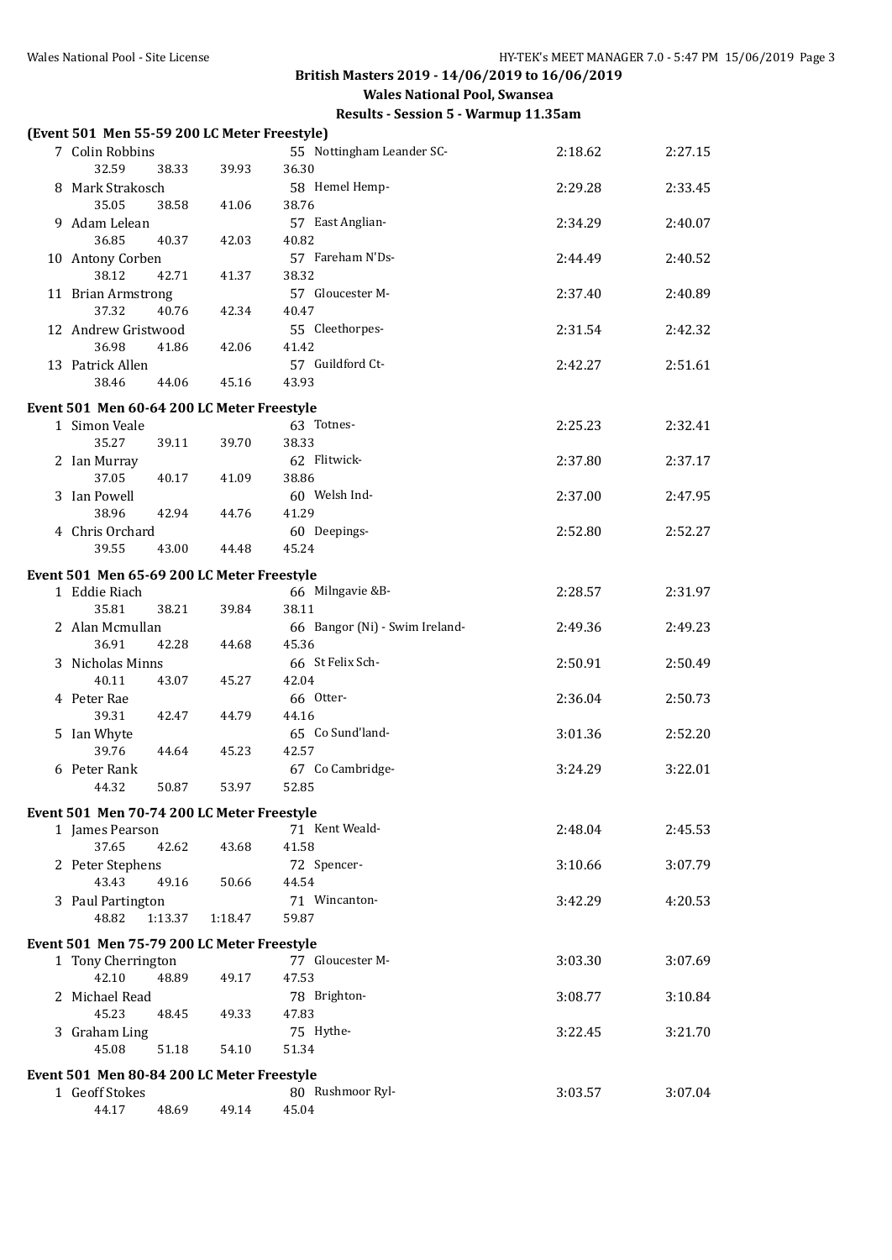| (Event 501 Men 55-59 200 LC Meter Freestyle) |         |                                |         |         |
|----------------------------------------------|---------|--------------------------------|---------|---------|
| 7 Colin Robbins                              |         | 55 Nottingham Leander SC-      | 2:18.62 | 2:27.15 |
| 32.59<br>38.33                               | 39.93   | 36.30                          |         |         |
| 8 Mark Strakosch                             |         | 58 Hemel Hemp-                 | 2:29.28 | 2:33.45 |
| 35.05<br>38.58                               | 41.06   | 38.76                          |         |         |
| 9 Adam Lelean                                |         | 57 East Anglian-               | 2:34.29 | 2:40.07 |
| 36.85<br>40.37                               | 42.03   | 40.82                          |         |         |
| 10 Antony Corben                             |         | 57 Fareham N'Ds-               | 2:44.49 | 2:40.52 |
| 38.12<br>42.71                               | 41.37   | 38.32                          |         |         |
| 11 Brian Armstrong                           |         | 57 Gloucester M-               | 2:37.40 | 2:40.89 |
| 37.32<br>40.76                               | 42.34   | 40.47                          |         |         |
| 12 Andrew Gristwood                          |         | 55 Cleethorpes-                | 2:31.54 | 2:42.32 |
| 36.98<br>41.86                               | 42.06   | 41.42                          |         |         |
| 13 Patrick Allen                             |         | 57 Guildford Ct-               | 2:42.27 | 2:51.61 |
| 38.46<br>44.06                               | 45.16   | 43.93                          |         |         |
| Event 501 Men 60-64 200 LC Meter Freestyle   |         |                                |         |         |
| 1 Simon Veale                                |         | 63 Totnes-                     | 2:25.23 | 2:32.41 |
| 35.27<br>39.11                               | 39.70   | 38.33                          |         |         |
| 2 Ian Murray                                 |         | 62 Flitwick-                   | 2:37.80 | 2:37.17 |
| 37.05<br>40.17                               | 41.09   | 38.86                          |         |         |
| 3 Ian Powell                                 |         | 60 Welsh Ind-                  | 2:37.00 | 2:47.95 |
| 38.96<br>42.94                               | 44.76   | 41.29                          |         |         |
| 4 Chris Orchard                              |         | 60 Deepings-<br>45.24          | 2:52.80 | 2:52.27 |
| 39.55<br>43.00                               | 44.48   |                                |         |         |
| Event 501 Men 65-69 200 LC Meter Freestyle   |         |                                |         |         |
| 1 Eddie Riach                                |         | 66 Milngavie &B-               | 2:28.57 | 2:31.97 |
| 35.81<br>38.21                               | 39.84   | 38.11                          |         |         |
| 2 Alan Mcmullan                              |         | 66 Bangor (Ni) - Swim Ireland- | 2:49.36 | 2:49.23 |
| 36.91<br>42.28<br>3 Nicholas Minns           | 44.68   | 45.36<br>66 St Felix Sch-      | 2:50.91 | 2:50.49 |
| 40.11<br>43.07                               | 45.27   | 42.04                          |         |         |
| 4 Peter Rae                                  |         | 66 Otter-                      | 2:36.04 | 2:50.73 |
| 39.31<br>42.47                               | 44.79   | 44.16                          |         |         |
| 5 Ian Whyte                                  |         | 65 Co Sund'land-               | 3:01.36 | 2:52.20 |
| 39.76<br>44.64                               | 45.23   | 42.57                          |         |         |
| 6 Peter Rank                                 |         | 67 Co Cambridge-               | 3:24.29 | 3:22.01 |
| 44.32<br>50.87                               | 53.97   | 52.85                          |         |         |
| Event 501 Men 70-74 200 LC Meter Freestyle   |         |                                |         |         |
| 1 James Pearson                              |         | 71 Kent Weald-                 | 2:48.04 | 2:45.53 |
| 42.62<br>37.65                               | 43.68   | 41.58                          |         |         |
| 2 Peter Stephens                             |         | 72 Spencer-                    | 3:10.66 | 3:07.79 |
| 43.43<br>49.16                               | 50.66   | 44.54                          |         |         |
| 3 Paul Partington                            |         | 71 Wincanton-                  | 3:42.29 | 4:20.53 |
| 48.82<br>1:13.37                             | 1:18.47 | 59.87                          |         |         |
| Event 501 Men 75-79 200 LC Meter Freestyle   |         |                                |         |         |
| 1 Tony Cherrington                           |         | 77 Gloucester M-               | 3:03.30 | 3:07.69 |
| 42.10<br>48.89                               | 49.17   | 47.53                          |         |         |
| 2 Michael Read                               |         | 78 Brighton-                   | 3:08.77 | 3:10.84 |
| 45.23<br>48.45                               | 49.33   | 47.83                          |         |         |
| 3 Graham Ling                                |         | 75 Hythe-                      | 3:22.45 | 3:21.70 |
| 45.08<br>51.18                               | 54.10   | 51.34                          |         |         |
| Event 501 Men 80-84 200 LC Meter Freestyle   |         |                                |         |         |
| 1 Geoff Stokes                               |         | 80 Rushmoor Ryl-               | 3:03.57 | 3:07.04 |
| 48.69<br>44.17                               | 49.14   | 45.04                          |         |         |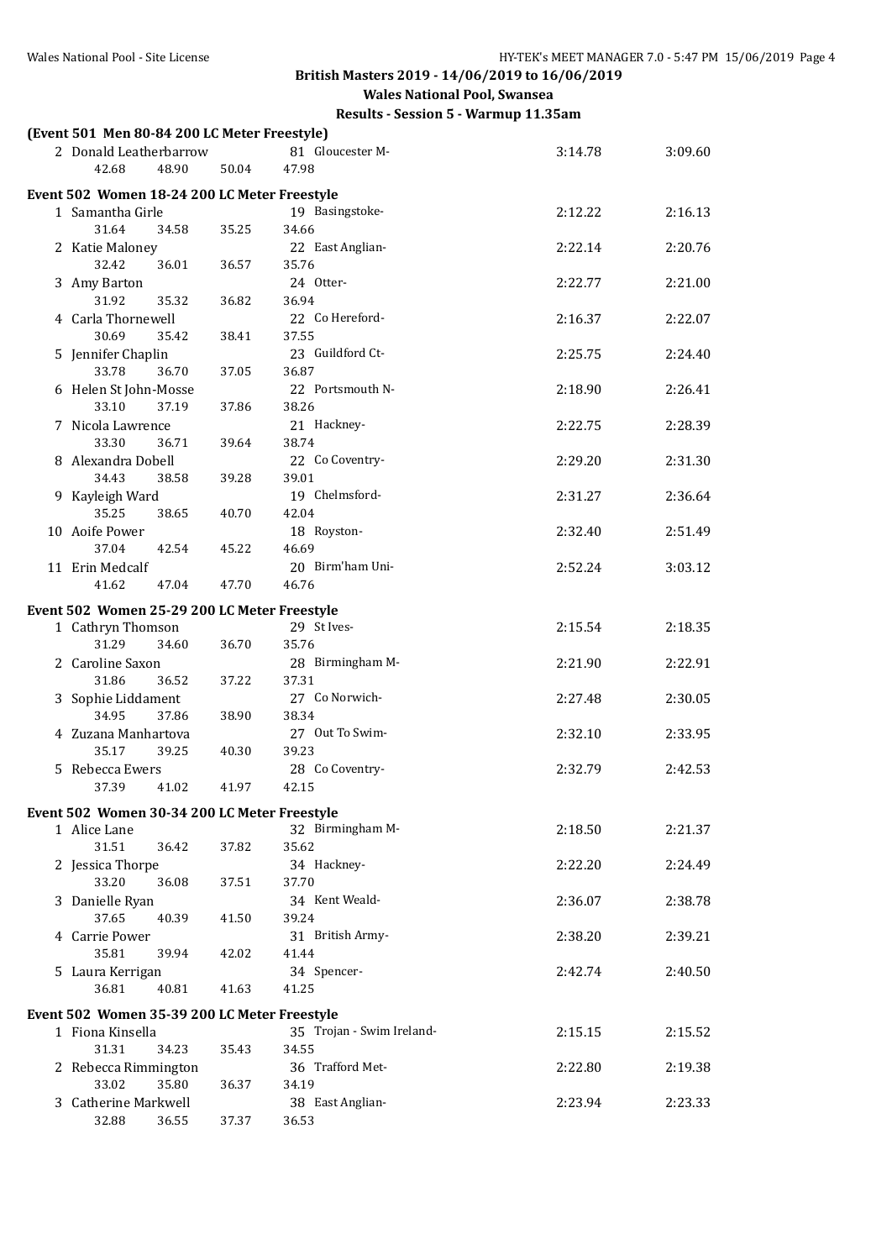**Wales National Pool, Swansea**

| (Event 501 Men 80-84 200 LC Meter Freestyle) |       |       |                           |         |         |
|----------------------------------------------|-------|-------|---------------------------|---------|---------|
| 2 Donald Leatherbarrow                       |       |       | 81 Gloucester M-          | 3:14.78 | 3:09.60 |
| 42.68                                        | 48.90 | 50.04 | 47.98                     |         |         |
| Event 502 Women 18-24 200 LC Meter Freestyle |       |       |                           |         |         |
| 1 Samantha Girle                             |       |       | 19 Basingstoke-           | 2:12.22 | 2:16.13 |
| 31.64                                        | 34.58 | 35.25 | 34.66                     |         |         |
| 2 Katie Maloney                              |       |       | 22 East Anglian-          | 2:22.14 | 2:20.76 |
| 32.42                                        | 36.01 | 36.57 | 35.76<br>24 Otter-        |         |         |
| 3 Amy Barton<br>31.92                        | 35.32 | 36.82 | 36.94                     | 2:22.77 | 2:21.00 |
| 4 Carla Thornewell                           |       |       | 22 Co Hereford-           | 2:16.37 | 2:22.07 |
| 30.69                                        | 35.42 | 38.41 | 37.55                     |         |         |
| 5 Jennifer Chaplin                           |       |       | 23 Guildford Ct-          | 2:25.75 | 2:24.40 |
| 33.78                                        | 36.70 | 37.05 | 36.87                     |         |         |
| 6 Helen St John-Mosse                        |       |       | 22 Portsmouth N-          | 2:18.90 | 2:26.41 |
| 33.10                                        | 37.19 | 37.86 | 38.26                     |         |         |
| 7 Nicola Lawrence                            |       |       | 21 Hackney-               | 2:22.75 | 2:28.39 |
| 33.30<br>8 Alexandra Dobell                  | 36.71 | 39.64 | 38.74<br>22 Co Coventry-  | 2:29.20 | 2:31.30 |
| 34.43                                        | 38.58 | 39.28 | 39.01                     |         |         |
| 9 Kayleigh Ward                              |       |       | 19 Chelmsford-            | 2:31.27 | 2:36.64 |
| 35.25                                        | 38.65 | 40.70 | 42.04                     |         |         |
| 10 Aoife Power                               |       |       | 18 Royston-               | 2:32.40 | 2:51.49 |
| 37.04                                        | 42.54 | 45.22 | 46.69                     |         |         |
| 11 Erin Medcalf                              |       |       | 20 Birm'ham Uni-          | 2:52.24 | 3:03.12 |
| 41.62                                        | 47.04 | 47.70 | 46.76                     |         |         |
| Event 502 Women 25-29 200 LC Meter Freestyle |       |       |                           |         |         |
| 1 Cathryn Thomson                            |       |       | 29 St Ives-               | 2:15.54 | 2:18.35 |
| 31.29                                        | 34.60 | 36.70 | 35.76                     |         |         |
| 2 Caroline Saxon<br>31.86                    | 36.52 | 37.22 | 28 Birmingham M-<br>37.31 | 2:21.90 | 2:22.91 |
| 3 Sophie Liddament                           |       |       | 27 Co Norwich-            | 2:27.48 | 2:30.05 |
| 34.95                                        | 37.86 | 38.90 | 38.34                     |         |         |
| 4 Zuzana Manhartova                          |       |       | 27 Out To Swim-           | 2:32.10 | 2:33.95 |
| 35.17                                        | 39.25 | 40.30 | 39.23                     |         |         |
| 5 Rebecca Ewers                              |       |       | 28 Co Coventry-           | 2:32.79 | 2:42.53 |
| 37.39                                        | 41.02 | 41.97 | 42.15                     |         |         |
| Event 502 Women 30-34 200 LC Meter Freestyle |       |       |                           |         |         |
| 1 Alice Lane                                 |       |       | 32 Birmingham M-          | 2:18.50 | 2:21.37 |
| 31.51                                        | 36.42 | 37.82 | 35.62                     |         |         |
| 2 Jessica Thorpe<br>33.20                    | 36.08 | 37.51 | 34 Hackney-<br>37.70      | 2:22.20 | 2:24.49 |
| 3 Danielle Ryan                              |       |       | 34 Kent Weald-            | 2:36.07 | 2:38.78 |
| 37.65                                        | 40.39 | 41.50 | 39.24                     |         |         |
| 4 Carrie Power                               |       |       | 31 British Army-          | 2:38.20 | 2:39.21 |
| 35.81                                        | 39.94 | 42.02 | 41.44                     |         |         |
| 5 Laura Kerrigan                             |       |       | 34 Spencer-               | 2:42.74 | 2:40.50 |
| 36.81                                        | 40.81 | 41.63 | 41.25                     |         |         |
| Event 502 Women 35-39 200 LC Meter Freestyle |       |       |                           |         |         |
| 1 Fiona Kinsella                             |       |       | 35 Trojan - Swim Ireland- | 2:15.15 | 2:15.52 |
| 31.31                                        | 34.23 | 35.43 | 34.55                     |         |         |
| 2 Rebecca Rimmington                         |       |       | 36 Trafford Met-          | 2:22.80 | 2:19.38 |
| 33.02<br>3 Catherine Markwell                | 35.80 | 36.37 | 34.19<br>38 East Anglian- | 2:23.94 | 2:23.33 |
| 32.88                                        | 36.55 | 37.37 | 36.53                     |         |         |
|                                              |       |       |                           |         |         |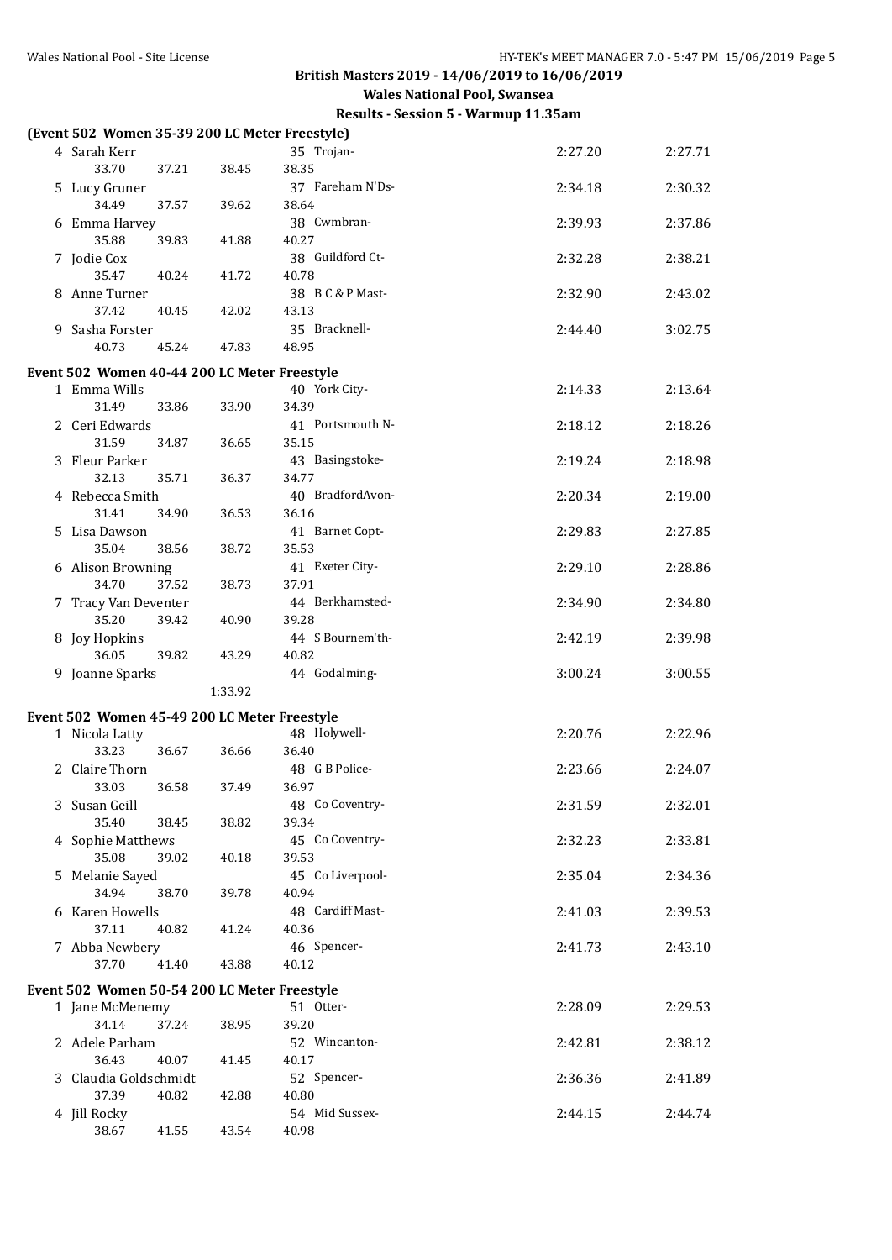| (Event 502 Women 35-39 200 LC Meter Freestyle) |         |                           |         |         |
|------------------------------------------------|---------|---------------------------|---------|---------|
| 4 Sarah Kerr                                   |         | 35 Trojan-                | 2:27.20 | 2:27.71 |
| 33.70<br>37.21                                 | 38.45   | 38.35                     |         |         |
| 5 Lucy Gruner                                  |         | 37 Fareham N'Ds-          | 2:34.18 | 2:30.32 |
| 34.49<br>37.57                                 | 39.62   | 38.64                     |         |         |
| 6 Emma Harvey                                  |         | 38 Cwmbran-               | 2:39.93 | 2:37.86 |
| 35.88<br>39.83<br>7 Jodie Cox                  | 41.88   | 40.27<br>38 Guildford Ct- | 2:32.28 | 2:38.21 |
| 35.47<br>40.24                                 | 41.72   | 40.78                     |         |         |
| 8 Anne Turner                                  |         | 38 B C & P Mast-          | 2:32.90 | 2:43.02 |
| 37.42<br>40.45                                 | 42.02   | 43.13                     |         |         |
| 9 Sasha Forster                                |         | 35 Bracknell-             | 2:44.40 | 3:02.75 |
| 40.73<br>45.24                                 | 47.83   | 48.95                     |         |         |
| Event 502 Women 40-44 200 LC Meter Freestyle   |         |                           |         |         |
| 1 Emma Wills                                   |         | 40 York City-             | 2:14.33 | 2:13.64 |
| 31.49<br>33.86                                 | 33.90   | 34.39                     |         |         |
| 2 Ceri Edwards                                 |         | 41 Portsmouth N-          | 2:18.12 | 2:18.26 |
| 31.59<br>34.87                                 | 36.65   | 35.15                     |         |         |
| 3 Fleur Parker<br>32.13<br>35.71               | 36.37   | 43 Basingstoke-<br>34.77  | 2:19.24 | 2:18.98 |
| 4 Rebecca Smith                                |         | 40 BradfordAvon-          | 2:20.34 | 2:19.00 |
| 31.41<br>34.90                                 | 36.53   | 36.16                     |         |         |
| 5 Lisa Dawson                                  |         | 41 Barnet Copt-           | 2:29.83 | 2:27.85 |
| 35.04<br>38.56                                 | 38.72   | 35.53                     |         |         |
| 6 Alison Browning                              |         | 41 Exeter City-           | 2:29.10 | 2:28.86 |
| 34.70<br>37.52                                 | 38.73   | 37.91                     |         |         |
| 7 Tracy Van Deventer                           |         | 44 Berkhamsted-           | 2:34.90 | 2:34.80 |
| 35.20<br>39.42<br>8 Joy Hopkins                | 40.90   | 39.28<br>44 S Bournem'th- | 2:42.19 | 2:39.98 |
| 36.05<br>39.82                                 | 43.29   | 40.82                     |         |         |
| 9 Joanne Sparks                                |         | 44 Godalming-             | 3:00.24 | 3:00.55 |
|                                                | 1:33.92 |                           |         |         |
| Event 502 Women 45-49 200 LC Meter Freestyle   |         |                           |         |         |
| 1 Nicola Latty                                 |         | 48 Holywell-              | 2:20.76 | 2:22.96 |
| 33.23<br>36.67                                 | 36.66   | 36.40                     |         |         |
| 2 Claire Thorn                                 |         | 48 G B Police-            | 2:23.66 | 2:24.07 |
| 33.03<br>36.58                                 | 37.49   | 36.97                     |         |         |
| 3 Susan Geill<br>35.40<br>38.45                | 38.82   | 48 Co Coventry-<br>39.34  | 2:31.59 | 2:32.01 |
| 4 Sophie Matthews                              |         | 45 Co Coventry-           | 2:32.23 | 2:33.81 |
| 35.08<br>39.02                                 | 40.18   | 39.53                     |         |         |
| 5 Melanie Sayed                                |         | 45 Co Liverpool-          | 2:35.04 | 2:34.36 |
| 34.94<br>38.70                                 | 39.78   | 40.94                     |         |         |
| 6 Karen Howells                                |         | 48 Cardiff Mast-          | 2:41.03 | 2:39.53 |
| 37.11<br>40.82                                 | 41.24   | 40.36                     |         |         |
| 7 Abba Newbery<br>37.70<br>41.40               | 43.88   | 46 Spencer-<br>40.12      | 2:41.73 | 2:43.10 |
|                                                |         |                           |         |         |
| Event 502 Women 50-54 200 LC Meter Freestyle   |         |                           |         |         |
| 1 Jane McMenemy<br>34.14<br>37.24              | 38.95   | 51 Otter-<br>39.20        | 2:28.09 | 2:29.53 |
| 2 Adele Parham                                 |         | 52 Wincanton-             | 2:42.81 | 2:38.12 |
| 36.43<br>40.07                                 | 41.45   | 40.17                     |         |         |
| 3 Claudia Goldschmidt                          |         | 52 Spencer-               | 2:36.36 | 2:41.89 |
| 37.39<br>40.82                                 | 42.88   | 40.80                     |         |         |
| 4 Jill Rocky                                   |         | 54 Mid Sussex-            | 2:44.15 | 2:44.74 |
| 38.67<br>41.55                                 | 43.54   | 40.98                     |         |         |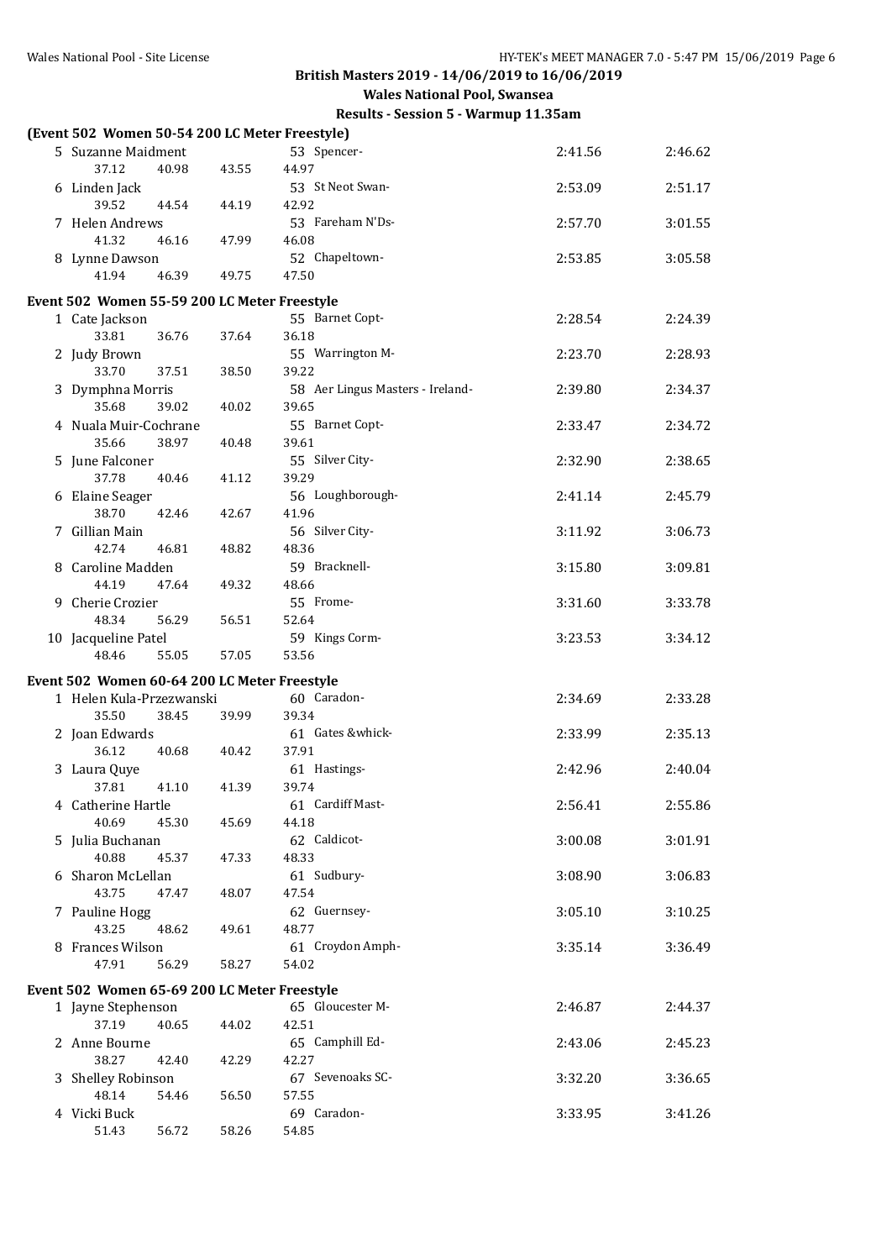| (Event 502 Women 50-54 200 LC Meter Freestyle) |       |       |                                  |         |         |
|------------------------------------------------|-------|-------|----------------------------------|---------|---------|
| 5 Suzanne Maidment                             |       |       | 53 Spencer-                      | 2:41.56 | 2:46.62 |
| 37.12                                          | 40.98 | 43.55 | 44.97                            |         |         |
| 6 Linden Jack                                  |       |       | 53 St Neot Swan-                 | 2:53.09 | 2:51.17 |
| 39.52                                          | 44.54 | 44.19 | 42.92                            |         |         |
| 7 Helen Andrews                                |       |       | 53 Fareham N'Ds-                 | 2:57.70 | 3:01.55 |
| 41.32                                          | 46.16 | 47.99 | 46.08                            |         |         |
| 8 Lynne Dawson                                 |       |       | 52 Chapeltown-                   | 2:53.85 | 3:05.58 |
| 41.94                                          | 46.39 | 49.75 | 47.50                            |         |         |
| Event 502 Women 55-59 200 LC Meter Freestyle   |       |       |                                  |         |         |
| 1 Cate Jackson                                 |       |       | 55 Barnet Copt-                  | 2:28.54 | 2:24.39 |
| 33.81                                          | 36.76 | 37.64 | 36.18                            |         |         |
| 2 Judy Brown                                   |       |       | 55 Warrington M-                 | 2:23.70 | 2:28.93 |
| 33.70                                          | 37.51 | 38.50 | 39.22                            |         |         |
| 3 Dymphna Morris                               |       |       | 58 Aer Lingus Masters - Ireland- | 2:39.80 | 2:34.37 |
| 35.68                                          | 39.02 | 40.02 | 39.65                            |         |         |
| 4 Nuala Muir-Cochrane                          |       |       | 55 Barnet Copt-                  | 2:33.47 | 2:34.72 |
| 35.66                                          | 38.97 | 40.48 | 39.61                            |         |         |
| 5 June Falconer                                |       |       | 55 Silver City-                  | 2:32.90 | 2:38.65 |
| 37.78                                          | 40.46 | 41.12 | 39.29                            |         |         |
| 6 Elaine Seager                                |       |       | 56 Loughborough-                 | 2:41.14 | 2:45.79 |
| 38.70                                          | 42.46 | 42.67 | 41.96                            |         |         |
| 7 Gillian Main                                 |       |       | 56 Silver City-                  | 3:11.92 | 3:06.73 |
| 42.74                                          | 46.81 | 48.82 | 48.36                            |         |         |
| 8 Caroline Madden                              |       |       | 59 Bracknell-                    | 3:15.80 | 3:09.81 |
| 44.19                                          | 47.64 | 49.32 | 48.66                            |         |         |
| 9 Cherie Crozier                               |       |       | 55 Frome-                        | 3:31.60 | 3:33.78 |
| 48.34                                          | 56.29 | 56.51 | 52.64                            |         |         |
| 10 Jacqueline Patel                            |       |       | 59 Kings Corm-                   | 3:23.53 | 3:34.12 |
| 48.46                                          | 55.05 | 57.05 | 53.56                            |         |         |
| Event 502 Women 60-64 200 LC Meter Freestyle   |       |       |                                  |         |         |
| 1 Helen Kula-Przezwanski                       |       |       | 60 Caradon-                      | 2:34.69 | 2:33.28 |
| 35.50                                          | 38.45 | 39.99 | 39.34                            |         |         |
| 2 Joan Edwards                                 |       |       | 61 Gates &whick-                 | 2:33.99 | 2:35.13 |
| 36.12                                          | 40.68 | 40.42 | 37.91                            |         |         |
| 3 Laura Quye                                   |       |       | 61 Hastings-                     | 2:42.96 | 2:40.04 |
| 37.81                                          | 41.10 | 41.39 | 39.74                            |         |         |
| 4 Catherine Hartle                             |       |       | 61 Cardiff Mast-                 | 2:56.41 | 2:55.86 |
| 40.69                                          | 45.30 | 45.69 | 44.18                            |         |         |
| 5 Julia Buchanan                               |       |       | 62 Caldicot-                     | 3:00.08 | 3:01.91 |
| 40.88                                          | 45.37 | 47.33 | 48.33                            |         |         |
| 6 Sharon McLellan                              |       |       | 61 Sudbury-                      | 3:08.90 | 3:06.83 |
| 43.75                                          | 47.47 | 48.07 | 47.54                            |         |         |
| 7 Pauline Hogg<br>43.25                        | 48.62 | 49.61 | 62 Guernsey-<br>48.77            | 3:05.10 | 3:10.25 |
| 8 Frances Wilson                               |       |       | 61 Croydon Amph-                 |         |         |
| 47.91                                          | 56.29 | 58.27 | 54.02                            | 3:35.14 | 3:36.49 |
|                                                |       |       |                                  |         |         |
| Event 502 Women 65-69 200 LC Meter Freestyle   |       |       |                                  |         |         |
| 1 Jayne Stephenson                             |       |       | 65 Gloucester M-                 | 2:46.87 | 2:44.37 |
| 37.19                                          | 40.65 | 44.02 | 42.51                            |         |         |
| 2 Anne Bourne                                  |       |       | 65 Camphill Ed-                  | 2:43.06 | 2:45.23 |
| 38.27                                          | 42.40 | 42.29 | 42.27                            |         |         |
| 3 Shelley Robinson                             |       |       | 67 Sevenoaks SC-                 | 3:32.20 | 3:36.65 |
| 48.14                                          | 54.46 | 56.50 | 57.55<br>69 Caradon-             |         |         |
| 4 Vicki Buck<br>51.43                          | 56.72 | 58.26 | 54.85                            | 3:33.95 | 3:41.26 |
|                                                |       |       |                                  |         |         |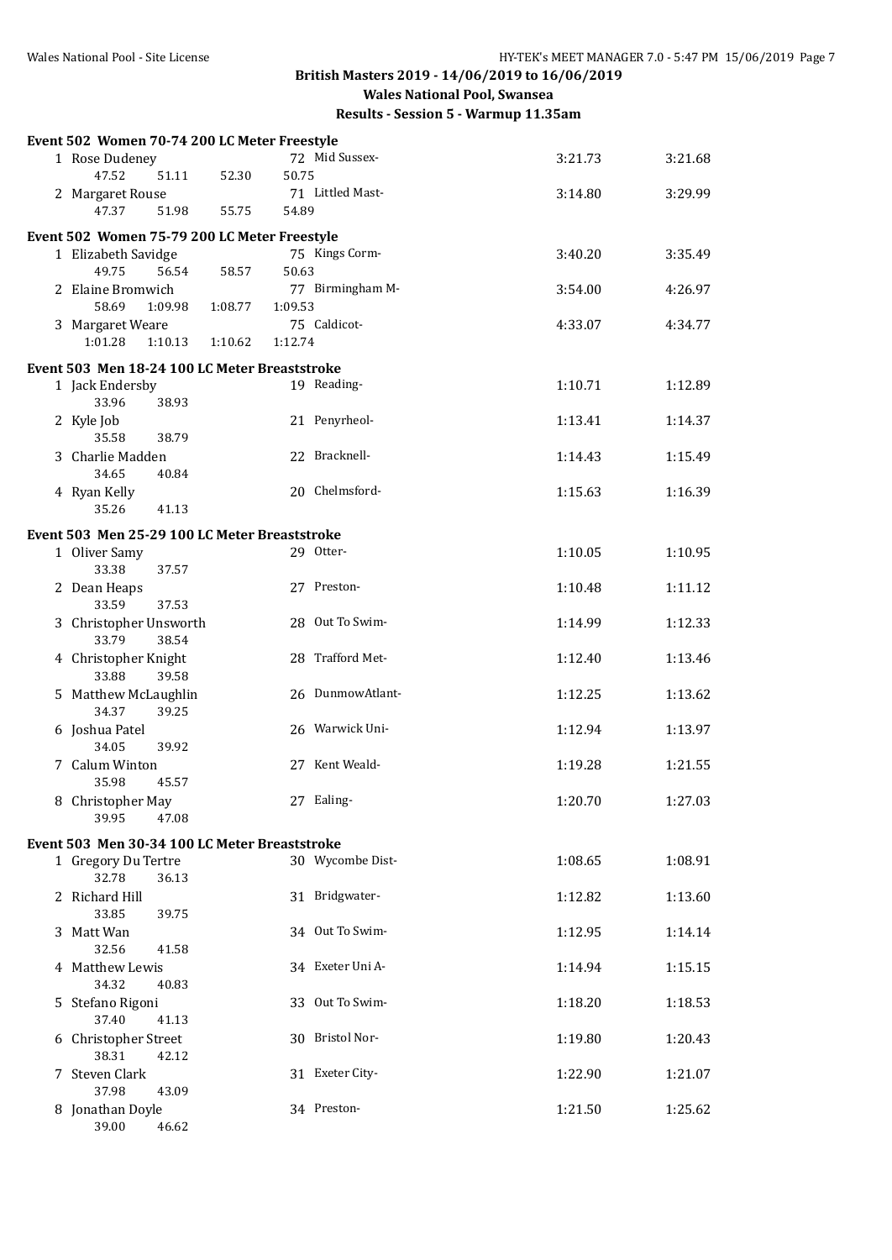| Event 502 Women 70-74 200 LC Meter Freestyle  |         |         |                  |         |         |
|-----------------------------------------------|---------|---------|------------------|---------|---------|
| 1 Rose Dudeney<br>47.52<br>51.11              | 52.30   | 50.75   | 72 Mid Sussex-   | 3:21.73 | 3:21.68 |
| 2 Margaret Rouse                              |         |         | 71 Littled Mast- | 3:14.80 | 3:29.99 |
| 47.37<br>51.98                                | 55.75   | 54.89   |                  |         |         |
| Event 502 Women 75-79 200 LC Meter Freestyle  |         |         |                  |         |         |
| 1 Elizabeth Savidge                           |         |         | 75 Kings Corm-   | 3:40.20 | 3:35.49 |
| 49.75<br>56.54                                | 58.57   | 50.63   |                  |         |         |
| 2 Elaine Bromwich<br>58.69<br>1:09.98         | 1:08.77 | 1:09.53 | 77 Birmingham M- | 3:54.00 | 4:26.97 |
| 3 Margaret Weare                              |         |         | 75 Caldicot-     | 4:33.07 | 4:34.77 |
| 1:01.28<br>1:10.13                            | 1:10.62 | 1:12.74 |                  |         |         |
| Event 503 Men 18-24 100 LC Meter Breaststroke |         |         |                  |         |         |
| 1 Jack Endersby                               |         |         | 19 Reading-      | 1:10.71 | 1:12.89 |
| 33.96<br>38.93                                |         |         |                  |         |         |
| 2 Kyle Job<br>35.58<br>38.79                  |         |         | 21 Penyrheol-    | 1:13.41 | 1:14.37 |
| 3 Charlie Madden                              |         |         | 22 Bracknell-    | 1:14.43 | 1:15.49 |
| 34.65<br>40.84                                |         |         | 20 Chelmsford-   |         |         |
| 4 Ryan Kelly<br>35.26<br>41.13                |         |         |                  | 1:15.63 | 1:16.39 |
| Event 503 Men 25-29 100 LC Meter Breaststroke |         |         |                  |         |         |
| 1 Oliver Samy                                 |         |         | 29 Otter-        | 1:10.05 | 1:10.95 |
| 33.38<br>37.57                                |         |         |                  |         |         |
| 2 Dean Heaps<br>33.59<br>37.53                |         |         | 27 Preston-      | 1:10.48 | 1:11.12 |
| 3 Christopher Unsworth                        |         |         | 28 Out To Swim-  | 1:14.99 | 1:12.33 |
| 33.79<br>38.54                                |         |         |                  |         |         |
| 4 Christopher Knight<br>33.88<br>39.58        |         |         | 28 Trafford Met- | 1:12.40 | 1:13.46 |
| 5 Matthew McLaughlin                          |         |         | 26 DunmowAtlant- | 1:12.25 | 1:13.62 |
| 34.37<br>39.25<br>6 Joshua Patel              |         |         | 26 Warwick Uni-  | 1:12.94 | 1:13.97 |
| 34.05<br>39.92                                |         |         |                  |         |         |
| 7 Calum Winton<br>35.98<br>45.57              |         |         | 27 Kent Weald-   | 1:19.28 | 1:21.55 |
| 8 Christopher May                             |         |         | 27 Ealing-       | 1:20.70 | 1:27.03 |
| 39.95<br>47.08                                |         |         |                  |         |         |
| Event 503 Men 30-34 100 LC Meter Breaststroke |         |         |                  |         |         |
| 1 Gregory Du Tertre<br>32.78                  |         |         | 30 Wycombe Dist- | 1:08.65 | 1:08.91 |
| 36.13<br>2 Richard Hill                       |         |         | 31 Bridgwater-   | 1:12.82 | 1:13.60 |
| 33.85<br>39.75                                |         |         |                  |         |         |
| 3 Matt Wan<br>32.56<br>41.58                  |         |         | 34 Out To Swim-  | 1:12.95 | 1:14.14 |
| 4 Matthew Lewis                               |         |         | 34 Exeter Uni A- | 1:14.94 | 1:15.15 |
| 34.32<br>40.83                                |         |         |                  |         |         |
| 5 Stefano Rigoni                              |         |         | 33 Out To Swim-  | 1:18.20 | 1:18.53 |
| 37.40<br>41.13<br>6 Christopher Street        |         |         | 30 Bristol Nor-  | 1:19.80 | 1:20.43 |
| 38.31<br>42.12                                |         |         |                  |         |         |
| 7 Steven Clark                                |         |         | 31 Exeter City-  | 1:22.90 | 1:21.07 |
| 37.98<br>43.09<br>8 Jonathan Doyle            |         |         | 34 Preston-      | 1:21.50 | 1:25.62 |
| 39.00<br>46.62                                |         |         |                  |         |         |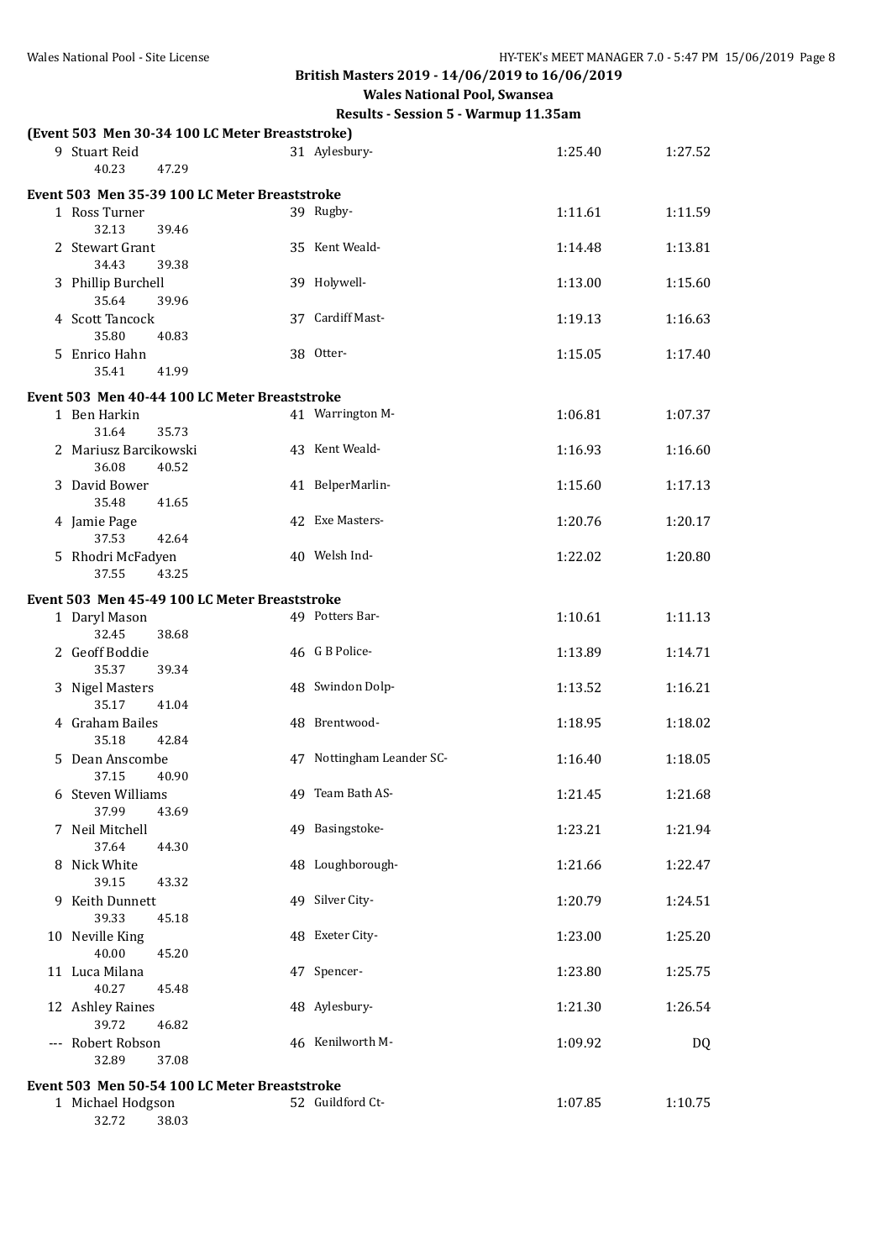**Wales National Pool, Swansea**

|                                | (Event 503 Men 30-34 100 LC Meter Breaststroke) |                           |         |           |
|--------------------------------|-------------------------------------------------|---------------------------|---------|-----------|
| 9 Stuart Reid<br>40.23         | 47.29                                           | 31 Aylesbury-             | 1:25.40 | 1:27.52   |
|                                | Event 503 Men 35-39 100 LC Meter Breaststroke   |                           |         |           |
| 1 Ross Turner<br>32.13         | 39.46                                           | 39 Rugby-                 | 1:11.61 | 1:11.59   |
| 2 Stewart Grant<br>34.43       | 39.38                                           | 35 Kent Weald-            | 1:14.48 | 1:13.81   |
| 3 Phillip Burchell<br>35.64    | 39.96                                           | 39 Holywell-              | 1:13.00 | 1:15.60   |
| 4 Scott Tancock<br>35.80       | 40.83                                           | 37 Cardiff Mast-          | 1:19.13 | 1:16.63   |
| 5 Enrico Hahn<br>35.41         | 41.99                                           | 38 Otter-                 | 1:15.05 | 1:17.40   |
|                                | Event 503 Men 40-44 100 LC Meter Breaststroke   |                           |         |           |
| 1 Ben Harkin<br>31.64          | 35.73                                           | 41 Warrington M-          | 1:06.81 | 1:07.37   |
| 2 Mariusz Barcikowski<br>36.08 | 40.52                                           | 43 Kent Weald-            | 1:16.93 | 1:16.60   |
| 3 David Bower<br>35.48         | 41.65                                           | 41 BelperMarlin-          | 1:15.60 | 1:17.13   |
| 4 Jamie Page<br>37.53          | 42.64                                           | 42 Exe Masters-           | 1:20.76 | 1:20.17   |
| 5 Rhodri McFadyen<br>37.55     | 43.25                                           | 40 Welsh Ind-             | 1:22.02 | 1:20.80   |
|                                | Event 503 Men 45-49 100 LC Meter Breaststroke   |                           |         |           |
| 1 Daryl Mason<br>32.45         | 38.68                                           | 49 Potters Bar-           | 1:10.61 | 1:11.13   |
| 2 Geoff Boddie<br>35.37        | 39.34                                           | 46 G B Police-            | 1:13.89 | 1:14.71   |
| 3 Nigel Masters<br>35.17       | 41.04                                           | 48 Swindon Dolp-          | 1:13.52 | 1:16.21   |
| 4 Graham Bailes<br>35.18       | 42.84                                           | 48 Brentwood-             | 1:18.95 | 1:18.02   |
| 5 Dean Anscombe<br>37.15       | 40.90                                           | 47 Nottingham Leander SC- | 1:16.40 | 1:18.05   |
| 6 Steven Williams<br>37.99     | 43.69                                           | 49 Team Bath AS-          | 1:21.45 | 1:21.68   |
| 7 Neil Mitchell<br>37.64       | 44.30                                           | 49 Basingstoke-           | 1:23.21 | 1:21.94   |
| 8 Nick White<br>39.15          | 43.32                                           | 48 Loughborough-          | 1:21.66 | 1:22.47   |
| 9 Keith Dunnett<br>39.33       | 45.18                                           | 49 Silver City-           | 1:20.79 | 1:24.51   |
| 10 Neville King<br>40.00       | 45.20                                           | 48 Exeter City-           | 1:23.00 | 1:25.20   |
| 11 Luca Milana<br>40.27        | 45.48                                           | 47 Spencer-               | 1:23.80 | 1:25.75   |
| 12 Ashley Raines<br>39.72      | 46.82                                           | 48 Aylesbury-             | 1:21.30 | 1:26.54   |
| --- Robert Robson<br>32.89     | 37.08                                           | 46 Kenilworth M-          | 1:09.92 | <b>DQ</b> |
|                                | Event 503 Men 50-54 100 LC Meter Breaststroke   |                           |         |           |
| 1 Michael Hodgson<br>32.72     | 38.03                                           | 52 Guildford Ct-          | 1:07.85 | 1:10.75   |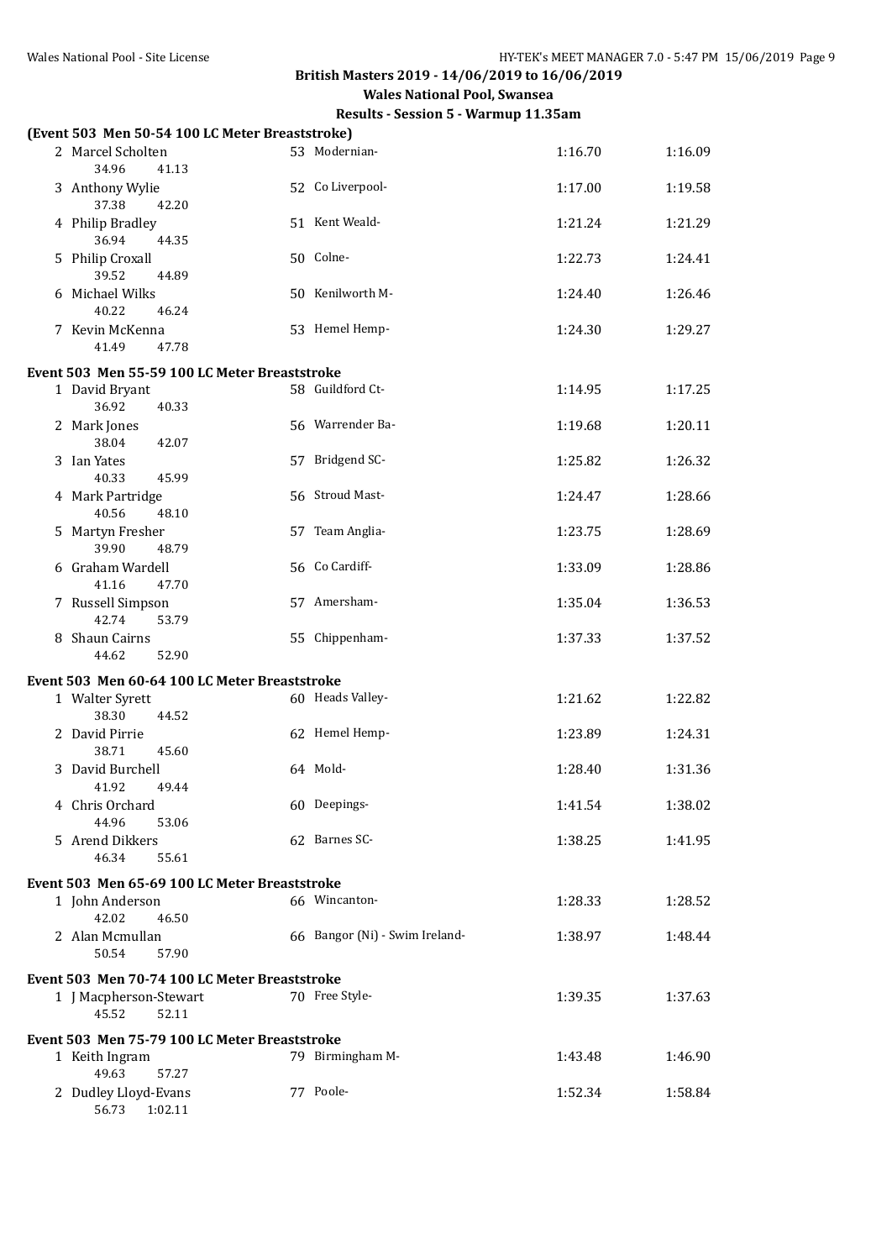| (Event 503 Men 50-54 100 LC Meter Breaststroke)                                   |                                |         |         |
|-----------------------------------------------------------------------------------|--------------------------------|---------|---------|
| 2 Marcel Scholten<br>34.96<br>41.13                                               | 53 Modernian-                  | 1:16.70 | 1:16.09 |
| 3 Anthony Wylie<br>42.20<br>37.38                                                 | 52 Co Liverpool-               | 1:17.00 | 1:19.58 |
| 4 Philip Bradley<br>36.94<br>44.35                                                | 51 Kent Weald-                 | 1:21.24 | 1:21.29 |
| 5 Philip Croxall<br>39.52<br>44.89                                                | 50 Colne-                      | 1:22.73 | 1:24.41 |
| 6 Michael Wilks<br>40.22<br>46.24                                                 | 50 Kenilworth M-               | 1:24.40 | 1:26.46 |
| 7 Kevin McKenna<br>41.49<br>47.78                                                 | 53 Hemel Hemp-                 | 1:24.30 | 1:29.27 |
|                                                                                   |                                |         |         |
| Event 503 Men 55-59 100 LC Meter Breaststroke                                     | 58 Guildford Ct-               |         |         |
| 1 David Bryant<br>36.92<br>40.33                                                  |                                | 1:14.95 | 1:17.25 |
| 2 Mark Jones<br>38.04<br>42.07                                                    | 56 Warrender Ba-               | 1:19.68 | 1:20.11 |
| 3 Ian Yates<br>40.33<br>45.99                                                     | 57 Bridgend SC-                | 1:25.82 | 1:26.32 |
| 4 Mark Partridge<br>40.56<br>48.10                                                | 56 Stroud Mast-                | 1:24.47 | 1:28.66 |
| 5 Martyn Fresher<br>39.90<br>48.79                                                | 57 Team Anglia-                | 1:23.75 | 1:28.69 |
| 6 Graham Wardell<br>41.16<br>47.70                                                | 56 Co Cardiff-                 | 1:33.09 | 1:28.86 |
| 7 Russell Simpson<br>42.74<br>53.79                                               | 57 Amersham-                   | 1:35.04 | 1:36.53 |
| 8 Shaun Cairns<br>44.62<br>52.90                                                  | 55 Chippenham-                 | 1:37.33 | 1:37.52 |
| Event 503 Men 60-64 100 LC Meter Breaststroke                                     |                                |         |         |
| 1 Walter Syrett<br>38.30<br>44.52                                                 | 60 Heads Valley-               | 1:21.62 | 1:22.82 |
| 2 David Pirrie<br>38.71<br>45.60                                                  | 62 Hemel Hemp-                 | 1:23.89 | 1:24.31 |
| 3 David Burchell<br>41.92<br>49.44                                                | 64 Mold-                       | 1:28.40 | 1:31.36 |
| 4 Chris Orchard<br>44.96                                                          | 60 Deepings-                   | 1:41.54 | 1:38.02 |
| 53.06<br>5 Arend Dikkers                                                          | 62 Barnes SC-                  | 1:38.25 | 1:41.95 |
| 46.34<br>55.61                                                                    |                                |         |         |
| Event 503 Men 65-69 100 LC Meter Breaststroke                                     |                                |         |         |
| 1 John Anderson<br>42.02<br>46.50                                                 | 66 Wincanton-                  | 1:28.33 | 1:28.52 |
| 2 Alan Mcmullan<br>50.54<br>57.90                                                 | 66 Bangor (Ni) - Swim Ireland- | 1:38.97 | 1:48.44 |
| Event 503 Men 70-74 100 LC Meter Breaststroke                                     |                                |         |         |
| 1 J Macpherson-Stewart<br>45.52<br>52.11                                          | 70 Free Style-                 | 1:39.35 | 1:37.63 |
|                                                                                   |                                |         |         |
| Event 503 Men 75-79 100 LC Meter Breaststroke<br>1 Keith Ingram<br>49.63<br>57.27 | 79 Birmingham M-               | 1:43.48 | 1:46.90 |
| 2 Dudley Lloyd-Evans<br>56.73 1:02.11                                             | 77 Poole-                      | 1:52.34 | 1:58.84 |
|                                                                                   |                                |         |         |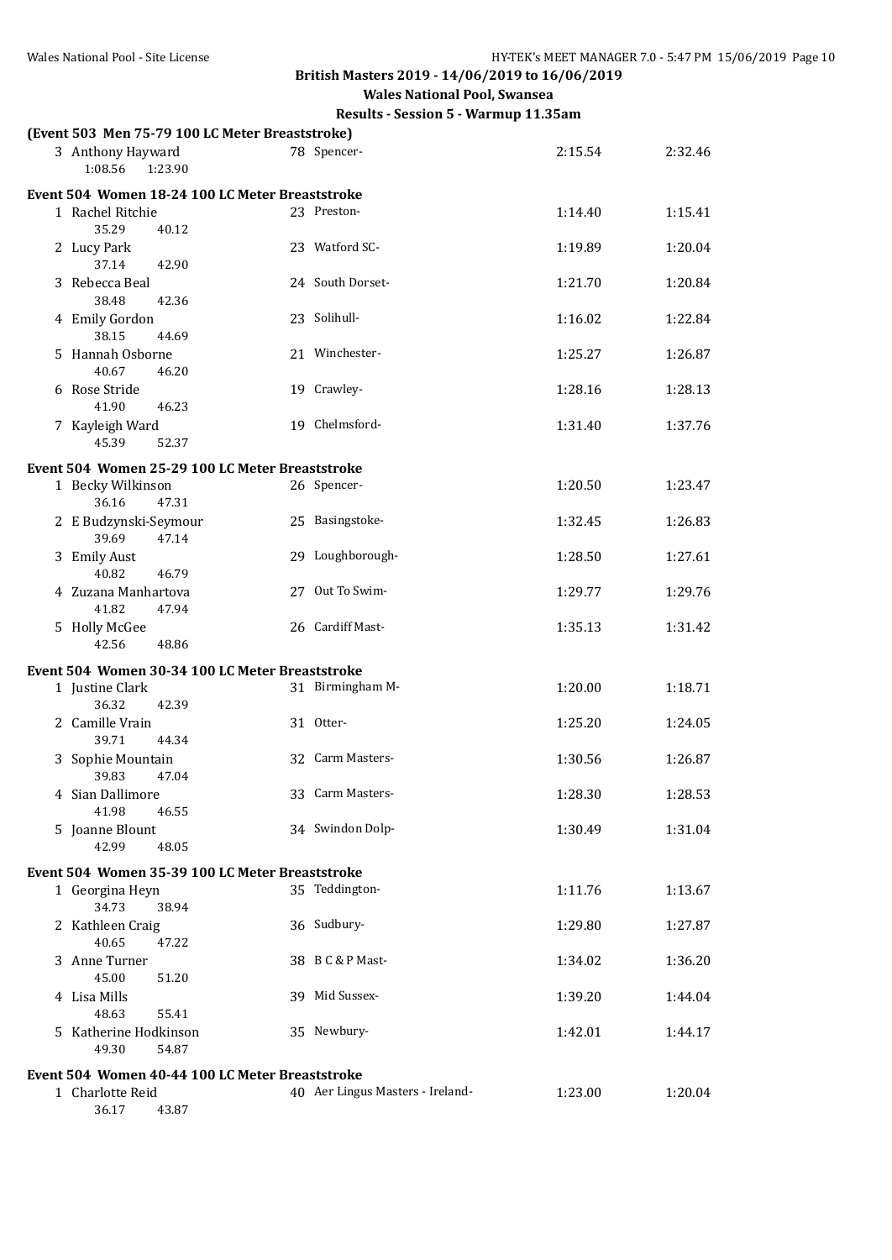**Wales National Pool, Swansea**

| (Event 503 Men 75-79 100 LC Meter Breaststroke) |                                  |         |         |
|-------------------------------------------------|----------------------------------|---------|---------|
| 3 Anthony Hayward<br>1:08.56<br>1:23.90         | 78 Spencer-                      | 2:15.54 | 2:32.46 |
| Event 504 Women 18-24 100 LC Meter Breaststroke |                                  |         |         |
| 1 Rachel Ritchie<br>35.29<br>40.12              | 23 Preston-                      | 1:14.40 | 1:15.41 |
| 2 Lucy Park<br>37.14<br>42.90                   | 23 Watford SC-                   | 1:19.89 | 1:20.04 |
| 3 Rebecca Beal<br>38.48<br>42.36                | 24 South Dorset-                 | 1:21.70 | 1:20.84 |
| 4 Emily Gordon<br>38.15<br>44.69                | 23 Solihull-                     | 1:16.02 | 1:22.84 |
| 5 Hannah Osborne<br>40.67<br>46.20              | 21 Winchester-                   | 1:25.27 | 1:26.87 |
| 6 Rose Stride<br>41.90<br>46.23                 | 19 Crawley-                      | 1:28.16 | 1:28.13 |
| 7 Kayleigh Ward<br>45.39<br>52.37               | 19 Chelmsford-                   | 1:31.40 | 1:37.76 |
| Event 504 Women 25-29 100 LC Meter Breaststroke |                                  |         |         |
| 1 Becky Wilkinson<br>36.16<br>47.31             | 26 Spencer-                      | 1:20.50 | 1:23.47 |
| 2 E Budzynski-Seymour<br>39.69<br>47.14         | 25 Basingstoke-                  | 1:32.45 | 1:26.83 |
| 3 Emily Aust<br>40.82<br>46.79                  | 29 Loughborough-                 | 1:28.50 | 1:27.61 |
| 4 Zuzana Manhartova<br>41.82<br>47.94           | 27 Out To Swim-                  | 1:29.77 | 1:29.76 |
| 5 Holly McGee<br>42.56<br>48.86                 | 26 Cardiff Mast-                 | 1:35.13 | 1:31.42 |
| Event 504 Women 30-34 100 LC Meter Breaststroke |                                  |         |         |
| 1 Justine Clark<br>36.32<br>42.39               | 31 Birmingham M-                 | 1:20.00 | 1:18.71 |
| 2 Camille Vrain<br>39.71<br>44.34               | 31 Otter-                        | 1:25.20 | 1:24.05 |
| 3 Sophie Mountain<br>39.83<br>47.04             | 32 Carm Masters-                 | 1:30.56 | 1:26.87 |
| 4 Sian Dallimore<br>41.98<br>46.55              | 33 Carm Masters-                 | 1:28.30 | 1:28.53 |
| 5 Joanne Blount<br>42.99<br>48.05               | 34 Swindon Dolp-                 | 1:30.49 | 1:31.04 |
| Event 504 Women 35-39 100 LC Meter Breaststroke |                                  |         |         |
| 1 Georgina Heyn<br>34.73<br>38.94               | 35 Teddington-                   | 1:11.76 | 1:13.67 |
| 2 Kathleen Craig<br>40.65<br>47.22              | 36 Sudbury-                      | 1:29.80 | 1:27.87 |
| 3 Anne Turner<br>45.00<br>51.20                 | 38 B C & P Mast-                 | 1:34.02 | 1:36.20 |
| 4 Lisa Mills<br>48.63<br>55.41                  | 39 Mid Sussex-                   | 1:39.20 | 1:44.04 |
| 5 Katherine Hodkinson<br>49.30<br>54.87         | 35 Newbury-                      | 1:42.01 | 1:44.17 |
| Event 504 Women 40-44 100 LC Meter Breaststroke |                                  |         |         |
| 1 Charlotte Reid<br>36.17<br>43.87              | 40 Aer Lingus Masters - Ireland- | 1:23.00 | 1:20.04 |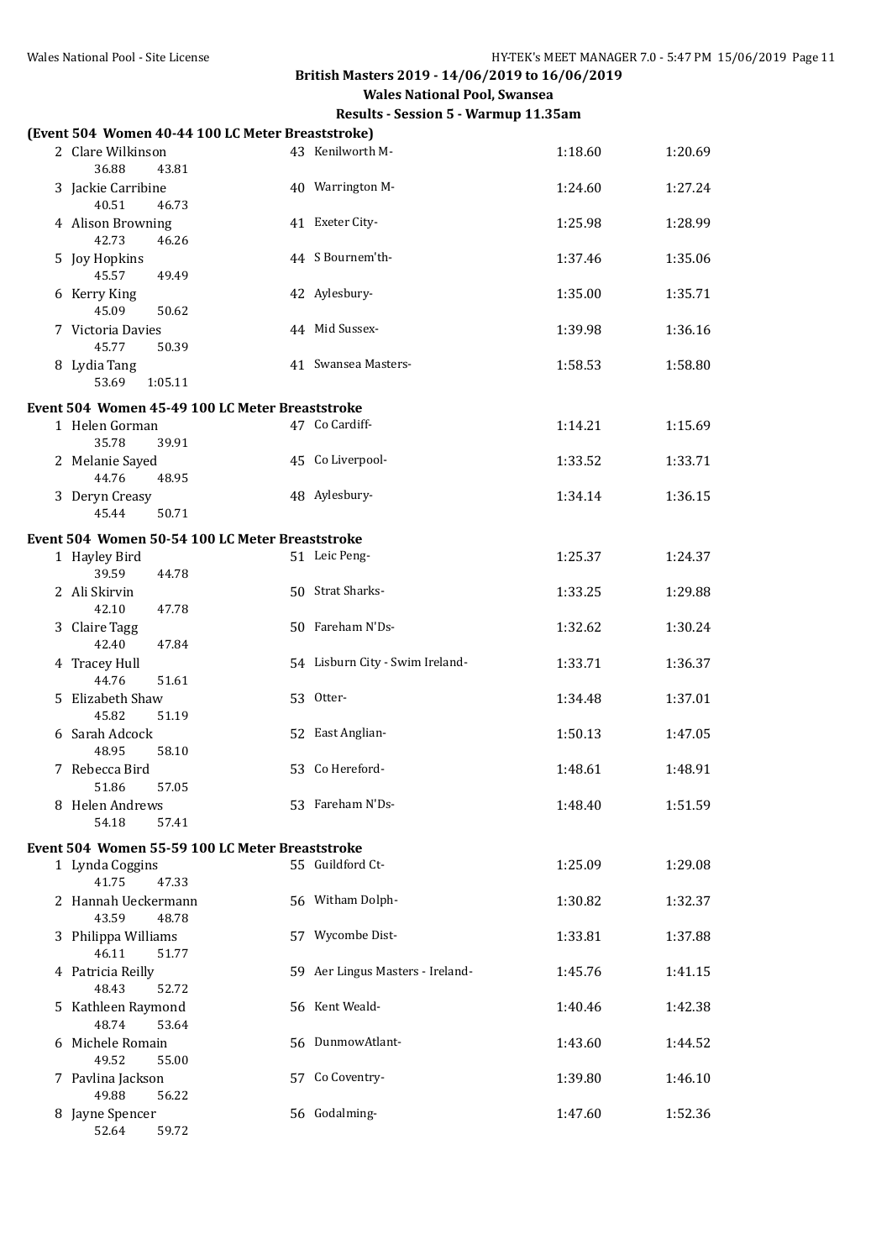| (Event 504 Women 40-44 100 LC Meter Breaststroke) |                                  |         |         |
|---------------------------------------------------|----------------------------------|---------|---------|
| 2 Clare Wilkinson<br>36.88<br>43.81               | 43 Kenilworth M-                 | 1:18.60 | 1:20.69 |
| 3 Jackie Carribine<br>40.51<br>46.73              | 40 Warrington M-                 | 1:24.60 | 1:27.24 |
| 4 Alison Browning<br>42.73<br>46.26               | 41 Exeter City-                  | 1:25.98 | 1:28.99 |
| 5 Joy Hopkins<br>45.57<br>49.49                   | 44 S Bournem'th-                 | 1:37.46 | 1:35.06 |
| 6 Kerry King<br>45.09<br>50.62                    | 42 Aylesbury-                    | 1:35.00 | 1:35.71 |
| 7 Victoria Davies<br>45.77<br>50.39               | 44 Mid Sussex-                   | 1:39.98 | 1:36.16 |
| 8 Lydia Tang<br>53.69<br>1:05.11                  | 41 Swansea Masters-              | 1:58.53 | 1:58.80 |
| Event 504 Women 45-49 100 LC Meter Breaststroke   |                                  |         |         |
| 1 Helen Gorman<br>35.78<br>39.91                  | 47 Co Cardiff-                   | 1:14.21 | 1:15.69 |
| 2 Melanie Sayed<br>44.76<br>48.95                 | 45 Co Liverpool-                 | 1:33.52 | 1:33.71 |
| 3 Deryn Creasy<br>45.44<br>50.71                  | 48 Aylesbury-                    | 1:34.14 | 1:36.15 |
| Event 504 Women 50-54 100 LC Meter Breaststroke   |                                  |         |         |
| 1 Hayley Bird<br>39.59<br>44.78                   | 51 Leic Peng-                    | 1:25.37 | 1:24.37 |
| 2 Ali Skirvin<br>42.10<br>47.78                   | 50 Strat Sharks-                 | 1:33.25 | 1:29.88 |
| 3 Claire Tagg<br>42.40<br>47.84                   | 50 Fareham N'Ds-                 | 1:32.62 | 1:30.24 |
| 4 Tracey Hull<br>51.61<br>44.76                   | 54 Lisburn City - Swim Ireland-  | 1:33.71 | 1:36.37 |
| 5 Elizabeth Shaw<br>45.82<br>51.19                | 53 Otter-                        | 1:34.48 | 1:37.01 |
| 6 Sarah Adcock<br>48.95<br>58.10                  | 52 East Anglian-                 | 1:50.13 | 1:47.05 |
| 7 Rebecca Bird<br>51.86<br>57.05                  | 53 Co Hereford-                  | 1:48.61 | 1:48.91 |
| 8 Helen Andrews<br>54.18<br>57.41                 | 53 Fareham N'Ds-                 | 1:48.40 | 1:51.59 |
| Event 504 Women 55-59 100 LC Meter Breaststroke   |                                  |         |         |
| 1 Lynda Coggins<br>41.75<br>47.33                 | 55 Guildford Ct-                 | 1:25.09 | 1:29.08 |
| 2 Hannah Ueckermann<br>43.59<br>48.78             | 56 Witham Dolph-                 | 1:30.82 | 1:32.37 |
| 3 Philippa Williams<br>46.11<br>51.77             | 57 Wycombe Dist-                 | 1:33.81 | 1:37.88 |
| 4 Patricia Reilly<br>48.43<br>52.72               | 59 Aer Lingus Masters - Ireland- | 1:45.76 | 1:41.15 |
| 5 Kathleen Raymond<br>48.74<br>53.64              | 56 Kent Weald-                   | 1:40.46 | 1:42.38 |
| 6 Michele Romain<br>49.52<br>55.00                | 56 DunmowAtlant-                 | 1:43.60 | 1:44.52 |
| 7 Pavlina Jackson<br>49.88<br>56.22               | 57 Co Coventry-                  | 1:39.80 | 1:46.10 |
| 8 Jayne Spencer<br>52.64<br>59.72                 | 56 Godalming-                    | 1:47.60 | 1:52.36 |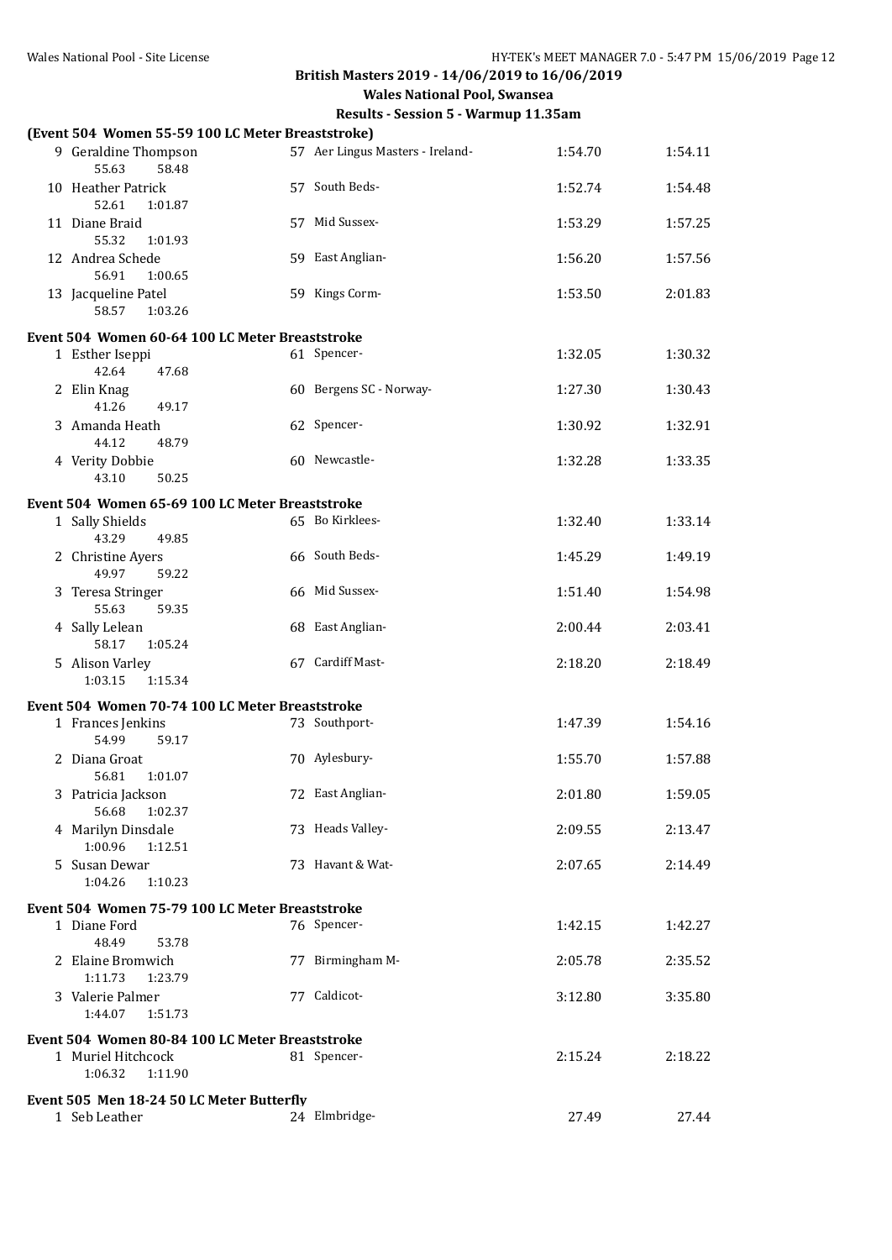|   | (Event 504 Women 55-59 100 LC Meter Breaststroke) |                                  |         |         |
|---|---------------------------------------------------|----------------------------------|---------|---------|
|   | 9 Geraldine Thompson<br>55.63<br>58.48            | 57 Aer Lingus Masters - Ireland- | 1:54.70 | 1:54.11 |
|   | 10 Heather Patrick<br>52.61<br>1:01.87            | 57 South Beds-                   | 1:52.74 | 1:54.48 |
|   | 11 Diane Braid<br>55.32<br>1:01.93                | 57 Mid Sussex-                   | 1:53.29 | 1:57.25 |
|   | 12 Andrea Schede<br>56.91<br>1:00.65              | 59 East Anglian-                 | 1:56.20 | 1:57.56 |
|   | 13 Jacqueline Patel<br>58.57<br>1:03.26           | 59 Kings Corm-                   | 1:53.50 | 2:01.83 |
|   |                                                   |                                  |         |         |
|   | Event 504 Women 60-64 100 LC Meter Breaststroke   |                                  |         |         |
|   | 1 Esther Iseppi<br>42.64<br>47.68                 | 61 Spencer-                      | 1:32.05 | 1:30.32 |
|   | 2 Elin Knag<br>41.26<br>49.17                     | 60 Bergens SC - Norway-          | 1:27.30 | 1:30.43 |
| 3 | Amanda Heath<br>44.12<br>48.79                    | 62 Spencer-                      | 1:30.92 | 1:32.91 |
|   | 4 Verity Dobbie<br>43.10<br>50.25                 | 60 Newcastle-                    | 1:32.28 | 1:33.35 |
|   | Event 504 Women 65-69 100 LC Meter Breaststroke   |                                  |         |         |
|   | 1 Sally Shields                                   | 65 Bo Kirklees-                  | 1:32.40 | 1:33.14 |
|   | 43.29<br>49.85                                    |                                  |         |         |
|   | 2 Christine Ayers<br>49.97<br>59.22               | 66 South Beds-                   | 1:45.29 | 1:49.19 |
|   | 3 Teresa Stringer<br>55.63<br>59.35               | 66 Mid Sussex-                   | 1:51.40 | 1:54.98 |
|   | 4 Sally Lelean<br>58.17<br>1:05.24                | 68 East Anglian-                 | 2:00.44 | 2:03.41 |
|   | 5 Alison Varley<br>1:03.15<br>1:15.34             | 67 Cardiff Mast-                 | 2:18.20 | 2:18.49 |
|   | Event 504 Women 70-74 100 LC Meter Breaststroke   |                                  |         |         |
|   | 1 Frances Jenkins<br>54.99<br>59.17               | 73 Southport-                    | 1:47.39 | 1:54.16 |
|   | 2 Diana Groat<br>56.81<br>1:01.07                 | 70 Aylesbury-                    | 1:55.70 | 1:57.88 |
|   | 3 Patricia Jackson<br>56.68<br>1:02.37            | 72 East Anglian-                 | 2:01.80 | 1:59.05 |
|   | 4 Marilyn Dinsdale<br>1:00.96<br>1:12.51          | 73 Heads Valley-                 | 2:09.55 | 2:13.47 |
|   | 5 Susan Dewar<br>1:04.26<br>1:10.23               | 73 Havant & Wat-                 | 2:07.65 | 2:14.49 |
|   |                                                   |                                  |         |         |
|   | Event 504 Women 75-79 100 LC Meter Breaststroke   |                                  |         |         |
|   | 1 Diane Ford<br>48.49<br>53.78                    | 76 Spencer-                      | 1:42.15 | 1:42.27 |
|   | 2 Elaine Bromwich                                 | 77 Birmingham M-                 | 2:05.78 | 2:35.52 |
|   | 1:11.73<br>1:23.79                                |                                  |         |         |
|   | 3 Valerie Palmer<br>1:44.07<br>1:51.73            | 77 Caldicot-                     | 3:12.80 | 3:35.80 |
|   | Event 504 Women 80-84 100 LC Meter Breaststroke   |                                  |         |         |
|   | 1 Muriel Hitchcock<br>1:06.32<br>1:11.90          | 81 Spencer-                      | 2:15.24 | 2:18.22 |
|   | Event 505 Men 18-24 50 LC Meter Butterfly         |                                  |         |         |
|   | 1 Seb Leather                                     | 24 Elmbridge-                    | 27.49   | 27.44   |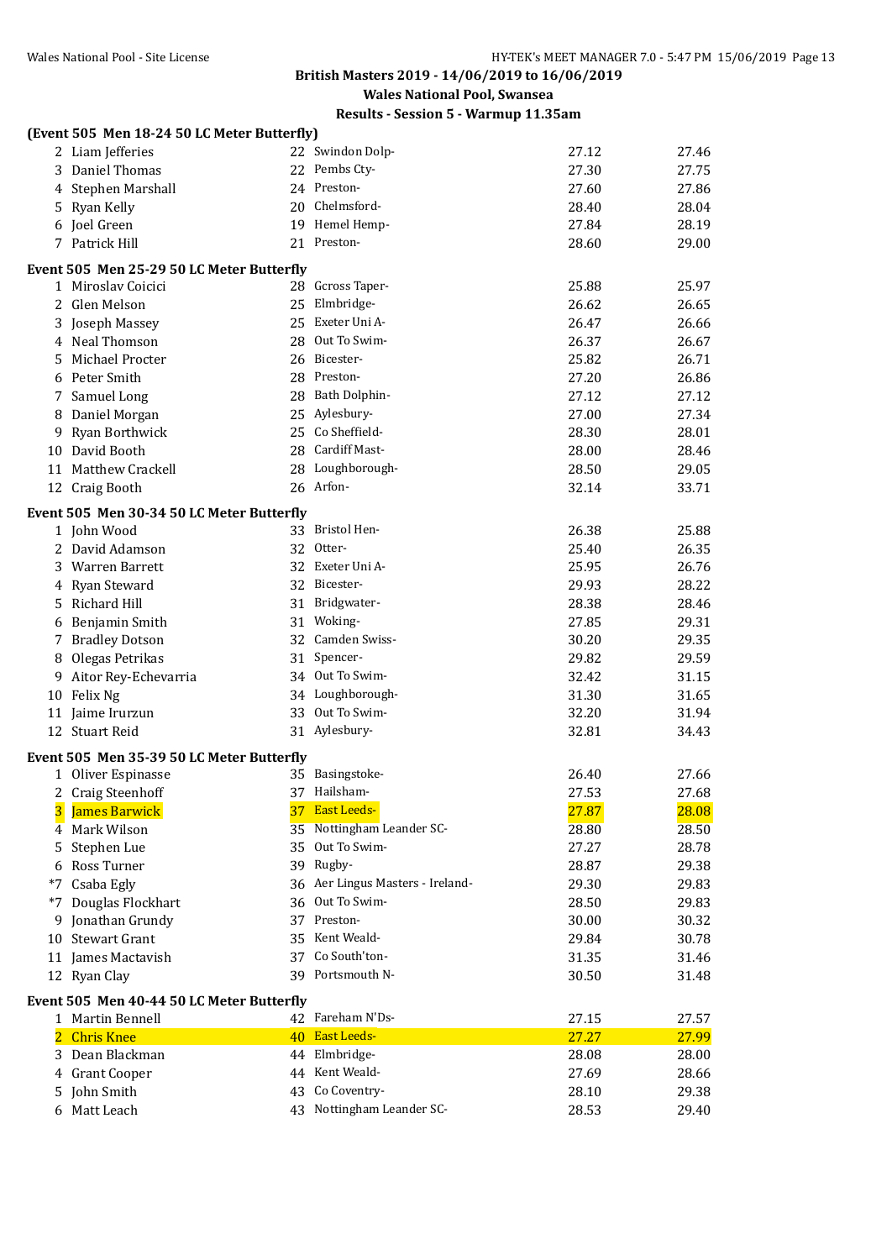**Wales National Pool, Swansea**

|                | (Event 505 Men 18-24 50 LC Meter Butterfly)      |    |                                  |       |       |
|----------------|--------------------------------------------------|----|----------------------------------|-------|-------|
|                | 2 Liam Jefferies                                 |    | 22 Swindon Dolp-                 | 27.12 | 27.46 |
|                | 3 Daniel Thomas                                  |    | 22 Pembs Cty-                    | 27.30 | 27.75 |
|                | 4 Stephen Marshall                               |    | 24 Preston-                      | 27.60 | 27.86 |
|                | 5 Ryan Kelly                                     |    | 20 Chelmsford-                   | 28.40 | 28.04 |
|                | 6 Joel Green                                     |    | 19 Hemel Hemp-                   | 27.84 | 28.19 |
|                | 7 Patrick Hill                                   |    | 21 Preston-                      | 28.60 | 29.00 |
|                | <b>Event 505 Men 25-29 50 LC Meter Butterfly</b> |    |                                  |       |       |
|                | 1 Miroslav Coicici                               |    | 28 Gcross Taper-                 | 25.88 | 25.97 |
|                | 2 Glen Melson                                    |    | 25 Elmbridge-                    | 26.62 | 26.65 |
|                | 3 Joseph Massey                                  |    | 25 Exeter Uni A-                 | 26.47 | 26.66 |
|                | 4 Neal Thomson                                   |    | 28 Out To Swim-                  | 26.37 | 26.67 |
|                | 5 Michael Procter                                |    | 26 Bicester-                     | 25.82 | 26.71 |
|                | 6 Peter Smith                                    |    | 28 Preston-                      | 27.20 | 26.86 |
|                | 7 Samuel Long                                    |    | 28 Bath Dolphin-                 | 27.12 | 27.12 |
|                | 8 Daniel Morgan                                  |    | 25 Aylesbury-                    | 27.00 | 27.34 |
|                | 9 Ryan Borthwick                                 |    | 25 Co Sheffield-                 | 28.30 | 28.01 |
|                | 10 David Booth                                   |    | 28 Cardiff Mast-                 | 28.00 | 28.46 |
|                | 11 Matthew Crackell                              |    | 28 Loughborough-                 | 28.50 | 29.05 |
|                | 12 Craig Booth                                   |    | 26 Arfon-                        | 32.14 | 33.71 |
|                |                                                  |    |                                  |       |       |
|                | Event 505 Men 30-34 50 LC Meter Butterfly        |    |                                  |       |       |
|                | 1 John Wood                                      |    | 33 Bristol Hen-                  | 26.38 | 25.88 |
|                | 2 David Adamson                                  |    | 32 Otter-                        | 25.40 | 26.35 |
|                | 3 Warren Barrett                                 |    | 32 Exeter Uni A-                 | 25.95 | 26.76 |
|                | 4 Ryan Steward                                   |    | 32 Bicester-                     | 29.93 | 28.22 |
|                | 5 Richard Hill                                   |    | 31 Bridgwater-                   | 28.38 | 28.46 |
|                | 6 Benjamin Smith                                 |    | 31 Woking-                       | 27.85 | 29.31 |
|                | 7 Bradley Dotson                                 |    | 32 Camden Swiss-                 | 30.20 | 29.35 |
| 8              | Olegas Petrikas                                  |    | 31 Spencer-                      | 29.82 | 29.59 |
|                | 9 Aitor Rey-Echevarria                           |    | 34 Out To Swim-                  | 32.42 | 31.15 |
|                | 10 Felix Ng                                      |    | 34 Loughborough-                 | 31.30 | 31.65 |
|                | 11 Jaime Irurzun                                 |    | 33 Out To Swim-                  | 32.20 | 31.94 |
|                | 12 Stuart Reid                                   |    | 31 Aylesbury-                    | 32.81 | 34.43 |
|                | Event 505 Men 35-39 50 LC Meter Butterfly        |    |                                  |       |       |
|                | 1 Oliver Espinasse                               |    | 35 Basingstoke-                  | 26.40 | 27.66 |
|                | 2 Craig Steenhoff                                |    | 37 Hailsham-                     | 27.53 | 27.68 |
| 3              | James Barwick                                    |    | 37 East Leeds-                   | 27.87 | 28.08 |
| 4              | Mark Wilson                                      | 35 | Nottingham Leander SC-           | 28.80 | 28.50 |
| 5              | Stephen Lue                                      | 35 | Out To Swim-                     | 27.27 | 28.78 |
|                | 6 Ross Turner                                    |    | 39 Rugby-                        | 28.87 | 29.38 |
| *7             | Csaba Egly                                       |    | 36 Aer Lingus Masters - Ireland- | 29.30 | 29.83 |
| *7             | Douglas Flockhart                                |    | 36 Out To Swim-                  | 28.50 | 29.83 |
|                | 9 Jonathan Grundy                                | 37 | Preston-                         | 30.00 | 30.32 |
|                | 10 Stewart Grant                                 | 35 | Kent Weald-                      | 29.84 | 30.78 |
|                | 11 James Mactavish                               |    | 37 Co South'ton-                 | 31.35 | 31.46 |
|                | 12 Ryan Clay                                     |    | 39 Portsmouth N-                 | 30.50 | 31.48 |
|                | Event 505 Men 40-44 50 LC Meter Butterfly        |    |                                  |       |       |
|                | 1 Martin Bennell                                 |    | 42 Fareham N'Ds-                 | 27.15 | 27.57 |
| $\overline{2}$ | <b>Chris Knee</b>                                |    | 40 East Leeds-                   | 27.27 | 27.99 |
|                | 3 Dean Blackman                                  |    | 44 Elmbridge-                    | 28.08 | 28.00 |
|                | 4 Grant Cooper                                   |    | 44 Kent Weald-                   | 27.69 | 28.66 |
|                | 5 John Smith                                     | 43 | Co Coventry-                     | 28.10 | 29.38 |
|                | 6 Matt Leach                                     |    | 43 Nottingham Leander SC-        | 28.53 | 29.40 |
|                |                                                  |    |                                  |       |       |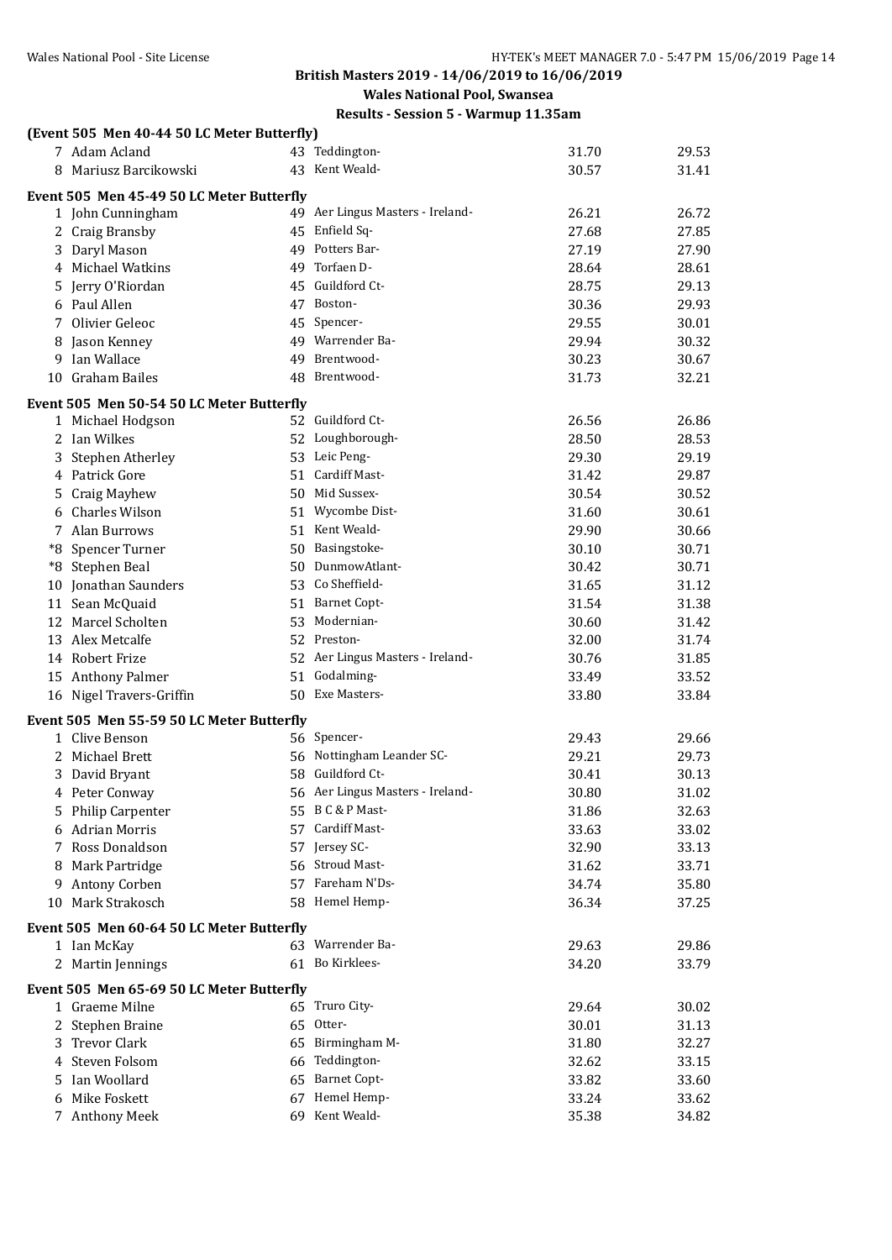| Results - Session 5 - Warmup 11.35am |
|--------------------------------------|
|                                      |

|         | (Event 505 Men 40-44 50 LC Meter Butterfly)                 |                                   |                |       |
|---------|-------------------------------------------------------------|-----------------------------------|----------------|-------|
|         | 7 Adam Acland                                               | 43 Teddington-                    | 31.70          | 29.53 |
|         | 8 Mariusz Barcikowski                                       | 43 Kent Weald-                    | 30.57          | 31.41 |
|         | Event 505 Men 45-49 50 LC Meter Butterfly                   |                                   |                |       |
|         | 1 John Cunningham                                           | 49 Aer Lingus Masters - Ireland-  | 26.21          | 26.72 |
|         | 2 Craig Bransby                                             | 45 Enfield Sq-                    | 27.68          | 27.85 |
|         | 3 Daryl Mason                                               | 49 Potters Bar-                   | 27.19          | 27.90 |
|         | 4 Michael Watkins                                           | 49 Torfaen D-                     | 28.64          | 28.61 |
|         | 5 Jerry O'Riordan                                           | 45 Guildford Ct-                  | 28.75          | 29.13 |
|         | 6 Paul Allen                                                | 47 Boston-                        | 30.36          | 29.93 |
|         | 7 Olivier Geleoc                                            | 45 Spencer-                       | 29.55          | 30.01 |
| 8       | Jason Kenney                                                | 49 Warrender Ba-                  | 29.94          | 30.32 |
| 9       | Ian Wallace                                                 | 49 Brentwood-                     | 30.23          | 30.67 |
| 10      | <b>Graham Bailes</b>                                        | 48 Brentwood-                     | 31.73          | 32.21 |
|         |                                                             |                                   |                |       |
|         | Event 505 Men 50-54 50 LC Meter Butterfly                   | 52 Guildford Ct-                  |                |       |
|         | 1 Michael Hodgson                                           |                                   | 26.56          | 26.86 |
|         | 2 Ian Wilkes                                                | 52 Loughborough-                  | 28.50          | 28.53 |
| 3       | Stephen Atherley                                            | 53 Leic Peng-<br>51 Cardiff Mast- | 29.30<br>31.42 | 29.19 |
|         | 4 Patrick Gore                                              | 50 Mid Sussex-                    |                | 29.87 |
|         | 5 Craig Mayhew                                              |                                   | 30.54          | 30.52 |
| 6       | <b>Charles Wilson</b>                                       | 51 Wycombe Dist-                  | 31.60          | 30.61 |
|         | 7 Alan Burrows                                              | 51 Kent Weald-                    | 29.90          | 30.66 |
|         | *8 Spencer Turner                                           | 50 Basingstoke-                   | 30.10          | 30.71 |
|         | *8 Stephen Beal                                             | 50 DunmowAtlant-                  | 30.42          | 30.71 |
|         | 10 Jonathan Saunders                                        | 53 Co Sheffield-                  | 31.65          | 31.12 |
|         | 11 Sean McQuaid                                             | 51 Barnet Copt-                   | 31.54          | 31.38 |
|         | 12 Marcel Scholten                                          | 53 Modernian-                     | 30.60          | 31.42 |
|         | 13 Alex Metcalfe                                            | 52 Preston-                       | 32.00          | 31.74 |
|         | 14 Robert Frize                                             | 52 Aer Lingus Masters - Ireland-  | 30.76          | 31.85 |
|         | 15 Anthony Palmer                                           | 51 Godalming-                     | 33.49          | 33.52 |
|         | 16 Nigel Travers-Griffin                                    | 50 Exe Masters-                   | 33.80          | 33.84 |
|         | Event 505 Men 55-59 50 LC Meter Butterfly                   |                                   |                |       |
|         | 1 Clive Benson                                              | 56 Spencer-                       | 29.43          | 29.66 |
|         | 2 Michael Brett                                             | 56 Nottingham Leander SC-         | 29.21          | 29.73 |
|         | 3 David Bryant                                              | 58 Guildford Ct-                  | 30.41          | 30.13 |
|         | 4 Peter Conway                                              | 56 Aer Lingus Masters - Ireland-  | 30.80          | 31.02 |
|         | 5 Philip Carpenter                                          | 55 B C & P Mast-                  | 31.86          | 32.63 |
|         | 6 Adrian Morris                                             | 57 Cardiff Mast-                  | 33.63          | 33.02 |
|         | 7 Ross Donaldson                                            | 57 Jersey SC-                     | 32.90          | 33.13 |
| 8       | Mark Partridge                                              | 56 Stroud Mast-                   | 31.62          | 33.71 |
| 9       | Antony Corben                                               | 57 Fareham N'Ds-                  | 34.74          | 35.80 |
| 10      | Mark Strakosch                                              | 58 Hemel Hemp-                    | 36.34          | 37.25 |
|         | Event 505 Men 60-64 50 LC Meter Butterfly                   |                                   |                |       |
|         | 1 Ian McKay                                                 | 63 Warrender Ba-                  | 29.63          | 29.86 |
|         | 2 Martin Jennings                                           | 61 Bo Kirklees-                   | 34.20          | 33.79 |
|         |                                                             |                                   |                |       |
|         | Event 505 Men 65-69 50 LC Meter Butterfly<br>1 Graeme Milne | 65 Truro City-                    | 29.64          | 30.02 |
|         | 2 Stephen Braine                                            | 65 Otter-                         | 30.01          | 31.13 |
|         | 3 Trevor Clark                                              | 65 Birmingham M-                  | 31.80          | 32.27 |
| 4       | Steven Folsom                                               | 66 Teddington-                    | 32.62          | 33.15 |
|         | Ian Woollard                                                | 65 Barnet Copt-                   | 33.82          | 33.60 |
| 5.<br>6 | Mike Foskett                                                | 67 Hemel Hemp-                    | 33.24          | 33.62 |
|         | 7 Anthony Meek                                              | 69 Kent Weald-                    | 35.38          | 34.82 |
|         |                                                             |                                   |                |       |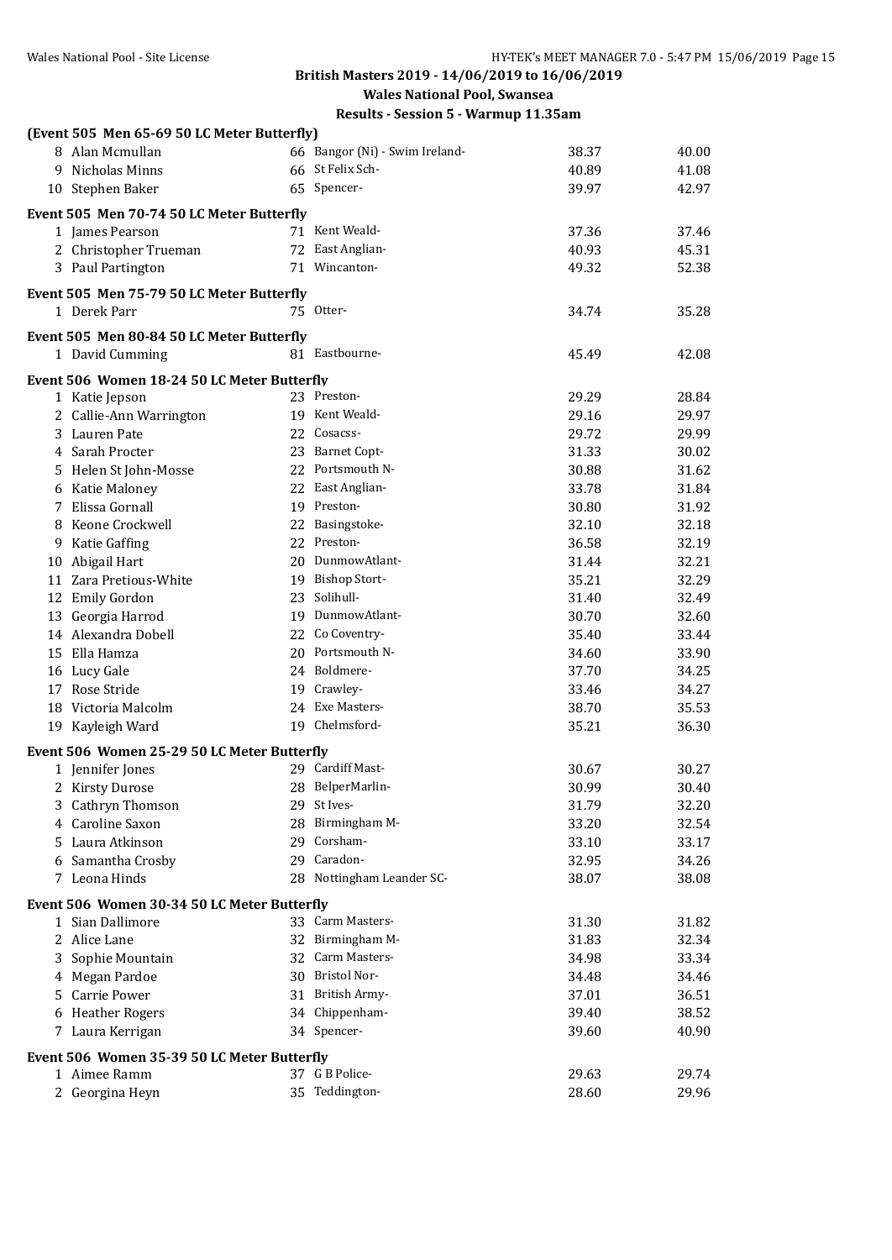**Wales National Pool, Swansea**

| (Event 505 Men 65-69 50 LC Meter Butterfly) |                                 |       |       |
|---------------------------------------------|---------------------------------|-------|-------|
| 8 Alan Mcmullan                             | 66 Bangor (Ni) - Swim Ireland-  | 38.37 | 40.00 |
| 9 Nicholas Minns                            | 66 St Felix Sch-                | 40.89 | 41.08 |
| 10 Stephen Baker                            | 65 Spencer-                     | 39.97 | 42.97 |
| Event 505 Men 70-74 50 LC Meter Butterfly   |                                 |       |       |
| 1 James Pearson                             | 71 Kent Weald-                  | 37.36 | 37.46 |
| 2 Christopher Trueman                       | 72 East Anglian-                | 40.93 | 45.31 |
| 3 Paul Partington                           | 71 Wincanton-                   | 49.32 | 52.38 |
|                                             |                                 |       |       |
| Event 505 Men 75-79 50 LC Meter Butterfly   |                                 |       |       |
| 1 Derek Parr                                | 75 Otter-                       | 34.74 | 35.28 |
| Event 505 Men 80-84 50 LC Meter Butterfly   |                                 |       |       |
| 1 David Cumming                             | 81 Eastbourne-                  | 45.49 | 42.08 |
| Event 506 Women 18-24 50 LC Meter Butterfly |                                 |       |       |
| 1 Katie Jepson                              | 23 Preston-                     | 29.29 | 28.84 |
| 2 Callie-Ann Warrington                     | 19 Kent Weald-                  | 29.16 | 29.97 |
| 3 Lauren Pate                               | 22 Cosacss-                     | 29.72 | 29.99 |
| 4 Sarah Procter                             | 23 Barnet Copt-                 | 31.33 | 30.02 |
| 5 Helen St John-Mosse                       | 22 Portsmouth N-                | 30.88 | 31.62 |
| 6 Katie Maloney                             | 22 East Anglian-                | 33.78 | 31.84 |
| 7 Elissa Gornall                            | 19 Preston-                     | 30.80 | 31.92 |
| 8 Keone Crockwell                           | 22 Basingstoke-                 | 32.10 | 32.18 |
| 9 Katie Gaffing                             | 22 Preston-                     | 36.58 | 32.19 |
| 10 Abigail Hart                             | 20 DunmowAtlant-                | 31.44 | 32.21 |
| 11 Zara Pretious-White                      | 19 Bishop Stort-                | 35.21 | 32.29 |
| 12 Emily Gordon                             | 23 Solihull-                    | 31.40 | 32.49 |
| 13 Georgia Harrod                           | 19 DunmowAtlant-                | 30.70 | 32.60 |
| 14 Alexandra Dobell                         | 22 Co Coventry-                 | 35.40 | 33.44 |
| 15 Ella Hamza                               | 20 Portsmouth N-                | 34.60 | 33.90 |
| 16 Lucy Gale                                | 24 Boldmere-                    | 37.70 | 34.25 |
| 17 Rose Stride                              | 19 Crawley-                     | 33.46 | 34.27 |
| 18 Victoria Malcolm                         | 24 Exe Masters-                 | 38.70 | 35.53 |
| 19 Kayleigh Ward                            | 19 Chelmsford-                  | 35.21 | 36.30 |
|                                             |                                 |       |       |
| Event 506 Women 25-29 50 LC Meter Butterfly |                                 |       |       |
| 1 Jennifer Jones                            | 29 Cardiff Mast-                | 30.67 | 30.27 |
| 2 Kirsty Durose                             | 28 BelperMarlin-                | 30.99 | 30.40 |
| 3 Cathryn Thomson                           | 29 St Ives-                     | 31.79 | 32.20 |
| 4 Caroline Saxon                            | 28 Birmingham M-<br>29 Corsham- | 33.20 | 32.54 |
| 5 Laura Atkinson                            |                                 | 33.10 | 33.17 |
| 6 Samantha Crosby                           | 29 Caradon-                     | 32.95 | 34.26 |
| 7 Leona Hinds                               | 28 Nottingham Leander SC-       | 38.07 | 38.08 |
| Event 506 Women 30-34 50 LC Meter Butterfly |                                 |       |       |
| 1 Sian Dallimore                            | 33 Carm Masters-                | 31.30 | 31.82 |
| 2 Alice Lane                                | 32 Birmingham M-                | 31.83 | 32.34 |
| 3 Sophie Mountain                           | 32 Carm Masters-                | 34.98 | 33.34 |
| 4 Megan Pardoe                              | 30 Bristol Nor-                 | 34.48 | 34.46 |
| 5 Carrie Power                              | 31 British Army-                | 37.01 | 36.51 |
| 6 Heather Rogers                            | 34 Chippenham-                  | 39.40 | 38.52 |
| 7 Laura Kerrigan                            | 34 Spencer-                     | 39.60 | 40.90 |
| Event 506 Women 35-39 50 LC Meter Butterfly |                                 |       |       |
| 1 Aimee Ramm                                | 37 G B Police-                  | 29.63 | 29.74 |
| 2 Georgina Heyn                             | 35 Teddington-                  | 28.60 | 29.96 |
|                                             |                                 |       |       |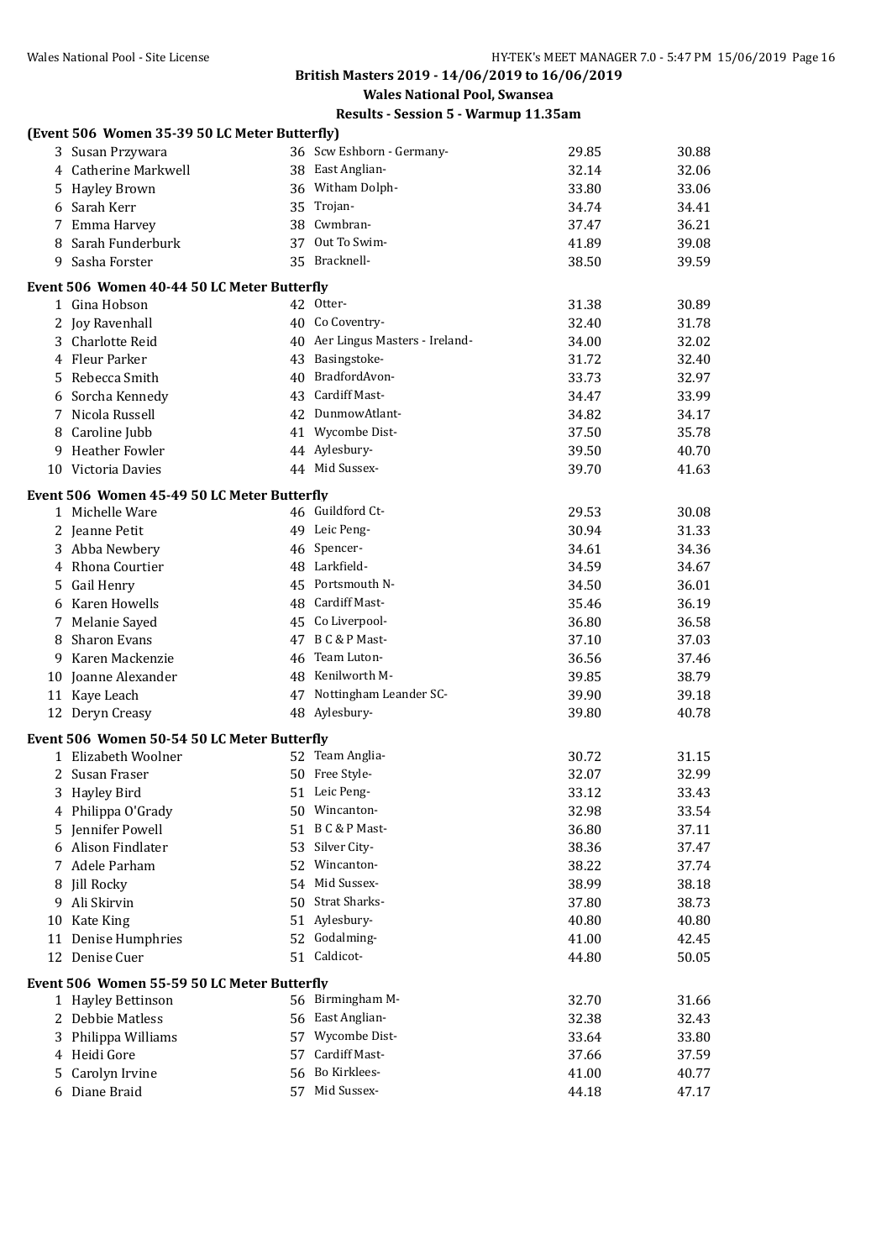**Wales National Pool, Swansea**

|    | (Event 506 Women 35-39 50 LC Meter Butterfly) |                                  |       |       |
|----|-----------------------------------------------|----------------------------------|-------|-------|
|    | 3 Susan Przywara                              | 36 Scw Eshborn - Germany-        | 29.85 | 30.88 |
|    | 4 Catherine Markwell                          | 38 East Anglian-                 | 32.14 | 32.06 |
|    | 5 Hayley Brown                                | 36 Witham Dolph-                 | 33.80 | 33.06 |
|    | 6 Sarah Kerr                                  | 35 Trojan-                       | 34.74 | 34.41 |
|    | 7 Emma Harvey                                 | 38 Cwmbran-                      | 37.47 | 36.21 |
| 8  | Sarah Funderburk                              | 37 Out To Swim-                  | 41.89 | 39.08 |
| 9  | Sasha Forster                                 | 35 Bracknell-                    | 38.50 | 39.59 |
|    | Event 506 Women 40-44 50 LC Meter Butterfly   |                                  |       |       |
|    | 1 Gina Hobson                                 | 42 Otter-                        | 31.38 | 30.89 |
|    | 2 Joy Ravenhall                               | 40 Co Coventry-                  | 32.40 | 31.78 |
|    | 3 Charlotte Reid                              | 40 Aer Lingus Masters - Ireland- | 34.00 | 32.02 |
|    | 4 Fleur Parker                                | 43 Basingstoke-                  | 31.72 | 32.40 |
| 5  | Rebecca Smith                                 | 40 BradfordAvon-                 | 33.73 | 32.97 |
| 6  | Sorcha Kennedy                                | 43 Cardiff Mast-                 | 34.47 | 33.99 |
| 7  | Nicola Russell                                | 42 DunmowAtlant-                 | 34.82 | 34.17 |
| 8  | Caroline Jubb                                 | 41 Wycombe Dist-                 | 37.50 | 35.78 |
| 9  | <b>Heather Fowler</b>                         | 44 Aylesbury-                    | 39.50 | 40.70 |
|    | 10 Victoria Davies                            | 44 Mid Sussex-                   | 39.70 | 41.63 |
|    | Event 506 Women 45-49 50 LC Meter Butterfly   |                                  |       |       |
|    | 1 Michelle Ware                               | 46 Guildford Ct-                 | 29.53 | 30.08 |
|    | 2 Jeanne Petit                                | 49 Leic Peng-                    | 30.94 | 31.33 |
|    | 3 Abba Newbery                                | 46 Spencer-                      | 34.61 | 34.36 |
|    | 4 Rhona Courtier                              | 48 Larkfield-                    | 34.59 | 34.67 |
|    | 5 Gail Henry                                  | 45 Portsmouth N-                 | 34.50 | 36.01 |
| 6  | Karen Howells                                 | 48 Cardiff Mast-                 | 35.46 | 36.19 |
|    | 7 Melanie Sayed                               | 45 Co Liverpool-                 | 36.80 | 36.58 |
| 8  | <b>Sharon Evans</b>                           | 47 B C & P Mast-                 | 37.10 | 37.03 |
| 9  | Karen Mackenzie                               | 46 Team Luton-                   | 36.56 | 37.46 |
|    | 10 Joanne Alexander                           | 48 Kenilworth M-                 | 39.85 | 38.79 |
|    | 11 Kaye Leach                                 | 47 Nottingham Leander SC-        | 39.90 | 39.18 |
|    | 12 Deryn Creasy                               | 48 Aylesbury-                    | 39.80 | 40.78 |
|    | Event 506 Women 50-54 50 LC Meter Butterfly   |                                  |       |       |
|    | 1 Elizabeth Woolner                           | 52 Team Anglia-                  | 30.72 | 31.15 |
|    | 2 Susan Fraser                                | 50 Free Style-                   | 32.07 | 32.99 |
|    | 3 Hayley Bird                                 | 51 Leic Peng-                    | 33.12 | 33.43 |
|    | 4 Philippa O'Grady                            | 50 Wincanton-                    | 32.98 | 33.54 |
|    | 5 Jennifer Powell                             | 51 B C & P Mast-                 | 36.80 | 37.11 |
| 6  | Alison Findlater                              | 53 Silver City-                  | 38.36 | 37.47 |
| 7  | Adele Parham                                  | 52 Wincanton-                    | 38.22 | 37.74 |
| 8  | <b>Jill Rocky</b>                             | 54 Mid Sussex-                   | 38.99 | 38.18 |
| 9  | Ali Skirvin                                   | 50 Strat Sharks-                 | 37.80 | 38.73 |
| 10 | Kate King                                     | 51 Aylesbury-                    | 40.80 | 40.80 |
|    | 11 Denise Humphries                           | 52 Godalming-                    | 41.00 | 42.45 |
|    | 12 Denise Cuer                                | 51 Caldicot-                     | 44.80 | 50.05 |
|    | Event 506 Women 55-59 50 LC Meter Butterfly   |                                  |       |       |
|    | 1 Hayley Bettinson                            | 56 Birmingham M-                 | 32.70 | 31.66 |
|    | 2 Debbie Matless                              | 56 East Anglian-                 | 32.38 | 32.43 |
| 3  | Philippa Williams                             | 57 Wycombe Dist-                 | 33.64 | 33.80 |
| 4  | Heidi Gore                                    | 57 Cardiff Mast-                 | 37.66 | 37.59 |
| 5  | Carolyn Irvine                                | 56 Bo Kirklees-                  | 41.00 | 40.77 |
|    | 6 Diane Braid                                 | 57 Mid Sussex-                   | 44.18 | 47.17 |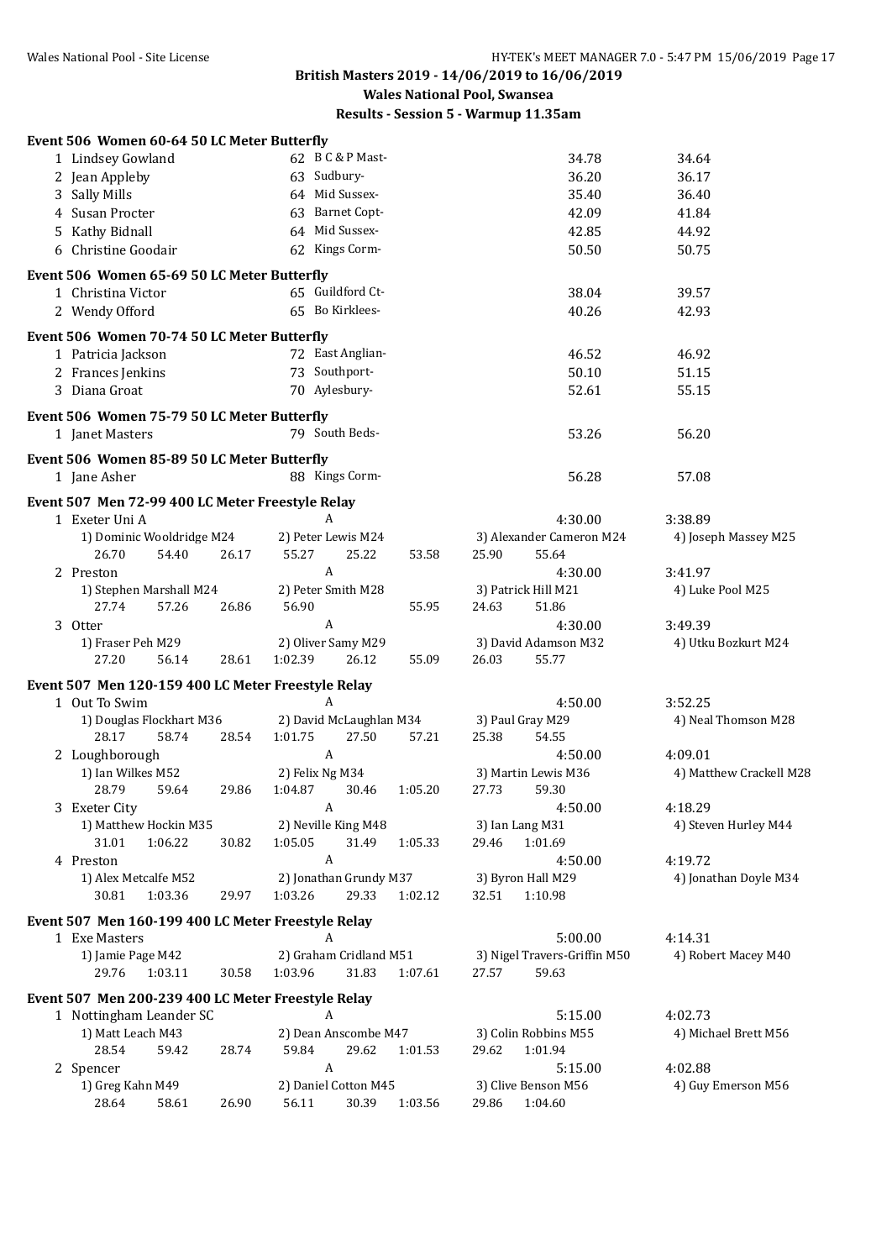**Wales National Pool, Swansea**

| Event 506 Women 60-64 50 LC Meter Butterfly                 |       |                                        |         |                                        |                         |
|-------------------------------------------------------------|-------|----------------------------------------|---------|----------------------------------------|-------------------------|
| 1 Lindsey Gowland                                           |       | 62 B C & P Mast-                       |         | 34.78                                  | 34.64                   |
| 2 Jean Appleby                                              |       | 63 Sudbury-                            |         | 36.20                                  | 36.17                   |
| 3 Sally Mills                                               |       | 64 Mid Sussex-                         |         | 35.40                                  | 36.40                   |
| 4 Susan Procter                                             |       | 63 Barnet Copt-                        |         | 42.09                                  | 41.84                   |
| 5 Kathy Bidnall                                             |       | 64 Mid Sussex-                         |         | 42.85                                  | 44.92                   |
| 6 Christine Goodair                                         |       | 62 Kings Corm-                         |         | 50.50                                  | 50.75                   |
| Event 506 Women 65-69 50 LC Meter Butterfly                 |       |                                        |         |                                        |                         |
| 1 Christina Victor                                          |       | 65 Guildford Ct-                       |         | 38.04                                  | 39.57                   |
| 2 Wendy Offord                                              |       | 65 Bo Kirklees-                        |         | 40.26                                  | 42.93                   |
| Event 506 Women 70-74 50 LC Meter Butterfly                 |       |                                        |         |                                        |                         |
| 1 Patricia Jackson                                          |       | 72 East Anglian-                       |         | 46.52                                  | 46.92                   |
| 2 Frances Jenkins                                           |       | 73 Southport-                          |         | 50.10                                  | 51.15                   |
| 3 Diana Groat                                               |       | 70 Aylesbury-                          |         | 52.61                                  | 55.15                   |
| Event 506 Women 75-79 50 LC Meter Butterfly                 |       |                                        |         |                                        |                         |
| 1 Janet Masters                                             |       | 79 South Beds-                         |         | 53.26                                  | 56.20                   |
| Event 506 Women 85-89 50 LC Meter Butterfly<br>1 Jane Asher |       | 88 Kings Corm-                         |         | 56.28                                  | 57.08                   |
| Event 507 Men 72-99 400 LC Meter Freestyle Relay            |       |                                        |         |                                        |                         |
| 1 Exeter Uni A                                              |       | A                                      |         | 4:30.00                                | 3:38.89                 |
| 1) Dominic Wooldridge M24                                   |       | 2) Peter Lewis M24                     |         | 3) Alexander Cameron M24               | 4) Joseph Massey M25    |
| 26.70<br>54.40                                              | 26.17 | 55.27<br>25.22                         | 53.58   | 25.90<br>55.64                         |                         |
| 2 Preston                                                   |       | A                                      |         | 4:30.00                                | 3:41.97                 |
| 1) Stephen Marshall M24                                     |       | 2) Peter Smith M28                     |         | 3) Patrick Hill M21                    | 4) Luke Pool M25        |
| 27.74<br>57.26                                              | 26.86 | 56.90                                  | 55.95   | 24.63<br>51.86                         |                         |
| 3 Otter                                                     |       | A                                      |         | 4:30.00                                | 3:49.39                 |
| 1) Fraser Peh M29<br>27.20<br>56.14                         | 28.61 | 2) Oliver Samy M29<br>1:02.39<br>26.12 | 55.09   | 3) David Adamson M32<br>26.03<br>55.77 | 4) Utku Bozkurt M24     |
| Event 507 Men 120-159 400 LC Meter Freestyle Relay          |       |                                        |         |                                        |                         |
| 1 Out To Swim                                               |       | A                                      |         | 4:50.00                                | 3:52.25                 |
| 1) Douglas Flockhart M36                                    |       | 2) David McLaughlan M34                |         | 3) Paul Gray M29                       | 4) Neal Thomson M28     |
| 28.17<br>58.74                                              | 28.54 | 1:01.75<br>27.50                       | 57.21   | 25.38<br>54.55                         |                         |
| 2 Loughborough                                              |       | $\boldsymbol{A}$                       |         | 4:50.00                                | 4:09.01                 |
| 1) Ian Wilkes M52<br>28.79<br>59.64                         | 29.86 | 2) Felix Ng M34<br>1:04.87<br>30.46    | 1:05.20 | 3) Martin Lewis M36<br>27.73<br>59.30  | 4) Matthew Crackell M28 |
| 3 Exeter City                                               |       | A                                      |         | 4:50.00                                | 4:18.29                 |
| 1) Matthew Hockin M35                                       |       | 2) Neville King M48                    |         | 3) Ian Lang M31                        | 4) Steven Hurley M44    |
| 31.01<br>1:06.22                                            | 30.82 | 1:05.05<br>31.49                       | 1:05.33 | 29.46<br>1:01.69                       |                         |
| 4 Preston                                                   |       | A                                      |         | 4:50.00                                | 4:19.72                 |
| 1) Alex Metcalfe M52                                        |       | 2) Jonathan Grundy M37                 |         | 3) Byron Hall M29                      | 4) Jonathan Doyle M34   |
| 30.81<br>1:03.36                                            | 29.97 | 1:03.26<br>29.33                       | 1:02.12 | 32.51<br>1:10.98                       |                         |
| Event 507 Men 160-199 400 LC Meter Freestyle Relay          |       |                                        |         |                                        |                         |
| 1 Exe Masters                                               |       | A                                      |         | 5:00.00                                | 4:14.31                 |
| 1) Jamie Page M42                                           |       | 2) Graham Cridland M51                 |         | 3) Nigel Travers-Griffin M50           | 4) Robert Macey M40     |
| 29.76<br>1:03.11                                            | 30.58 | 1:03.96<br>31.83                       | 1:07.61 | 27.57<br>59.63                         |                         |
| Event 507 Men 200-239 400 LC Meter Freestyle Relay          |       |                                        |         |                                        |                         |
| 1 Nottingham Leander SC                                     |       | A                                      |         | 5:15.00                                | 4:02.73                 |
| 1) Matt Leach M43                                           |       | 2) Dean Anscombe M47                   |         | 3) Colin Robbins M55                   | 4) Michael Brett M56    |
| 28.54<br>59.42                                              | 28.74 | 59.84<br>29.62                         | 1:01.53 | 29.62<br>1:01.94                       |                         |
| 2 Spencer                                                   |       | A                                      |         | 5:15.00                                | 4:02.88                 |
| 1) Greg Kahn M49                                            |       | 2) Daniel Cotton M45                   |         | 3) Clive Benson M56                    | 4) Guy Emerson M56      |
| 58.61<br>28.64                                              | 26.90 | 56.11<br>30.39                         | 1:03.56 | 29.86<br>1:04.60                       |                         |
|                                                             |       |                                        |         |                                        |                         |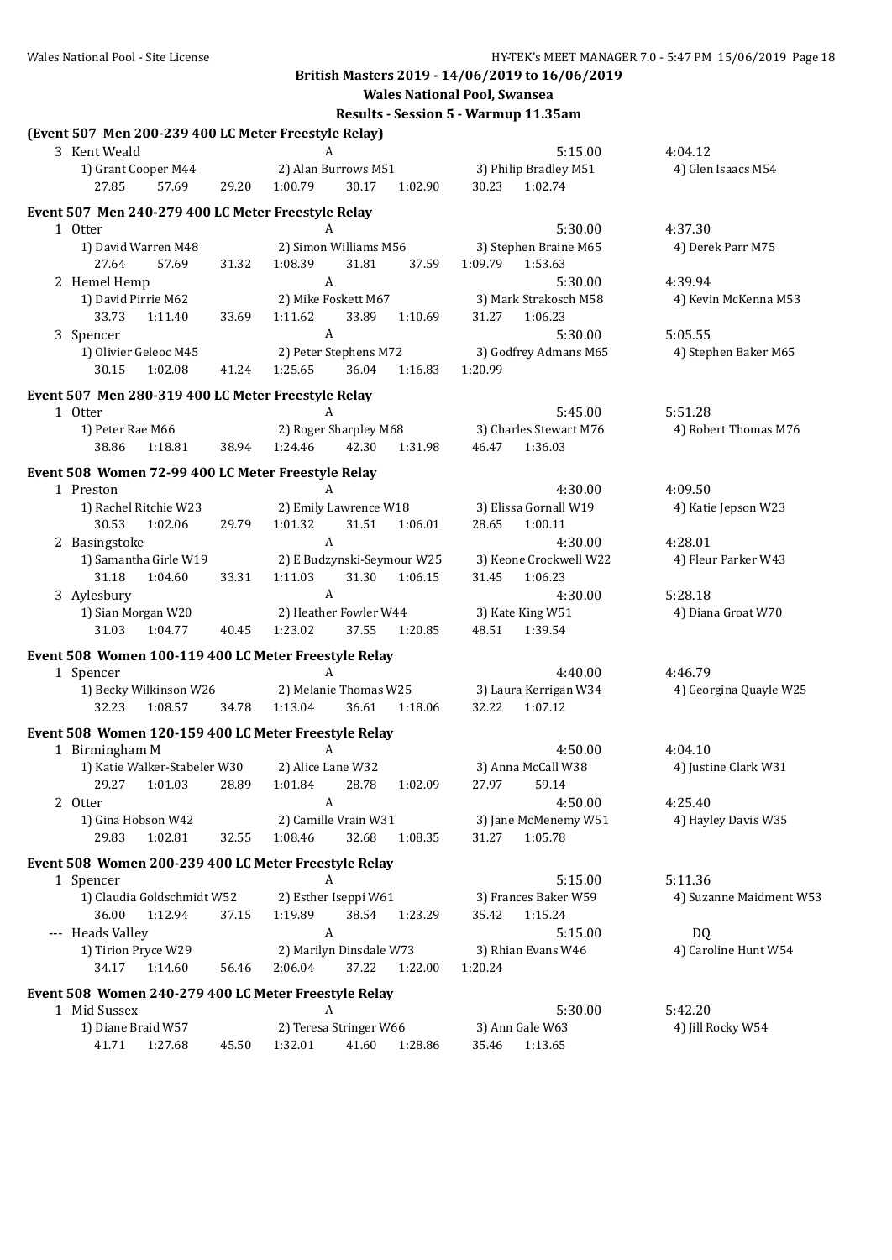**Wales National Pool, Swansea**

| (Event 507 Men 200-239 400 LC Meter Freestyle Relay)                 |       |                                           |         |                                      |                         |
|----------------------------------------------------------------------|-------|-------------------------------------------|---------|--------------------------------------|-------------------------|
| 3 Kent Weald                                                         |       | A                                         |         | 5:15.00                              | 4:04.12                 |
| 1) Grant Cooper M44                                                  |       | 2) Alan Burrows M51                       |         | 3) Philip Bradley M51                | 4) Glen Isaacs M54      |
| 27.85<br>57.69                                                       | 29.20 | 1:00.79<br>30.17                          | 1:02.90 | 30.23<br>1:02.74                     |                         |
| Event 507 Men 240-279 400 LC Meter Freestyle Relay                   |       |                                           |         |                                      |                         |
| 1 Otter                                                              |       | A                                         |         | 5:30.00                              | 4:37.30                 |
| 1) David Warren M48                                                  |       | 2) Simon Williams M56                     |         | 3) Stephen Braine M65                | 4) Derek Parr M75       |
| 27.64<br>57.69                                                       | 31.32 | 1:08.39<br>31.81                          | 37.59   | 1:09.79<br>1:53.63                   |                         |
| 2 Hemel Hemp                                                         |       | A                                         |         | 5:30.00                              | 4:39.94                 |
| 1) David Pirrie M62                                                  |       | 2) Mike Foskett M67                       |         | 3) Mark Strakosch M58                | 4) Kevin McKenna M53    |
| 33.73<br>1:11.40                                                     | 33.69 | 1:11.62<br>33.89                          | 1:10.69 | 31.27<br>1:06.23                     |                         |
| 3 Spencer                                                            |       | A                                         |         | 5:30.00                              | 5:05.55                 |
| 1) Olivier Geleoc M45                                                |       | 2) Peter Stephens M72                     |         | 3) Godfrey Admans M65                | 4) Stephen Baker M65    |
| 1:02.08<br>30.15                                                     | 41.24 | 36.04<br>1:25.65                          | 1:16.83 | 1:20.99                              |                         |
| Event 507 Men 280-319 400 LC Meter Freestyle Relay                   |       |                                           |         |                                      |                         |
| 1 Otter                                                              |       | A                                         |         | 5:45.00                              | 5:51.28                 |
| 1) Peter Rae M66                                                     |       | 2) Roger Sharpley M68                     |         | 3) Charles Stewart M76               | 4) Robert Thomas M76    |
| 38.86<br>1:18.81                                                     | 38.94 | 1:24.46<br>42.30                          | 1:31.98 | 1:36.03<br>46.47                     |                         |
|                                                                      |       |                                           |         |                                      |                         |
| Event 508 Women 72-99 400 LC Meter Freestyle Relay                   |       |                                           |         |                                      |                         |
| 1 Preston                                                            |       | A                                         |         | 4:30.00                              | 4:09.50                 |
| 1) Rachel Ritchie W23                                                |       | 2) Emily Lawrence W18                     |         | 3) Elissa Gornall W19                | 4) Katie Jepson W23     |
| 30.53<br>1:02.06                                                     | 29.79 | 1:01.32<br>31.51                          | 1:06.01 | 28.65<br>1:00.11                     |                         |
| 2 Basingstoke                                                        |       | A                                         |         | 4:30.00                              | 4:28.01                 |
| 1) Samantha Girle W19                                                |       | 2) E Budzynski-Seymour W25                |         | 3) Keone Crockwell W22               | 4) Fleur Parker W43     |
| 31.18<br>1:04.60                                                     | 33.31 | 1:11.03<br>31.30<br>A                     | 1:06.15 | 31.45<br>1:06.23                     |                         |
| 3 Aylesbury                                                          |       |                                           |         | 4:30.00                              | 5:28.18                 |
| 1) Sian Morgan W20<br>31.03<br>1:04.77                               | 40.45 | 2) Heather Fowler W44<br>1:23.02<br>37.55 | 1:20.85 | 3) Kate King W51<br>48.51<br>1:39.54 | 4) Diana Groat W70      |
|                                                                      |       |                                           |         |                                      |                         |
| Event 508 Women 100-119 400 LC Meter Freestyle Relay                 |       |                                           |         |                                      |                         |
| 1 Spencer                                                            |       | A                                         |         | 4:40.00                              | 4:46.79                 |
| 1) Becky Wilkinson W26                                               |       | 2) Melanie Thomas W25                     |         | 3) Laura Kerrigan W34                | 4) Georgina Quayle W25  |
| 32.23<br>1:08.57                                                     | 34.78 | 1:13.04<br>36.61                          | 1:18.06 | 32.22<br>1:07.12                     |                         |
| Event 508 Women 120-159 400 LC Meter Freestyle Relay                 |       |                                           |         |                                      |                         |
| 1 Birmingham M                                                       |       | A                                         |         | 4:50.00                              | 4:04.10                 |
| 1) Katie Walker-Stabeler W30                                         |       | 2) Alice Lane W32                         |         | 3) Anna McCall W38                   | 4) Justine Clark W31    |
| 1:01.03<br>29.27                                                     | 28.89 | 1:01.84<br>28.78                          | 1:02.09 | 27.97<br>59.14                       |                         |
| 2 Otter                                                              |       | A                                         |         | 4:50.00                              | 4:25.40                 |
| 1) Gina Hobson W42                                                   |       | 2) Camille Vrain W31                      |         | 3) Jane McMenemy W51                 | 4) Hayley Davis W35     |
| 29.83<br>1:02.81                                                     | 32.55 | 1:08.46<br>32.68                          | 1:08.35 | 31.27<br>1:05.78                     |                         |
| Event 508 Women 200-239 400 LC Meter Freestyle Relay                 |       |                                           |         |                                      |                         |
| 1 Spencer                                                            |       | A                                         |         | 5:15.00                              | 5:11.36                 |
| 1) Claudia Goldschmidt W52                                           |       | 2) Esther Iseppi W61                      |         | 3) Frances Baker W59                 | 4) Suzanne Maidment W53 |
| 36.00<br>1:12.94                                                     | 37.15 | 1:19.89<br>38.54                          | 1:23.29 | 1:15.24<br>35.42                     |                         |
| --- Heads Valley                                                     |       | $\boldsymbol{A}$                          |         | 5:15.00                              | <b>DQ</b>               |
| 1) Tirion Pryce W29                                                  |       | 2) Marilyn Dinsdale W73                   |         | 3) Rhian Evans W46                   | 4) Caroline Hunt W54    |
| 34.17<br>1:14.60                                                     | 56.46 | 2:06.04<br>37.22                          | 1:22.00 | 1:20.24                              |                         |
|                                                                      |       |                                           |         |                                      |                         |
| Event 508 Women 240-279 400 LC Meter Freestyle Relay<br>1 Mid Sussex |       | A                                         |         | 5:30.00                              | 5:42.20                 |
| 1) Diane Braid W57                                                   |       | 2) Teresa Stringer W66                    |         | 3) Ann Gale W63                      | 4) Jill Rocky W54       |
| 41.71<br>1:27.68                                                     | 45.50 | 1:32.01<br>41.60                          | 1:28.86 | 1:13.65<br>35.46                     |                         |
|                                                                      |       |                                           |         |                                      |                         |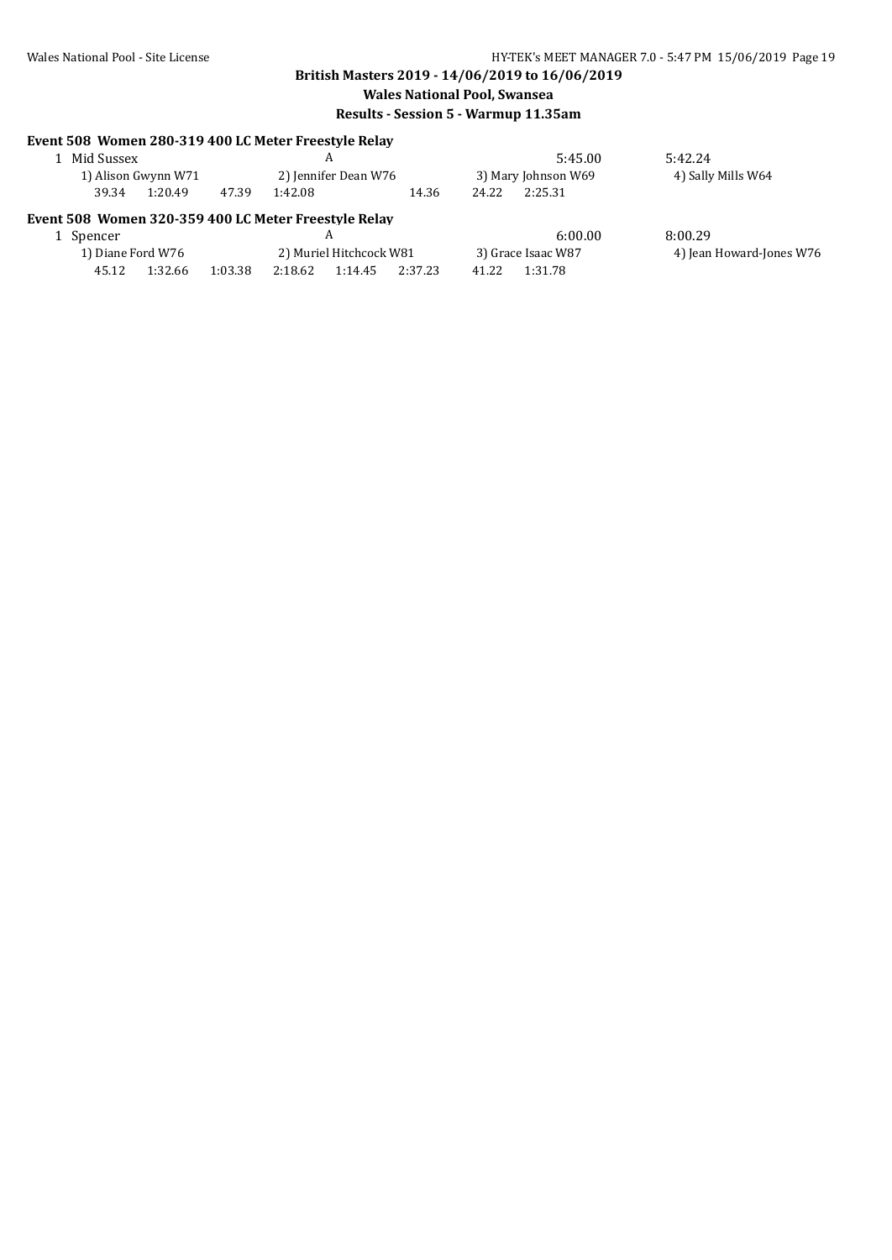| Event 508 Women 280-319 400 LC Meter Freestyle Relay | Mid Sussex |                     |         |         | A                       |         |       | 5:45.00             | 5:42.24                  |
|------------------------------------------------------|------------|---------------------|---------|---------|-------------------------|---------|-------|---------------------|--------------------------|
|                                                      |            | 1) Alison Gwynn W71 |         |         | 2) Jennifer Dean W76    |         |       | 3) Mary Johnson W69 | 4) Sally Mills W64       |
|                                                      | 39.34      | 1:20.49             | 47.39   | 1:42.08 |                         | 14.36   | 24.22 | 2:25.31             |                          |
| Event 508 Women 320-359 400 LC Meter Freestyle Relay |            |                     |         |         |                         |         |       |                     |                          |
| Spencer                                              |            |                     |         |         | A                       |         |       | 6:00.00             | 8:00.29                  |
|                                                      |            | 1) Diane Ford W76   |         |         | 2) Muriel Hitchcock W81 |         |       | 3) Grace Isaac W87  | 4) Jean Howard-Jones W76 |
|                                                      | 45.12      | 1:32.66             | 1:03.38 | 2:18.62 | 1:14.45                 | 2:37.23 | 41.22 | 1:31.78             |                          |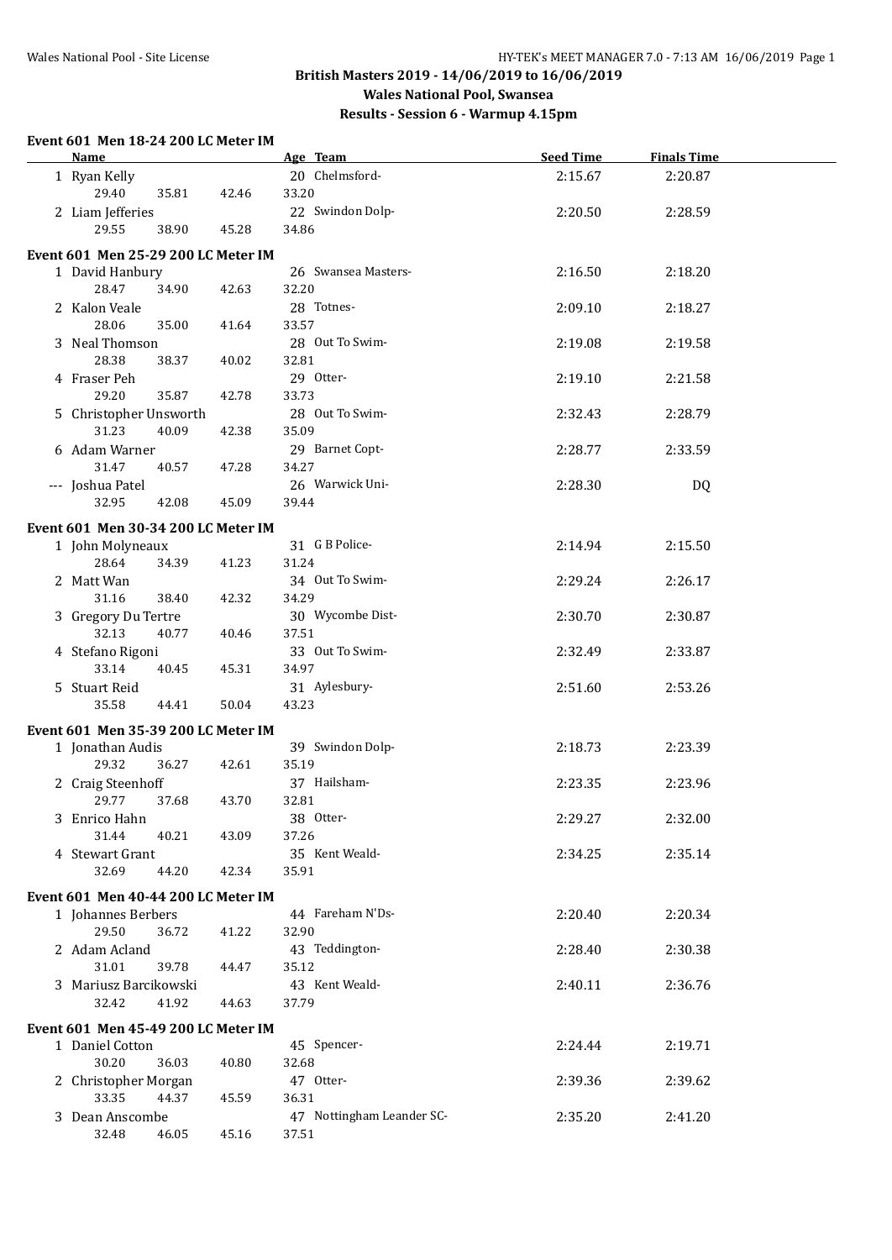#### **British Masters 2019 - 14/06/2019 to 16/06/2019 Wales National Pool, Swansea Results - Session 6 - Warmup 4.15pm**

#### **Event 601 Men 18-24 200 LC Meter IM Name Age Team Age Team Seed Time Finals Time** 1 Ryan Kelly 20 Chelmsford- 2:15.67 2:20.87 29.40 35.81 42.46 33.20 2 Liam Jefferies 22 Swindon Dolp- 2:20.50 2:28.59 29.55 38.90 45.28 34.86 **Event 601 Men 25-29 200 LC Meter IM** 1 David Hanbury 26 Swansea Masters- 2:16.50 2:18.20 28.47 34.90 42.63 32.20 2 Kalon Veale 2:09.10 2:18.27 28.06 35.00 41.64 33.57 3 Neal Thomson 2:19.58 2:19.58 2:19.58 2:19.58 2:19.58 28.38 38.37 40.02 32.81 4 Fraser Peh 2:19.10 2:21.58 29 Otter-29.20 35.87 42.78 33.73 5 Christopher Unsworth 28 Out To Swim- 2:32.43 2:28.79 31.23 40.09 42.38 35.09 6 Adam Warner 2:28.77 2:33.59 29 Barnet Copt-31.47 40.57 47.28 34.27 --- Joshua Patel 26 Warwick Uni- 2:28.30 DQ 32.95 42.08 45.09 39.44 **Event 601 Men 30-34 200 LC Meter IM** 1 John Molyneaux 31 G B Police- 2:14.94 2:15.50 28.64 34.39 41.23 31.24 2 Matt Wan 2:26.17 34 Out To Swim-<br>2:29.24 2:26.17 31.16 38.40 42.32 34.29 3 Gregory Du Tertre 30 Wycombe Dist- 2:30.70 2:30.87 32.13 40.77 40.46 37.51 4 Stefano Rigoni 33 Out To Swim- 2:32.49 2:33.87 33.14 40.45 45.31 34.97 5 Stuart Reid 2:51.60 2:53.26 31 Aylesbury-35.58 44.41 50.04 43.23 **Event 601 Men 35-39 200 LC Meter IM** 1 Jonathan Audis 39 Swindon Dolp- 2:18.73 2:23.39 29.32 36.27 42.61 35.19 2 Craig Steenhoff 37 Hailsham- 2:23.35 2:23.96 29.77 37.68 43.70 32.81 3 Enrico Hahn 2:29.27 2:32.00 38 Otter-31.44 40.21 43.09 37.26 4 Stewart Grant 2:34.25 2:35.14 35 Kent Weald-32.69 44.20 42.34 35.91 **Event 601 Men 40-44 200 LC Meter IM** 1 Johannes Berbers 44 Fareham N'Ds- 2:20.40 2:20.34 29.50 36.72 41.22 32.90 2 Adam Acland 2:28.40 2:30.38 43 Teddington-31.01 39.78 44.47 35.12 3 Mariusz Barcikowski 2:40.11 2:36.76 43 Kent Weald-32.42 41.92 44.63 37.79 **Event 601 Men 45-49 200 LC Meter IM** 1 Daniel Cotton 2:24.44 2:19.71 45 Spencer-30.20 36.03 40.80 32.68 2 Christopher Morgan 47 Otter- 2:39.36 2:39.62 33.35 44.37 45.59 36.31 3 Dean Anscombe 2:35.20 2:41.20 47 Nottingham Leander SC-32.48 46.05 45.16 37.51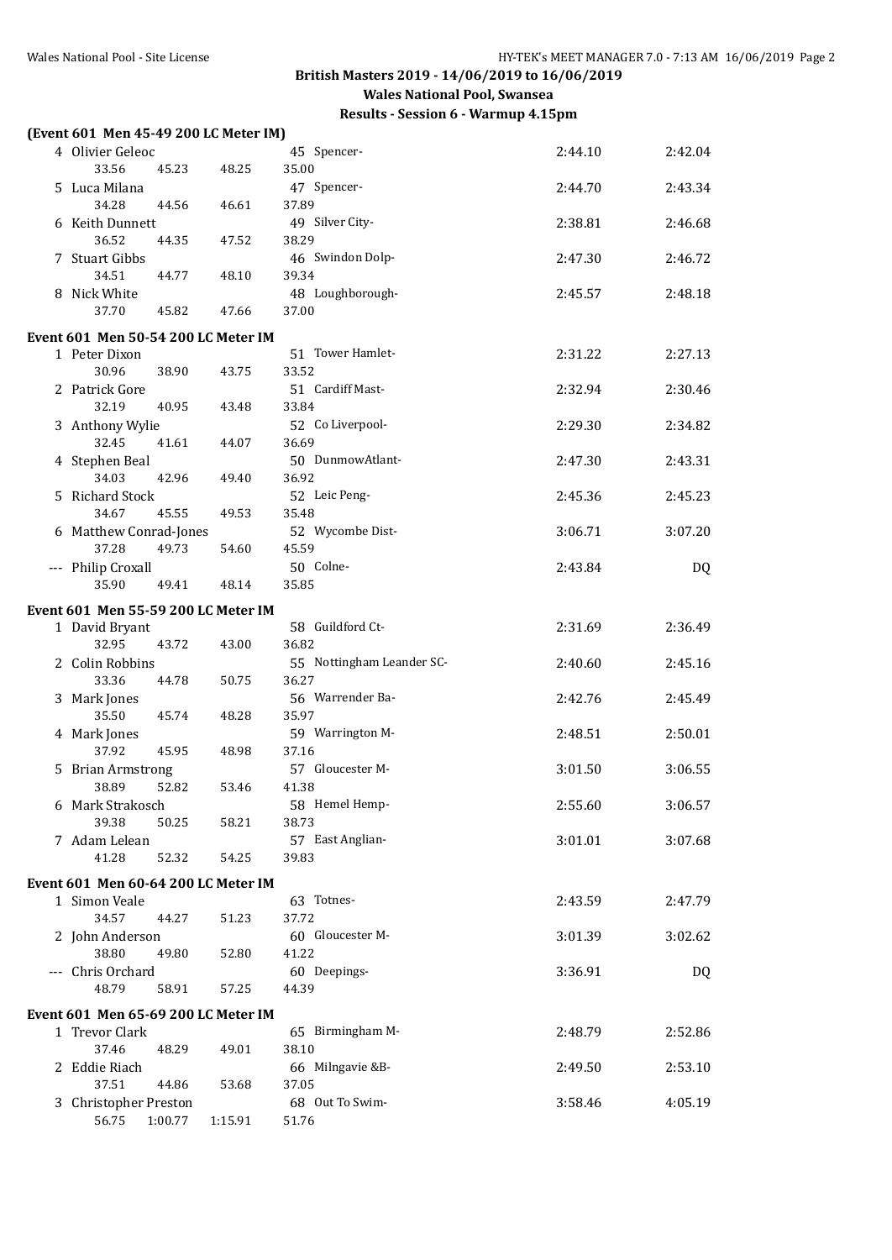|   | (Event 601 Men 45-49 200 LC Meter IM)                 |         |         |                           |         |         |
|---|-------------------------------------------------------|---------|---------|---------------------------|---------|---------|
|   | 4 Olivier Geleoc                                      |         |         | 45 Spencer-               | 2:44.10 | 2:42.04 |
|   | 33.56                                                 | 45.23   | 48.25   | 35.00                     |         |         |
|   | 5 Luca Milana                                         |         |         | 47 Spencer-               | 2:44.70 | 2:43.34 |
|   | 34.28                                                 | 44.56   | 46.61   | 37.89                     |         |         |
|   | 6 Keith Dunnett                                       |         |         | 49 Silver City-           | 2:38.81 | 2:46.68 |
|   | 36.52                                                 | 44.35   | 47.52   | 38.29                     |         |         |
|   | 7 Stuart Gibbs                                        |         |         | 46 Swindon Dolp-          | 2:47.30 | 2:46.72 |
|   | 34.51                                                 | 44.77   | 48.10   | 39.34                     |         |         |
|   | 8 Nick White                                          |         |         | 48 Loughborough-          | 2:45.57 | 2:48.18 |
|   | 37.70                                                 | 45.82   | 47.66   | 37.00                     |         |         |
|   | Event 601 Men 50-54 200 LC Meter IM                   |         |         |                           |         |         |
|   | 1 Peter Dixon                                         |         |         | 51 Tower Hamlet-          | 2:31.22 | 2:27.13 |
|   | 30.96                                                 | 38.90   | 43.75   | 33.52                     |         |         |
|   | 2 Patrick Gore                                        |         |         | 51 Cardiff Mast-          | 2:32.94 | 2:30.46 |
|   | 32.19                                                 | 40.95   | 43.48   | 33.84                     |         |         |
|   | 3 Anthony Wylie                                       |         |         | 52 Co Liverpool-          | 2:29.30 | 2:34.82 |
|   | 32.45                                                 | 41.61   | 44.07   | 36.69                     |         |         |
|   | 4 Stephen Beal<br>34.03                               |         |         | 50 DunmowAtlant-          | 2:47.30 | 2:43.31 |
|   |                                                       | 42.96   | 49.40   | 36.92                     |         |         |
|   | 5 Richard Stock<br>34.67                              | 45.55   | 49.53   | 52 Leic Peng-<br>35.48    | 2:45.36 | 2:45.23 |
|   | 6 Matthew Conrad-Jones                                |         |         | 52 Wycombe Dist-          | 3:06.71 | 3:07.20 |
|   | 37.28                                                 | 49.73   | 54.60   | 45.59                     |         |         |
|   | --- Philip Croxall                                    |         |         | 50 Colne-                 | 2:43.84 | DQ      |
|   | 35.90                                                 | 49.41   | 48.14   | 35.85                     |         |         |
|   |                                                       |         |         |                           |         |         |
|   | Event 601 Men 55-59 200 LC Meter IM<br>1 David Bryant |         |         | 58 Guildford Ct-          | 2:31.69 | 2:36.49 |
|   | 32.95                                                 | 43.72   | 43.00   | 36.82                     |         |         |
|   | 2 Colin Robbins                                       |         |         | 55 Nottingham Leander SC- | 2:40.60 | 2:45.16 |
|   | 33.36                                                 | 44.78   | 50.75   | 36.27                     |         |         |
|   | 3 Mark Jones                                          |         |         | 56 Warrender Ba-          | 2:42.76 | 2:45.49 |
|   | 35.50                                                 | 45.74   | 48.28   | 35.97                     |         |         |
|   | 4 Mark Jones                                          |         |         | 59 Warrington M-          | 2:48.51 | 2:50.01 |
|   | 37.92                                                 | 45.95   | 48.98   | 37.16                     |         |         |
| 5 | <b>Brian Armstrong</b>                                |         |         | 57 Gloucester M-          | 3:01.50 | 3:06.55 |
|   | 38.89                                                 | 52.82   | 53.46   | 41.38                     |         |         |
|   | 6 Mark Strakosch                                      |         |         | 58 Hemel Hemp-            | 2:55.60 | 3:06.57 |
|   | 39.38                                                 | 50.25   | 58.21   | 38.73                     |         |         |
|   | 7 Adam Lelean                                         |         |         | 57 East Anglian-          | 3:01.01 | 3:07.68 |
|   | 41.28                                                 | 52.32   | 54.25   | 39.83                     |         |         |
|   | Event 601 Men 60-64 200 LC Meter IM                   |         |         |                           |         |         |
|   | 1 Simon Veale                                         |         |         | 63 Totnes-                | 2:43.59 | 2:47.79 |
|   | 34.57                                                 | 44.27   | 51.23   | 37.72                     |         |         |
|   | 2 John Anderson<br>38.80                              | 49.80   | 52.80   | 60 Gloucester M-<br>41.22 | 3:01.39 | 3:02.62 |
|   | --- Chris Orchard                                     |         |         | 60 Deepings-              | 3:36.91 | DQ      |
|   | 48.79                                                 | 58.91   | 57.25   | 44.39                     |         |         |
|   |                                                       |         |         |                           |         |         |
|   | Event 601 Men 65-69 200 LC Meter IM                   |         |         |                           |         |         |
|   | 1 Trevor Clark<br>37.46                               | 48.29   | 49.01   | 65 Birmingham M-<br>38.10 | 2:48.79 | 2:52.86 |
|   | 2 Eddie Riach                                         |         |         | 66 Milngavie &B-          | 2:49.50 | 2:53.10 |
|   | 37.51                                                 | 44.86   | 53.68   | 37.05                     |         |         |
| 3 | Christopher Preston                                   |         |         | 68 Out To Swim-           | 3:58.46 | 4:05.19 |
|   | 56.75                                                 | 1:00.77 | 1:15.91 | 51.76                     |         |         |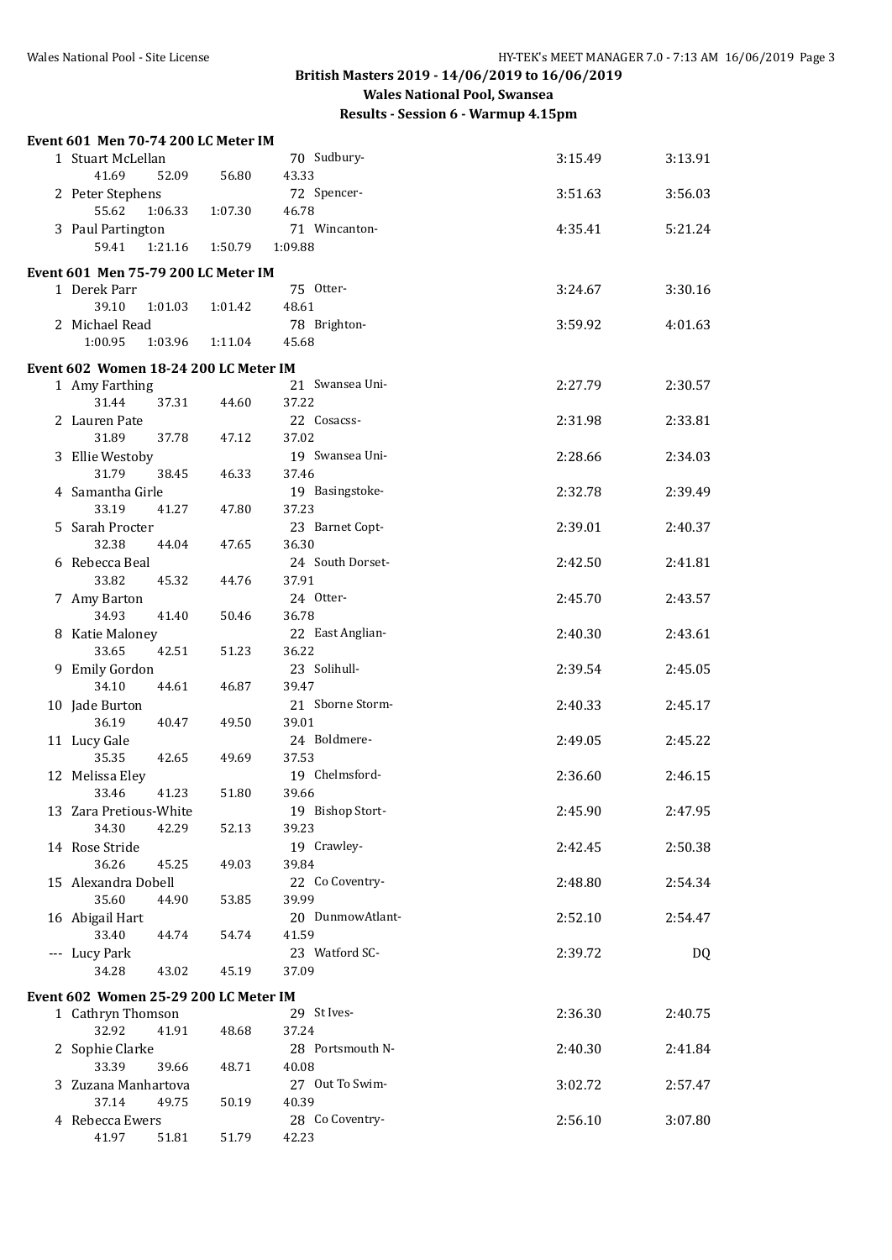| Event 601 Men 70-74 200 LC Meter IM   |         |                       |         |         |
|---------------------------------------|---------|-----------------------|---------|---------|
| 1 Stuart McLellan                     |         | 70 Sudbury-           | 3:15.49 | 3:13.91 |
| 41.69<br>52.09<br>2 Peter Stephens    | 56.80   | 43.33<br>72 Spencer-  | 3:51.63 | 3:56.03 |
| 55.62<br>1:06.33                      | 1:07.30 | 46.78                 |         |         |
| 3 Paul Partington                     |         | 71 Wincanton-         | 4:35.41 | 5:21.24 |
| 59.41<br>1:21.16                      | 1:50.79 | 1:09.88               |         |         |
| Event 601 Men 75-79 200 LC Meter IM   |         |                       |         |         |
| 1 Derek Parr                          |         | 75 Otter-             | 3:24.67 | 3:30.16 |
| 39.10<br>1:01.03                      | 1:01.42 | 48.61                 |         |         |
| 2 Michael Read                        |         | 78 Brighton-          | 3:59.92 | 4:01.63 |
| 1:00.95<br>1:03.96                    | 1:11.04 | 45.68                 |         |         |
| Event 602 Women 18-24 200 LC Meter IM |         |                       |         |         |
| 1 Amy Farthing                        |         | 21 Swansea Uni-       | 2:27.79 | 2:30.57 |
| 31.44<br>37.31                        | 44.60   | 37.22                 |         |         |
| 2 Lauren Pate                         |         | 22 Cosacss-           | 2:31.98 | 2:33.81 |
| 31.89<br>37.78                        | 47.12   | 37.02                 |         |         |
| 3 Ellie Westoby                       |         | 19 Swansea Uni-       | 2:28.66 | 2:34.03 |
| 31.79<br>38.45                        | 46.33   | 37.46                 |         |         |
| 4 Samantha Girle                      |         | 19 Basingstoke-       | 2:32.78 | 2:39.49 |
| 33.19<br>41.27                        | 47.80   | 37.23                 |         |         |
| 5 Sarah Procter                       |         | 23 Barnet Copt-       | 2:39.01 | 2:40.37 |
| 32.38<br>44.04                        | 47.65   | 36.30                 |         |         |
| 6 Rebecca Beal                        |         | 24 South Dorset-      | 2:42.50 | 2:41.81 |
| 33.82<br>45.32                        | 44.76   | 37.91                 |         |         |
| 7 Amy Barton                          |         | 24 Otter-             | 2:45.70 | 2:43.57 |
| 34.93<br>41.40                        | 50.46   | 36.78                 |         |         |
| 8 Katie Maloney                       |         | 22 East Anglian-      | 2:40.30 | 2:43.61 |
| 33.65<br>42.51                        | 51.23   | 36.22                 |         |         |
| 9 Emily Gordon                        |         | 23 Solihull-          | 2:39.54 | 2:45.05 |
| 34.10<br>44.61                        | 46.87   | 39.47                 |         |         |
| 10 Jade Burton                        |         | 21 Sborne Storm-      | 2:40.33 | 2:45.17 |
| 36.19<br>40.47                        | 49.50   | 39.01                 |         |         |
| 11 Lucy Gale                          |         | 24 Boldmere-<br>37.53 | 2:49.05 | 2:45.22 |
| 35.35<br>42.65                        | 49.69   | 19 Chelmsford-        |         | 2:46.15 |
| 12 Melissa Eley<br>41.23<br>33.46     | 51.80   | 39.66                 | 2:36.60 |         |
| 13 Zara Pretious-White                |         | 19 Bishop Stort-      | 2:45.90 | 2:47.95 |
| 34.30<br>42.29                        | 52.13   | 39.23                 |         |         |
| 14 Rose Stride                        |         | 19 Crawley-           | 2:42.45 | 2:50.38 |
| 36.26<br>45.25                        | 49.03   | 39.84                 |         |         |
| 15 Alexandra Dobell                   |         | 22 Co Coventry-       | 2:48.80 | 2:54.34 |
| 35.60<br>44.90                        | 53.85   | 39.99                 |         |         |
| 16 Abigail Hart                       |         | 20 DunmowAtlant-      | 2:52.10 | 2:54.47 |
| 33.40<br>44.74                        | 54.74   | 41.59                 |         |         |
| --- Lucy Park                         |         | 23 Watford SC-        | 2:39.72 | DQ      |
| 34.28<br>43.02                        | 45.19   | 37.09                 |         |         |
| Event 602 Women 25-29 200 LC Meter IM |         |                       |         |         |
| 1 Cathryn Thomson                     |         | 29 St Ives-           | 2:36.30 | 2:40.75 |
| 32.92<br>41.91                        | 48.68   | 37.24                 |         |         |
| 2 Sophie Clarke                       |         | 28 Portsmouth N-      | 2:40.30 | 2:41.84 |
| 33.39<br>39.66                        | 48.71   | 40.08                 |         |         |
| 3 Zuzana Manhartova                   |         | 27 Out To Swim-       | 3:02.72 | 2:57.47 |
| 37.14<br>49.75                        | 50.19   | 40.39                 |         |         |
| 4 Rebecca Ewers                       |         | 28 Co Coventry-       | 2:56.10 | 3:07.80 |
| 41.97<br>51.81                        | 51.79   | 42.23                 |         |         |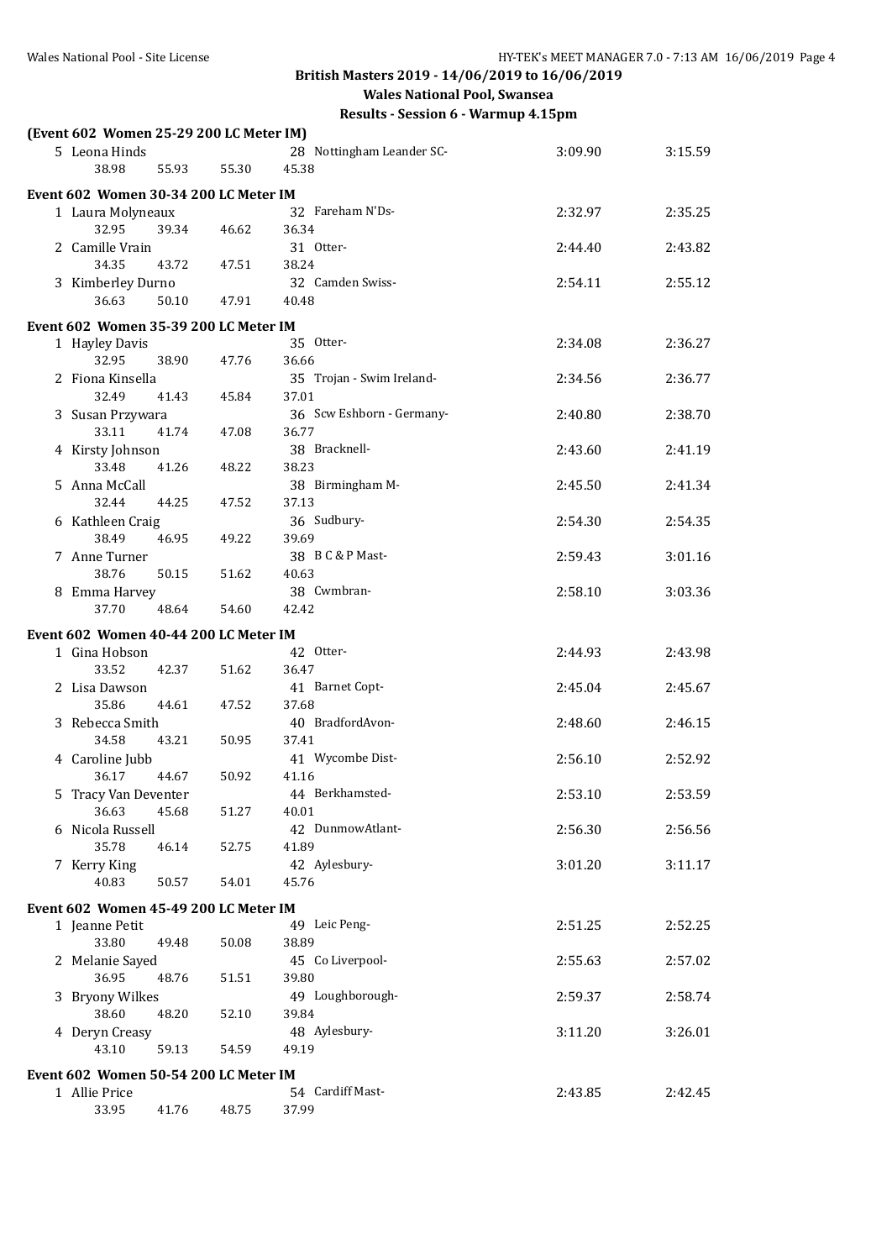| Results - Session 6 - Warmup 4.15pm |  |  |
|-------------------------------------|--|--|
|-------------------------------------|--|--|

|    | (Event 602 Women 25-29 200 LC Meter IM) |       |       |                           |         |         |
|----|-----------------------------------------|-------|-------|---------------------------|---------|---------|
|    | 5 Leona Hinds                           |       |       | 28 Nottingham Leander SC- | 3:09.90 | 3:15.59 |
|    | 38.98                                   | 55.93 | 55.30 | 45.38                     |         |         |
|    | Event 602 Women 30-34 200 LC Meter IM   |       |       |                           |         |         |
|    | 1 Laura Molyneaux                       |       |       | 32 Fareham N'Ds-          | 2:32.97 | 2:35.25 |
|    | 32.95                                   | 39.34 | 46.62 | 36.34                     |         |         |
|    | 2 Camille Vrain                         |       |       | 31 Otter-                 | 2:44.40 | 2:43.82 |
|    | 34.35                                   | 43.72 | 47.51 | 38.24                     |         |         |
|    | 3 Kimberley Durno                       |       |       | 32 Camden Swiss-          | 2:54.11 | 2:55.12 |
|    | 36.63                                   | 50.10 | 47.91 | 40.48                     |         |         |
|    | Event 602 Women 35-39 200 LC Meter IM   |       |       |                           |         |         |
|    | 1 Hayley Davis                          |       |       | 35 Otter-                 | 2:34.08 | 2:36.27 |
|    | 32.95                                   | 38.90 | 47.76 | 36.66                     |         |         |
|    | 2 Fiona Kinsella                        |       |       | 35 Trojan - Swim Ireland- | 2:34.56 | 2:36.77 |
|    | 32.49                                   | 41.43 | 45.84 | 37.01                     |         |         |
|    | 3 Susan Przywara                        |       |       | 36 Scw Eshborn - Germany- | 2:40.80 | 2:38.70 |
|    | 33.11                                   | 41.74 | 47.08 | 36.77                     |         |         |
|    | 4 Kirsty Johnson                        |       |       | 38 Bracknell-             | 2:43.60 | 2:41.19 |
|    | 33.48                                   | 41.26 | 48.22 | 38.23                     |         |         |
| 5. | Anna McCall<br>32.44                    | 44.25 | 47.52 | 38 Birmingham M-<br>37.13 | 2:45.50 | 2:41.34 |
|    | 6 Kathleen Craig                        |       |       | 36 Sudbury-               | 2:54.30 | 2:54.35 |
|    | 38.49                                   | 46.95 | 49.22 | 39.69                     |         |         |
|    | 7 Anne Turner                           |       |       | 38 B C & P Mast-          | 2:59.43 | 3:01.16 |
|    | 38.76                                   | 50.15 | 51.62 | 40.63                     |         |         |
|    | 8 Emma Harvey                           |       |       | 38 Cwmbran-               | 2:58.10 | 3:03.36 |
|    | 37.70                                   | 48.64 | 54.60 | 42.42                     |         |         |
|    | Event 602 Women 40-44 200 LC Meter IM   |       |       |                           |         |         |
|    | 1 Gina Hobson                           |       |       | 42 Otter-                 | 2:44.93 | 2:43.98 |
|    | 33.52                                   | 42.37 | 51.62 | 36.47                     |         |         |
|    | 2 Lisa Dawson                           |       |       | 41 Barnet Copt-           | 2:45.04 | 2:45.67 |
|    | 35.86                                   | 44.61 | 47.52 | 37.68                     |         |         |
|    | 3 Rebecca Smith                         |       |       | 40 BradfordAvon-          | 2:48.60 | 2:46.15 |
|    | 34.58                                   | 43.21 | 50.95 | 37.41                     |         |         |
|    | 4 Caroline Jubb<br>36.17                |       |       | 41 Wycombe Dist-          | 2:56.10 | 2:52.92 |
|    |                                         | 44.67 | 50.92 | 41.16<br>44 Berkhamsted-  |         |         |
|    | 5 Tracy Van Deventer<br>36.63           | 45.68 | 51.27 | 40.01                     | 2:53.10 | 2:53.59 |
|    | 6 Nicola Russell                        |       |       | 42 DunmowAtlant-          | 2:56.30 | 2:56.56 |
|    | 35.78                                   | 46.14 | 52.75 | 41.89                     |         |         |
|    | 7 Kerry King                            |       |       | 42 Aylesbury-             | 3:01.20 | 3:11.17 |
|    | 40.83                                   | 50.57 | 54.01 | 45.76                     |         |         |
|    | Event 602 Women 45-49 200 LC Meter IM   |       |       |                           |         |         |
|    | 1 Jeanne Petit                          |       |       | 49 Leic Peng-             | 2:51.25 | 2:52.25 |
|    | 33.80                                   | 49.48 | 50.08 | 38.89                     |         |         |
|    | 2 Melanie Sayed                         |       |       | 45 Co Liverpool-          | 2:55.63 | 2:57.02 |
|    | 36.95                                   | 48.76 | 51.51 | 39.80                     |         |         |
|    | 3 Bryony Wilkes                         |       |       | 49 Loughborough-          | 2:59.37 | 2:58.74 |
|    | 38.60                                   | 48.20 | 52.10 | 39.84                     |         |         |
|    | 4 Deryn Creasy                          |       |       | 48 Aylesbury-             | 3:11.20 | 3:26.01 |
|    | 43.10                                   | 59.13 | 54.59 | 49.19                     |         |         |
|    | Event 602 Women 50-54 200 LC Meter IM   |       |       |                           |         |         |
|    | 1 Allie Price                           |       |       | 54 Cardiff Mast-          | 2:43.85 | 2:42.45 |
|    | 33.95                                   | 41.76 | 48.75 | 37.99                     |         |         |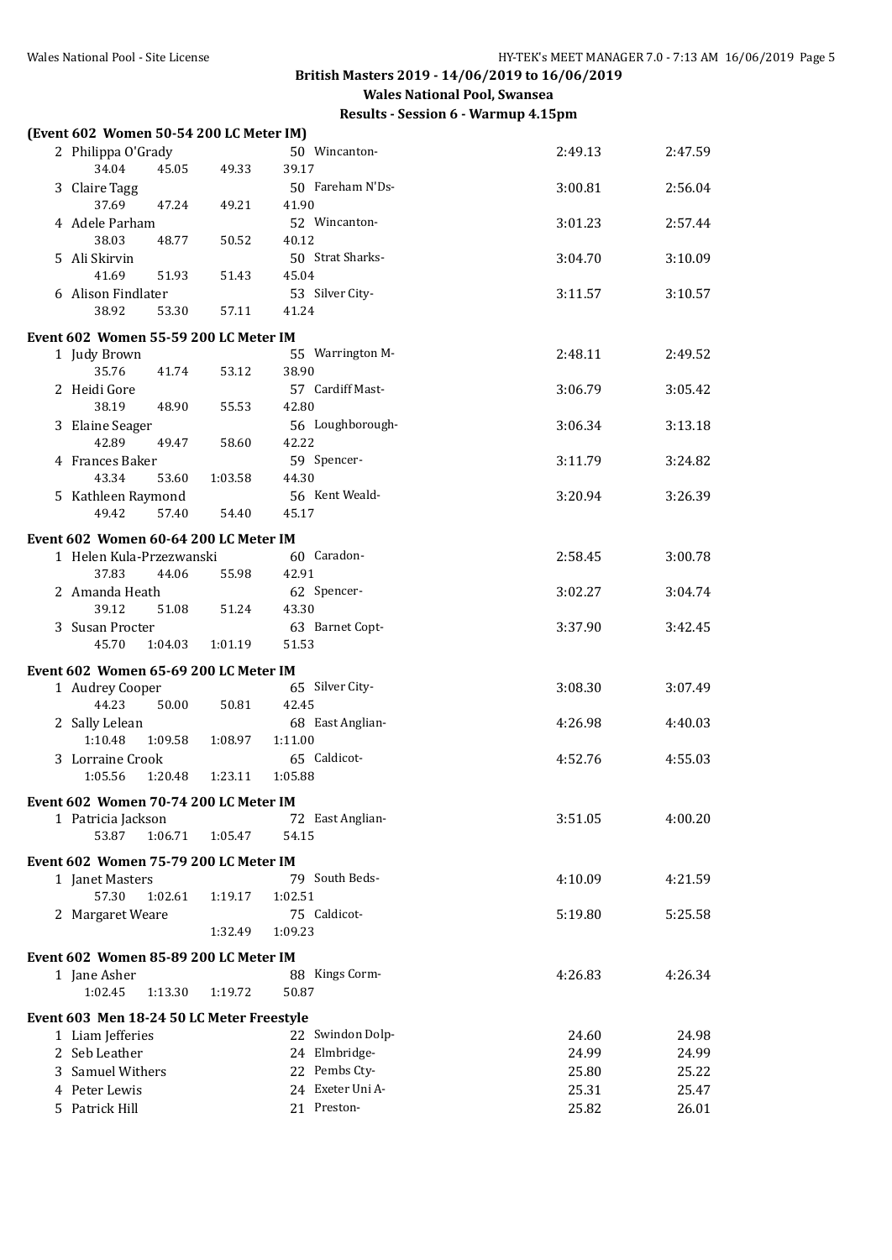| (Event 602 Women 50-54 200 LC Meter IM)   |         |                           |         |         |
|-------------------------------------------|---------|---------------------------|---------|---------|
| 2 Philippa O'Grady                        |         | 50 Wincanton-             | 2:49.13 | 2:47.59 |
| 34.04<br>45.05                            | 49.33   | 39.17                     |         |         |
| 3 Claire Tagg                             |         | 50 Fareham N'Ds-          | 3:00.81 | 2:56.04 |
| 37.69<br>47.24                            | 49.21   | 41.90                     |         |         |
| 4 Adele Parham                            |         | 52 Wincanton-             | 3:01.23 | 2:57.44 |
| 38.03<br>48.77                            | 50.52   | 40.12<br>50 Strat Sharks- |         |         |
| 5 Ali Skirvin<br>41.69<br>51.93           | 51.43   | 45.04                     | 3:04.70 | 3:10.09 |
| 6 Alison Findlater                        |         | 53 Silver City-           | 3:11.57 | 3:10.57 |
| 38.92<br>53.30                            | 57.11   | 41.24                     |         |         |
|                                           |         |                           |         |         |
| Event 602 Women 55-59 200 LC Meter IM     |         |                           |         |         |
| 1 Judy Brown<br>35.76<br>41.74            | 53.12   | 55 Warrington M-<br>38.90 | 2:48.11 | 2:49.52 |
| 2 Heidi Gore                              |         | 57 Cardiff Mast-          | 3:06.79 | 3:05.42 |
| 38.19<br>48.90                            | 55.53   | 42.80                     |         |         |
| 3 Elaine Seager                           |         | 56 Loughborough-          | 3:06.34 | 3:13.18 |
| 42.89<br>49.47                            | 58.60   | 42.22                     |         |         |
| 4 Frances Baker                           |         | 59 Spencer-               | 3:11.79 | 3:24.82 |
| 43.34<br>53.60                            | 1:03.58 | 44.30                     |         |         |
| 5 Kathleen Raymond                        |         | 56 Kent Weald-            | 3:20.94 | 3:26.39 |
| 49.42<br>57.40                            | 54.40   | 45.17                     |         |         |
| Event 602 Women 60-64 200 LC Meter IM     |         |                           |         |         |
| 1 Helen Kula-Przezwanski                  |         | 60 Caradon-               | 2:58.45 | 3:00.78 |
| 37.83<br>44.06                            | 55.98   | 42.91                     |         |         |
| 2 Amanda Heath                            |         | 62 Spencer-               | 3:02.27 | 3:04.74 |
| 39.12<br>51.08                            | 51.24   | 43.30                     |         |         |
| 3 Susan Procter                           |         | 63 Barnet Copt-           | 3:37.90 | 3:42.45 |
| 45.70<br>1:04.03                          | 1:01.19 | 51.53                     |         |         |
| Event 602 Women 65-69 200 LC Meter IM     |         |                           |         |         |
| 1 Audrey Cooper                           |         | 65 Silver City-           | 3:08.30 | 3:07.49 |
| 44.23<br>50.00                            | 50.81   | 42.45                     |         |         |
| 2 Sally Lelean                            |         | 68 East Anglian-          | 4:26.98 | 4:40.03 |
| 1:10.48<br>1:09.58                        | 1:08.97 | 1:11.00                   |         |         |
| 3 Lorraine Crook<br>1:05.56<br>1:20.48    | 1:23.11 | 65 Caldicot-<br>1:05.88   | 4:52.76 | 4:55.03 |
|                                           |         |                           |         |         |
| Event 602 Women 70-74 200 LC Meter IM     |         |                           |         |         |
| 1 Patricia Jackson                        |         | 72 East Anglian-          | 3:51.05 | 4:00.20 |
| 53.87<br>1:06.71                          | 1:05.47 | 54.15                     |         |         |
| Event 602 Women 75-79 200 LC Meter IM     |         |                           |         |         |
| 1 Janet Masters                           |         | 79 South Beds-            | 4:10.09 | 4:21.59 |
| 57.30<br>1:02.61                          | 1:19.17 | 1:02.51                   |         |         |
| 2 Margaret Weare                          |         | 75 Caldicot-              | 5:19.80 | 5:25.58 |
|                                           | 1:32.49 | 1:09.23                   |         |         |
| Event 602 Women 85-89 200 LC Meter IM     |         |                           |         |         |
| 1 Jane Asher                              |         | 88 Kings Corm-            | 4:26.83 | 4:26.34 |
| 1:02.45<br>1:13.30                        | 1:19.72 | 50.87                     |         |         |
| Event 603 Men 18-24 50 LC Meter Freestyle |         |                           |         |         |
| 1 Liam Jefferies                          |         | 22 Swindon Dolp-          | 24.60   | 24.98   |
| 2 Seb Leather                             |         | 24 Elmbridge-             | 24.99   | 24.99   |
| 3 Samuel Withers                          |         | 22 Pembs Cty-             | 25.80   | 25.22   |
| 4 Peter Lewis                             |         | 24 Exeter Uni A-          | 25.31   | 25.47   |
| 5 Patrick Hill                            |         | 21 Preston-               | 25.82   | 26.01   |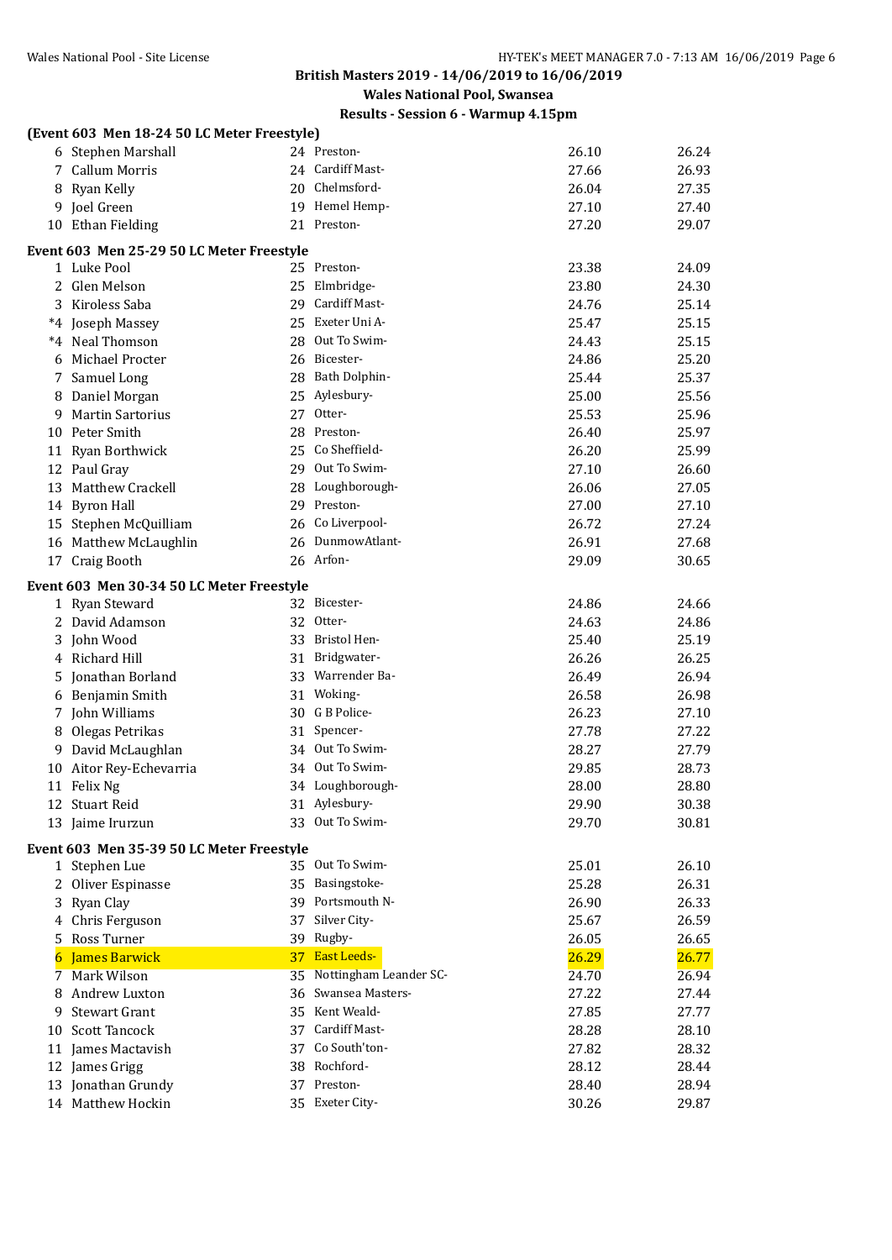**Wales National Pool, Swansea**

|    | (Event 603 Men 18-24 50 LC Meter Freestyle) |    |                        |       |       |
|----|---------------------------------------------|----|------------------------|-------|-------|
|    | 6 Stephen Marshall                          |    | 24 Preston-            | 26.10 | 26.24 |
| 7  | <b>Callum Morris</b>                        |    | 24 Cardiff Mast-       | 27.66 | 26.93 |
|    | 8 Ryan Kelly                                |    | 20 Chelmsford-         | 26.04 | 27.35 |
|    | 9 Joel Green                                |    | 19 Hemel Hemp-         | 27.10 | 27.40 |
|    | 10 Ethan Fielding                           |    | 21 Preston-            | 27.20 | 29.07 |
|    | Event 603 Men 25-29 50 LC Meter Freestyle   |    |                        |       |       |
|    | 1 Luke Pool                                 |    | 25 Preston-            | 23.38 | 24.09 |
|    | 2 Glen Melson                               |    | 25 Elmbridge-          | 23.80 | 24.30 |
|    | 3 Kiroless Saba                             | 29 | Cardiff Mast-          | 24.76 | 25.14 |
|    | *4 Joseph Massey                            |    | 25 Exeter Uni A-       | 25.47 | 25.15 |
|    | *4 Neal Thomson                             |    | 28 Out To Swim-        | 24.43 | 25.15 |
|    | 6 Michael Procter                           |    | 26 Bicester-           | 24.86 | 25.20 |
| 7  | Samuel Long                                 |    | 28 Bath Dolphin-       | 25.44 | 25.37 |
|    | 8 Daniel Morgan                             |    | 25 Aylesbury-          | 25.00 | 25.56 |
|    | 9 Martin Sartorius                          |    | 27 Otter-              | 25.53 | 25.96 |
|    | 10 Peter Smith                              |    | 28 Preston-            | 26.40 | 25.97 |
|    | 11 Ryan Borthwick                           |    | 25 Co Sheffield-       | 26.20 | 25.99 |
|    | 12 Paul Gray                                |    | 29 Out To Swim-        | 27.10 | 26.60 |
|    | 13 Matthew Crackell                         |    | 28 Loughborough-       | 26.06 | 27.05 |
|    | 14 Byron Hall                               |    | 29 Preston-            | 27.00 | 27.10 |
|    | 15 Stephen McQuilliam                       |    | 26 Co Liverpool-       | 26.72 | 27.24 |
|    | 16 Matthew McLaughlin                       |    | 26 DunmowAtlant-       | 26.91 | 27.68 |
|    | 17 Craig Booth                              |    | 26 Arfon-              | 29.09 | 30.65 |
|    | Event 603 Men 30-34 50 LC Meter Freestyle   |    |                        |       |       |
|    | 1 Ryan Steward                              |    | 32 Bicester-           | 24.86 | 24.66 |
|    | 2 David Adamson                             |    | 32 Otter-              | 24.63 | 24.86 |
|    | 3 John Wood                                 |    | 33 Bristol Hen-        | 25.40 | 25.19 |
|    | 4 Richard Hill                              |    | 31 Bridgwater-         | 26.26 | 26.25 |
|    | 5 Jonathan Borland                          |    | 33 Warrender Ba-       | 26.49 | 26.94 |
|    | 6 Benjamin Smith                            |    | 31 Woking-             | 26.58 | 26.98 |
|    | 7 John Williams                             |    | 30 G B Police-         | 26.23 | 27.10 |
| 8. | Olegas Petrikas                             | 31 | Spencer-               | 27.78 | 27.22 |
|    | 9 David McLaughlan                          |    | 34 Out To Swim-        | 28.27 | 27.79 |
|    | 10 Aitor Rey-Echevarria                     |    | 34 Out To Swim-        | 29.85 | 28.73 |
|    | 11 Felix Ng                                 |    | 34 Loughborough-       | 28.00 | 28.80 |
|    | 12 Stuart Reid                              |    | 31 Aylesbury-          | 29.90 | 30.38 |
|    | 13 Jaime Irurzun                            |    | 33 Out To Swim-        | 29.70 | 30.81 |
|    | Event 603 Men 35-39 50 LC Meter Freestyle   |    |                        |       |       |
|    | 1 Stephen Lue                               |    | 35 Out To Swim-        | 25.01 | 26.10 |
| 2  | Oliver Espinasse                            |    | 35 Basingstoke-        | 25.28 | 26.31 |
|    | 3 Ryan Clay                                 | 39 | Portsmouth N-          | 26.90 | 26.33 |
|    | Chris Ferguson                              | 37 | Silver City-           | 25.67 | 26.59 |
|    | 5 Ross Turner                               | 39 | Rugby-                 | 26.05 | 26.65 |
|    | <b>James Barwick</b>                        | 37 | <b>East Leeds-</b>     | 26.29 | 26.77 |
| 7  | <b>Mark Wilson</b>                          | 35 | Nottingham Leander SC- | 24.70 | 26.94 |
|    | 8 Andrew Luxton                             | 36 | Swansea Masters-       | 27.22 | 27.44 |
| 9  | <b>Stewart Grant</b>                        | 35 | Kent Weald-            | 27.85 | 27.77 |
| 10 | <b>Scott Tancock</b>                        | 37 | Cardiff Mast-          | 28.28 | 28.10 |
|    | 11 James Mactavish                          | 37 | Co South'ton-          | 27.82 | 28.32 |
|    | 12 James Grigg                              |    | 38 Rochford-           | 28.12 | 28.44 |
|    | 13 Jonathan Grundy                          |    | 37 Preston-            | 28.40 | 28.94 |
|    | 14 Matthew Hockin                           |    | 35 Exeter City-        | 30.26 | 29.87 |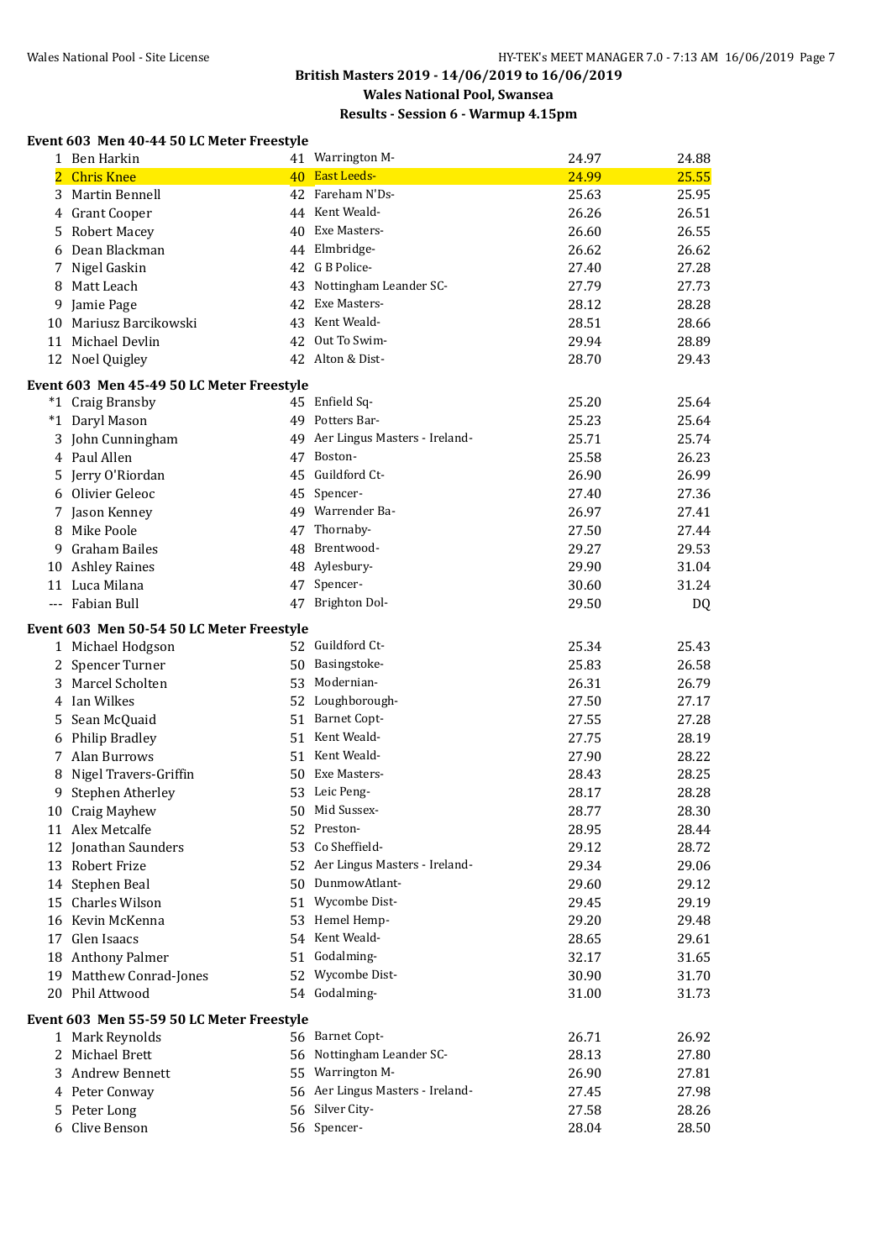## **Results - Session 6 - Warmup 4.15pm**

#### **Event 603 Men 40-44 50 LC Meter Freestyle**

|                | 1 Ben Harkin                              |    | 41 Warrington M-                 | 24.97 | 24.88 |
|----------------|-------------------------------------------|----|----------------------------------|-------|-------|
| $\overline{2}$ | <b>Chris Knee</b>                         |    | 40 East Leeds-                   | 24.99 | 25.55 |
| 3              | <b>Martin Bennell</b>                     |    | 42 Fareham N'Ds-                 | 25.63 | 25.95 |
|                | 4 Grant Cooper                            |    | 44 Kent Weald-                   | 26.26 | 26.51 |
|                | 5 Robert Macey                            | 40 | Exe Masters-                     | 26.60 | 26.55 |
|                | 6 Dean Blackman                           |    | 44 Elmbridge-                    | 26.62 | 26.62 |
| 7              | Nigel Gaskin                              |    | 42 G B Police-                   | 27.40 | 27.28 |
|                | 8 Matt Leach                              | 43 | Nottingham Leander SC-           | 27.79 | 27.73 |
| 9              | Jamie Page                                | 42 | Exe Masters-                     | 28.12 | 28.28 |
|                | 10 Mariusz Barcikowski                    |    | 43 Kent Weald-                   | 28.51 | 28.66 |
|                | 11 Michael Devlin                         |    | 42 Out To Swim-                  | 29.94 | 28.89 |
|                | 12 Noel Quigley                           |    | 42 Alton & Dist-                 | 28.70 | 29.43 |
|                |                                           |    |                                  |       |       |
|                | Event 603 Men 45-49 50 LC Meter Freestyle |    |                                  |       |       |
|                | *1 Craig Bransby                          |    | 45 Enfield Sq-                   | 25.20 | 25.64 |
|                | *1 Daryl Mason                            | 49 | Potters Bar-                     | 25.23 | 25.64 |
|                | 3 John Cunningham                         | 49 | Aer Lingus Masters - Ireland-    | 25.71 | 25.74 |
|                | 4 Paul Allen                              |    | 47 Boston-                       | 25.58 | 26.23 |
|                | 5 Jerry O'Riordan                         |    | 45 Guildford Ct-                 | 26.90 | 26.99 |
|                | 6 Olivier Geleoc                          |    | 45 Spencer-                      | 27.40 | 27.36 |
|                | 7 Jason Kenney                            |    | 49 Warrender Ba-                 | 26.97 | 27.41 |
|                | 8 Mike Poole                              | 47 | Thornaby-                        | 27.50 | 27.44 |
| 9.             | Graham Bailes                             |    | 48 Brentwood-                    | 29.27 | 29.53 |
|                | 10 Ashley Raines                          |    | 48 Aylesbury-                    | 29.90 | 31.04 |
|                | 11 Luca Milana                            | 47 | Spencer-                         | 30.60 | 31.24 |
|                | --- Fabian Bull                           |    | 47 Brighton Dol-                 | 29.50 | DQ    |
|                | Event 603 Men 50-54 50 LC Meter Freestyle |    |                                  |       |       |
|                | 1 Michael Hodgson                         |    | 52 Guildford Ct-                 | 25.34 | 25.43 |
|                | 2 Spencer Turner                          | 50 | Basingstoke-                     | 25.83 | 26.58 |
|                | 3 Marcel Scholten                         | 53 | Modernian-                       | 26.31 | 26.79 |
|                | 4 Ian Wilkes                              |    | 52 Loughborough-                 | 27.50 | 27.17 |
| 5              | Sean McQuaid                              |    | 51 Barnet Copt-                  | 27.55 | 27.28 |
|                | 6 Philip Bradley                          |    | 51 Kent Weald-                   | 27.75 | 28.19 |
|                | 7 Alan Burrows                            |    | 51 Kent Weald-                   | 27.90 | 28.22 |
|                | 8 Nigel Travers-Griffin                   |    | 50 Exe Masters-                  | 28.43 | 28.25 |
| 9              | Stephen Atherley                          |    | 53 Leic Peng-                    | 28.17 | 28.28 |
|                | 10 Craig Mayhew                           |    | 50 Mid Sussex-                   | 28.77 | 28.30 |
|                | 11 Alex Metcalfe                          |    | 52 Preston-                      | 28.95 | 28.44 |
|                | 12 Jonathan Saunders                      | 53 | Co Sheffield-                    | 29.12 | 28.72 |
|                | 13 Robert Frize                           |    | 52 Aer Lingus Masters - Ireland- | 29.34 | 29.06 |
|                | 14 Stephen Beal                           |    | 50 DunmowAtlant-                 | 29.60 | 29.12 |
|                | 15 Charles Wilson                         |    | 51 Wycombe Dist-                 | 29.45 | 29.19 |
|                | 16 Kevin McKenna                          |    | 53 Hemel Hemp-                   | 29.20 | 29.48 |
|                | 17 Glen Isaacs                            |    | 54 Kent Weald-                   | 28.65 | 29.61 |
|                | 18 Anthony Palmer                         |    | 51 Godalming-                    | 32.17 | 31.65 |
|                | 19 Matthew Conrad-Jones                   |    | 52 Wycombe Dist-                 | 30.90 | 31.70 |
|                | 20 Phil Attwood                           |    | 54 Godalming-                    | 31.00 | 31.73 |
|                |                                           |    |                                  |       |       |
|                | Event 603 Men 55-59 50 LC Meter Freestyle |    |                                  |       |       |
|                | 1 Mark Reynolds                           |    | 56 Barnet Copt-                  | 26.71 | 26.92 |
|                | 2 Michael Brett                           |    | 56 Nottingham Leander SC-        | 28.13 | 27.80 |
|                | 3 Andrew Bennett                          |    | 55 Warrington M-                 | 26.90 | 27.81 |
|                | 4 Peter Conway                            |    | 56 Aer Lingus Masters - Ireland- | 27.45 | 27.98 |
|                | 5 Peter Long                              |    | 56 Silver City-                  | 27.58 | 28.26 |
| 6              | Clive Benson                              |    | 56 Spencer-                      | 28.04 | 28.50 |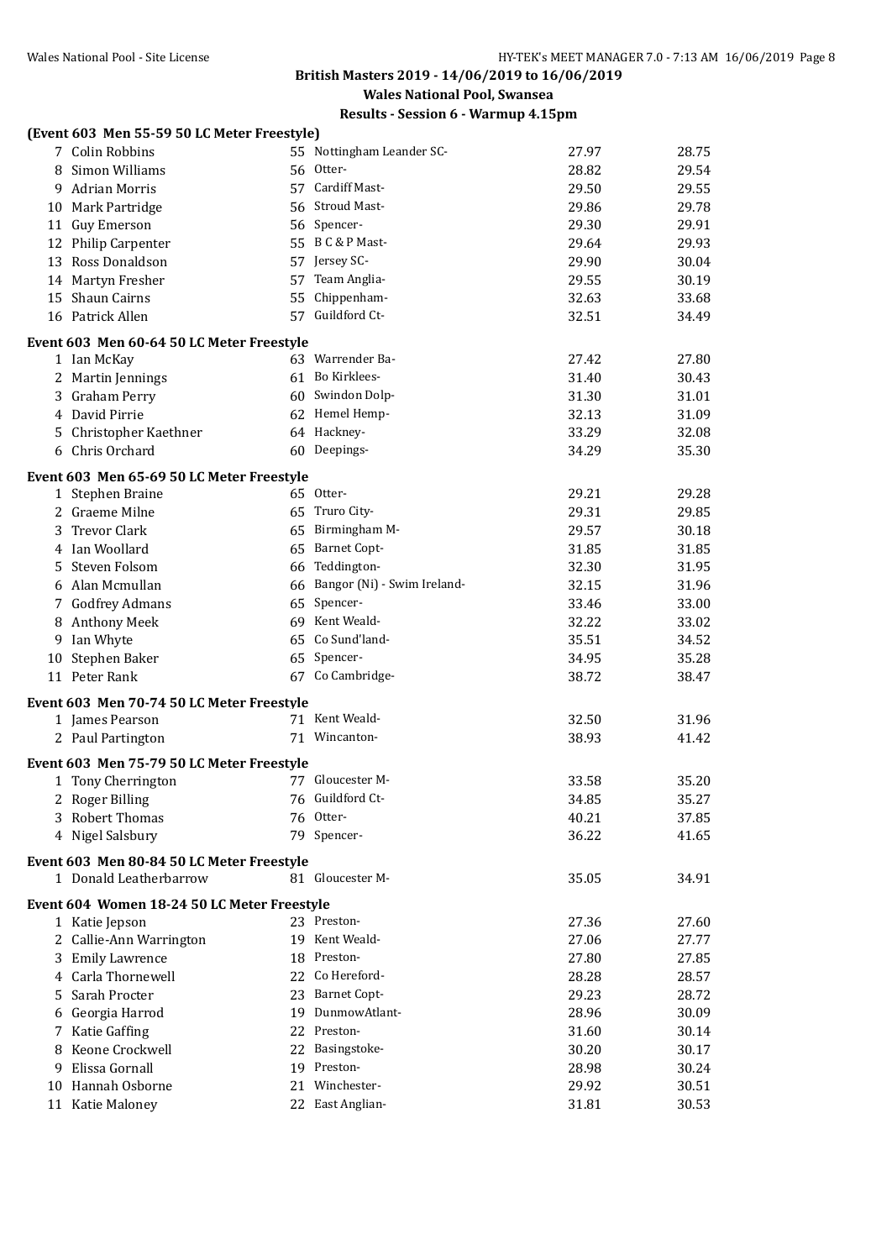**Wales National Pool, Swansea**

|    | (Event 603 Men 55-59 50 LC Meter Freestyle) |                                |       |       |
|----|---------------------------------------------|--------------------------------|-------|-------|
|    | 7 Colin Robbins                             | 55 Nottingham Leander SC-      | 27.97 | 28.75 |
|    | 8 Simon Williams                            | 56 Otter-                      | 28.82 | 29.54 |
| 9  | <b>Adrian Morris</b>                        | 57 Cardiff Mast-               | 29.50 | 29.55 |
|    | 10 Mark Partridge                           | 56 Stroud Mast-                | 29.86 | 29.78 |
|    | 11 Guy Emerson                              | 56 Spencer-                    | 29.30 | 29.91 |
|    | 12 Philip Carpenter                         | 55 B C & P Mast-               | 29.64 | 29.93 |
|    | 13 Ross Donaldson                           | 57 Jersey SC-                  | 29.90 | 30.04 |
|    | 14 Martyn Fresher                           | 57 Team Anglia-                | 29.55 | 30.19 |
|    | 15 Shaun Cairns                             | 55 Chippenham-                 | 32.63 | 33.68 |
|    | 16 Patrick Allen                            | 57 Guildford Ct-               | 32.51 | 34.49 |
|    | Event 603 Men 60-64 50 LC Meter Freestyle   |                                |       |       |
|    | 1 Ian McKay                                 | 63 Warrender Ba-               | 27.42 | 27.80 |
|    | 2 Martin Jennings                           | 61 Bo Kirklees-                | 31.40 | 30.43 |
|    | 3 Graham Perry                              | 60 Swindon Dolp-               | 31.30 | 31.01 |
|    | 4 David Pirrie                              | 62 Hemel Hemp-                 | 32.13 | 31.09 |
| 5. | Christopher Kaethner                        | 64 Hackney-                    | 33.29 | 32.08 |
|    | 6 Chris Orchard                             | 60 Deepings-                   | 34.29 | 35.30 |
|    | Event 603 Men 65-69 50 LC Meter Freestyle   |                                |       |       |
|    | 1 Stephen Braine                            | 65 Otter-                      | 29.21 | 29.28 |
|    | 2 Graeme Milne                              | 65 Truro City-                 | 29.31 | 29.85 |
|    | 3 Trevor Clark                              | 65 Birmingham M-               | 29.57 | 30.18 |
|    | 4 Ian Woollard                              | 65 Barnet Copt-                | 31.85 | 31.85 |
| 5  | Steven Folsom                               | 66 Teddington-                 | 32.30 | 31.95 |
|    | 6 Alan Mcmullan                             | 66 Bangor (Ni) - Swim Ireland- | 32.15 | 31.96 |
|    | 7 Godfrey Admans                            | 65 Spencer-                    | 33.46 | 33.00 |
| 8  | <b>Anthony Meek</b>                         | 69 Kent Weald-                 | 32.22 | 33.02 |
| 9  | Ian Whyte                                   | 65 Co Sund'land-               | 35.51 | 34.52 |
| 10 | Stephen Baker                               | 65 Spencer-                    | 34.95 | 35.28 |
|    | 11 Peter Rank                               | 67 Co Cambridge-               | 38.72 | 38.47 |
|    | Event 603 Men 70-74 50 LC Meter Freestyle   |                                |       |       |
|    | 1 James Pearson                             | 71 Kent Weald-                 | 32.50 | 31.96 |
|    | 2 Paul Partington                           | 71 Wincanton-                  | 38.93 | 41.42 |
|    |                                             |                                |       |       |
|    | Event 603 Men 75-79 50 LC Meter Freestyle   |                                |       |       |
|    | 1 Tony Cherrington                          | 77 Gloucester M-               | 33.58 | 35.20 |
|    | 2 Roger Billing                             | 76 Guildford Ct-               | 34.85 | 35.27 |
|    | 3 Robert Thomas                             | 76 Otter-                      | 40.21 | 37.85 |
|    | 4 Nigel Salsbury                            | 79 Spencer-                    | 36.22 | 41.65 |
|    | Event 603 Men 80-84 50 LC Meter Freestyle   |                                |       |       |
|    | 1 Donald Leatherbarrow                      | 81 Gloucester M-               | 35.05 | 34.91 |
|    | Event 604 Women 18-24 50 LC Meter Freestyle |                                |       |       |
|    | 1 Katie Jepson                              | 23 Preston-                    | 27.36 | 27.60 |
|    | 2 Callie-Ann Warrington                     | 19 Kent Weald-                 | 27.06 | 27.77 |
|    | 3 Emily Lawrence                            | 18 Preston-                    | 27.80 | 27.85 |
|    | 4 Carla Thornewell                          | 22 Co Hereford-                | 28.28 | 28.57 |
| 5. | Sarah Procter                               | 23 Barnet Copt-                | 29.23 | 28.72 |
|    | 6 Georgia Harrod                            | 19 DunmowAtlant-               | 28.96 | 30.09 |
|    | 7 Katie Gaffing                             | 22 Preston-                    | 31.60 | 30.14 |
|    | 8 Keone Crockwell                           | 22 Basingstoke-                | 30.20 | 30.17 |
| 9  | Elissa Gornall                              | 19 Preston-                    | 28.98 | 30.24 |
|    | 10 Hannah Osborne                           | 21 Winchester-                 | 29.92 | 30.51 |
|    | 11 Katie Maloney                            | 22 East Anglian-               | 31.81 | 30.53 |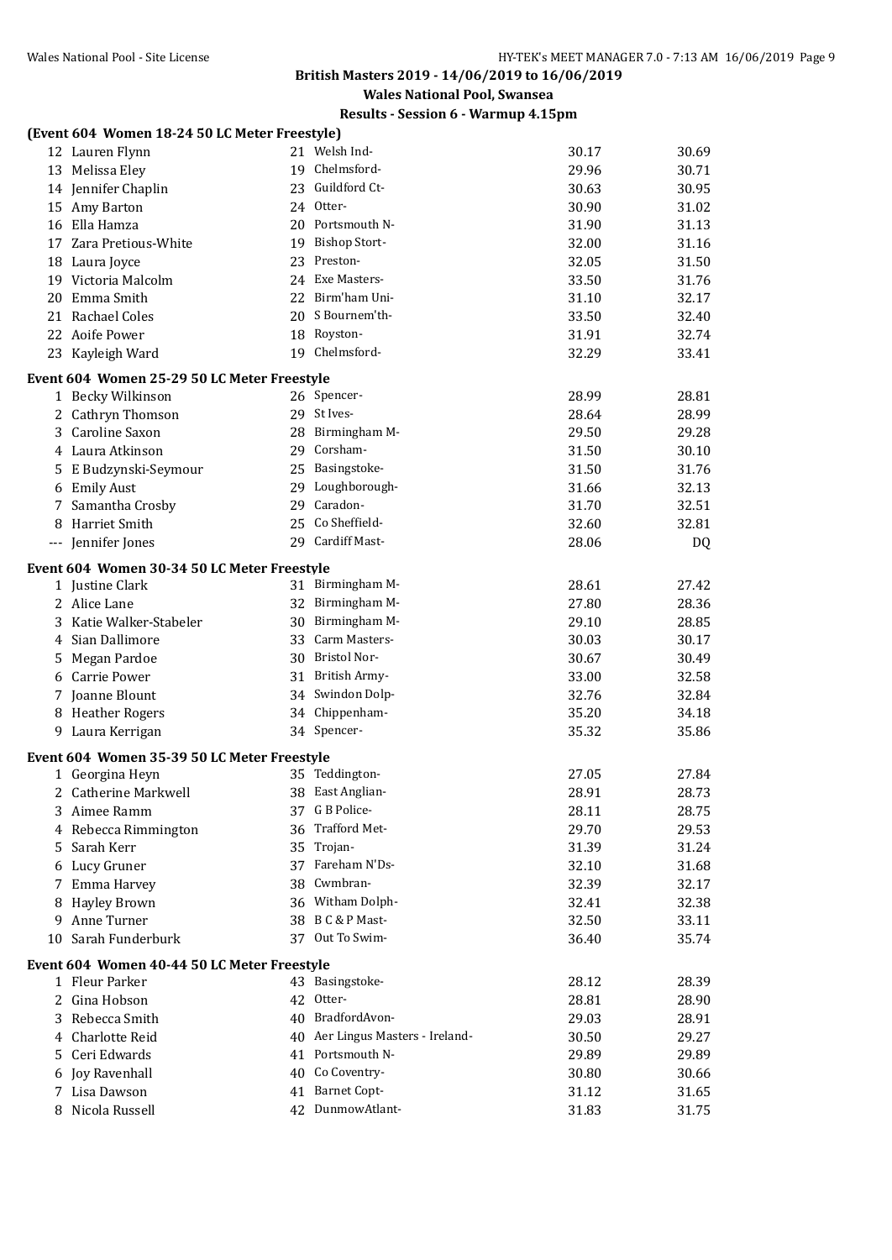**Wales National Pool, Swansea**

|    | (Event 604 Women 18-24 50 LC Meter Freestyle) |                                  |       |       |
|----|-----------------------------------------------|----------------------------------|-------|-------|
|    | 12 Lauren Flynn                               | 21 Welsh Ind-                    | 30.17 | 30.69 |
|    | 13 Melissa Eley                               | 19 Chelmsford-                   | 29.96 | 30.71 |
|    | 14 Jennifer Chaplin                           | 23 Guildford Ct-                 | 30.63 | 30.95 |
|    | 15 Amy Barton                                 | 24 Otter-                        | 30.90 | 31.02 |
|    | 16 Ella Hamza                                 | 20 Portsmouth N-                 | 31.90 | 31.13 |
|    | 17 Zara Pretious-White                        | 19 Bishop Stort-                 | 32.00 | 31.16 |
|    | 18 Laura Joyce                                | 23 Preston-                      | 32.05 | 31.50 |
|    | 19 Victoria Malcolm                           | 24 Exe Masters-                  | 33.50 | 31.76 |
| 20 | Emma Smith                                    | 22 Birm'ham Uni-                 | 31.10 | 32.17 |
|    | 21 Rachael Coles                              | 20 S Bournem'th-                 | 33.50 | 32.40 |
|    | 22 Aoife Power                                | 18 Royston-                      | 31.91 | 32.74 |
|    | 23 Kayleigh Ward                              | 19 Chelmsford-                   | 32.29 | 33.41 |
|    | Event 604 Women 25-29 50 LC Meter Freestyle   |                                  |       |       |
|    | 1 Becky Wilkinson                             | 26 Spencer-                      | 28.99 | 28.81 |
|    | 2 Cathryn Thomson                             | 29 St Ives-                      | 28.64 | 28.99 |
|    | 3 Caroline Saxon                              | 28 Birmingham M-                 | 29.50 | 29.28 |
|    | 4 Laura Atkinson                              | 29 Corsham-                      | 31.50 | 30.10 |
|    | 5 E Budzynski-Seymour                         | 25 Basingstoke-                  | 31.50 | 31.76 |
| 6  | <b>Emily Aust</b>                             | 29 Loughborough-                 | 31.66 | 32.13 |
| 7  | Samantha Crosby                               | 29 Caradon-                      | 31.70 | 32.51 |
| 8  | Harriet Smith                                 | 25 Co Sheffield-                 | 32.60 | 32.81 |
|    | --- Jennifer Jones                            | 29 Cardiff Mast-                 | 28.06 | DQ    |
|    | Event 604 Women 30-34 50 LC Meter Freestyle   |                                  |       |       |
|    | 1 Justine Clark                               | 31 Birmingham M-                 | 28.61 | 27.42 |
|    | 2 Alice Lane                                  | 32 Birmingham M-                 | 27.80 | 28.36 |
|    | 3 Katie Walker-Stabeler                       | 30 Birmingham M-                 | 29.10 | 28.85 |
|    | 4 Sian Dallimore                              | 33 Carm Masters-                 | 30.03 | 30.17 |
| 5. | Megan Pardoe                                  | 30 Bristol Nor-                  | 30.67 | 30.49 |
| 6  | Carrie Power                                  | 31 British Army-                 | 33.00 | 32.58 |
|    | 7 Joanne Blount                               | 34 Swindon Dolp-                 | 32.76 | 32.84 |
| 8  | <b>Heather Rogers</b>                         | 34 Chippenham-                   | 35.20 | 34.18 |
|    | 9 Laura Kerrigan                              | 34 Spencer-                      | 35.32 | 35.86 |
|    | Event 604 Women 35-39 50 LC Meter Freestyle   |                                  |       |       |
|    | 1 Georgina Heyn                               | 35 Teddington-                   | 27.05 | 27.84 |
|    | 2 Catherine Markwell                          | 38 East Anglian-                 | 28.91 | 28.73 |
|    | 3 Aimee Ramm                                  | 37 G B Police-                   | 28.11 | 28.75 |
| 4  | Rebecca Rimmington                            | 36 Trafford Met-                 | 29.70 | 29.53 |
| 5. | Sarah Kerr                                    | 35 Trojan-                       | 31.39 | 31.24 |
| 6  | Lucy Gruner                                   | 37 Fareham N'Ds-                 | 32.10 | 31.68 |
| 7  | Emma Harvey                                   | 38 Cwmbran-                      | 32.39 | 32.17 |
| 8  | <b>Hayley Brown</b>                           | 36 Witham Dolph-                 | 32.41 | 32.38 |
| 9  | Anne Turner                                   | 38 B C & P Mast-                 | 32.50 | 33.11 |
| 10 | Sarah Funderburk                              | 37 Out To Swim-                  | 36.40 | 35.74 |
|    | Event 604 Women 40-44 50 LC Meter Freestyle   |                                  |       |       |
|    | 1 Fleur Parker                                | 43 Basingstoke-                  | 28.12 | 28.39 |
| 2  | Gina Hobson                                   | 42 Otter-                        | 28.81 | 28.90 |
| 3  | Rebecca Smith                                 | 40 BradfordAvon-                 | 29.03 | 28.91 |
| 4  | Charlotte Reid                                | 40 Aer Lingus Masters - Ireland- | 30.50 | 29.27 |
| 5. | Ceri Edwards                                  | 41 Portsmouth N-                 | 29.89 | 29.89 |
| 6  | Joy Ravenhall                                 | 40 Co Coventry-                  | 30.80 | 30.66 |
| 7  | Lisa Dawson                                   | 41 Barnet Copt-                  | 31.12 | 31.65 |
| 8  | Nicola Russell                                | 42 DunmowAtlant-                 | 31.83 | 31.75 |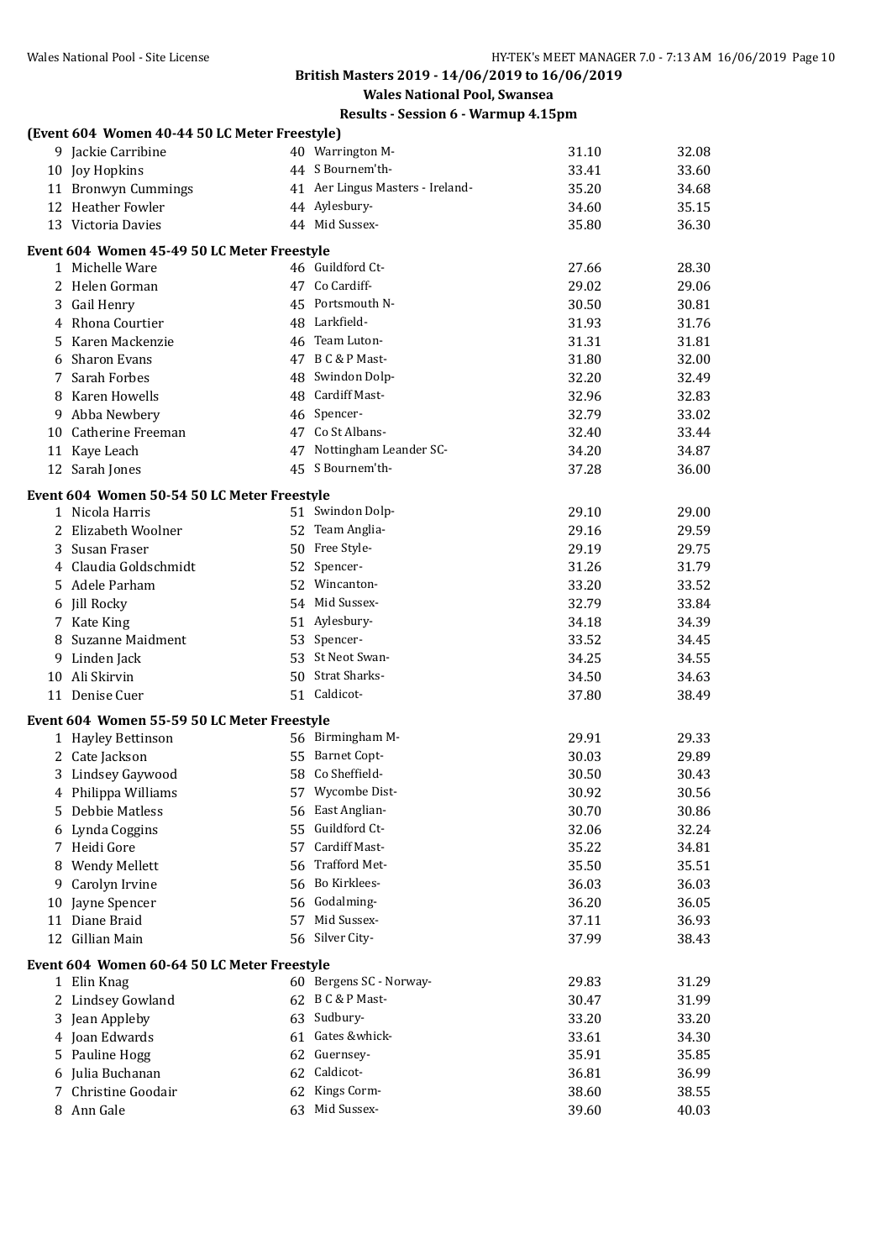# **Wales National Pool, Swansea**

|    | (Event 604 Women 40-44 50 LC Meter Freestyle) |    |                                  |       |       |
|----|-----------------------------------------------|----|----------------------------------|-------|-------|
|    | 9 Jackie Carribine                            |    | 40 Warrington M-                 | 31.10 | 32.08 |
|    | 10 Joy Hopkins                                |    | 44 S Bournem'th-                 | 33.41 | 33.60 |
|    | 11 Bronwyn Cummings                           |    | 41 Aer Lingus Masters - Ireland- | 35.20 | 34.68 |
|    | 12 Heather Fowler                             |    | 44 Aylesbury-                    | 34.60 | 35.15 |
|    | 13 Victoria Davies                            |    | 44 Mid Sussex-                   | 35.80 | 36.30 |
|    | Event 604 Women 45-49 50 LC Meter Freestyle   |    |                                  |       |       |
|    | 1 Michelle Ware                               |    | 46 Guildford Ct-                 | 27.66 | 28.30 |
|    | 2 Helen Gorman                                |    | 47 Co Cardiff-                   | 29.02 | 29.06 |
|    | 3 Gail Henry                                  |    | 45 Portsmouth N-                 | 30.50 | 30.81 |
|    | 4 Rhona Courtier                              |    | 48 Larkfield-                    | 31.93 | 31.76 |
|    | 5 Karen Mackenzie                             |    | 46 Team Luton-                   | 31.31 | 31.81 |
| 6  | Sharon Evans                                  |    | 47 B C & P Mast-                 | 31.80 | 32.00 |
|    | 7 Sarah Forbes                                |    | 48 Swindon Dolp-                 | 32.20 | 32.49 |
|    | 8 Karen Howells                               |    | 48 Cardiff Mast-                 | 32.96 | 32.83 |
|    | 9 Abba Newbery                                |    | 46 Spencer-                      | 32.79 | 33.02 |
|    | 10 Catherine Freeman                          |    | 47 Co St Albans-                 | 32.40 | 33.44 |
|    | 11 Kaye Leach                                 |    | 47 Nottingham Leander SC-        | 34.20 | 34.87 |
|    | 12 Sarah Jones                                |    | 45 S Bournem'th-                 | 37.28 | 36.00 |
|    | Event 604 Women 50-54 50 LC Meter Freestyle   |    |                                  |       |       |
|    | 1 Nicola Harris                               |    | 51 Swindon Dolp-                 | 29.10 | 29.00 |
|    | 2 Elizabeth Woolner                           |    | 52 Team Anglia-                  | 29.16 | 29.59 |
|    | 3 Susan Fraser                                |    | 50 Free Style-                   | 29.19 | 29.75 |
|    | 4 Claudia Goldschmidt                         |    | 52 Spencer-                      | 31.26 | 31.79 |
|    | 5 Adele Parham                                |    | 52 Wincanton-                    | 33.20 | 33.52 |
|    | 6 Jill Rocky                                  |    | 54 Mid Sussex-                   | 32.79 | 33.84 |
|    | 7 Kate King                                   |    | 51 Aylesbury-                    | 34.18 | 34.39 |
| 8  | <b>Suzanne Maidment</b>                       |    | 53 Spencer-                      | 33.52 | 34.45 |
| 9. | Linden Jack                                   |    | 53 St Neot Swan-                 | 34.25 | 34.55 |
|    | 10 Ali Skirvin                                |    | 50 Strat Sharks-                 | 34.50 | 34.63 |
|    | 11 Denise Cuer                                |    | 51 Caldicot-                     | 37.80 | 38.49 |
|    | Event 604 Women 55-59 50 LC Meter Freestyle   |    |                                  |       |       |
|    | 1 Hayley Bettinson                            |    | 56 Birmingham M-                 | 29.91 | 29.33 |
|    | 2 Cate Jackson                                |    | 55 Barnet Copt-                  | 30.03 | 29.89 |
|    | 3 Lindsey Gaywood                             |    | 58 Co Sheffield-                 | 30.50 | 30.43 |
|    | 4 Philippa Williams                           |    | 57 Wycombe Dist-                 | 30.92 | 30.56 |
| 5  | Debbie Matless                                |    | 56 East Anglian-                 | 30.70 | 30.86 |
|    | Lynda Coggins                                 |    | 55 Guildford Ct-                 | 32.06 | 32.24 |
| 7  | Heidi Gore                                    | 57 | Cardiff Mast-                    | 35.22 | 34.81 |
| 8  | Wendy Mellett                                 | 56 | Trafford Met-                    | 35.50 | 35.51 |
| 9  | Carolyn Irvine                                |    | 56 Bo Kirklees-                  | 36.03 | 36.03 |
| 10 | Jayne Spencer                                 |    | 56 Godalming-                    | 36.20 | 36.05 |
| 11 | Diane Braid                                   |    | 57 Mid Sussex-                   | 37.11 | 36.93 |
| 12 | <b>Gillian Main</b>                           |    | 56 Silver City-                  | 37.99 | 38.43 |
|    | Event 604 Women 60-64 50 LC Meter Freestyle   |    |                                  |       |       |
|    | 1 Elin Knag                                   |    | 60 Bergens SC - Norway-          | 29.83 | 31.29 |
|    | 2 Lindsey Gowland                             |    | 62 B C & P Mast-                 | 30.47 | 31.99 |
| 3  | Jean Appleby                                  |    | 63 Sudbury-                      | 33.20 | 33.20 |
| 4  | Joan Edwards                                  |    | 61 Gates &whick-                 | 33.61 | 34.30 |
| 5  | Pauline Hogg                                  |    | 62 Guernsey-                     | 35.91 | 35.85 |
| 6  | Julia Buchanan                                |    | 62 Caldicot-                     | 36.81 | 36.99 |
| 7  | Christine Goodair                             | 62 | Kings Corm-                      | 38.60 | 38.55 |
|    | 8 Ann Gale                                    |    | 63 Mid Sussex-                   | 39.60 | 40.03 |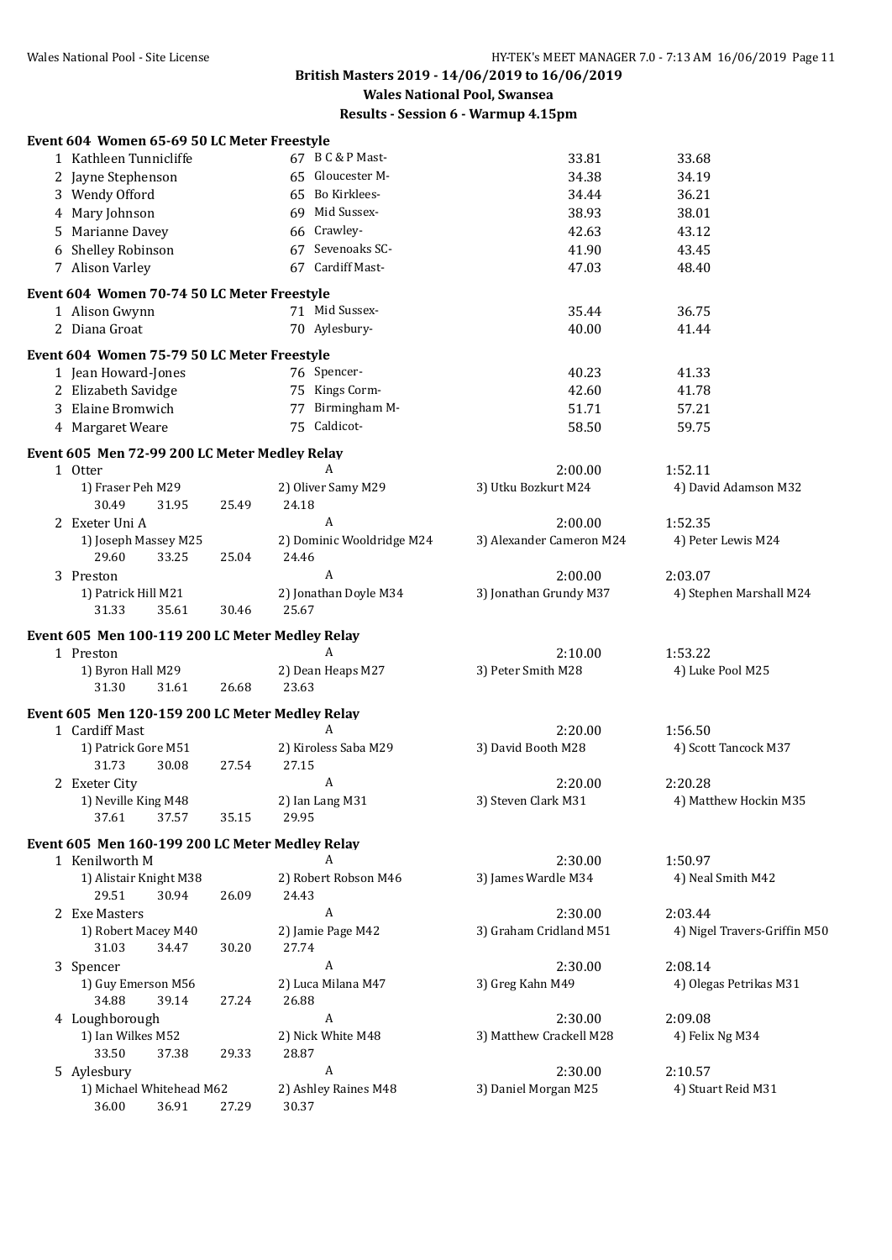# **Wales National Pool, Swansea**

|    | Event 604 Women 65-69 50 LC Meter Freestyle     |       |                               |                          |                              |
|----|-------------------------------------------------|-------|-------------------------------|--------------------------|------------------------------|
|    | 1 Kathleen Tunnicliffe                          |       | 67 B C & P Mast-              | 33.81                    | 33.68                        |
|    | 2 Jayne Stephenson                              |       | 65 Gloucester M-              | 34.38                    | 34.19                        |
|    | 3 Wendy Offord                                  |       | 65 Bo Kirklees-               | 34.44                    | 36.21                        |
|    | 4 Mary Johnson                                  |       | 69 Mid Sussex-                | 38.93                    | 38.01                        |
| 5. | Marianne Davey                                  |       | 66 Crawley-                   | 42.63                    | 43.12                        |
|    | 6 Shelley Robinson                              |       | 67 Sevenoaks SC-              | 41.90                    | 43.45                        |
|    | 7 Alison Varley                                 |       | 67 Cardiff Mast-              | 47.03                    | 48.40                        |
|    |                                                 |       |                               |                          |                              |
|    | Event 604 Women 70-74 50 LC Meter Freestyle     |       |                               |                          |                              |
|    | 1 Alison Gwynn                                  |       | 71 Mid Sussex-                | 35.44                    | 36.75                        |
|    | 2 Diana Groat                                   |       | 70 Aylesbury-                 | 40.00                    | 41.44                        |
|    | Event 604 Women 75-79 50 LC Meter Freestyle     |       |                               |                          |                              |
|    | 1 Jean Howard-Jones                             |       | 76 Spencer-                   | 40.23                    | 41.33                        |
|    | 2 Elizabeth Savidge                             |       | 75 Kings Corm-                | 42.60                    | 41.78                        |
|    | 3 Elaine Bromwich                               |       | 77 Birmingham M-              | 51.71                    | 57.21                        |
|    | 4 Margaret Weare                                |       | 75 Caldicot-                  | 58.50                    | 59.75                        |
|    |                                                 |       |                               |                          |                              |
|    | Event 605 Men 72-99 200 LC Meter Medley Relay   |       |                               |                          |                              |
|    | 1 Otter                                         |       | A                             | 2:00.00                  | 1:52.11                      |
|    | 1) Fraser Peh M29                               |       | 2) Oliver Samy M29            | 3) Utku Bozkurt M24      | 4) David Adamson M32         |
|    | 30.49<br>31.95                                  | 25.49 | 24.18                         |                          |                              |
|    | 2 Exeter Uni A                                  |       | $\boldsymbol{A}$              | 2:00.00                  | 1:52.35                      |
|    | 1) Joseph Massey M25                            |       | 2) Dominic Wooldridge M24     | 3) Alexander Cameron M24 | 4) Peter Lewis M24           |
|    | 29.60<br>33.25                                  | 25.04 | 24.46                         |                          |                              |
|    | 3 Preston                                       |       | $\boldsymbol{A}$              | 2:00.00                  | 2:03.07                      |
|    | 1) Patrick Hill M21                             |       | 2) Jonathan Doyle M34         | 3) Jonathan Grundy M37   | 4) Stephen Marshall M24      |
|    | 31.33<br>35.61                                  | 30.46 | 25.67                         |                          |                              |
|    | Event 605 Men 100-119 200 LC Meter Medley Relay |       |                               |                          |                              |
|    | 1 Preston                                       |       | A                             | 2:10.00                  | 1:53.22                      |
|    | 1) Byron Hall M29                               |       | 2) Dean Heaps M27             | 3) Peter Smith M28       | 4) Luke Pool M25             |
|    | 31.30<br>31.61                                  | 26.68 | 23.63                         |                          |                              |
|    | Event 605 Men 120-159 200 LC Meter Medley Relay |       |                               |                          |                              |
|    | 1 Cardiff Mast                                  |       | A                             | 2:20.00                  | 1:56.50                      |
|    | 1) Patrick Gore M51                             |       | 2) Kiroless Saba M29          | 3) David Booth M28       | 4) Scott Tancock M37         |
|    | 31.73<br>30.08                                  | 27.54 | 27.15                         |                          |                              |
|    | 2 Exeter City                                   |       | A                             | 2:20.00                  | 2:20.28                      |
|    | 1) Neville King M48                             |       | 2) Ian Lang M31               | 3) Steven Clark M31      | 4) Matthew Hockin M35        |
|    | 37.61<br>37.57                                  | 35.15 | 29.95                         |                          |                              |
|    |                                                 |       |                               |                          |                              |
|    | Event 605 Men 160-199 200 LC Meter Medley Relay |       |                               |                          |                              |
|    | 1 Kenilworth M                                  |       | A                             | 2:30.00                  | 1:50.97                      |
|    | 1) Alistair Knight M38                          |       | 2) Robert Robson M46          | 3) James Wardle M34      | 4) Neal Smith M42            |
|    | 29.51<br>30.94                                  | 26.09 | 24.43                         |                          |                              |
|    | 2 Exe Masters                                   |       | A                             | 2:30.00                  | 2:03.44                      |
|    | 1) Robert Macey M40                             |       | 2) Jamie Page M42             | 3) Graham Cridland M51   | 4) Nigel Travers-Griffin M50 |
|    | 31.03<br>34.47                                  | 30.20 | 27.74                         |                          |                              |
|    | 3 Spencer                                       |       | A                             | 2:30.00                  | 2:08.14                      |
|    | 1) Guy Emerson M56                              |       | 2) Luca Milana M47            | 3) Greg Kahn M49         | 4) Olegas Petrikas M31       |
|    | 34.88<br>39.14                                  | 27.24 | 26.88<br>A                    |                          |                              |
|    | 4 Loughborough                                  |       |                               | 2:30.00                  | 2:09.08                      |
|    | 1) Ian Wilkes M52                               |       | 2) Nick White M48<br>28.87    | 3) Matthew Crackell M28  | 4) Felix Ng M34              |
|    | 33.50<br>37.38                                  | 29.33 | $\boldsymbol{A}$              |                          |                              |
|    | 5 Aylesbury<br>1) Michael Whitehead M62         |       |                               | 2:30.00                  | 2:10.57                      |
|    | 36.00<br>36.91                                  | 27.29 | 2) Ashley Raines M48<br>30.37 | 3) Daniel Morgan M25     | 4) Stuart Reid M31           |
|    |                                                 |       |                               |                          |                              |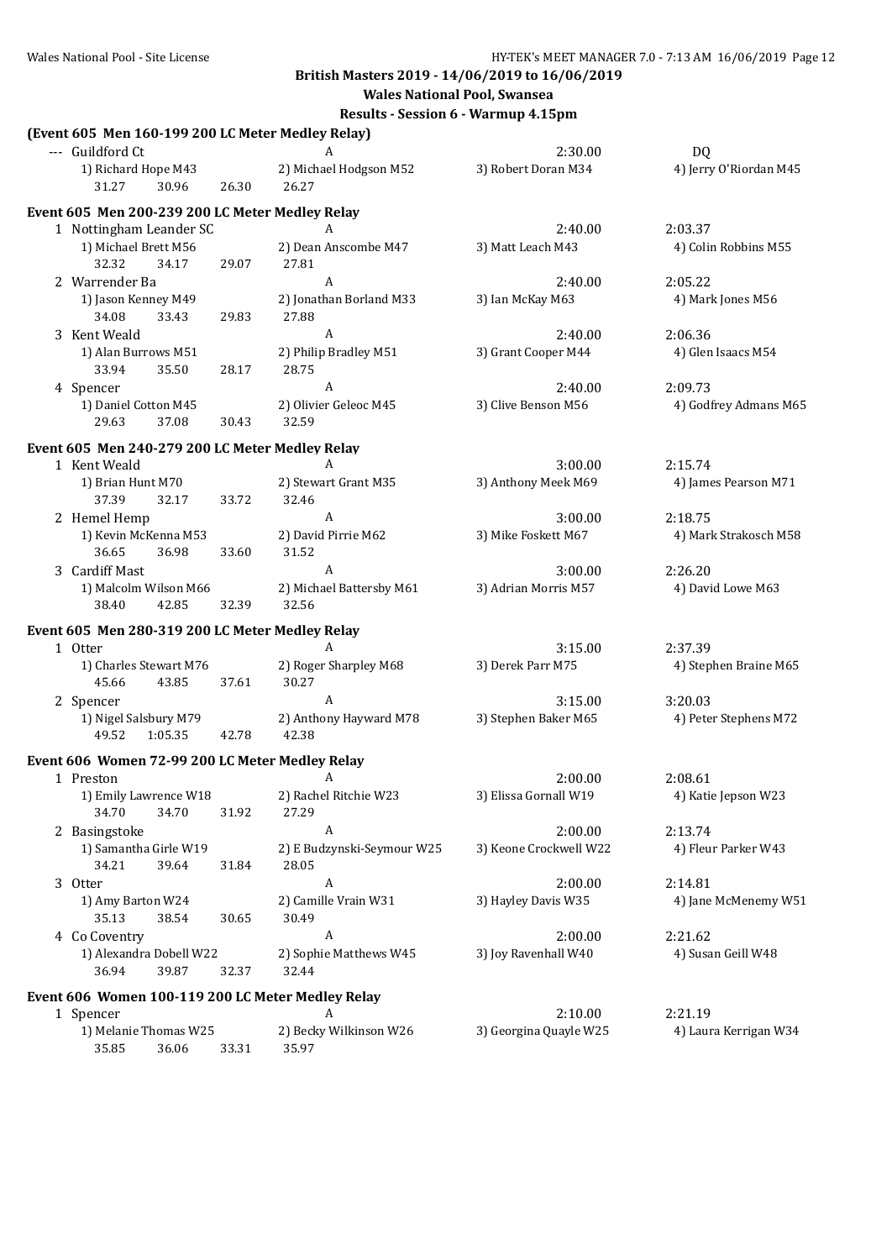**Wales National Pool, Swansea**

| (Event 605 Men 160-199 200 LC Meter Medley Relay) |       |                                     |                        |                        |
|---------------------------------------------------|-------|-------------------------------------|------------------------|------------------------|
| --- Guildford Ct                                  |       |                                     | 2:30.00                | DQ                     |
| 1) Richard Hope M43<br>31.27<br>30.96             | 26.30 | 2) Michael Hodgson M52<br>26.27     | 3) Robert Doran M34    | 4) Jerry O'Riordan M45 |
| Event 605 Men 200-239 200 LC Meter Medley Relay   |       |                                     |                        |                        |
| 1 Nottingham Leander SC                           |       | A                                   | 2:40.00                | 2:03.37                |
| 1) Michael Brett M56<br>32.32<br>34.17            | 29.07 | 2) Dean Anscombe M47<br>27.81       | 3) Matt Leach M43      | 4) Colin Robbins M55   |
| 2 Warrender Ba                                    |       | A                                   | 2:40.00                | 2:05.22                |
| 1) Jason Kenney M49<br>34.08<br>33.43             | 29.83 | 2) Jonathan Borland M33<br>27.88    | 3) Ian McKay M63       | 4) Mark Jones M56      |
| 3 Kent Weald                                      |       | A                                   | 2:40.00                | 2:06.36                |
| 1) Alan Burrows M51<br>33.94<br>35.50             | 28.17 | 2) Philip Bradley M51<br>28.75      | 3) Grant Cooper M44    | 4) Glen Isaacs M54     |
| 4 Spencer                                         |       | A                                   | 2:40.00                | 2:09.73                |
| 1) Daniel Cotton M45<br>29.63<br>37.08            | 30.43 | 2) Olivier Geleoc M45<br>32.59      | 3) Clive Benson M56    | 4) Godfrey Admans M65  |
| Event 605 Men 240-279 200 LC Meter Medley Relay   |       |                                     |                        |                        |
| 1 Kent Weald                                      |       | A                                   | 3:00.00                | 2:15.74                |
| 1) Brian Hunt M70<br>37.39<br>32.17               | 33.72 | 2) Stewart Grant M35<br>32.46       | 3) Anthony Meek M69    | 4) James Pearson M71   |
| 2 Hemel Hemp                                      |       | A                                   | 3:00.00                | 2:18.75                |
| 1) Kevin McKenna M53<br>36.65<br>36.98            | 33.60 | 2) David Pirrie M62<br>31.52        | 3) Mike Foskett M67    | 4) Mark Strakosch M58  |
| 3 Cardiff Mast                                    |       | A                                   | 3:00.00                | 2:26.20                |
| 1) Malcolm Wilson M66<br>38.40<br>42.85           | 32.39 | 2) Michael Battersby M61<br>32.56   | 3) Adrian Morris M57   | 4) David Lowe M63      |
| Event 605 Men 280-319 200 LC Meter Medley Relay   |       |                                     |                        |                        |
| 1 Otter                                           |       | A                                   | 3:15.00                | 2:37.39                |
| 1) Charles Stewart M76<br>45.66<br>43.85          | 37.61 | 2) Roger Sharpley M68<br>30.27      | 3) Derek Parr M75      | 4) Stephen Braine M65  |
| 2 Spencer                                         |       | A                                   | 3:15.00                | 3:20.03                |
| 1) Nigel Salsbury M79<br>1:05.35<br>49.52         | 42.78 | 2) Anthony Hayward M78<br>42.38     | 3) Stephen Baker M65   | 4) Peter Stephens M72  |
| Event 606 Women 72-99 200 LC Meter Medley Relay   |       |                                     |                        |                        |
| 1 Preston                                         |       | A                                   | 2:00.00                | 2:08.61                |
| 1) Emily Lawrence W18<br>34.70<br>34.70           | 31.92 | 2) Rachel Ritchie W23<br>27.29      | 3) Elissa Gornall W19  | 4) Katie Jepson W23    |
| 2 Basingstoke                                     |       | A                                   | 2:00.00                | 2:13.74                |
| 1) Samantha Girle W19<br>34.21<br>39.64           | 31.84 | 2) E Budzynski-Seymour W25<br>28.05 | 3) Keone Crockwell W22 | 4) Fleur Parker W43    |
| 3 Otter                                           |       | A                                   | 2:00.00                | 2:14.81                |
| 1) Amy Barton W24<br>35.13<br>38.54               | 30.65 | 2) Camille Vrain W31<br>30.49       | 3) Hayley Davis W35    | 4) Jane McMenemy W51   |
| 4 Co Coventry                                     |       | A                                   | 2:00.00                | 2:21.62                |
| 1) Alexandra Dobell W22<br>39.87<br>36.94         | 32.37 | 2) Sophie Matthews W45<br>32.44     | 3) Joy Ravenhall W40   | 4) Susan Geill W48     |
| Event 606 Women 100-119 200 LC Meter Medley Relay |       |                                     |                        |                        |
| 1 Spencer                                         |       | A                                   | 2:10.00                | 2:21.19                |
| 1) Melanie Thomas W25<br>35.85<br>36.06           | 33.31 | 2) Becky Wilkinson W26<br>35.97     | 3) Georgina Quayle W25 | 4) Laura Kerrigan W34  |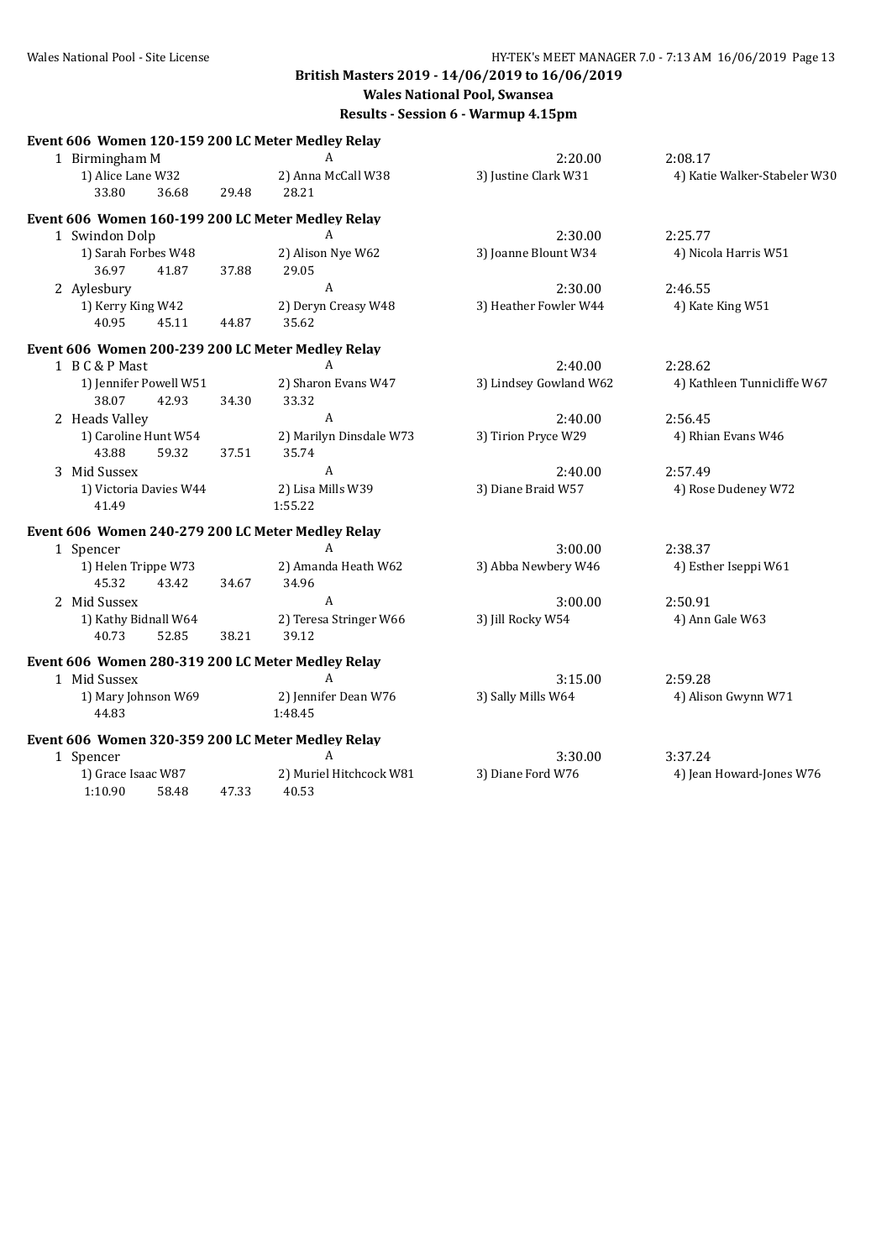| Event 606 Women 120-159 200 LC Meter Medley Relay |       |                         |                        |                              |
|---------------------------------------------------|-------|-------------------------|------------------------|------------------------------|
| 1 Birmingham M                                    |       | A                       | 2:20.00                | 2:08.17                      |
| 1) Alice Lane W32                                 |       | 2) Anna McCall W38      | 3) Justine Clark W31   | 4) Katie Walker-Stabeler W30 |
| 36.68<br>33.80                                    | 29.48 | 28.21                   |                        |                              |
| Event 606 Women 160-199 200 LC Meter Medley Relay |       |                         |                        |                              |
| 1 Swindon Dolp                                    |       | A                       | 2:30.00                | 2:25.77                      |
| 1) Sarah Forbes W48                               |       | 2) Alison Nye W62       | 3) Joanne Blount W34   | 4) Nicola Harris W51         |
| 36.97<br>41.87                                    | 37.88 | 29.05                   |                        |                              |
| 2 Aylesbury                                       |       | A                       | 2:30.00                | 2:46.55                      |
| 1) Kerry King W42                                 |       | 2) Deryn Creasy W48     | 3) Heather Fowler W44  | 4) Kate King W51             |
| 40.95<br>45.11                                    | 44.87 | 35.62                   |                        |                              |
| Event 606 Women 200-239 200 LC Meter Medley Relay |       |                         |                        |                              |
| 1 B C & P Mast                                    |       | A                       | 2:40.00                | 2:28.62                      |
| 1) Jennifer Powell W51                            |       | 2) Sharon Evans W47     | 3) Lindsey Gowland W62 | 4) Kathleen Tunnicliffe W67  |
| 38.07<br>42.93                                    | 34.30 | 33.32                   |                        |                              |
| 2 Heads Valley                                    |       | A                       | 2:40.00                | 2:56.45                      |
| 1) Caroline Hunt W54                              |       | 2) Marilyn Dinsdale W73 | 3) Tirion Pryce W29    | 4) Rhian Evans W46           |
| 43.88<br>59.32                                    | 37.51 | 35.74                   |                        |                              |
| 3 Mid Sussex                                      |       | A                       | 2:40.00                | 2:57.49                      |
| 1) Victoria Davies W44                            |       | 2) Lisa Mills W39       | 3) Diane Braid W57     | 4) Rose Dudeney W72          |
| 41.49                                             |       | 1:55.22                 |                        |                              |
| Event 606 Women 240-279 200 LC Meter Medley Relay |       |                         |                        |                              |
| 1 Spencer                                         |       | A                       | 3:00.00                | 2:38.37                      |
| 1) Helen Trippe W73                               |       | 2) Amanda Heath W62     | 3) Abba Newbery W46    | 4) Esther Iseppi W61         |
| 45.32<br>43.42                                    | 34.67 | 34.96                   |                        |                              |
| 2 Mid Sussex                                      |       | $\overline{A}$          | 3:00.00                | 2:50.91                      |
| 1) Kathy Bidnall W64                              |       | 2) Teresa Stringer W66  | 3) Jill Rocky W54      | 4) Ann Gale W63              |
| 40.73<br>52.85                                    | 38.21 | 39.12                   |                        |                              |
| Event 606 Women 280-319 200 LC Meter Medley Relay |       |                         |                        |                              |
| 1 Mid Sussex                                      |       | A                       | 3:15.00                | 2:59.28                      |
| 1) Mary Johnson W69                               |       | 2) Jennifer Dean W76    | 3) Sally Mills W64     | 4) Alison Gwynn W71          |
| 44.83                                             |       | 1:48.45                 |                        |                              |
| Event 606 Women 320-359 200 LC Meter Medley Relay |       |                         |                        |                              |
| 1 Spencer                                         |       | A                       | 3:30.00                | 3:37.24                      |
| 1) Grace Isaac W87                                |       | 2) Muriel Hitchcock W81 | 3) Diane Ford W76      | 4) Jean Howard-Jones W76     |
| 1:10.90<br>58.48                                  | 47.33 | 40.53                   |                        |                              |
|                                                   |       |                         |                        |                              |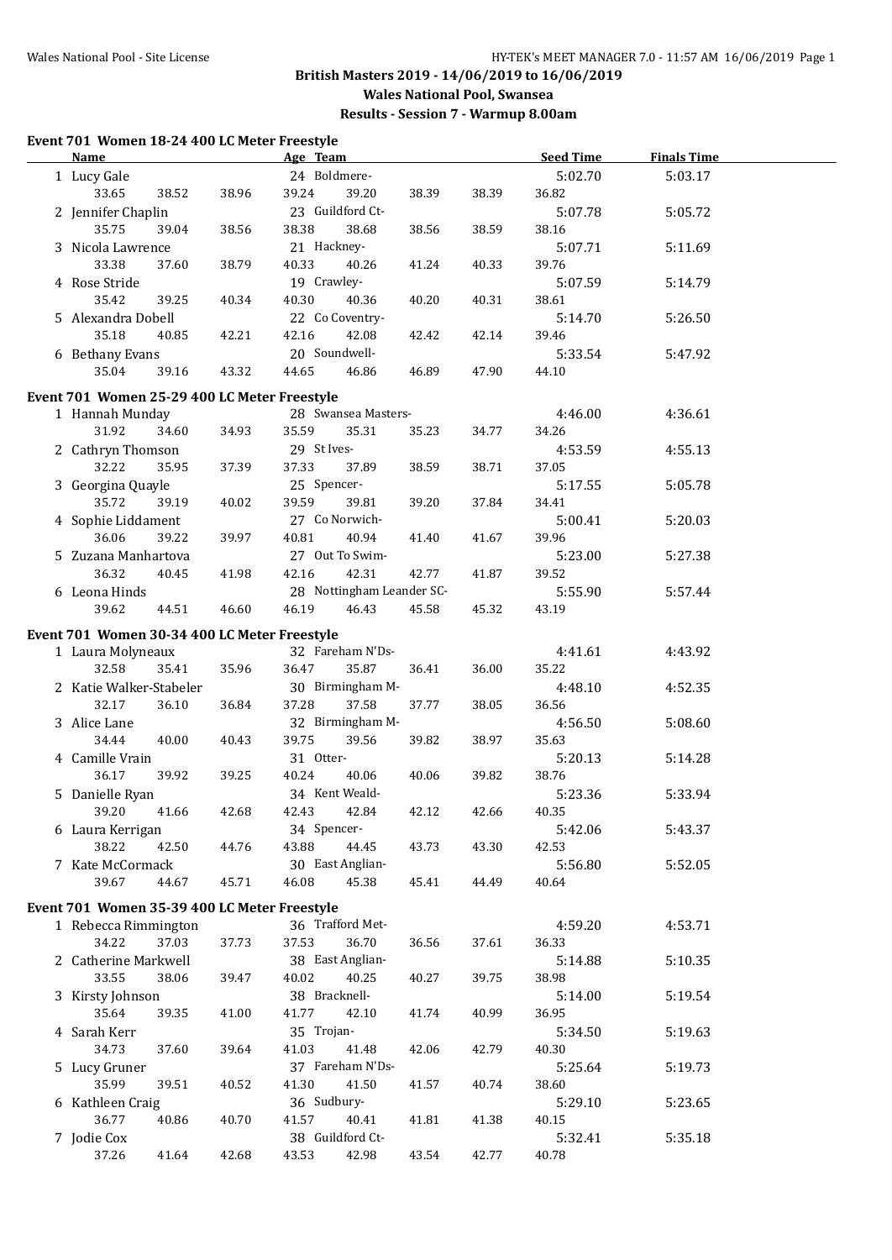**Results - Session 7 - Warmup 8.00am**

#### **Event 701 Women 18-24 400 LC Meter Freestyle**

| <b>Name</b>                                  |       | Age Team                  |       |       | <b>Seed Time</b> | <b>Finals Time</b> |  |
|----------------------------------------------|-------|---------------------------|-------|-------|------------------|--------------------|--|
| 1 Lucy Gale                                  |       | 24 Boldmere-              |       |       | 5:02.70          | 5:03.17            |  |
| 33.65<br>38.52                               | 38.96 | 39.20<br>39.24            | 38.39 | 38.39 | 36.82            |                    |  |
| 2 Jennifer Chaplin                           |       | 23 Guildford Ct-          |       |       | 5:07.78          | 5:05.72            |  |
| 35.75<br>39.04                               | 38.56 | 38.38<br>38.68            | 38.56 | 38.59 | 38.16            |                    |  |
| 3 Nicola Lawrence                            |       | 21 Hackney-               |       |       | 5:07.71          |                    |  |
|                                              |       | 40.26                     |       |       |                  | 5:11.69            |  |
| 33.38<br>37.60                               | 38.79 | 40.33                     | 41.24 | 40.33 | 39.76            |                    |  |
| 4 Rose Stride                                |       | 19 Crawley-               |       |       | 5:07.59          | 5:14.79            |  |
| 35.42<br>39.25                               | 40.34 | 40.30<br>40.36            | 40.20 | 40.31 | 38.61            |                    |  |
| 5 Alexandra Dobell                           |       | 22 Co Coventry-           |       |       | 5:14.70          | 5:26.50            |  |
| 35.18<br>40.85                               | 42.21 | 42.16<br>42.08            | 42.42 | 42.14 | 39.46            |                    |  |
| 6 Bethany Evans                              |       | 20 Soundwell-             |       |       | 5:33.54          | 5:47.92            |  |
| 35.04<br>39.16                               | 43.32 | 44.65<br>46.86            | 46.89 | 47.90 | 44.10            |                    |  |
|                                              |       |                           |       |       |                  |                    |  |
| Event 701 Women 25-29 400 LC Meter Freestyle |       |                           |       |       |                  |                    |  |
| 1 Hannah Munday                              |       | 28 Swansea Masters-       |       |       | 4:46.00          | 4:36.61            |  |
| 31.92<br>34.60                               | 34.93 | 35.59<br>35.31            | 35.23 | 34.77 | 34.26            |                    |  |
| 2 Cathryn Thomson                            |       | 29 St Ives-               |       |       | 4:53.59          | 4:55.13            |  |
| 32.22<br>35.95                               | 37.39 | 37.33<br>37.89            | 38.59 | 38.71 | 37.05            |                    |  |
| 3 Georgina Quayle                            |       | 25 Spencer-               |       |       | 5:17.55          | 5:05.78            |  |
| 35.72<br>39.19                               | 40.02 | 39.59<br>39.81            | 39.20 | 37.84 | 34.41            |                    |  |
| 4 Sophie Liddament                           |       | 27 Co Norwich-            |       |       | 5:00.41          | 5:20.03            |  |
| 36.06<br>39.22                               | 39.97 | 40.81<br>40.94            | 41.40 | 41.67 | 39.96            |                    |  |
| 5 Zuzana Manhartova                          |       | 27 Out To Swim-           |       |       | 5:23.00          | 5:27.38            |  |
| 36.32<br>40.45                               | 41.98 | 42.31<br>42.16            | 42.77 | 41.87 | 39.52            |                    |  |
| 6 Leona Hinds                                |       | 28 Nottingham Leander SC- |       |       | 5:55.90          | 5:57.44            |  |
| 39.62<br>44.51                               | 46.60 | 46.19<br>46.43            | 45.58 | 45.32 | 43.19            |                    |  |
|                                              |       |                           |       |       |                  |                    |  |
| Event 701 Women 30-34 400 LC Meter Freestyle |       |                           |       |       |                  |                    |  |
| 1 Laura Molyneaux                            |       | 32 Fareham N'Ds-          |       |       | 4:41.61          | 4:43.92            |  |
| 32.58<br>35.41                               | 35.96 | 35.87<br>36.47            | 36.41 | 36.00 | 35.22            |                    |  |
| 2 Katie Walker-Stabeler                      |       | 30 Birmingham M-          |       |       | 4:48.10          | 4:52.35            |  |
| 32.17<br>36.10                               | 36.84 | 37.58<br>37.28            | 37.77 | 38.05 | 36.56            |                    |  |
| 3 Alice Lane                                 |       | 32 Birmingham M-          |       |       | 4:56.50          | 5:08.60            |  |
| 34.44<br>40.00                               | 40.43 | 39.75<br>39.56            | 39.82 | 38.97 | 35.63            |                    |  |
| 4 Camille Vrain                              |       | 31 Otter-                 |       |       | 5:20.13          | 5:14.28            |  |
| 36.17<br>39.92                               | 39.25 | 40.24<br>40.06            | 40.06 | 39.82 | 38.76            |                    |  |
| 5 Danielle Ryan                              |       | 34 Kent Weald-            |       |       |                  | 5:33.94            |  |
| 39.20                                        |       | 42.43                     |       | 42.66 | 5:23.36          |                    |  |
| 41.66                                        | 42.68 | 42.84                     | 42.12 |       | 40.35            |                    |  |
| 6 Laura Kerrigan                             |       | 34 Spencer-               |       |       | 5:42.06          | 5:43.37            |  |
| 38.22<br>42.50                               | 44.76 | 43.88<br>44.45            | 43.73 | 43.30 | 42.53            |                    |  |
| 7 Kate McCormack                             |       | 30 East Anglian-          |       |       | 5:56.80          | 5:52.05            |  |
| 39.67<br>44.67                               | 45.71 | 46.08<br>45.38            | 45.41 | 44.49 | 40.64            |                    |  |
| Event 701 Women 35-39 400 LC Meter Freestyle |       |                           |       |       |                  |                    |  |
| 1 Rebecca Rimmington                         |       | 36 Trafford Met-          |       |       | 4:59.20          | 4:53.71            |  |
| 34.22<br>37.03                               | 37.73 | 37.53<br>36.70            | 36.56 | 37.61 | 36.33            |                    |  |
| 2 Catherine Markwell                         |       | 38 East Anglian-          |       |       | 5:14.88          | 5:10.35            |  |
| 33.55<br>38.06                               | 39.47 | 40.02<br>40.25            | 40.27 | 39.75 | 38.98            |                    |  |
|                                              |       | 38 Bracknell-             |       |       |                  |                    |  |
| 3 Kirsty Johnson                             |       |                           |       |       | 5:14.00          | 5:19.54            |  |
| 35.64<br>39.35                               | 41.00 | 41.77<br>42.10            | 41.74 | 40.99 | 36.95            |                    |  |
| 4 Sarah Kerr                                 |       | 35 Trojan-                |       |       | 5:34.50          | 5:19.63            |  |
| 34.73<br>37.60                               | 39.64 | 41.03<br>41.48            | 42.06 | 42.79 | 40.30            |                    |  |
| 5 Lucy Gruner                                |       | 37 Fareham N'Ds-          |       |       | 5:25.64          | 5:19.73            |  |
| 35.99<br>39.51                               | 40.52 | 41.30<br>41.50            | 41.57 | 40.74 | 38.60            |                    |  |
| 6 Kathleen Craig                             |       | 36 Sudbury-               |       |       | 5:29.10          | 5:23.65            |  |
| 36.77<br>40.86                               | 40.70 | 41.57<br>40.41            | 41.81 | 41.38 | 40.15            |                    |  |
| 7 Jodie Cox                                  |       | 38 Guildford Ct-          |       |       | 5:32.41          | 5:35.18            |  |
| 37.26<br>41.64                               | 42.68 | 43.53<br>42.98            | 43.54 | 42.77 | 40.78            |                    |  |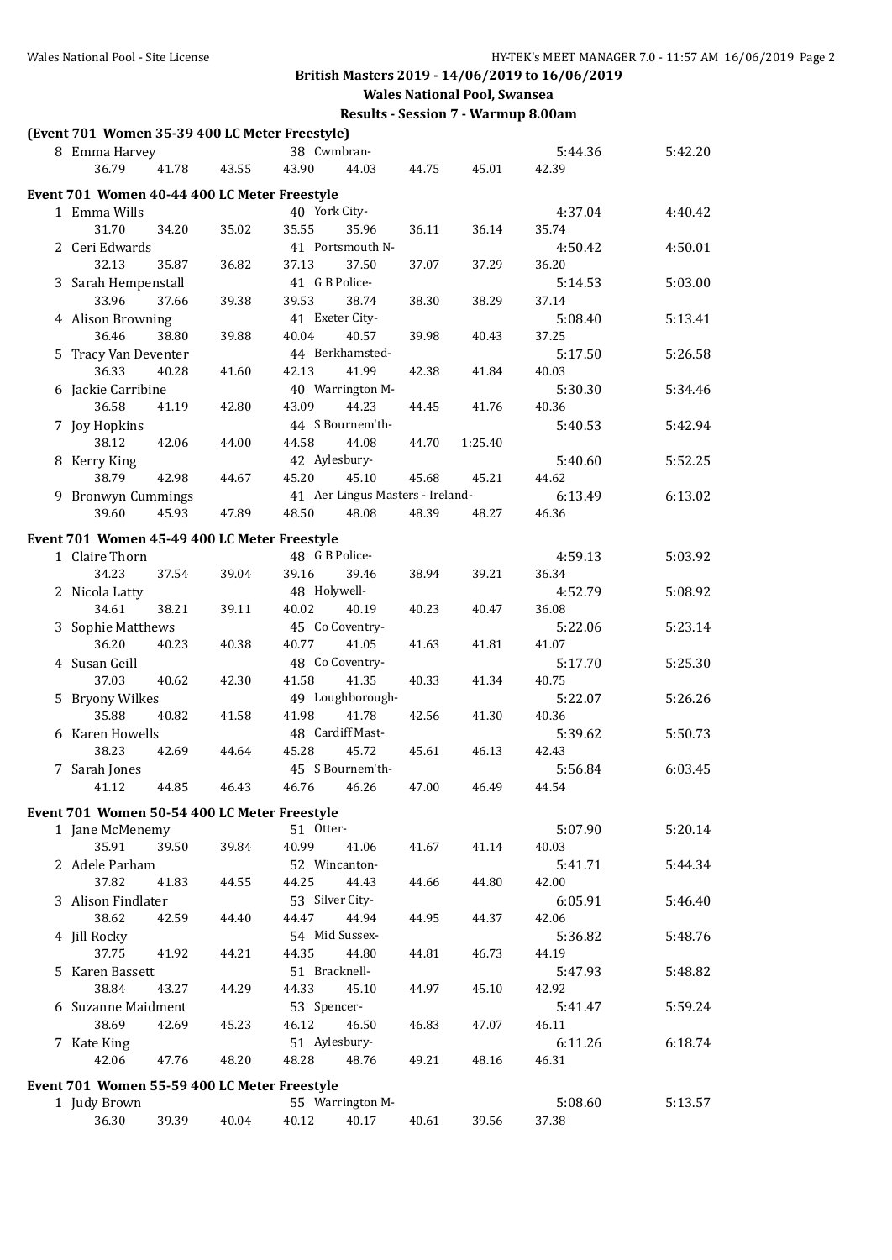**Wales National Pool, Swansea**

| (Event 701 Women 35-39 400 LC Meter Freestyle)                  |       |       |             |                                  |       |         |         |         |
|-----------------------------------------------------------------|-------|-------|-------------|----------------------------------|-------|---------|---------|---------|
| 8 Emma Harvey                                                   |       |       |             | 38 Cwmbran-                      |       |         | 5:44.36 | 5:42.20 |
| 36.79                                                           | 41.78 | 43.55 | 43.90       | 44.03                            | 44.75 | 45.01   | 42.39   |         |
| Event 701 Women 40-44 400 LC Meter Freestyle                    |       |       |             |                                  |       |         |         |         |
| 1 Emma Wills                                                    |       |       |             | 40 York City-                    |       |         | 4:37.04 | 4:40.42 |
| 31.70                                                           | 34.20 | 35.02 | 35.55       | 35.96                            | 36.11 | 36.14   | 35.74   |         |
| 2 Ceri Edwards                                                  |       |       |             | 41 Portsmouth N-                 |       |         | 4:50.42 | 4:50.01 |
| 32.13                                                           | 35.87 | 36.82 | 37.13       | 37.50                            | 37.07 | 37.29   | 36.20   |         |
| 3 Sarah Hempenstall                                             |       |       |             | 41 G B Police-                   |       |         | 5:14.53 | 5:03.00 |
| 33.96                                                           | 37.66 | 39.38 | 39.53       | 38.74                            | 38.30 | 38.29   | 37.14   |         |
| 4 Alison Browning                                               |       |       |             | 41 Exeter City-                  |       |         | 5:08.40 | 5:13.41 |
| 36.46                                                           | 38.80 | 39.88 | 40.04       | 40.57                            | 39.98 | 40.43   | 37.25   |         |
| 5 Tracy Van Deventer                                            |       |       |             | 44 Berkhamsted-                  |       |         | 5:17.50 | 5:26.58 |
| 36.33                                                           | 40.28 | 41.60 | 42.13       | 41.99                            | 42.38 | 41.84   | 40.03   |         |
| 6 Jackie Carribine                                              |       |       |             | 40 Warrington M-                 |       |         | 5:30.30 | 5:34.46 |
| 36.58                                                           | 41.19 | 42.80 | 43.09       | 44.23                            | 44.45 | 41.76   | 40.36   |         |
| 7 Joy Hopkins                                                   |       |       |             | 44 S Bournem'th-                 |       |         | 5:40.53 | 5:42.94 |
| 38.12                                                           | 42.06 | 44.00 | 44.58       | 44.08                            | 44.70 | 1:25.40 |         |         |
| 8 Kerry King                                                    |       |       |             | 42 Aylesbury-                    |       |         | 5:40.60 | 5:52.25 |
| 38.79                                                           | 42.98 | 44.67 | 45.20       | 45.10                            | 45.68 | 45.21   | 44.62   |         |
| 9 Bronwyn Cummings                                              |       |       |             | 41 Aer Lingus Masters - Ireland- |       |         | 6:13.49 | 6:13.02 |
| 39.60                                                           | 45.93 | 47.89 | 48.50       | 48.08                            | 48.39 | 48.27   | 46.36   |         |
| Event 701 Women 45-49 400 LC Meter Freestyle                    |       |       |             |                                  |       |         |         |         |
| 1 Claire Thorn                                                  |       |       |             | 48 G B Police-                   |       |         | 4:59.13 | 5:03.92 |
| 34.23                                                           | 37.54 | 39.04 | 39.16       | 39.46                            | 38.94 | 39.21   | 36.34   |         |
| 2 Nicola Latty                                                  |       |       |             | 48 Holywell-                     |       |         | 4:52.79 | 5:08.92 |
| 34.61                                                           | 38.21 | 39.11 | 40.02       | 40.19                            | 40.23 | 40.47   | 36.08   |         |
| 3 Sophie Matthews                                               |       |       |             | 45 Co Coventry-                  |       |         | 5:22.06 | 5:23.14 |
| 36.20                                                           | 40.23 | 40.38 | 40.77       | 41.05                            | 41.63 | 41.81   | 41.07   |         |
| 4 Susan Geill                                                   |       |       |             | 48 Co Coventry-                  |       |         | 5:17.70 | 5:25.30 |
| 37.03                                                           | 40.62 | 42.30 | 41.58       | 41.35                            | 40.33 | 41.34   | 40.75   |         |
| 5 Bryony Wilkes                                                 |       |       |             | 49 Loughborough-                 |       |         | 5:22.07 | 5:26.26 |
| 35.88                                                           | 40.82 | 41.58 | 41.98       | 41.78                            | 42.56 | 41.30   | 40.36   |         |
| 6 Karen Howells                                                 |       |       |             | 48 Cardiff Mast-                 |       |         | 5:39.62 | 5:50.73 |
| 38.23                                                           | 42.69 | 44.64 | 45.28       | 45.72                            | 45.61 | 46.13   | 42.43   |         |
| 7 Sarah Jones                                                   |       |       |             | 45 S Bournem'th-                 |       |         | 5:56.84 | 6:03.45 |
| 41.12                                                           | 44.85 | 46.43 | 46.76       | 46.26                            | 47.00 | 46.49   | 44.54   |         |
|                                                                 |       |       |             |                                  |       |         |         |         |
| Event 701 Women 50-54 400 LC Meter Freestyle<br>1 Jane McMenemy |       |       | 51 Otter-   |                                  |       |         | 5:07.90 | 5:20.14 |
| 35.91                                                           | 39.50 | 39.84 | 40.99       | 41.06                            | 41.67 | 41.14   | 40.03   |         |
| 2 Adele Parham                                                  |       |       |             | 52 Wincanton-                    |       |         | 5:41.71 | 5:44.34 |
| 37.82                                                           | 41.83 | 44.55 | 44.25       | 44.43                            | 44.66 | 44.80   | 42.00   |         |
| 3 Alison Findlater                                              |       |       |             | 53 Silver City-                  |       |         | 6:05.91 | 5:46.40 |
| 38.62                                                           | 42.59 | 44.40 | 44.47       | 44.94                            | 44.95 | 44.37   | 42.06   |         |
| 4 Jill Rocky                                                    |       |       |             | 54 Mid Sussex-                   |       |         | 5:36.82 | 5:48.76 |
| 37.75                                                           | 41.92 | 44.21 | 44.35       | 44.80                            | 44.81 | 46.73   | 44.19   |         |
| 5 Karen Bassett                                                 |       |       |             | 51 Bracknell-                    |       |         | 5:47.93 | 5:48.82 |
| 38.84                                                           | 43.27 | 44.29 | 44.33       | 45.10                            | 44.97 | 45.10   | 42.92   |         |
| 6 Suzanne Maidment                                              |       |       | 53 Spencer- |                                  |       |         | 5:41.47 | 5:59.24 |
| 38.69                                                           | 42.69 | 45.23 | 46.12       | 46.50                            | 46.83 | 47.07   | 46.11   |         |
| 7 Kate King                                                     |       |       |             | 51 Aylesbury-                    |       |         | 6:11.26 | 6:18.74 |
| 42.06                                                           | 47.76 | 48.20 | 48.28       | 48.76                            | 49.21 | 48.16   | 46.31   |         |
|                                                                 |       |       |             |                                  |       |         |         |         |
| Event 701 Women 55-59 400 LC Meter Freestyle                    |       |       |             |                                  |       |         |         |         |
| 1 Judy Brown                                                    |       |       |             | 55 Warrington M-                 |       |         | 5:08.60 | 5:13.57 |
| 36.30                                                           | 39.39 | 40.04 | 40.12       | 40.17                            | 40.61 | 39.56   | 37.38   |         |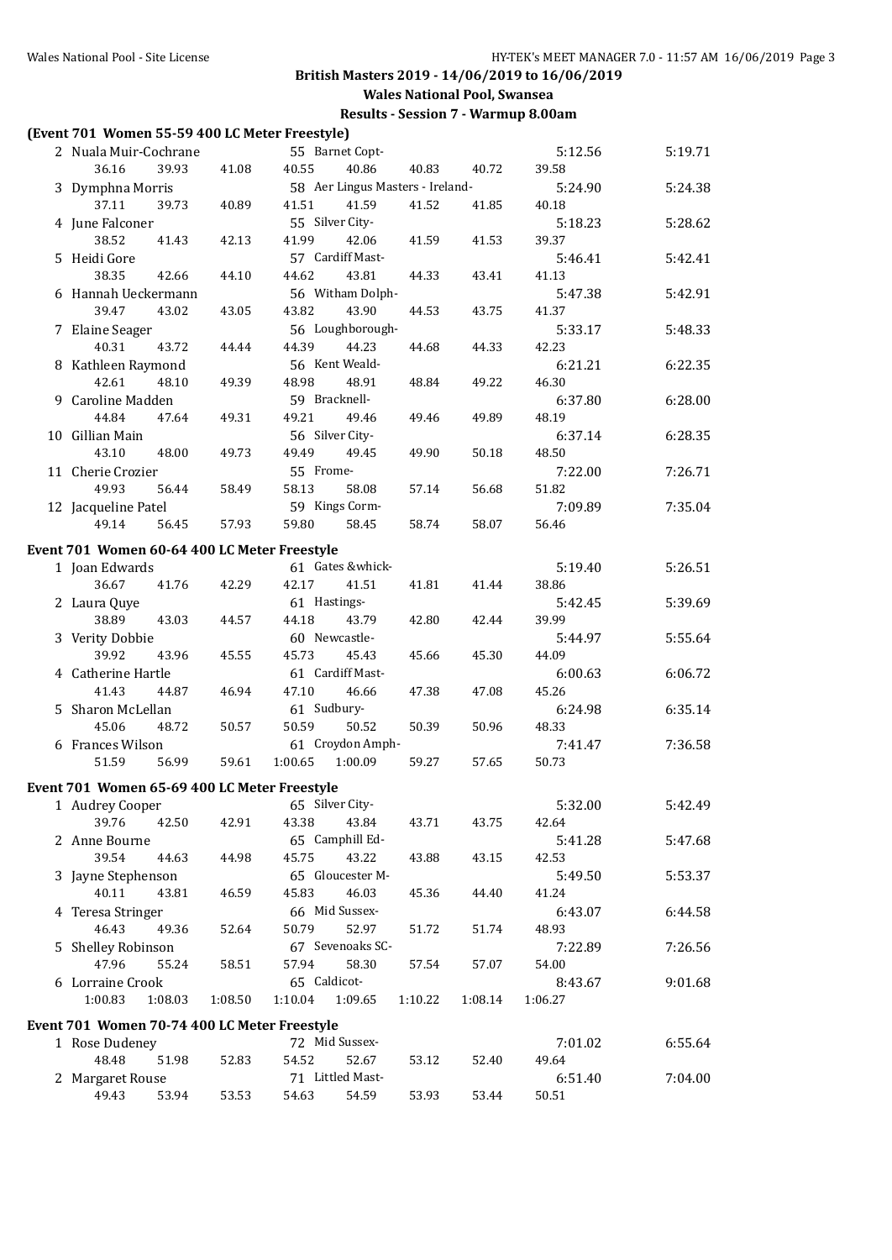**Results - Session 7 - Warmup 8.00am**

#### **(Event 701 Women 55-59 400 LC Meter Freestyle)**

| 2 Nuala Muir-Cochrane                        |         |               | 55 Barnet Copt-  |                                  |         | 5:12.56 | 5:19.71 |
|----------------------------------------------|---------|---------------|------------------|----------------------------------|---------|---------|---------|
| 36.16<br>39.93                               | 41.08   | 40.55         | 40.86            | 40.83                            | 40.72   | 39.58   |         |
| 3 Dymphna Morris                             |         |               |                  | 58 Aer Lingus Masters - Ireland- |         | 5:24.90 | 5:24.38 |
| 37.11<br>39.73                               | 40.89   | 41.51         | 41.59            | 41.52                            | 41.85   | 40.18   |         |
| 4 June Falconer                              |         |               | 55 Silver City-  |                                  |         | 5:18.23 | 5:28.62 |
| 38.52<br>41.43                               | 42.13   | 41.99         | 42.06            | 41.59                            | 41.53   | 39.37   |         |
| 5 Heidi Gore                                 |         |               | 57 Cardiff Mast- |                                  |         | 5:46.41 | 5:42.41 |
| 38.35<br>42.66                               | 44.10   | 44.62         | 43.81            | 44.33                            | 43.41   | 41.13   |         |
| 6 Hannah Ueckermann                          |         |               | 56 Witham Dolph- |                                  |         | 5:47.38 | 5:42.91 |
| 39.47<br>43.02                               | 43.05   | 43.82         | 43.90            | 44.53                            | 43.75   | 41.37   |         |
| 7 Elaine Seager                              |         |               | 56 Loughborough- |                                  |         | 5:33.17 | 5:48.33 |
| 40.31<br>43.72                               | 44.44   | 44.39         | 44.23            | 44.68                            | 44.33   | 42.23   |         |
| 8 Kathleen Raymond                           |         |               | 56 Kent Weald-   |                                  |         | 6:21.21 | 6:22.35 |
|                                              |         |               |                  |                                  |         |         |         |
| 42.61<br>48.10                               | 49.39   | 48.98         | 48.91            | 48.84                            | 49.22   | 46.30   |         |
| 9 Caroline Madden                            |         | 59 Bracknell- |                  |                                  |         | 6:37.80 | 6:28.00 |
| 44.84<br>47.64                               | 49.31   | 49.21         | 49.46            | 49.46                            | 49.89   | 48.19   |         |
| 10 Gillian Main                              |         |               | 56 Silver City-  |                                  |         | 6:37.14 | 6:28.35 |
| 43.10<br>48.00                               | 49.73   | 49.49         | 49.45            | 49.90                            | 50.18   | 48.50   |         |
| 11 Cherie Crozier                            |         | 55 Frome-     |                  |                                  |         | 7:22.00 | 7:26.71 |
| 49.93<br>56.44                               | 58.49   | 58.13         | 58.08            | 57.14                            | 56.68   | 51.82   |         |
| 12 Jacqueline Patel                          |         |               | 59 Kings Corm-   |                                  |         | 7:09.89 | 7:35.04 |
| 49.14<br>56.45                               | 57.93   | 59.80         | 58.45            | 58.74                            | 58.07   | 56.46   |         |
| Event 701 Women 60-64 400 LC Meter Freestyle |         |               |                  |                                  |         |         |         |
| 1 Joan Edwards                               |         |               | 61 Gates &whick- |                                  |         | 5:19.40 | 5:26.51 |
| 36.67<br>41.76                               | 42.29   | 42.17         | 41.51            |                                  |         |         |         |
|                                              |         |               |                  | 41.81                            | 41.44   | 38.86   |         |
| 2 Laura Quye                                 |         | 61 Hastings-  |                  |                                  |         | 5:42.45 | 5:39.69 |
| 38.89<br>43.03                               | 44.57   | 44.18         | 43.79            | 42.80                            | 42.44   | 39.99   |         |
| 3 Verity Dobbie                              |         |               | 60 Newcastle-    |                                  |         | 5:44.97 | 5:55.64 |
| 39.92<br>43.96                               | 45.55   | 45.73         | 45.43            | 45.66                            | 45.30   | 44.09   |         |
| 4 Catherine Hartle                           |         |               | 61 Cardiff Mast- |                                  |         | 6:00.63 | 6:06.72 |
| 41.43<br>44.87                               | 46.94   | 47.10         | 46.66            | 47.38                            | 47.08   | 45.26   |         |
| 5 Sharon McLellan                            |         | 61 Sudbury-   |                  |                                  |         | 6:24.98 | 6:35.14 |
| 45.06<br>48.72                               | 50.57   | 50.59         | 50.52            | 50.39                            | 50.96   | 48.33   |         |
| 6 Frances Wilson                             |         |               | 61 Croydon Amph- |                                  |         | 7:41.47 | 7:36.58 |
| 51.59<br>56.99                               | 59.61   | 1:00.65       | 1:00.09          | 59.27                            | 57.65   | 50.73   |         |
| Event 701 Women 65-69 400 LC Meter Freestyle |         |               |                  |                                  |         |         |         |
| 1 Audrey Cooper                              |         |               | 65 Silver City-  |                                  |         | 5:32.00 | 5:42.49 |
| 39.76<br>42.50                               | 42.91   | 43.38         | 43.84            | 43.71                            | 43.75   | 42.64   |         |
|                                              |         |               | 65 Camphill Ed-  |                                  |         |         |         |
| 2 Anne Bourne                                |         |               |                  |                                  |         | 5:41.28 | 5:47.68 |
| 39.54<br>44.63                               | 44.98   | 45.75         | 43.22            | 43.88                            | 43.15   | 42.53   |         |
| 3 Jayne Stephenson                           |         |               | 65 Gloucester M- |                                  |         | 5:49.50 | 5:53.37 |
| 40.11<br>43.81                               | 46.59   | 45.83         | 46.03            | 45.36                            | 44.40   | 41.24   |         |
| 4 Teresa Stringer                            |         |               | 66 Mid Sussex-   |                                  |         | 6:43.07 | 6:44.58 |
| 46.43<br>49.36                               | 52.64   | 50.79         | 52.97            | 51.72                            | 51.74   | 48.93   |         |
| 5 Shelley Robinson                           |         |               | 67 Sevenoaks SC- |                                  |         | 7:22.89 | 7:26.56 |
| 47.96<br>55.24                               | 58.51   | 57.94         | 58.30            | 57.54                            | 57.07   | 54.00   |         |
| 6 Lorraine Crook                             |         | 65 Caldicot-  |                  |                                  |         | 8:43.67 | 9:01.68 |
| 1:00.83<br>1:08.03                           | 1:08.50 | 1:10.04       | 1:09.65          | 1:10.22                          | 1:08.14 | 1:06.27 |         |
|                                              |         |               |                  |                                  |         |         |         |
| Event 701 Women 70-74 400 LC Meter Freestyle |         |               | 72 Mid Sussex-   |                                  |         |         |         |
| 1 Rose Dudeney                               |         |               |                  |                                  |         | 7:01.02 | 6:55.64 |
| 48.48<br>51.98                               | 52.83   | 54.52         | 52.67            | 53.12                            | 52.40   | 49.64   |         |
| 2 Margaret Rouse                             |         |               | 71 Littled Mast- |                                  |         | 6:51.40 | 7:04.00 |
| 49.43<br>53.94                               | 53.53   | 54.63         | 54.59            | 53.93                            | 53.44   | 50.51   |         |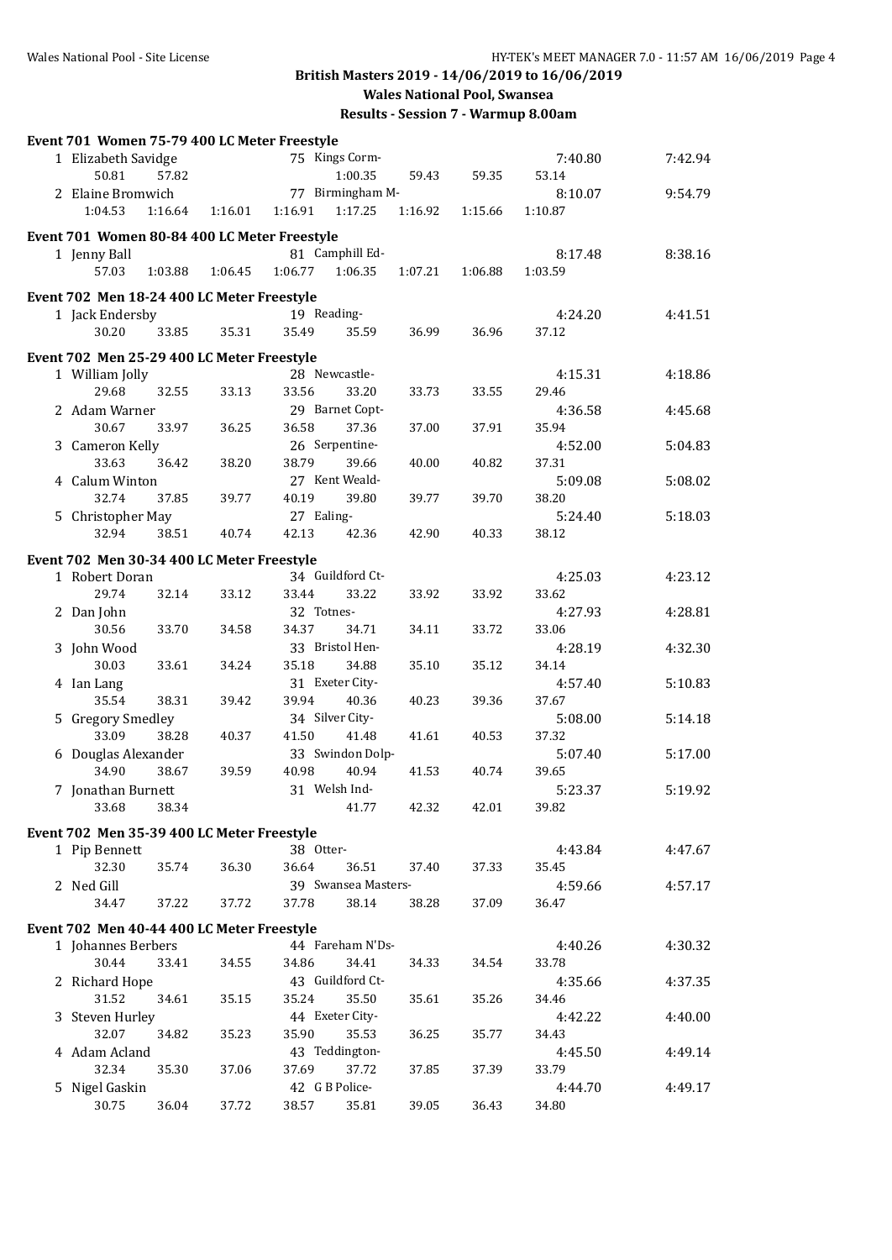| Event 701 Women 75-79 400 LC Meter Freestyle |         |                     |                |         |         |         |
|----------------------------------------------|---------|---------------------|----------------|---------|---------|---------|
| 1 Elizabeth Savidge                          |         | 75 Kings Corm-      |                |         | 7:40.80 | 7:42.94 |
| 50.81<br>57.82                               |         | 1:00.35             | 59.43          | 59.35   | 53.14   |         |
| 2 Elaine Bromwich                            |         | 77 Birmingham M-    |                |         | 8:10.07 | 9:54.79 |
| 1:04.53<br>1:16.64                           | 1:16.01 | 1:16.91<br>1:17.25  | 1:16.92        | 1:15.66 | 1:10.87 |         |
| Event 701 Women 80-84 400 LC Meter Freestyle |         |                     |                |         |         |         |
| 1 Jenny Ball                                 |         | 81 Camphill Ed-     |                |         | 8:17.48 | 8:38.16 |
| 57.03<br>1:03.88                             | 1:06.45 | 1:06.77<br>1:06.35  | 1:07.21        | 1:06.88 | 1:03.59 |         |
| Event 702 Men 18-24 400 LC Meter Freestyle   |         |                     |                |         |         |         |
| 1 Jack Endersby                              |         | 19 Reading-         |                |         | 4:24.20 | 4:41.51 |
| 30.20<br>33.85                               | 35.31   | 35.49               | 35.59<br>36.99 | 36.96   | 37.12   |         |
| Event 702 Men 25-29 400 LC Meter Freestyle   |         |                     |                |         |         |         |
| 1 William Jolly                              |         | 28 Newcastle-       |                |         | 4:15.31 | 4:18.86 |
| 29.68<br>32.55                               | 33.13   | 33.56               | 33.20<br>33.73 | 33.55   | 29.46   |         |
| 2 Adam Warner                                |         | 29 Barnet Copt-     |                |         | 4:36.58 | 4:45.68 |
| 30.67<br>33.97                               | 36.25   | 36.58               | 37.36<br>37.00 | 37.91   | 35.94   |         |
| 3 Cameron Kelly                              |         | 26 Serpentine-      |                |         | 4:52.00 | 5:04.83 |
| 33.63<br>36.42                               | 38.20   | 38.79               | 39.66<br>40.00 | 40.82   | 37.31   |         |
| 4 Calum Winton                               |         | 27 Kent Weald-      |                |         | 5:09.08 | 5:08.02 |
| 32.74<br>37.85                               | 39.77   | 40.19               | 39.80<br>39.77 | 39.70   | 38.20   |         |
| 5 Christopher May                            |         | 27 Ealing-          |                |         | 5:24.40 | 5:18.03 |
| 32.94<br>38.51                               | 40.74   | 42.13               | 42.36<br>42.90 | 40.33   | 38.12   |         |
| Event 702 Men 30-34 400 LC Meter Freestyle   |         |                     |                |         |         |         |
| 1 Robert Doran                               |         | 34 Guildford Ct-    |                |         | 4:25.03 | 4:23.12 |
| 29.74<br>32.14                               | 33.12   | 33.44               | 33.22<br>33.92 | 33.92   | 33.62   |         |
| 2 Dan John                                   |         | 32 Totnes-          |                |         | 4:27.93 | 4:28.81 |
| 30.56<br>33.70                               | 34.58   | 34.37               | 34.71<br>34.11 | 33.72   | 33.06   |         |
| 3 John Wood                                  |         | 33 Bristol Hen-     |                |         | 4:28.19 | 4:32.30 |
| 30.03<br>33.61                               | 34.24   | 35.18               | 34.88<br>35.10 | 35.12   | 34.14   |         |
| 4 Ian Lang                                   |         | 31 Exeter City-     |                |         | 4:57.40 | 5:10.83 |
| 35.54<br>38.31                               | 39.42   | 39.94               | 40.36<br>40.23 | 39.36   | 37.67   |         |
| 5 Gregory Smedley                            |         | 34 Silver City-     |                |         | 5:08.00 | 5:14.18 |
| 33.09<br>38.28                               | 40.37   | 41.50               | 41.48<br>41.61 | 40.53   | 37.32   |         |
| 6 Douglas Alexander                          |         | 33 Swindon Dolp-    |                |         | 5:07.40 | 5:17.00 |
| 34.90<br>38.67                               | 39.59   | 40.98               | 40.94<br>41.53 | 40.74   | 39.65   |         |
| 7 Jonathan Burnett                           |         | 31 Welsh Ind-       |                |         | 5:23.37 | 5:19.92 |
| 33.68<br>38.34                               |         |                     | 42.32<br>41.77 | 42.01   | 39.82   |         |
| Event 702 Men 35-39 400 LC Meter Freestyle   |         |                     |                |         |         |         |
| 1 Pip Bennett                                |         | 38 Otter-           |                |         | 4:43.84 | 4:47.67 |
| 32.30<br>35.74                               | 36.30   | 36.64               | 36.51<br>37.40 | 37.33   | 35.45   |         |
| 2 Ned Gill                                   |         | 39 Swansea Masters- |                |         | 4:59.66 | 4:57.17 |
| 34.47<br>37.22                               | 37.72   | 37.78               | 38.14<br>38.28 | 37.09   | 36.47   |         |
| Event 702 Men 40-44 400 LC Meter Freestyle   |         |                     |                |         |         |         |
| 1 Johannes Berbers                           |         | 44 Fareham N'Ds-    |                |         | 4:40.26 | 4:30.32 |
| 30.44<br>33.41                               | 34.55   | 34.86               | 34.41<br>34.33 | 34.54   | 33.78   |         |
| 2 Richard Hope                               |         | 43 Guildford Ct-    |                |         | 4:35.66 | 4:37.35 |
| 31.52<br>34.61                               | 35.15   | 35.24               | 35.50<br>35.61 | 35.26   | 34.46   |         |
| 3 Steven Hurley                              |         | 44 Exeter City-     |                |         | 4:42.22 | 4:40.00 |
| 32.07<br>34.82                               | 35.23   | 35.90               | 35.53<br>36.25 | 35.77   | 34.43   |         |
| 4 Adam Acland                                |         | 43 Teddington-      |                |         | 4:45.50 | 4:49.14 |
| 32.34<br>35.30                               | 37.06   | 37.69               | 37.72<br>37.85 | 37.39   | 33.79   |         |
| 5 Nigel Gaskin                               |         | 42 G B Police-      |                |         | 4:44.70 | 4:49.17 |
| 30.75<br>36.04                               | 37.72   | 38.57               | 35.81<br>39.05 | 36.43   | 34.80   |         |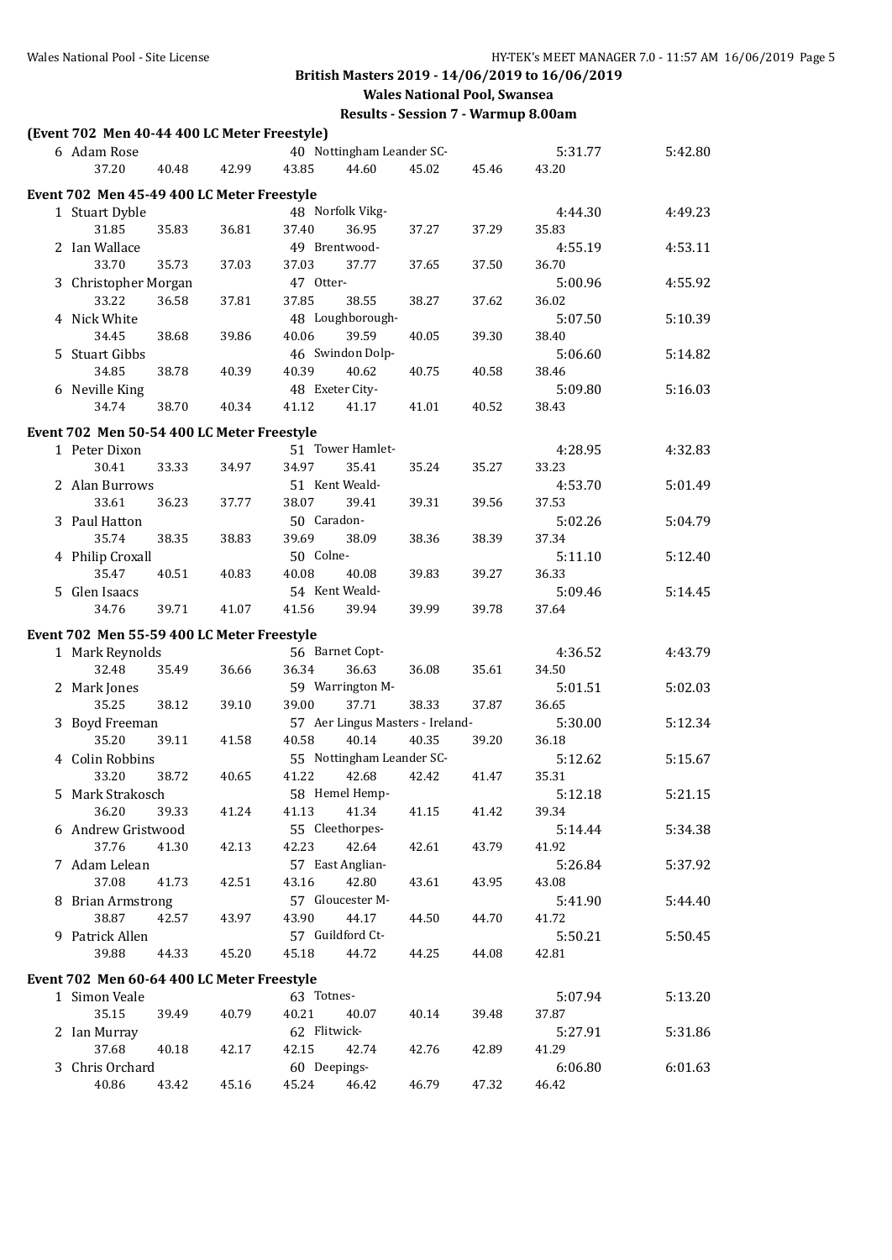| (Event 702 Men 40-44 400 LC Meter Freestyle) |       |                                  |       |       |                  |         |
|----------------------------------------------|-------|----------------------------------|-------|-------|------------------|---------|
| 6 Adam Rose                                  |       | 40 Nottingham Leander SC-        |       |       | 5:31.77          | 5:42.80 |
| 37.20<br>40.48                               | 42.99 | 43.85<br>44.60                   | 45.02 | 45.46 | 43.20            |         |
| Event 702 Men 45-49 400 LC Meter Freestyle   |       |                                  |       |       |                  |         |
| 1 Stuart Dyble                               |       | 48 Norfolk Vikg-                 |       |       | 4:44.30          | 4:49.23 |
| 31.85<br>35.83                               | 36.81 | 37.40<br>36.95                   | 37.27 | 37.29 | 35.83            |         |
| 2 Ian Wallace                                |       | 49 Brentwood-                    |       |       | 4:55.19          | 4:53.11 |
| 33.70<br>35.73                               | 37.03 | 37.03<br>37.77                   | 37.65 | 37.50 | 36.70            |         |
| 3 Christopher Morgan                         |       | 47 Otter-                        |       |       | 5:00.96          | 4:55.92 |
| 33.22<br>36.58                               | 37.81 | 37.85<br>38.55                   | 38.27 | 37.62 | 36.02            |         |
| 4 Nick White                                 |       | 48 Loughborough-                 |       |       | 5:07.50          | 5:10.39 |
| 34.45<br>38.68                               | 39.86 | 40.06<br>39.59                   | 40.05 | 39.30 | 38.40            |         |
| 5 Stuart Gibbs                               |       | 46 Swindon Dolp-                 |       |       | 5:06.60          | 5:14.82 |
| 34.85<br>38.78                               | 40.39 | 40.39<br>40.62                   | 40.75 | 40.58 | 38.46            |         |
|                                              |       | 48 Exeter City-                  |       |       |                  |         |
| 6 Neville King                               |       |                                  |       |       | 5:09.80          | 5:16.03 |
| 34.74<br>38.70                               | 40.34 | 41.12<br>41.17                   | 41.01 | 40.52 | 38.43            |         |
| Event 702 Men 50-54 400 LC Meter Freestyle   |       |                                  |       |       |                  |         |
| 1 Peter Dixon                                |       | 51 Tower Hamlet-                 |       |       | 4:28.95          | 4:32.83 |
| 33.33<br>30.41                               | 34.97 | 34.97<br>35.41                   | 35.24 | 35.27 | 33.23            |         |
| 2 Alan Burrows                               |       | 51 Kent Weald-                   |       |       | 4:53.70          | 5:01.49 |
| 33.61<br>36.23                               | 37.77 | 38.07<br>39.41                   | 39.31 | 39.56 | 37.53            |         |
| 3 Paul Hatton                                |       | 50 Caradon-                      |       |       | 5:02.26          | 5:04.79 |
| 35.74<br>38.35                               | 38.83 | 39.69<br>38.09                   | 38.36 | 38.39 | 37.34            |         |
| 4 Philip Croxall                             |       | 50 Colne-                        |       |       | 5:11.10          | 5:12.40 |
| 35.47<br>40.51                               | 40.83 | 40.08<br>40.08                   | 39.83 | 39.27 | 36.33            |         |
| 5 Glen Isaacs                                |       | 54 Kent Weald-                   |       |       | 5:09.46          | 5:14.45 |
| 34.76<br>39.71                               | 41.07 | 39.94<br>41.56                   | 39.99 | 39.78 | 37.64            |         |
| Event 702 Men 55-59 400 LC Meter Freestyle   |       |                                  |       |       |                  |         |
| 1 Mark Reynolds                              |       | 56 Barnet Copt-                  |       |       | 4:36.52          | 4:43.79 |
| 32.48<br>35.49                               | 36.66 | 36.34<br>36.63                   | 36.08 | 35.61 | 34.50            |         |
| 2 Mark Jones                                 |       | 59 Warrington M-                 |       |       | 5:01.51          | 5:02.03 |
| 35.25<br>38.12                               | 39.10 | 37.71<br>39.00                   | 38.33 | 37.87 | 36.65            |         |
| 3 Boyd Freeman                               |       | 57 Aer Lingus Masters - Ireland- |       |       | 5:30.00          | 5:12.34 |
| 35.20<br>39.11                               | 41.58 | 40.58<br>40.14                   | 40.35 | 39.20 | 36.18            |         |
| 4 Colin Robbins                              |       | 55 Nottingham Leander SC-        |       |       | 5:12.62          | 5:15.67 |
| 33.20<br>38.72                               | 40.65 | 41.22<br>42.68                   | 42.42 | 41.47 | 35.31            |         |
|                                              |       | 58 Hemel Hemp-                   |       |       |                  | 5:21.15 |
| 5 Mark Strakosch<br>36.20<br>39.33           | 41.24 | 41.34<br>41.13                   | 41.15 | 41.42 | 5:12.18<br>39.34 |         |
| 6 Andrew Gristwood                           |       | 55 Cleethorpes-                  |       |       | 5:14.44          | 5:34.38 |
| 37.76<br>41.30                               | 42.13 | 42.23<br>42.64                   | 42.61 | 43.79 | 41.92            |         |
| 7 Adam Lelean                                |       | 57 East Anglian-                 |       |       | 5:26.84          | 5:37.92 |
| 37.08<br>41.73                               | 42.51 | 43.16<br>42.80                   | 43.61 | 43.95 | 43.08            |         |
|                                              |       | 57 Gloucester M-                 |       |       |                  |         |
| 8 Brian Armstrong<br>38.87<br>42.57          | 43.97 | 43.90<br>44.17                   |       | 44.70 | 5:41.90          | 5:44.40 |
|                                              |       | 57 Guildford Ct-                 | 44.50 |       | 41.72            |         |
| 9 Patrick Allen<br>39.88                     |       |                                  |       |       | 5:50.21          | 5:50.45 |
| 44.33                                        | 45.20 | 45.18<br>44.72                   | 44.25 | 44.08 | 42.81            |         |
| Event 702 Men 60-64 400 LC Meter Freestyle   |       |                                  |       |       |                  |         |
| 1 Simon Veale                                |       | 63 Totnes-                       |       |       | 5:07.94          | 5:13.20 |
| 35.15<br>39.49                               | 40.79 | 40.21<br>40.07                   | 40.14 | 39.48 | 37.87            |         |
| 2 Ian Murray                                 |       | 62 Flitwick-                     |       |       | 5:27.91          | 5:31.86 |
| 37.68<br>40.18                               | 42.17 | 42.15<br>42.74                   | 42.76 | 42.89 | 41.29            |         |
| 3 Chris Orchard                              |       | 60 Deepings-                     |       |       | 6:06.80          | 6:01.63 |
| 40.86<br>43.42                               | 45.16 | 45.24<br>46.42                   | 46.79 | 47.32 | 46.42            |         |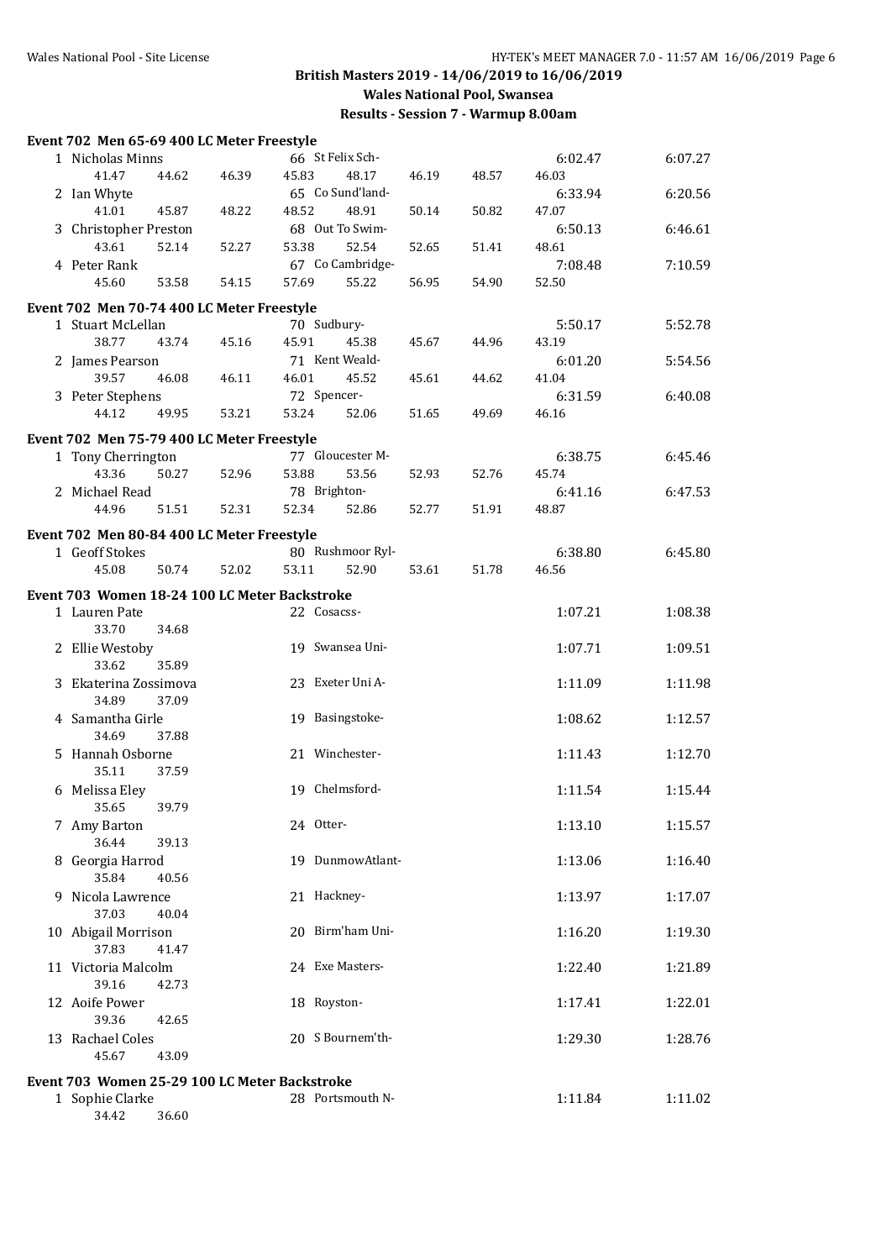34.42 36.60

# **British Masters 2019 - 14/06/2019 to 16/06/2019 Wales National Pool, Swansea**

| Event 702 Men 65-69 400 LC Meter Freestyle    |       |       |       |              |                          |       |       |                  |         |
|-----------------------------------------------|-------|-------|-------|--------------|--------------------------|-------|-------|------------------|---------|
| 1 Nicholas Minns                              |       |       |       |              | 66 St Felix Sch-         |       |       | 6:02.47          | 6:07.27 |
| 41.47                                         | 44.62 | 46.39 | 45.83 |              | 48.17                    | 46.19 | 48.57 | 46.03            |         |
| 2 Ian Whyte                                   |       |       |       |              | 65 Co Sund'land-         |       |       | 6:33.94          | 6:20.56 |
| 41.01                                         | 45.87 | 48.22 | 48.52 |              | 48.91                    | 50.14 | 50.82 | 47.07            |         |
| 3 Christopher Preston<br>43.61                | 52.14 | 52.27 | 53.38 |              | 68 Out To Swim-<br>52.54 | 52.65 | 51.41 | 6:50.13<br>48.61 | 6:46.61 |
| 4 Peter Rank                                  |       |       |       |              | 67 Co Cambridge-         |       |       | 7:08.48          | 7:10.59 |
| 45.60                                         | 53.58 | 54.15 | 57.69 |              | 55.22                    | 56.95 | 54.90 | 52.50            |         |
| Event 702 Men 70-74 400 LC Meter Freestyle    |       |       |       |              |                          |       |       |                  |         |
| 1 Stuart McLellan                             |       |       |       | 70 Sudbury-  |                          |       |       | 5:50.17          | 5:52.78 |
| 38.77                                         | 43.74 | 45.16 | 45.91 |              | 45.38                    | 45.67 | 44.96 | 43.19            |         |
| 2 James Pearson                               |       |       |       |              | 71 Kent Weald-           |       |       | 6:01.20          | 5:54.56 |
| 39.57                                         | 46.08 | 46.11 | 46.01 |              | 45.52                    | 45.61 | 44.62 | 41.04            |         |
| 3 Peter Stephens<br>44.12                     | 49.95 | 53.21 | 53.24 | 72 Spencer-  | 52.06                    |       |       | 6:31.59<br>46.16 | 6:40.08 |
|                                               |       |       |       |              |                          | 51.65 | 49.69 |                  |         |
| Event 702 Men 75-79 400 LC Meter Freestyle    |       |       |       |              | 77 Gloucester M-         |       |       |                  |         |
| 1 Tony Cherrington<br>43.36                   | 50.27 | 52.96 | 53.88 |              | 53.56                    | 52.93 | 52.76 | 6:38.75<br>45.74 | 6:45.46 |
| 2 Michael Read                                |       |       |       | 78 Brighton- |                          |       |       | 6:41.16          | 6:47.53 |
| 44.96                                         | 51.51 | 52.31 | 52.34 |              | 52.86                    | 52.77 | 51.91 | 48.87            |         |
| Event 702 Men 80-84 400 LC Meter Freestyle    |       |       |       |              |                          |       |       |                  |         |
| 1 Geoff Stokes                                |       |       |       |              | 80 Rushmoor Ryl-         |       |       | 6:38.80          | 6:45.80 |
| 45.08                                         | 50.74 | 52.02 | 53.11 |              | 52.90                    | 53.61 | 51.78 | 46.56            |         |
| Event 703 Women 18-24 100 LC Meter Backstroke |       |       |       |              |                          |       |       |                  |         |
| 1 Lauren Pate                                 |       |       |       | 22 Cosacss-  |                          |       |       | 1:07.21          | 1:08.38 |
| 33.70                                         | 34.68 |       |       |              |                          |       |       |                  |         |
| 2 Ellie Westoby                               |       |       |       |              | 19 Swansea Uni-          |       |       | 1:07.71          | 1:09.51 |
| 33.62<br>3 Ekaterina Zossimova                | 35.89 |       |       |              | 23 Exeter Uni A-         |       |       | 1:11.09          | 1:11.98 |
| 34.89                                         | 37.09 |       |       |              |                          |       |       |                  |         |
| 4 Samantha Girle                              |       |       |       |              | 19 Basingstoke-          |       |       | 1:08.62          | 1:12.57 |
| 34.69                                         | 37.88 |       |       |              |                          |       |       |                  |         |
| 5 Hannah Osborne                              |       |       |       |              | 21 Winchester-           |       |       | 1:11.43          | 1:12.70 |
| 35.11                                         | 37.59 |       |       |              |                          |       |       |                  |         |
| 6 Melissa Eley<br>35.65                       | 39.79 |       |       |              | 19 Chelmsford-           |       |       | 1:11.54          | 1:15.44 |
| 7 Amy Barton                                  |       |       |       | 24 Otter-    |                          |       |       | 1:13.10          | 1:15.57 |
| 36.44                                         | 39.13 |       |       |              |                          |       |       |                  |         |
| 8 Georgia Harrod                              |       |       |       |              | 19 DunmowAtlant-         |       |       | 1:13.06          | 1:16.40 |
| 35.84                                         | 40.56 |       |       |              |                          |       |       |                  |         |
| 9 Nicola Lawrence                             |       |       |       | 21 Hackney-  |                          |       |       | 1:13.97          | 1:17.07 |
| 37.03                                         | 40.04 |       |       |              | 20 Birm'ham Uni-         |       |       |                  |         |
| 10 Abigail Morrison<br>37.83                  | 41.47 |       |       |              |                          |       |       | 1:16.20          | 1:19.30 |
| 11 Victoria Malcolm                           |       |       |       |              | 24 Exe Masters-          |       |       | 1:22.40          | 1:21.89 |
| 39.16                                         | 42.73 |       |       |              |                          |       |       |                  |         |
| 12 Aoife Power                                |       |       |       | 18 Royston-  |                          |       |       | 1:17.41          | 1:22.01 |
| 39.36                                         | 42.65 |       |       |              |                          |       |       |                  |         |
| 13 Rachael Coles                              |       |       |       |              | 20 S Bournem'th-         |       |       | 1:29.30          | 1:28.76 |
| 45.67                                         | 43.09 |       |       |              |                          |       |       |                  |         |
| Event 703 Women 25-29 100 LC Meter Backstroke |       |       |       |              |                          |       |       |                  |         |
| 1 Sophie Clarke                               |       |       |       |              | 28 Portsmouth N-         |       |       | 1:11.84          | 1:11.02 |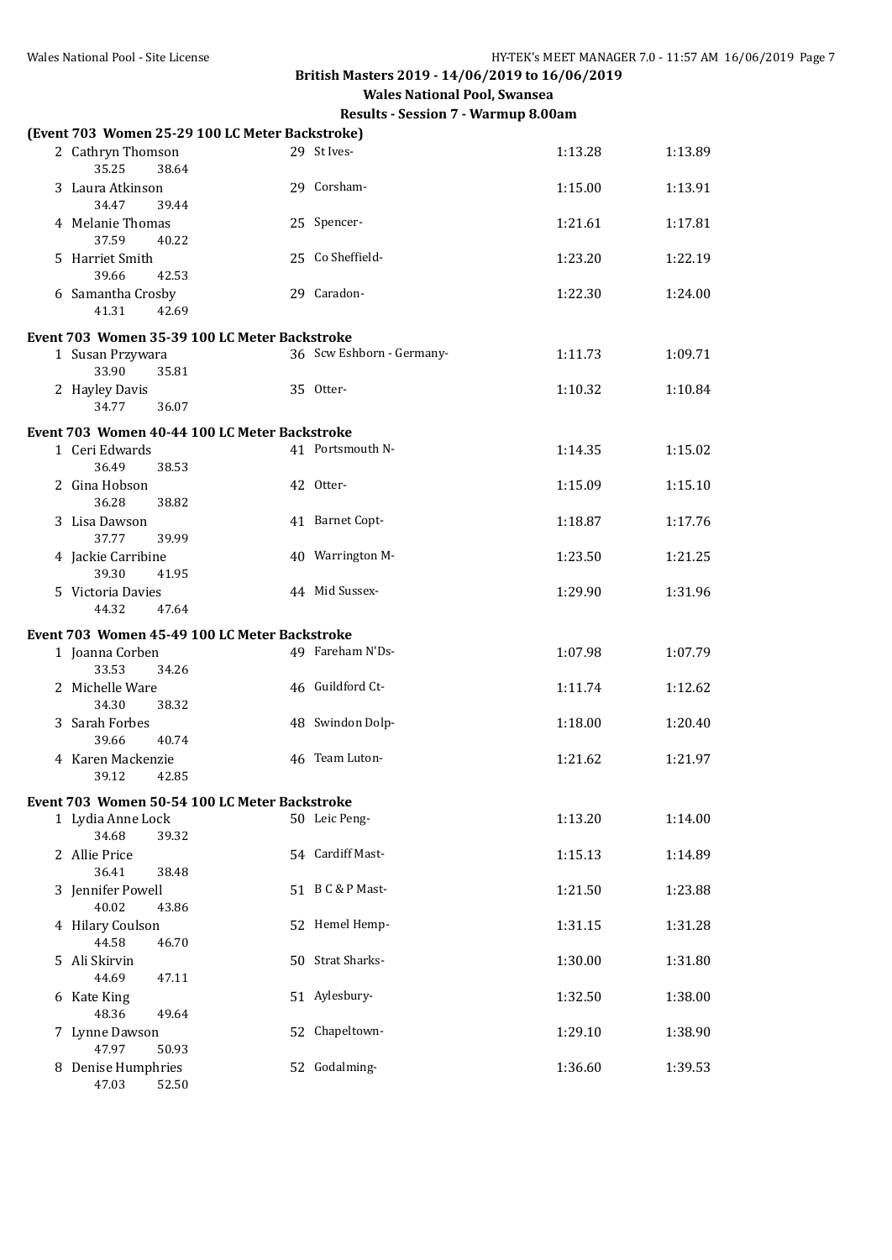| (Event 703 Women 25-29 100 LC Meter Backstroke) |                           |         |         |
|-------------------------------------------------|---------------------------|---------|---------|
| 2 Cathryn Thomson<br>35.25<br>38.64             | 29 St Ives-               | 1:13.28 | 1:13.89 |
| 3 Laura Atkinson<br>34.47<br>39.44              | 29 Corsham-               | 1:15.00 | 1:13.91 |
| 4 Melanie Thomas<br>37.59<br>40.22              | 25 Spencer-               | 1:21.61 | 1:17.81 |
| 5 Harriet Smith<br>39.66<br>42.53               | 25 Co Sheffield-          | 1:23.20 | 1:22.19 |
| 6 Samantha Crosby<br>41.31<br>42.69             | 29 Caradon-               | 1:22.30 | 1:24.00 |
| Event 703 Women 35-39 100 LC Meter Backstroke   |                           |         |         |
| 1 Susan Przywara<br>33.90<br>35.81              | 36 Scw Eshborn - Germany- | 1:11.73 | 1:09.71 |
| 2 Hayley Davis<br>34.77<br>36.07                | 35 Otter-                 | 1:10.32 | 1:10.84 |
| Event 703 Women 40-44 100 LC Meter Backstroke   |                           |         |         |
| 1 Ceri Edwards<br>36.49<br>38.53                | 41 Portsmouth N-          | 1:14.35 | 1:15.02 |
| 2 Gina Hobson<br>36.28<br>38.82                 | 42 Otter-                 | 1:15.09 | 1:15.10 |
| 3 Lisa Dawson<br>37.77<br>39.99                 | 41 Barnet Copt-           | 1:18.87 | 1:17.76 |
| 4 Jackie Carribine<br>39.30<br>41.95            | 40 Warrington M-          | 1:23.50 | 1:21.25 |
| 5 Victoria Davies<br>44.32<br>47.64             | 44 Mid Sussex-            | 1:29.90 | 1:31.96 |
|                                                 |                           |         |         |
| Event 703 Women 45-49 100 LC Meter Backstroke   |                           |         |         |
| 1 Joanna Corben<br>33.53<br>34.26               | 49 Fareham N'Ds-          | 1:07.98 | 1:07.79 |
| 2 Michelle Ware<br>34.30<br>38.32               | 46 Guildford Ct-          | 1:11.74 | 1:12.62 |
| 3 Sarah Forbes<br>39.66<br>40.74                | 48 Swindon Dolp-          | 1:18.00 | 1:20.40 |
| 4 Karen Mackenzie<br>39.12<br>42.85             | 46 Team Luton-            | 1:21.62 | 1:21.97 |
| Event 703 Women 50-54 100 LC Meter Backstroke   |                           |         |         |
| 1 Lydia Anne Lock<br>34.68<br>39.32             | 50 Leic Peng-             | 1:13.20 | 1:14.00 |
| 2 Allie Price<br>36.41<br>38.48                 | 54 Cardiff Mast-          | 1:15.13 | 1:14.89 |
| 3 Jennifer Powell<br>40.02<br>43.86             | 51 B C & P Mast-          | 1:21.50 | 1:23.88 |
| 4 Hilary Coulson<br>44.58<br>46.70              | 52 Hemel Hemp-            | 1:31.15 | 1:31.28 |
| 5 Ali Skirvin<br>44.69<br>47.11                 | 50 Strat Sharks-          | 1:30.00 | 1:31.80 |
| 6 Kate King<br>48.36<br>49.64                   | 51 Aylesbury-             | 1:32.50 | 1:38.00 |
| 7 Lynne Dawson<br>47.97<br>50.93                | 52 Chapeltown-            | 1:29.10 | 1:38.90 |
| 8 Denise Humphries<br>52.50<br>47.03            | 52 Godalming-             | 1:36.60 | 1:39.53 |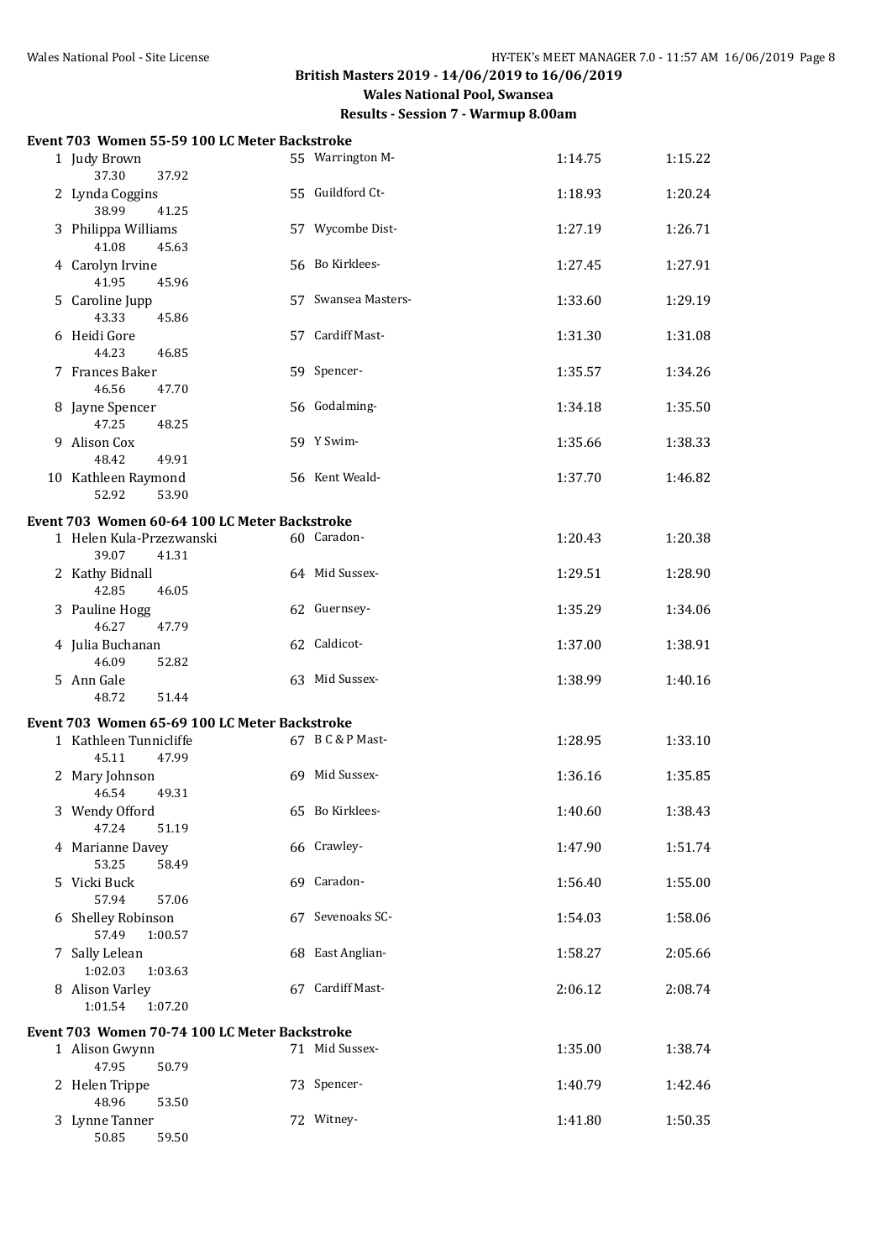| Event 703 Women 55-59 100 LC Meter Backstroke |                     |         |         |
|-----------------------------------------------|---------------------|---------|---------|
| 1 Judy Brown<br>37.30<br>37.92                | 55 Warrington M-    | 1:14.75 | 1:15.22 |
| 2 Lynda Coggins<br>38.99<br>41.25             | 55 Guildford Ct-    | 1:18.93 | 1:20.24 |
| 3 Philippa Williams<br>41.08<br>45.63         | 57 Wycombe Dist-    | 1:27.19 | 1:26.71 |
| 4 Carolyn Irvine<br>41.95<br>45.96            | 56 Bo Kirklees-     | 1:27.45 | 1:27.91 |
| 5 Caroline Jupp<br>43.33<br>45.86             | 57 Swansea Masters- | 1:33.60 | 1:29.19 |
| 6 Heidi Gore<br>44.23<br>46.85                | 57 Cardiff Mast-    | 1:31.30 | 1:31.08 |
| 7 Frances Baker<br>46.56<br>47.70             | 59 Spencer-         | 1:35.57 | 1:34.26 |
| 8 Jayne Spencer<br>47.25<br>48.25             | 56 Godalming-       | 1:34.18 | 1:35.50 |
| 9 Alison Cox<br>48.42<br>49.91                | 59 Y Swim-          | 1:35.66 | 1:38.33 |
| 10 Kathleen Raymond<br>52.92<br>53.90         | 56 Kent Weald-      | 1:37.70 | 1:46.82 |
| Event 703 Women 60-64 100 LC Meter Backstroke |                     |         |         |
| 1 Helen Kula-Przezwanski<br>39.07<br>41.31    | 60 Caradon-         | 1:20.43 | 1:20.38 |
| 2 Kathy Bidnall<br>42.85<br>46.05             | 64 Mid Sussex-      | 1:29.51 | 1:28.90 |
| 3 Pauline Hogg<br>46.27<br>47.79              | 62 Guernsey-        | 1:35.29 | 1:34.06 |
| 4 Julia Buchanan<br>46.09<br>52.82            | 62 Caldicot-        | 1:37.00 | 1:38.91 |
| 5 Ann Gale<br>48.72<br>51.44                  | 63 Mid Sussex-      | 1:38.99 | 1:40.16 |
| Event 703 Women 65-69 100 LC Meter Backstroke |                     |         |         |
| 1 Kathleen Tunnicliffe<br>45.11<br>47.99      | 67 B C & P Mast-    | 1:28.95 | 1:33.10 |
| 2 Mary Johnson<br>46.54<br>49.31              | 69 Mid Sussex-      | 1:36.16 | 1:35.85 |
| 3 Wendy Offord<br>47.24<br>51.19              | 65 Bo Kirklees-     | 1:40.60 | 1:38.43 |
| 4 Marianne Davey<br>53.25<br>58.49            | 66 Crawley-         | 1:47.90 | 1:51.74 |
| 5 Vicki Buck<br>57.94<br>57.06                | 69 Caradon-         | 1:56.40 | 1:55.00 |
| 6 Shelley Robinson<br>57.49<br>1:00.57        | 67 Sevenoaks SC-    | 1:54.03 | 1:58.06 |
| 7 Sally Lelean<br>1:02.03<br>1:03.63          | 68 East Anglian-    | 1:58.27 | 2:05.66 |
| 8 Alison Varley<br>1:01.54<br>1:07.20         | 67 Cardiff Mast-    | 2:06.12 | 2:08.74 |
| Event 703 Women 70-74 100 LC Meter Backstroke |                     |         |         |
| 1 Alison Gwynn<br>47.95<br>50.79              | 71 Mid Sussex-      | 1:35.00 | 1:38.74 |
| 2 Helen Trippe<br>48.96<br>53.50              | 73 Spencer-         | 1:40.79 | 1:42.46 |
| 3 Lynne Tanner<br>50.85<br>59.50              | 72 Witney-          | 1:41.80 | 1:50.35 |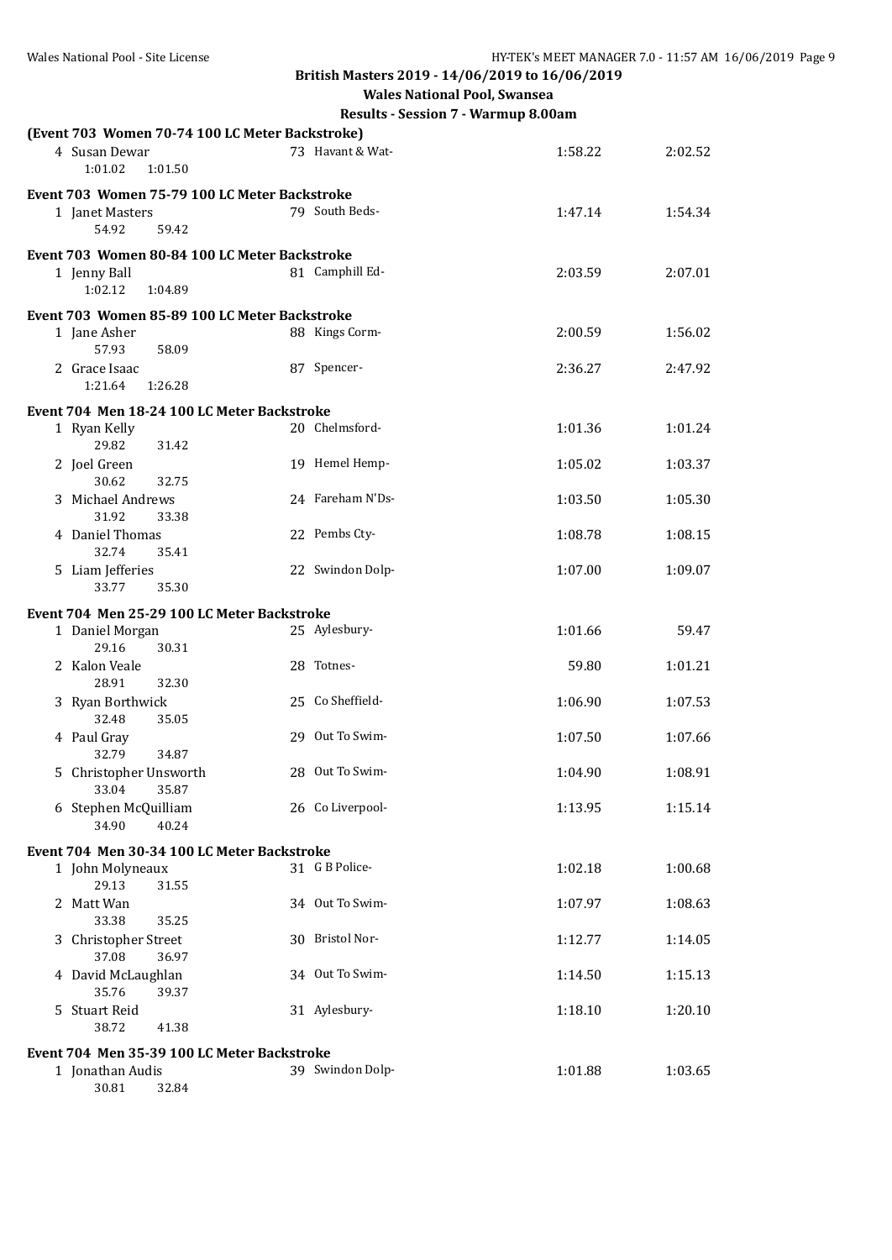**Wales National Pool, Swansea**

|   | (Event 703 Women 70-74 100 LC Meter Backstroke) |                  |         |         |
|---|-------------------------------------------------|------------------|---------|---------|
|   | 4 Susan Dewar<br>1:01.02<br>1:01.50             | 73 Havant & Wat- | 1:58.22 | 2:02.52 |
|   | Event 703 Women 75-79 100 LC Meter Backstroke   |                  |         |         |
|   | 1 Janet Masters<br>54.92<br>59.42               | 79 South Beds-   | 1:47.14 | 1:54.34 |
|   | Event 703 Women 80-84 100 LC Meter Backstroke   |                  |         |         |
|   | 1 Jenny Ball<br>1:02.12<br>1:04.89              | 81 Camphill Ed-  | 2:03.59 | 2:07.01 |
|   | Event 703 Women 85-89 100 LC Meter Backstroke   |                  |         |         |
|   | 1 Jane Asher<br>57.93<br>58.09                  | 88 Kings Corm-   | 2:00.59 | 1:56.02 |
|   | 2 Grace Isaac<br>1:21.64<br>1:26.28             | 87 Spencer-      | 2:36.27 | 2:47.92 |
|   | Event 704 Men 18-24 100 LC Meter Backstroke     |                  |         |         |
|   | 1 Ryan Kelly<br>29.82<br>31.42                  | 20 Chelmsford-   | 1:01.36 | 1:01.24 |
|   | 2 Joel Green<br>30.62<br>32.75                  | 19 Hemel Hemp-   | 1:05.02 | 1:03.37 |
|   | 3 Michael Andrews<br>31.92<br>33.38             | 24 Fareham N'Ds- | 1:03.50 | 1:05.30 |
|   | 4 Daniel Thomas<br>32.74<br>35.41               | 22 Pembs Cty-    | 1:08.78 | 1:08.15 |
|   | 5 Liam Jefferies<br>33.77<br>35.30              | 22 Swindon Dolp- | 1:07.00 | 1:09.07 |
|   | Event 704 Men 25-29 100 LC Meter Backstroke     |                  |         |         |
|   | 1 Daniel Morgan                                 | 25 Aylesbury-    | 1:01.66 | 59.47   |
|   | 29.16<br>30.31                                  |                  |         |         |
|   | 2 Kalon Veale<br>32.30<br>28.91                 | 28 Totnes-       | 59.80   | 1:01.21 |
|   | 3 Ryan Borthwick<br>32.48<br>35.05              | 25 Co Sheffield- | 1:06.90 | 1:07.53 |
|   | 4 Paul Gray<br>32.79<br>34.87                   | 29 Out To Swim-  | 1:07.50 | 1:07.66 |
|   | 5 Christopher Unsworth<br>33.04<br>35.87        | 28 Out To Swim-  | 1:04.90 | 1:08.91 |
|   | 6 Stephen McQuilliam<br>34.90<br>40.24          | 26 Co Liverpool- | 1:13.95 | 1:15.14 |
|   | Event 704 Men 30-34 100 LC Meter Backstroke     |                  |         |         |
|   | 1 John Molyneaux<br>29.13<br>31.55              | 31 G B Police-   | 1:02.18 | 1:00.68 |
|   | 2 Matt Wan<br>33.38<br>35.25                    | 34 Out To Swim-  | 1:07.97 | 1:08.63 |
| 3 | Christopher Street<br>37.08<br>36.97            | 30 Bristol Nor-  | 1:12.77 | 1:14.05 |
|   | 4 David McLaughlan<br>35.76<br>39.37            | 34 Out To Swim-  | 1:14.50 | 1:15.13 |
|   | 5 Stuart Reid<br>38.72<br>41.38                 | 31 Aylesbury-    | 1:18.10 | 1:20.10 |
|   | Event 704 Men 35-39 100 LC Meter Backstroke     |                  |         |         |
|   | 1 Jonathan Audis                                | 39 Swindon Dolp- | 1:01.88 | 1:03.65 |
|   | 30.81<br>32.84                                  |                  |         |         |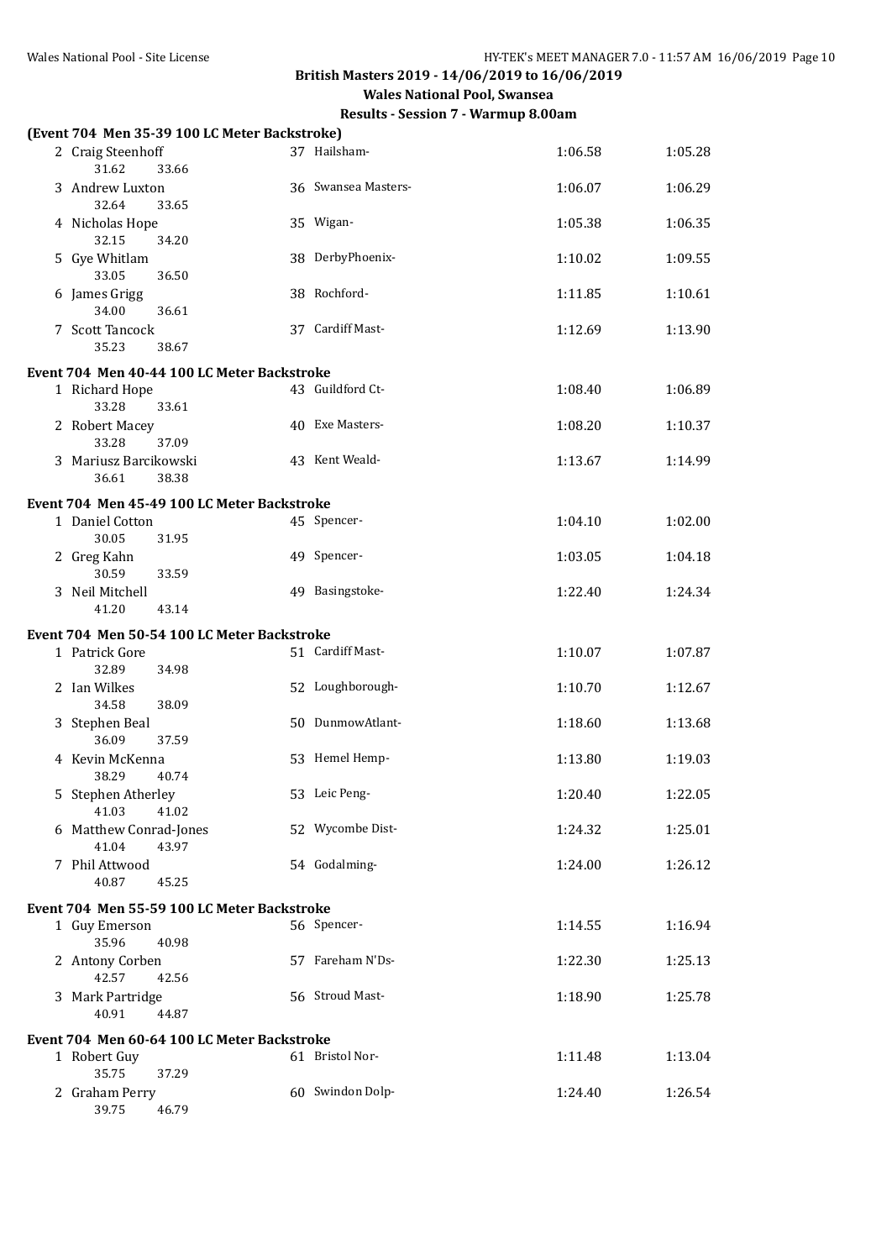| (Event 704 Men 35-39 100 LC Meter Backstroke) |                     |         |         |
|-----------------------------------------------|---------------------|---------|---------|
| 2 Craig Steenhoff<br>31.62<br>33.66           | 37 Hailsham-        | 1:06.58 | 1:05.28 |
| 3 Andrew Luxton<br>32.64<br>33.65             | 36 Swansea Masters- | 1:06.07 | 1:06.29 |
| 4 Nicholas Hope<br>32.15<br>34.20             | 35 Wigan-           | 1:05.38 | 1:06.35 |
| 5 Gye Whitlam<br>33.05<br>36.50               | 38 DerbyPhoenix-    | 1:10.02 | 1:09.55 |
| 6 James Grigg<br>34.00<br>36.61               | 38 Rochford-        | 1:11.85 | 1:10.61 |
| 7 Scott Tancock<br>35.23<br>38.67             | 37 Cardiff Mast-    | 1:12.69 | 1:13.90 |
| Event 704 Men 40-44 100 LC Meter Backstroke   |                     |         |         |
| 1 Richard Hope<br>33.28<br>33.61              | 43 Guildford Ct-    | 1:08.40 | 1:06.89 |
| 2 Robert Macey<br>33.28<br>37.09              | 40 Exe Masters-     | 1:08.20 | 1:10.37 |
| 3 Mariusz Barcikowski<br>36.61<br>38.38       | 43 Kent Weald-      | 1:13.67 | 1:14.99 |
| Event 704 Men 45-49 100 LC Meter Backstroke   |                     |         |         |
| 1 Daniel Cotton<br>30.05<br>31.95             | 45 Spencer-         | 1:04.10 | 1:02.00 |
| 2 Greg Kahn<br>30.59<br>33.59                 | 49 Spencer-         | 1:03.05 | 1:04.18 |
| 3 Neil Mitchell<br>41.20<br>43.14             | 49 Basingstoke-     | 1:22.40 | 1:24.34 |
| Event 704 Men 50-54 100 LC Meter Backstroke   |                     |         |         |
| 1 Patrick Gore<br>32.89<br>34.98              | 51 Cardiff Mast-    | 1:10.07 | 1:07.87 |
| 2 Ian Wilkes<br>38.09<br>34.58                | 52 Loughborough-    | 1:10.70 | 1:12.67 |
| 3 Stephen Beal<br>36.09<br>37.59              | 50 DunmowAtlant-    | 1:18.60 | 1:13.68 |
| 4 Kevin McKenna<br>38.29<br>40.74             | 53 Hemel Hemp-      | 1:13.80 | 1:19.03 |
| 5 Stephen Atherley<br>41.03<br>41.02          | 53 Leic Peng-       | 1:20.40 | 1:22.05 |
| 6 Matthew Conrad-Jones<br>41.04<br>43.97      | 52 Wycombe Dist-    | 1:24.32 | 1:25.01 |
| 7 Phil Attwood<br>40.87<br>45.25              | 54 Godalming-       | 1:24.00 | 1:26.12 |
| Event 704 Men 55-59 100 LC Meter Backstroke   |                     |         |         |
| 1 Guy Emerson<br>35.96<br>40.98               | 56 Spencer-         | 1:14.55 | 1:16.94 |
| 2 Antony Corben<br>42.57<br>42.56             | 57 Fareham N'Ds-    | 1:22.30 | 1:25.13 |
| 3 Mark Partridge<br>40.91<br>44.87            | 56 Stroud Mast-     | 1:18.90 | 1:25.78 |
| Event 704 Men 60-64 100 LC Meter Backstroke   |                     |         |         |
| 1 Robert Guy<br>35.75<br>37.29                | 61 Bristol Nor-     | 1:11.48 | 1:13.04 |
| 2 Graham Perry<br>39.75<br>46.79              | 60 Swindon Dolp-    | 1:24.40 | 1:26.54 |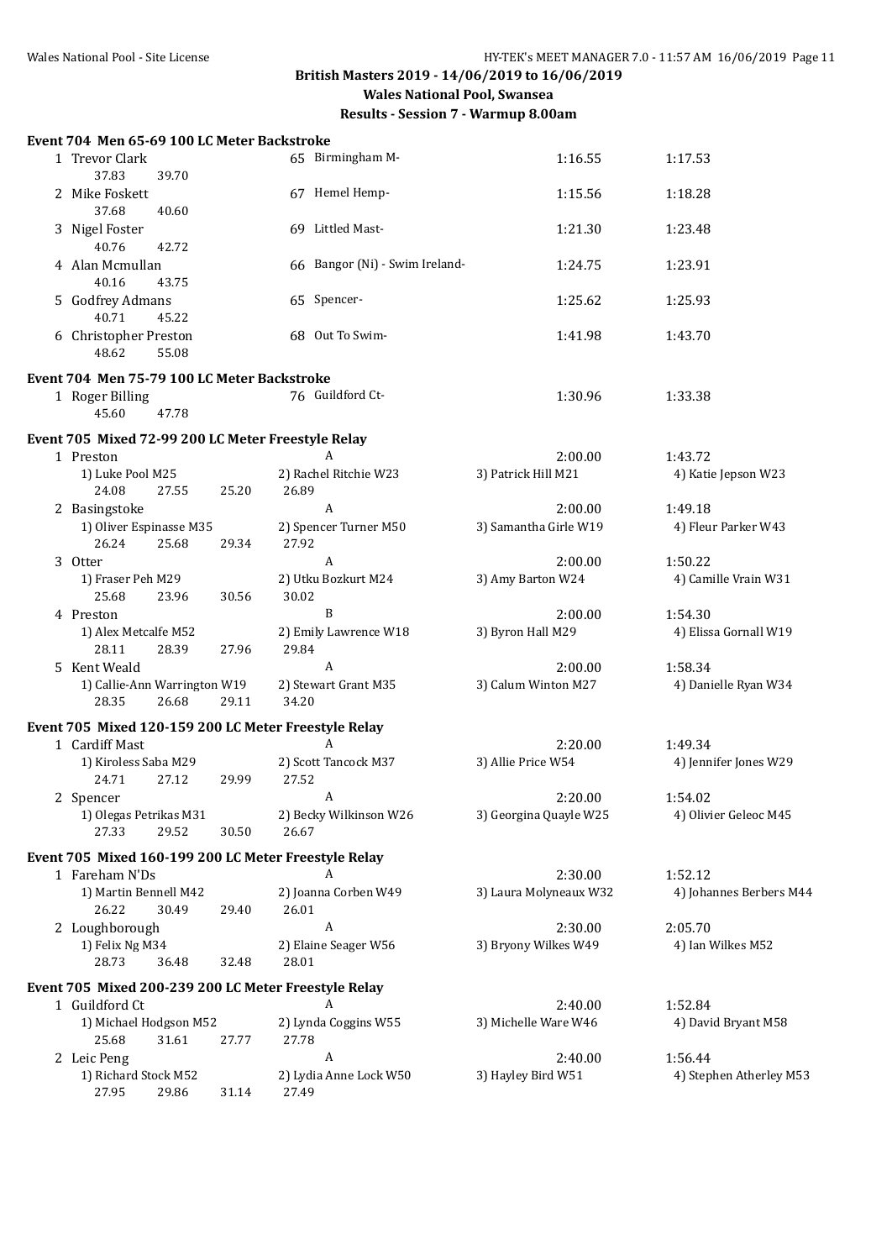| Event 704 Men 65-69 100 LC Meter Backstroke          |       |       |                                |                        |                         |
|------------------------------------------------------|-------|-------|--------------------------------|------------------------|-------------------------|
| 1 Trevor Clark<br>37.83<br>39.70                     |       |       | 65 Birmingham M-               | 1:16.55                | 1:17.53                 |
| 2 Mike Foskett<br>40.60<br>37.68                     |       |       | 67 Hemel Hemp-                 | 1:15.56                | 1:18.28                 |
| 3 Nigel Foster<br>40.76<br>42.72                     |       |       | 69 Littled Mast-               | 1:21.30                | 1:23.48                 |
| 4 Alan Mcmullan<br>40.16<br>43.75                    |       |       | 66 Bangor (Ni) - Swim Ireland- | 1:24.75                | 1:23.91                 |
| 5 Godfrey Admans<br>40.71<br>45.22                   |       |       | 65 Spencer-                    | 1:25.62                | 1:25.93                 |
| 6 Christopher Preston<br>55.08<br>48.62              |       |       | 68 Out To Swim-                | 1:41.98                | 1:43.70                 |
| Event 704 Men 75-79 100 LC Meter Backstroke          |       |       |                                |                        |                         |
| 1 Roger Billing<br>45.60<br>47.78                    |       |       | 76 Guildford Ct-               | 1:30.96                | 1:33.38                 |
| Event 705 Mixed 72-99 200 LC Meter Freestyle Relay   |       |       |                                |                        |                         |
| 1 Preston                                            |       |       | A                              | 2:00.00                | 1:43.72                 |
| 1) Luke Pool M25<br>24.08<br>27.55                   | 25.20 | 26.89 | 2) Rachel Ritchie W23          | 3) Patrick Hill M21    | 4) Katie Jepson W23     |
| 2 Basingstoke                                        |       |       | $\mathbf{A}$                   | 2:00.00                | 1:49.18                 |
| 1) Oliver Espinasse M35<br>26.24<br>25.68            | 29.34 | 27.92 | 2) Spencer Turner M50          | 3) Samantha Girle W19  | 4) Fleur Parker W43     |
| 3 Otter                                              |       |       | A                              | 2:00.00                | 1:50.22                 |
| 1) Fraser Peh M29<br>25.68<br>23.96                  | 30.56 | 30.02 | 2) Utku Bozkurt M24            | 3) Amy Barton W24      | 4) Camille Vrain W31    |
| 4 Preston                                            |       |       | B                              | 2:00.00                | 1:54.30                 |
| 1) Alex Metcalfe M52<br>28.11<br>28.39               | 27.96 | 29.84 | 2) Emily Lawrence W18          | 3) Byron Hall M29      | 4) Elissa Gornall W19   |
| 5 Kent Weald                                         |       |       | A                              | 2:00.00                | 1:58.34                 |
| 1) Callie-Ann Warrington W19<br>28.35<br>26.68       | 29.11 | 34.20 | 2) Stewart Grant M35           | 3) Calum Winton M27    | 4) Danielle Ryan W34    |
| Event 705 Mixed 120-159 200 LC Meter Freestyle Relay |       |       |                                |                        |                         |
| 1 Cardiff Mast                                       |       |       | A                              | 2:20.00                | 1:49.34                 |
| 1) Kiroless Saba M29<br>24.71<br>27.12               | 29.99 | 27.52 | 2) Scott Tancock M37           | 3) Allie Price W54     | 4) Jennifer Jones W29   |
| 2 Spencer                                            |       |       | A                              | 2:20.00                | 1:54.02                 |
| 1) Olegas Petrikas M31<br>27.33<br>29.52             | 30.50 | 26.67 | 2) Becky Wilkinson W26         | 3) Georgina Quayle W25 | 4) Olivier Geleoc M45   |
| Event 705 Mixed 160-199 200 LC Meter Freestyle Relay |       |       |                                |                        |                         |
| 1 Fareham N'Ds                                       |       |       |                                | 2:30.00                | 1:52.12                 |
| 1) Martin Bennell M42<br>26.22<br>30.49              | 29.40 | 26.01 | 2) Joanna Corben W49           | 3) Laura Molyneaux W32 | 4) Johannes Berbers M44 |
| 2 Loughborough                                       |       |       | A                              | 2:30.00                | 2:05.70                 |
| 1) Felix Ng M34<br>28.73<br>36.48                    | 32.48 | 28.01 | 2) Elaine Seager W56           | 3) Bryony Wilkes W49   | 4) Ian Wilkes M52       |
| Event 705 Mixed 200-239 200 LC Meter Freestyle Relay |       |       |                                |                        |                         |
| 1 Guildford Ct                                       |       |       | A                              | 2:40.00                | 1:52.84                 |
| 1) Michael Hodgson M52<br>25.68<br>31.61             | 27.77 | 27.78 | 2) Lynda Coggins W55           | 3) Michelle Ware W46   | 4) David Bryant M58     |
| 2 Leic Peng                                          |       |       | A                              | 2:40.00                | 1:56.44                 |
| 1) Richard Stock M52<br>27.95<br>29.86               | 31.14 | 27.49 | 2) Lydia Anne Lock W50         | 3) Hayley Bird W51     | 4) Stephen Atherley M53 |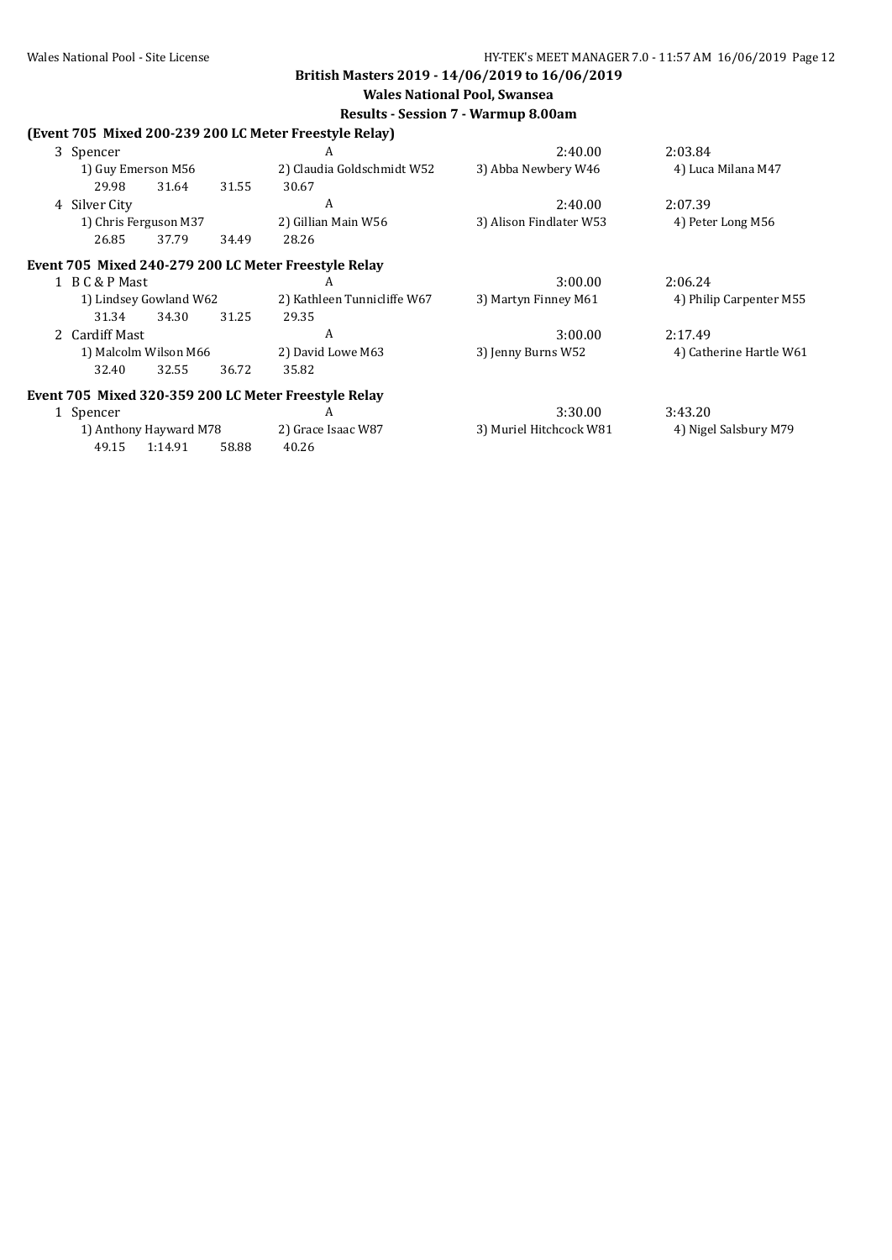**Wales National Pool, Swansea**

|   |                |                        |       | (Event 705 Mixed 200-239 200 LC Meter Freestyle Relay) |                         |                         |
|---|----------------|------------------------|-------|--------------------------------------------------------|-------------------------|-------------------------|
|   | 3 Spencer      |                        |       | A                                                      | 2:40.00                 | 2:03.84                 |
|   |                | 1) Guy Emerson M56     |       | 2) Claudia Goldschmidt W52                             | 3) Abba Newbery W46     | 4) Luca Milana M47      |
|   | 29.98          | 31.64                  | 31.55 | 30.67                                                  |                         |                         |
| 4 | Silver City    |                        |       | A                                                      | 2:40.00                 | 2:07.39                 |
|   |                | 1) Chris Ferguson M37  |       | 2) Gillian Main W56                                    | 3) Alison Findlater W53 | 4) Peter Long M56       |
|   | 26.85          | 37.79                  | 34.49 | 28.26                                                  |                         |                         |
|   |                |                        |       | Event 705 Mixed 240-279 200 LC Meter Freestyle Relay   |                         |                         |
|   | 1 B C & P Mast |                        |       | A                                                      | 3:00.00                 | 2:06.24                 |
|   |                | 1) Lindsey Gowland W62 |       | 2) Kathleen Tunnicliffe W67                            | 3) Martyn Finney M61    | 4) Philip Carpenter M55 |
|   | 31.34          | 34.30                  | 31.25 | 29.35                                                  |                         |                         |
|   | 2 Cardiff Mast |                        |       | A                                                      | 3:00.00                 | 2:17.49                 |
|   |                | 1) Malcolm Wilson M66  |       | 2) David Lowe M63                                      | 3) Jenny Burns W52      | 4) Catherine Hartle W61 |
|   | 32.40          | 32.55                  | 36.72 | 35.82                                                  |                         |                         |
|   |                |                        |       | Event 705 Mixed 320-359 200 LC Meter Freestyle Relay   |                         |                         |
|   | 1 Spencer      |                        |       | A                                                      | 3:30.00                 | 3:43.20                 |
|   |                | 1) Anthony Hayward M78 |       | 2) Grace Isaac W87                                     | 3) Muriel Hitchcock W81 | 4) Nigel Salsbury M79   |
|   | 49.15          | 1:14.91                | 58.88 | 40.26                                                  |                         |                         |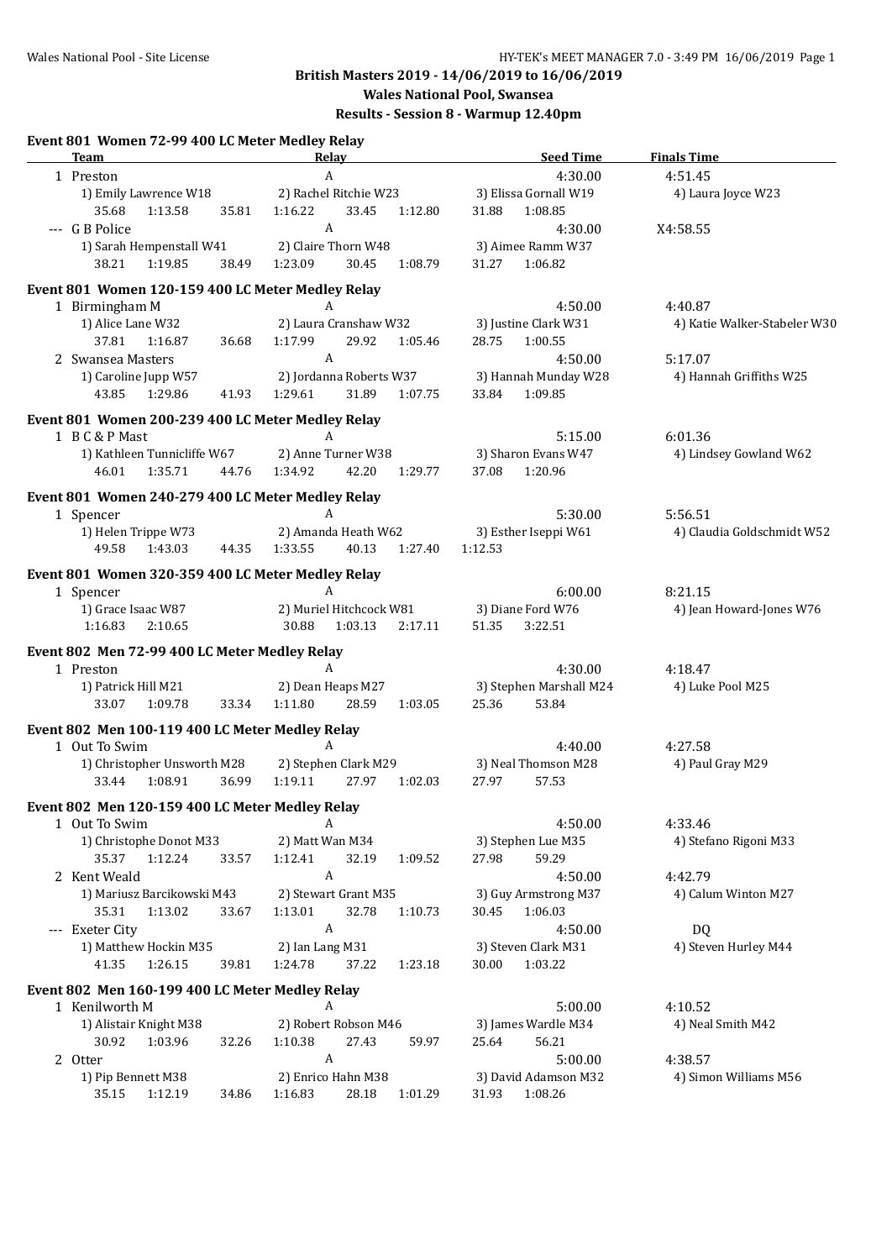#### Wales National Pool - Site License **HY-TEK's MEET MANAGER 7.0 - 3:49 PM 16/06/2019** Page 1 **British Masters 2019 - 14/06/2019 to 16/06/2019 Wales National Pool, Swansea Results - Session 8 - Warmup 12.40pm Event 801 Women 72-99 400 LC Meter Medley Relay Team Relay Relay Seed Time** Finals Time 1 Preston 4:51.45 A and 4:30.00 4:51.45 1) Emily Lawrence W18 2) Rachel Ritchie W23 3) Elissa Gornall W19 4) Laura Joyce W23 35.68 1:13.58 35.81 1:16.22 33.45 1:12.80 31.88 1:08.85 --- G B Police 4:30.00 X4:58.55 A 1) Sarah Hempenstall W41 2) Claire Thorn W48 3) Aimee Ramm W37 38.21 1:19.85 38.49 1:23.09 30.45 1:08.79 31.27 1:06.82 **Event 801 Women 120-159 400 LC Meter Medley Relay** 1 Birmingham M  $A$  A  $4:50.00$   $4:40.87$ 1) Alice Lane W32 2) Laura Cranshaw W32 3) Justine Clark W31 4) Katie Walker-Stabeler W30 37.81 1:16.87 36.68 1:17.99 29.92 1:05.46 28.75 1:00.55 2 Swansea Masters **4:50.00** A 4:50.00 5:17.07 1) Caroline Jupp W57 2) Jordanna Roberts W37 3) Hannah Munday W28 4) Hannah Griffiths W25 43.85 1:29.86 41.93 1:29.61 31.89 1:07.75 33.84 1:09.85 **Event 801 Women 200-239 400 LC Meter Medley Relay** 1 B C & P Mast 6:01.36 A 6:01.36 1) Kathleen Tunnicliffe W67 2) Anne Turner W38 3) Sharon Evans W47 4) Lindsey Gowland W62 46.01 1:35.71 44.76 1:34.92 42.20 1:29.77 37.08 1:20.96 **Event 801 Women 240-279 400 LC Meter Medley Relay** 1 Spencer **A** 5:30.00 5:56.51 1) Helen Trippe W73 2) Amanda Heath W62 3) Esther Iseppi W61 4) Claudia Goldschmidt W52 49.58 1:43.03 44.35 1:33.55 40.13 1:27.40 1:12.53 **Event 801 Women 320-359 400 LC Meter Medley Relay** 1 Spencer 6:00.00 8:21.15 1) Grace Isaac W87 2) Muriel Hitchcock W81 3) Diane Ford W76 4) Jean Howard-Jones W76 1:16.83 2:10.65 30.88 1:03.13 2:17.11 51.35 3:22.51 **Event 802 Men 72-99 400 LC Meter Medley Relay** 1 Preston 4:18.47 A A A 4:30.00 4:18.47 1) Patrick Hill M21 2) Dean Heaps M27 3) Stephen Marshall M24 4) Luke Pool M25 33.07 1:09.78 33.34 1:11.80 28.59 1:03.05 25.36 53.84 **Event 802 Men 100-119 400 LC Meter Medley Relay** 1 Out To Swim **A** A 4:40.00 4:27.58 1) Christopher Unsworth M28 2) Stephen Clark M29 3) Neal Thomson M28 4) Paul Gray M29 33.44 1:08.91 36.99 1:19.11 27.97 1:02.03 27.97 57.53 **Event 802 Men 120-159 400 LC Meter Medley Relay** 1 Out To Swim A A 4:50.00 4:33.46 1) Christophe Donot M33 2) Matt Wan M34 3) Stephen Lue M35 4) Stefano Rigoni M33 35.37 1:12.24 33.57 1:12.41 32.19 1:09.52 27.98 59.29 2 Kent Weald 4:50.00 4:42.79 1) Mariusz Barcikowski M43 2) Stewart Grant M35 3) Guy Armstrong M37 4) Calum Winton M27 35.31 1:13.02 33.67 1:13.01 32.78 1:10.73 30.45 1:06.03 -- Exeter City **A** 4:50.00 DQ 1) Matthew Hockin M35 2) Ian Lang M31 3) Steven Clark M31 4) Steven Hurley M44 41.35 1:26.15 39.81 1:24.78 37.22 1:23.18 30.00 1:03.22 **Event 802 Men 160-199 400 LC Meter Medley Relay** 1 Kenilworth M 5:00.00 4:10.52 A 1) Alistair Knight M38 2) Robert Robson M46 3) James Wardle M34 4) Neal Smith M42 30.92 1:03.96 32.26 1:10.38 27.43 59.97 25.64 56.21 2 Otter 138.57 A 2 Otter 138.57 1) Pip Bennett M38 2) Enrico Hahn M38 3) David Adamson M32 4) Simon Williams M56 35.15 1:12.19 34.86 1:16.83 28.18 1:01.29 31.93 1:08.26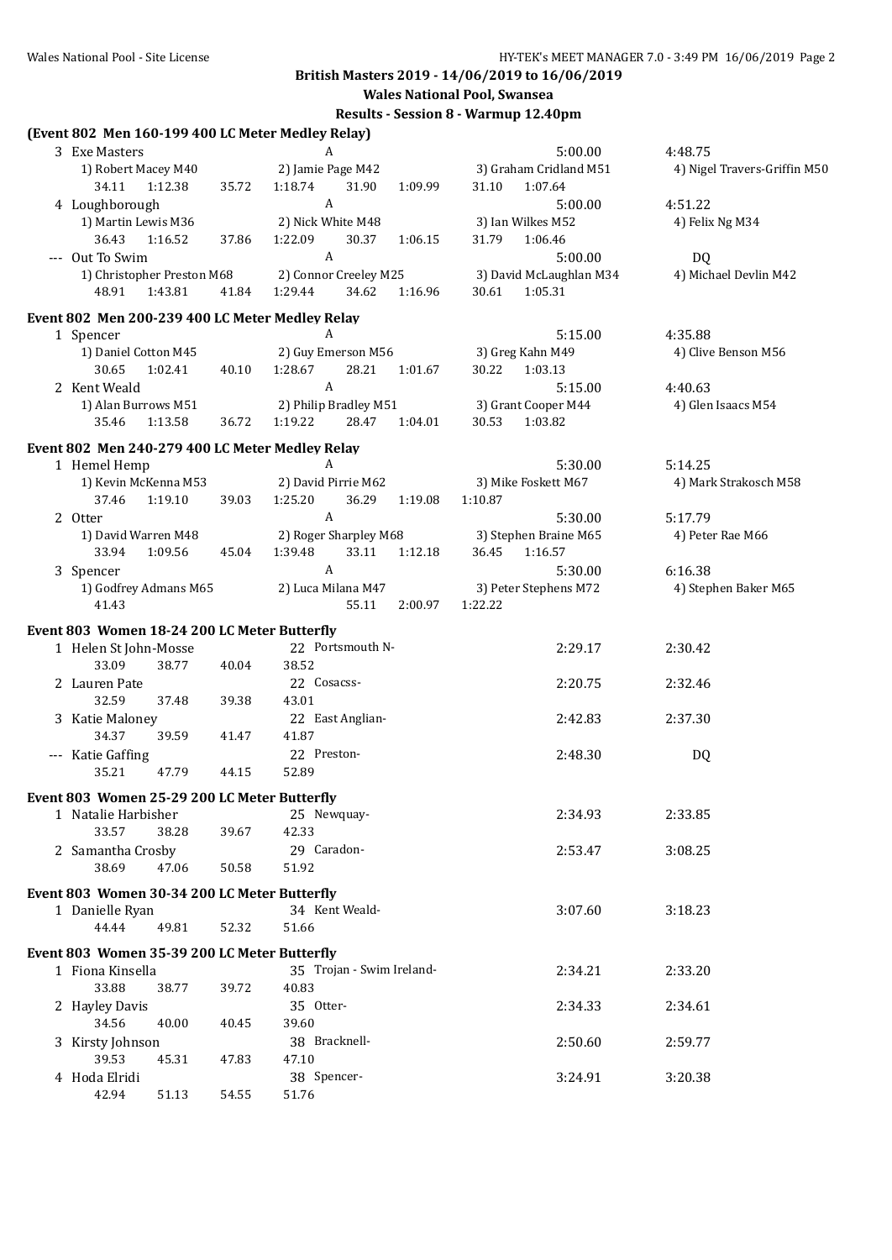**Wales National Pool, Swansea**

## **Results - Session 8 - Warmup 12.40pm**

| (Event 802 Men 160-199 400 LC Meter Medley Relay) |       |                                                  |                                            |                              |
|---------------------------------------------------|-------|--------------------------------------------------|--------------------------------------------|------------------------------|
| 3 Exe Masters                                     |       | A                                                | 5:00.00                                    | 4:48.75                      |
| 1) Robert Macey M40<br>34.11<br>1:12.38           | 35.72 | 2) Jamie Page M42<br>1:18.74<br>31.90<br>1:09.99 | 3) Graham Cridland M51<br>1:07.64<br>31.10 | 4) Nigel Travers-Griffin M50 |
| 4 Loughborough                                    |       | A                                                | 5:00.00                                    | 4:51.22                      |
| 1) Martin Lewis M36                               |       | 2) Nick White M48                                | 3) Ian Wilkes M52                          | 4) Felix Ng M34              |
| 36.43<br>1:16.52                                  | 37.86 | 1:22.09<br>30.37<br>1:06.15                      | 31.79<br>1:06.46                           |                              |
| --- Out To Swim                                   |       | A                                                | 5:00.00                                    | DQ                           |
| 1) Christopher Preston M68                        |       | 2) Connor Creeley M25                            | 3) David McLaughlan M34                    | 4) Michael Devlin M42        |
| 48.91<br>1:43.81                                  | 41.84 | 1:29.44<br>34.62<br>1:16.96                      | 1:05.31<br>30.61                           |                              |
| Event 802 Men 200-239 400 LC Meter Medley Relay   |       |                                                  |                                            |                              |
| 1 Spencer                                         |       | A                                                | 5:15.00                                    | 4:35.88                      |
| 1) Daniel Cotton M45                              |       | 2) Guy Emerson M56                               | 3) Greg Kahn M49                           | 4) Clive Benson M56          |
| 30.65<br>1:02.41                                  | 40.10 | 1:28.67<br>28.21<br>1:01.67                      | 30.22 1:03.13                              |                              |
| 2 Kent Weald                                      |       | $\mathbf{A}$                                     | 5:15.00                                    | 4:40.63                      |
| 1) Alan Burrows M51                               |       | 2) Philip Bradley M51                            | 3) Grant Cooper M44                        | 4) Glen Isaacs M54           |
| 1:13.58<br>35.46                                  | 36.72 | 1:19.22<br>28.47 1:04.01                         | 30.53 1:03.82                              |                              |
|                                                   |       |                                                  |                                            |                              |
| Event 802 Men 240-279 400 LC Meter Medley Relay   |       |                                                  |                                            |                              |
| 1 Hemel Hemp                                      |       | A                                                | 5:30.00                                    | 5:14.25                      |
| 1) Kevin McKenna M53                              |       | 2) David Pirrie M62                              | 3) Mike Foskett M67                        | 4) Mark Strakosch M58        |
| 1:19.10<br>37.46                                  | 39.03 | 1:25.20<br>36.29<br>1:19.08                      | 1:10.87                                    |                              |
| 2 Otter                                           |       | $\mathbf{A}$                                     | 5:30.00                                    | 5:17.79                      |
| 1) David Warren M48                               |       | 2) Roger Sharpley M68                            | 3) Stephen Braine M65                      | 4) Peter Rae M66             |
| 1:09.56<br>33.94                                  | 45.04 | 33.11<br>1:12.18<br>1:39.48                      | 36.45<br>1:16.57                           |                              |
| 3 Spencer                                         |       | $\boldsymbol{A}$                                 | 5:30.00                                    | 6:16.38                      |
| 1) Godfrey Admans M65                             |       | 2) Luca Milana M47                               | 3) Peter Stephens M72                      | 4) Stephen Baker M65         |
| 41.43                                             |       | 55.11<br>2:00.97                                 | 1:22.22                                    |                              |
| Event 803 Women 18-24 200 LC Meter Butterfly      |       |                                                  |                                            |                              |
| 1 Helen St John-Mosse                             |       | 22 Portsmouth N-                                 | 2:29.17                                    | 2:30.42                      |
| 33.09<br>38.77                                    | 40.04 | 38.52                                            |                                            |                              |
| 2 Lauren Pate                                     |       | 22 Cosacss-                                      | 2:20.75                                    | 2:32.46                      |
| 32.59<br>37.48                                    | 39.38 | 43.01                                            |                                            |                              |
| 3 Katie Maloney                                   |       | 22 East Anglian-                                 | 2:42.83                                    | 2:37.30                      |
| 34.37<br>39.59                                    | 41.47 | 41.87                                            |                                            |                              |
| --- Katie Gaffing                                 |       | 22 Preston-                                      | 2:48.30                                    | DQ                           |
| 35.21<br>47.79                                    | 44.15 | 52.89                                            |                                            |                              |
| Event 803 Women 25-29 200 LC Meter Butterfly      |       |                                                  |                                            |                              |
| 1 Natalie Harbisher                               |       | 25 Newquay-                                      | 2:34.93                                    | 2:33.85                      |
| 33.57<br>38.28                                    | 39.67 | 42.33                                            |                                            |                              |
|                                                   |       | 29 Caradon-                                      |                                            |                              |
| 2 Samantha Crosby                                 |       |                                                  | 2:53.47                                    | 3:08.25                      |
| 38.69<br>47.06                                    | 50.58 | 51.92                                            |                                            |                              |
| Event 803 Women 30-34 200 LC Meter Butterfly      |       |                                                  |                                            |                              |
| 1 Danielle Ryan                                   |       | 34 Kent Weald-                                   | 3:07.60                                    | 3:18.23                      |
| 44.44<br>49.81                                    | 52.32 | 51.66                                            |                                            |                              |
| Event 803 Women 35-39 200 LC Meter Butterfly      |       |                                                  |                                            |                              |
| 1 Fiona Kinsella                                  |       | 35 Trojan - Swim Ireland-                        | 2:34.21                                    | 2:33.20                      |
| 33.88<br>38.77                                    | 39.72 | 40.83                                            |                                            |                              |
| 2 Hayley Davis                                    |       | 35 Otter-                                        | 2:34.33                                    | 2:34.61                      |
| 34.56<br>40.00                                    | 40.45 | 39.60                                            |                                            |                              |
|                                                   |       | 38 Bracknell-                                    | 2:50.60                                    | 2:59.77                      |
| 3 Kirsty Johnson                                  |       | 47.10                                            |                                            |                              |
| 39.53<br>45.31                                    | 47.83 |                                                  |                                            |                              |
| 4 Hoda Elridi                                     |       | 38 Spencer-                                      | 3:24.91                                    | 3:20.38                      |
| 42.94<br>51.13                                    | 54.55 | 51.76                                            |                                            |                              |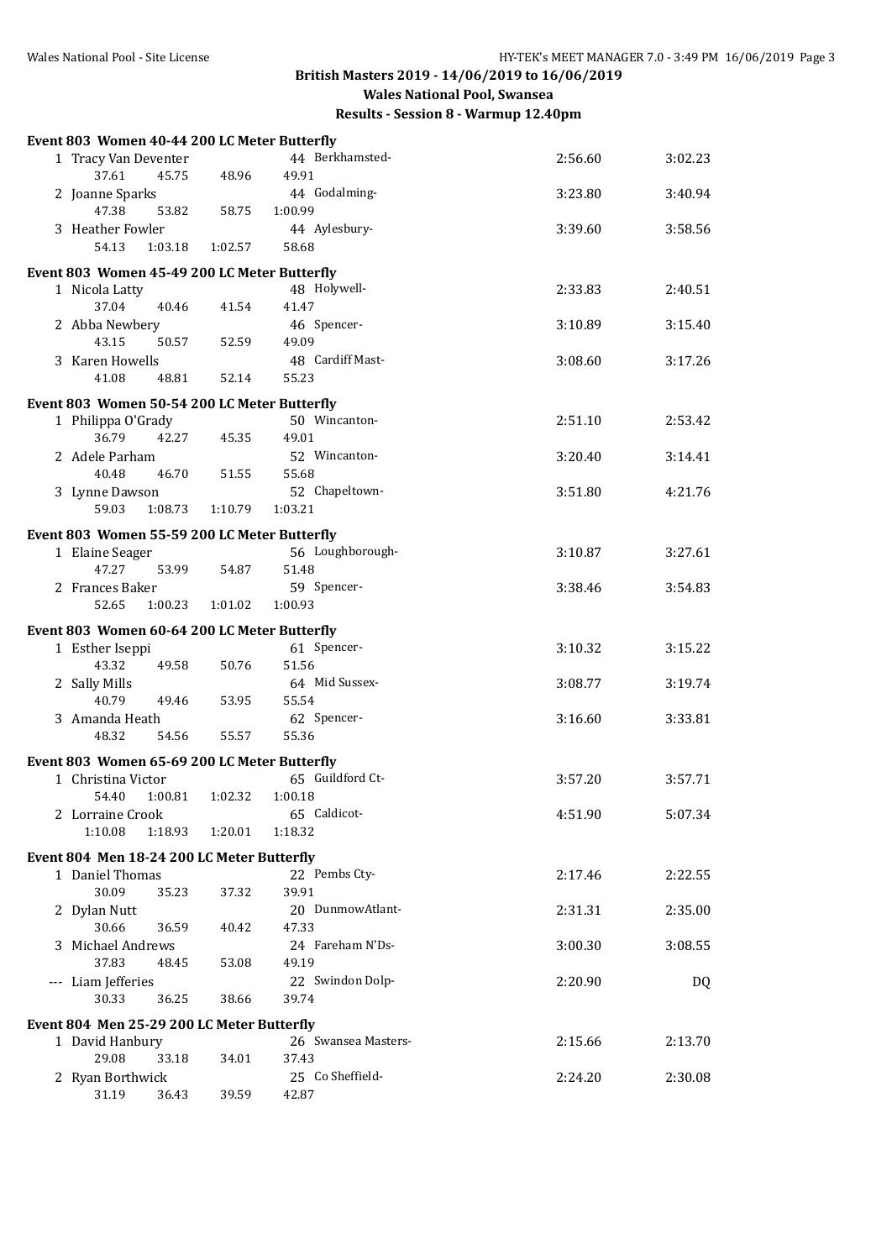**Results - Session 8 - Warmup 12.40pm**

| Event 803 Women 40-44 200 LC Meter Butterfly |         |                              |         |         |
|----------------------------------------------|---------|------------------------------|---------|---------|
| 1 Tracy Van Deventer<br>37.61<br>45.75       | 48.96   | 44 Berkhamsted-<br>49.91     | 2:56.60 | 3:02.23 |
| 2 Joanne Sparks<br>47.38<br>53.82            | 58.75   | 44 Godalming-<br>1:00.99     | 3:23.80 | 3:40.94 |
| 3 Heather Fowler<br>54.13<br>1:03.18         | 1:02.57 | 44 Aylesbury-<br>58.68       | 3:39.60 | 3:58.56 |
| Event 803 Women 45-49 200 LC Meter Butterfly |         |                              |         |         |
| 1 Nicola Latty<br>37.04<br>40.46             | 41.54   | 48 Holywell-<br>41.47        | 2:33.83 | 2:40.51 |
| 2 Abba Newbery<br>43.15<br>50.57             | 52.59   | 46 Spencer-<br>49.09         | 3:10.89 | 3:15.40 |
| 3 Karen Howells<br>41.08<br>48.81            | 52.14   | 48 Cardiff Mast-<br>55.23    | 3:08.60 | 3:17.26 |
|                                              |         |                              |         |         |
| Event 803 Women 50-54 200 LC Meter Butterfly |         |                              |         |         |
| 1 Philippa O'Grady<br>36.79<br>42.27         | 45.35   | 50 Wincanton-<br>49.01       | 2:51.10 | 2:53.42 |
| 2 Adele Parham<br>40.48<br>46.70             | 51.55   | 52 Wincanton-<br>55.68       | 3:20.40 | 3:14.41 |
| 3 Lynne Dawson<br>59.03<br>1:08.73           | 1:10.79 | 52 Chapeltown-<br>1:03.21    | 3:51.80 | 4:21.76 |
| Event 803 Women 55-59 200 LC Meter Butterfly |         |                              |         |         |
| 1 Elaine Seager<br>47.27<br>53.99            | 54.87   | 56 Loughborough-<br>51.48    | 3:10.87 | 3:27.61 |
| 2 Frances Baker                              |         | 59 Spencer-                  | 3:38.46 | 3:54.83 |
| 1:00.23<br>52.65                             | 1:01.02 | 1:00.93                      |         |         |
| Event 803 Women 60-64 200 LC Meter Butterfly |         |                              |         |         |
| 1 Esther Iseppi                              |         | 61 Spencer-                  | 3:10.32 | 3:15.22 |
|                                              |         |                              |         |         |
| 43.32<br>49.58                               | 50.76   | 51.56                        |         |         |
| 2 Sally Mills<br>40.79<br>49.46              | 53.95   | 64 Mid Sussex-<br>55.54      | 3:08.77 | 3:19.74 |
| 3 Amanda Heath                               |         | 62 Spencer-                  | 3:16.60 | 3:33.81 |
| 48.32<br>54.56                               | 55.57   | 55.36                        |         |         |
| Event 803 Women 65-69 200 LC Meter Butterfly |         |                              |         |         |
| 1 Christina Victor                           |         | 65 Guildford Ct-             | 3:57.20 | 3:57.71 |
| 54.40<br>1:00.81<br>2 Lorraine Crook         | 1:02.32 | 1:00.18<br>65 Caldicot-      | 4:51.90 | 5:07.34 |
| 1:10.08<br>1:18.93                           | 1:20.01 | 1:18.32                      |         |         |
|                                              |         |                              |         |         |
| Event 804 Men 18-24 200 LC Meter Butterfly   |         |                              |         |         |
| 1 Daniel Thomas<br>30.09<br>35.23            | 37.32   | 22 Pembs Cty-<br>39.91       | 2:17.46 | 2:22.55 |
| 2 Dylan Nutt<br>30.66<br>36.59               | 40.42   | 20 DunmowAtlant-<br>47.33    | 2:31.31 | 2:35.00 |
| 3 Michael Andrews<br>37.83<br>48.45          |         | 24 Fareham N'Ds-             | 3:00.30 | 3:08.55 |
| --- Liam Jefferies                           | 53.08   | 49.19<br>22 Swindon Dolp-    | 2:20.90 | DQ      |
| 30.33<br>36.25                               | 38.66   | 39.74                        |         |         |
| Event 804 Men 25-29 200 LC Meter Butterfly   |         |                              |         |         |
| 1 David Hanbury<br>29.08<br>33.18            | 34.01   | 26 Swansea Masters-<br>37.43 | 2:15.66 | 2:13.70 |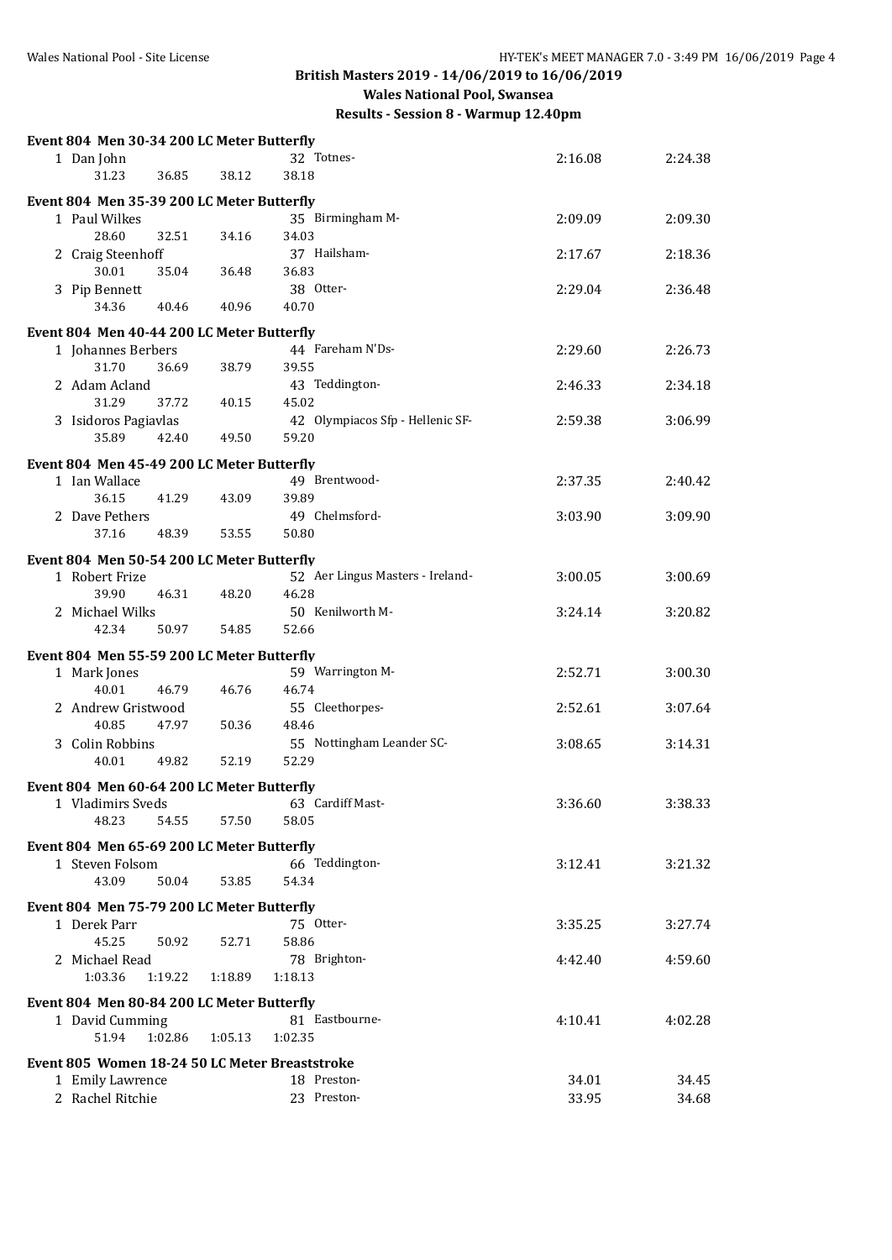**British Masters 2019 - 14/06/2019 to 16/06/2019 Wales National Pool, Swansea**

| Event 804 Men 30-34 200 LC Meter Butterfly     |         |                                  |         |         |
|------------------------------------------------|---------|----------------------------------|---------|---------|
| 1 Dan John                                     |         | 32 Totnes-                       | 2:16.08 | 2:24.38 |
| 31.23<br>36.85                                 | 38.12   | 38.18                            |         |         |
| Event 804 Men 35-39 200 LC Meter Butterfly     |         |                                  |         |         |
| 1 Paul Wilkes                                  |         | 35 Birmingham M-                 | 2:09.09 | 2:09.30 |
| 28.60<br>32.51                                 | 34.16   | 34.03                            |         |         |
| 2 Craig Steenhoff                              |         | 37 Hailsham-                     | 2:17.67 | 2:18.36 |
| 30.01<br>35.04                                 | 36.48   | 36.83                            |         |         |
| 3 Pip Bennett                                  |         | 38 Otter-                        | 2:29.04 | 2:36.48 |
| 34.36<br>40.46                                 | 40.96   | 40.70                            |         |         |
|                                                |         |                                  |         |         |
| Event 804 Men 40-44 200 LC Meter Butterfly     |         |                                  |         |         |
| 1 Johannes Berbers                             |         | 44 Fareham N'Ds-                 | 2:29.60 | 2:26.73 |
| 31.70<br>36.69                                 | 38.79   | 39.55                            |         |         |
| 2 Adam Acland                                  |         | 43 Teddington-                   | 2:46.33 | 2:34.18 |
| 31.29<br>37.72                                 | 40.15   | 45.02                            |         |         |
| 3 Isidoros Pagiavlas                           |         | 42 Olympiacos Sfp - Hellenic SF- | 2:59.38 | 3:06.99 |
| 35.89<br>42.40                                 | 49.50   | 59.20                            |         |         |
| Event 804 Men 45-49 200 LC Meter Butterfly     |         |                                  |         |         |
| 1 Ian Wallace                                  |         | 49 Brentwood-                    | 2:37.35 | 2:40.42 |
| 36.15<br>41.29                                 | 43.09   | 39.89                            |         |         |
| 2 Dave Pethers                                 |         | 49 Chelmsford-                   | 3:03.90 | 3:09.90 |
| 37.16<br>48.39                                 | 53.55   | 50.80                            |         |         |
| Event 804 Men 50-54 200 LC Meter Butterfly     |         |                                  |         |         |
| 1 Robert Frize                                 |         | 52 Aer Lingus Masters - Ireland- | 3:00.05 | 3:00.69 |
| 39.90<br>46.31                                 | 48.20   | 46.28                            |         |         |
| 2 Michael Wilks                                |         | 50 Kenilworth M-                 | 3:24.14 | 3:20.82 |
| 42.34<br>50.97                                 | 54.85   | 52.66                            |         |         |
|                                                |         |                                  |         |         |
| Event 804 Men 55-59 200 LC Meter Butterfly     |         |                                  |         |         |
| 1 Mark Jones                                   |         | 59 Warrington M-                 | 2:52.71 | 3:00.30 |
| 40.01<br>46.79                                 | 46.76   | 46.74                            |         |         |
| 2 Andrew Gristwood                             |         | 55 Cleethorpes-                  | 2:52.61 | 3:07.64 |
| 40.85<br>47.97                                 | 50.36   | 48.46                            |         |         |
| 3 Colin Robbins                                |         | 55 Nottingham Leander SC-        | 3:08.65 | 3:14.31 |
| 40.01<br>49.82                                 | 52.19   | 52.29                            |         |         |
| Event 804 Men 60-64 200 LC Meter Butterfly     |         |                                  |         |         |
| 1 Vladimirs Sveds                              |         | 63 Cardiff Mast-                 | 3:36.60 | 3:38.33 |
| 48.23<br>54.55                                 | 57.50   | 58.05                            |         |         |
|                                                |         |                                  |         |         |
| Event 804 Men 65-69 200 LC Meter Butterfly     |         |                                  |         |         |
| 1 Steven Folsom                                |         | 66 Teddington-                   | 3:12.41 | 3:21.32 |
| 43.09<br>50.04                                 | 53.85   | 54.34                            |         |         |
| Event 804 Men 75-79 200 LC Meter Butterfly     |         |                                  |         |         |
| 1 Derek Parr                                   |         | 75 Otter-                        | 3:35.25 | 3:27.74 |
| 45.25<br>50.92                                 | 52.71   | 58.86                            |         |         |
| 2 Michael Read                                 |         | 78 Brighton-                     | 4:42.40 | 4:59.60 |
| 1:03.36<br>1:19.22                             | 1:18.89 | 1:18.13                          |         |         |
|                                                |         |                                  |         |         |
| Event 804 Men 80-84 200 LC Meter Butterfly     |         | 81 Eastbourne-                   | 4:10.41 | 4:02.28 |
| 1 David Cumming<br>51.94<br>1:02.86            | 1:05.13 | 1:02.35                          |         |         |
|                                                |         |                                  |         |         |
| Event 805 Women 18-24 50 LC Meter Breaststroke |         |                                  |         |         |
| 1 Emily Lawrence                               |         | 18 Preston-                      | 34.01   | 34.45   |
| 2 Rachel Ritchie                               |         | 23 Preston-                      | 33.95   | 34.68   |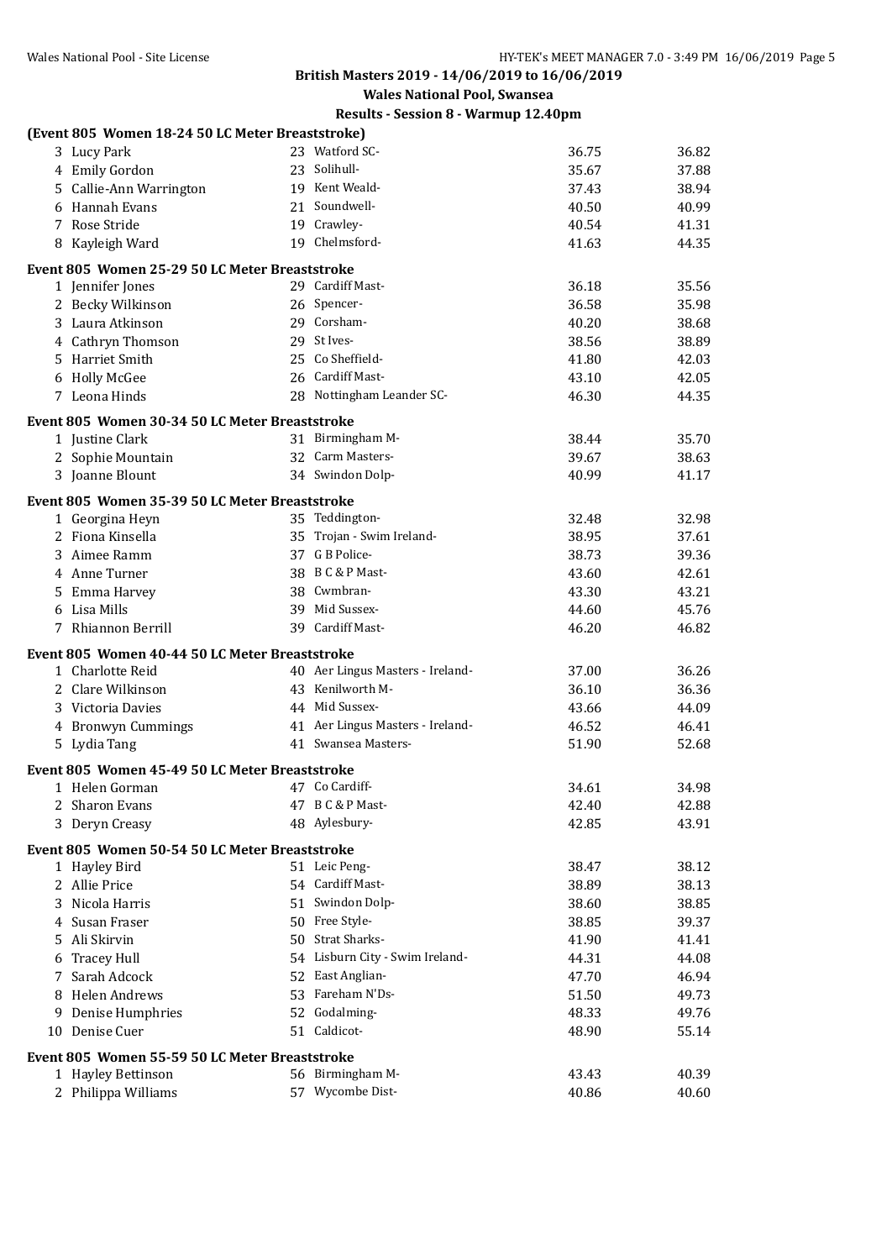**British Masters 2019 - 14/06/2019 to 16/06/2019**

**Wales National Pool, Swansea**

|    | (Event 805 Women 18-24 50 LC Meter Breaststroke) |                                  |       |       |
|----|--------------------------------------------------|----------------------------------|-------|-------|
|    | 3 Lucy Park                                      | 23 Watford SC-                   | 36.75 | 36.82 |
|    | 4 Emily Gordon                                   | 23 Solihull-                     | 35.67 | 37.88 |
|    | 5 Callie-Ann Warrington                          | 19 Kent Weald-                   | 37.43 | 38.94 |
|    | 6 Hannah Evans                                   | 21 Soundwell-                    | 40.50 | 40.99 |
|    | 7 Rose Stride                                    | 19 Crawley-                      | 40.54 | 41.31 |
|    | 8 Kayleigh Ward                                  | 19 Chelmsford-                   | 41.63 | 44.35 |
|    | Event 805 Women 25-29 50 LC Meter Breaststroke   |                                  |       |       |
|    | 1 Jennifer Jones                                 | 29 Cardiff Mast-                 | 36.18 | 35.56 |
|    | 2 Becky Wilkinson                                | 26 Spencer-                      | 36.58 | 35.98 |
|    | 3 Laura Atkinson                                 | 29 Corsham-                      | 40.20 | 38.68 |
|    | 4 Cathryn Thomson                                | 29 St Ives-                      | 38.56 | 38.89 |
|    | 5 Harriet Smith                                  | 25 Co Sheffield-                 | 41.80 | 42.03 |
|    | 6 Holly McGee                                    | 26 Cardiff Mast-                 | 43.10 | 42.05 |
|    | 7 Leona Hinds                                    | 28 Nottingham Leander SC-        | 46.30 | 44.35 |
|    | Event 805 Women 30-34 50 LC Meter Breaststroke   |                                  |       |       |
|    | 1 Justine Clark                                  | 31 Birmingham M-                 | 38.44 | 35.70 |
|    | 2 Sophie Mountain                                | 32 Carm Masters-                 | 39.67 | 38.63 |
|    | 3 Joanne Blount                                  | 34 Swindon Dolp-                 | 40.99 | 41.17 |
|    | Event 805 Women 35-39 50 LC Meter Breaststroke   |                                  |       |       |
|    | 1 Georgina Heyn                                  | 35 Teddington-                   | 32.48 | 32.98 |
|    | 2 Fiona Kinsella                                 | 35 Trojan - Swim Ireland-        | 38.95 | 37.61 |
|    | 3 Aimee Ramm                                     | 37 G B Police-                   | 38.73 | 39.36 |
|    | 4 Anne Turner                                    | 38 B C & P Mast-                 | 43.60 | 42.61 |
|    | 5 Emma Harvey                                    | 38 Cwmbran-                      | 43.30 | 43.21 |
|    | 6 Lisa Mills                                     | 39 Mid Sussex-                   | 44.60 | 45.76 |
|    | 7 Rhiannon Berrill                               | 39 Cardiff Mast-                 | 46.20 | 46.82 |
|    | Event 805 Women 40-44 50 LC Meter Breaststroke   |                                  |       |       |
|    | 1 Charlotte Reid                                 | 40 Aer Lingus Masters - Ireland- | 37.00 | 36.26 |
|    | 2 Clare Wilkinson                                | 43 Kenilworth M-                 | 36.10 | 36.36 |
|    | 3 Victoria Davies                                | 44 Mid Sussex-                   | 43.66 | 44.09 |
|    | 4 Bronwyn Cummings                               | 41 Aer Lingus Masters - Ireland- | 46.52 | 46.41 |
|    | 5 Lydia Tang                                     | 41 Swansea Masters-              | 51.90 | 52.68 |
|    | Event 805 Women 45-49 50 LC Meter Breaststroke   |                                  |       |       |
|    | 1 Helen Gorman                                   | 47 Co Cardiff-                   | 34.61 | 34.98 |
|    | 2 Sharon Evans                                   | 47 B C & P Mast-                 | 42.40 | 42.88 |
|    | 3 Deryn Creasy                                   | 48 Aylesbury-                    | 42.85 | 43.91 |
|    | Event 805 Women 50-54 50 LC Meter Breaststroke   |                                  |       |       |
|    | 1 Hayley Bird                                    | 51 Leic Peng-                    | 38.47 | 38.12 |
|    | 2 Allie Price                                    | 54 Cardiff Mast-                 | 38.89 | 38.13 |
| 3. | Nicola Harris                                    | 51 Swindon Dolp-                 | 38.60 | 38.85 |
|    | 4 Susan Fraser                                   | 50 Free Style-                   | 38.85 | 39.37 |
|    | 5 Ali Skirvin                                    | 50 Strat Sharks-                 | 41.90 | 41.41 |
|    | 6 Tracey Hull                                    | 54 Lisburn City - Swim Ireland-  | 44.31 | 44.08 |
| 7  | Sarah Adcock                                     | 52 East Anglian-                 | 47.70 | 46.94 |
|    | 8 Helen Andrews                                  | 53 Fareham N'Ds-                 | 51.50 | 49.73 |
|    | 9 Denise Humphries                               | 52 Godalming-                    | 48.33 | 49.76 |
|    | 10 Denise Cuer                                   | 51 Caldicot-                     | 48.90 | 55.14 |
|    | Event 805 Women 55-59 50 LC Meter Breaststroke   |                                  |       |       |
|    | 1 Hayley Bettinson                               | 56 Birmingham M-                 | 43.43 | 40.39 |
|    | 2 Philippa Williams                              | 57 Wycombe Dist-                 | 40.86 | 40.60 |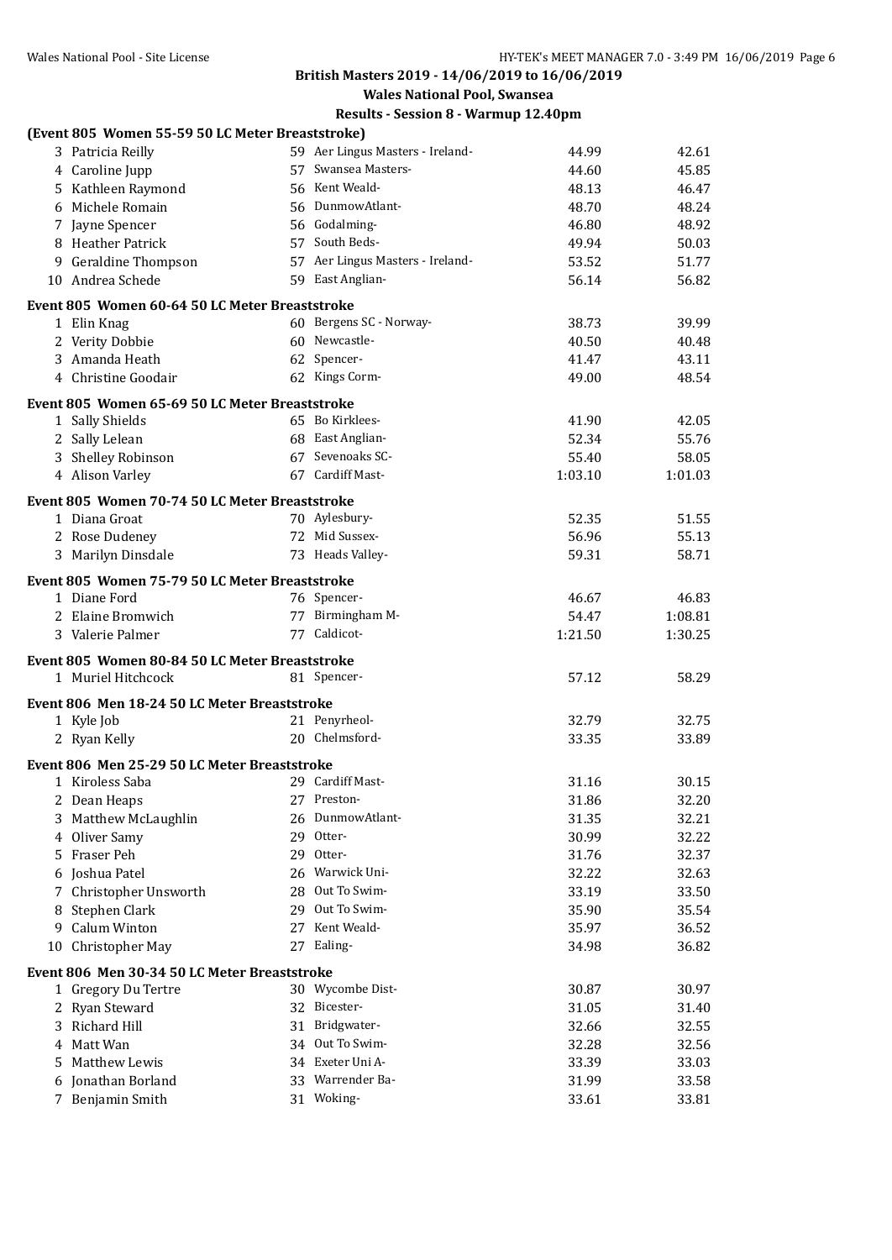# **British Masters 2019 - 14/06/2019 to 16/06/2019**

**Wales National Pool, Swansea**

|    | (Event 805 Women 55-59 50 LC Meter Breaststroke) |    |                                  |         |         |
|----|--------------------------------------------------|----|----------------------------------|---------|---------|
|    | 3 Patricia Reilly                                |    | 59 Aer Lingus Masters - Ireland- | 44.99   | 42.61   |
|    | 4 Caroline Jupp                                  |    | 57 Swansea Masters-              | 44.60   | 45.85   |
|    | 5 Kathleen Raymond                               |    | 56 Kent Weald-                   | 48.13   | 46.47   |
| 6  | Michele Romain                                   |    | 56 DunmowAtlant-                 | 48.70   | 48.24   |
|    | 7 Jayne Spencer                                  |    | 56 Godalming-                    | 46.80   | 48.92   |
|    | 8 Heather Patrick                                |    | 57 South Beds-                   | 49.94   | 50.03   |
| 9  | <b>Geraldine Thompson</b>                        |    | 57 Aer Lingus Masters - Ireland- | 53.52   | 51.77   |
|    | 10 Andrea Schede                                 |    | 59 East Anglian-                 | 56.14   | 56.82   |
|    | Event 805 Women 60-64 50 LC Meter Breaststroke   |    |                                  |         |         |
|    | 1 Elin Knag                                      |    | 60 Bergens SC - Norway-          | 38.73   | 39.99   |
|    | 2 Verity Dobbie                                  |    | 60 Newcastle-                    | 40.50   | 40.48   |
|    | 3 Amanda Heath                                   |    | 62 Spencer-                      | 41.47   | 43.11   |
| 4  | Christine Goodair                                |    | 62 Kings Corm-                   | 49.00   | 48.54   |
|    | Event 805 Women 65-69 50 LC Meter Breaststroke   |    |                                  |         |         |
|    | 1 Sally Shields                                  |    | 65 Bo Kirklees-                  | 41.90   | 42.05   |
|    | 2 Sally Lelean                                   |    | 68 East Anglian-                 | 52.34   | 55.76   |
|    | 3 Shelley Robinson                               |    | 67 Sevenoaks SC-                 | 55.40   | 58.05   |
|    | 4 Alison Varley                                  |    | 67 Cardiff Mast-                 | 1:03.10 | 1:01.03 |
|    |                                                  |    |                                  |         |         |
|    | Event 805 Women 70-74 50 LC Meter Breaststroke   |    |                                  |         |         |
|    | 1 Diana Groat                                    |    | 70 Aylesbury-                    | 52.35   | 51.55   |
|    | 2 Rose Dudeney                                   |    | 72 Mid Sussex-                   | 56.96   | 55.13   |
|    | 3 Marilyn Dinsdale                               |    | 73 Heads Valley-                 | 59.31   | 58.71   |
|    | Event 805 Women 75-79 50 LC Meter Breaststroke   |    |                                  |         |         |
|    | 1 Diane Ford                                     |    | 76 Spencer-                      | 46.67   | 46.83   |
|    | 2 Elaine Bromwich                                |    | 77 Birmingham M-                 | 54.47   | 1:08.81 |
|    | 3 Valerie Palmer                                 |    | 77 Caldicot-                     | 1:21.50 | 1:30.25 |
|    | Event 805 Women 80-84 50 LC Meter Breaststroke   |    |                                  |         |         |
|    | 1 Muriel Hitchcock                               |    | 81 Spencer-                      | 57.12   | 58.29   |
|    |                                                  |    |                                  |         |         |
|    | Event 806 Men 18-24 50 LC Meter Breaststroke     |    |                                  |         |         |
|    | 1 Kyle Job                                       |    | 21 Penyrheol-                    | 32.79   | 32.75   |
|    | 2 Ryan Kelly                                     |    | 20 Chelmsford-                   | 33.35   | 33.89   |
|    | Event 806 Men 25-29 50 LC Meter Breaststroke     |    |                                  |         |         |
|    | 1 Kiroless Saba                                  |    | 29 Cardiff Mast-                 | 31.16   | 30.15   |
|    | 2 Dean Heaps                                     |    | 27 Preston-                      | 31.86   | 32.20   |
| 3  | Matthew McLaughlin                               | 26 | DunmowAtlant-                    | 31.35   | 32.21   |
| 4  | Oliver Samy                                      | 29 | Otter-                           | 30.99   | 32.22   |
| 5  | Fraser Peh                                       |    | 29 Otter-                        | 31.76   | 32.37   |
| 6  | Joshua Patel                                     |    | 26 Warwick Uni-                  | 32.22   | 32.63   |
| 7  | Christopher Unsworth                             |    | 28 Out To Swim-                  | 33.19   | 33.50   |
| 8  | Stephen Clark                                    |    | 29 Out To Swim-                  | 35.90   | 35.54   |
| 9  | <b>Calum Winton</b>                              |    | 27 Kent Weald-                   | 35.97   | 36.52   |
| 10 | Christopher May                                  |    | 27 Ealing-                       | 34.98   | 36.82   |
|    | Event 806 Men 30-34 50 LC Meter Breaststroke     |    |                                  |         |         |
|    | 1 Gregory Du Tertre                              |    | 30 Wycombe Dist-                 | 30.87   | 30.97   |
|    | 2 Ryan Steward                                   |    | 32 Bicester-                     | 31.05   | 31.40   |
|    | 3 Richard Hill                                   |    | 31 Bridgwater-                   | 32.66   | 32.55   |
| 4  | Matt Wan                                         |    | 34 Out To Swim-                  | 32.28   | 32.56   |
| 5  | Matthew Lewis                                    |    | 34 Exeter Uni A-                 | 33.39   | 33.03   |
| 6  | Jonathan Borland                                 |    | 33 Warrender Ba-                 | 31.99   | 33.58   |
|    | 7 Benjamin Smith                                 |    | 31 Woking-                       | 33.61   | 33.81   |
|    |                                                  |    |                                  |         |         |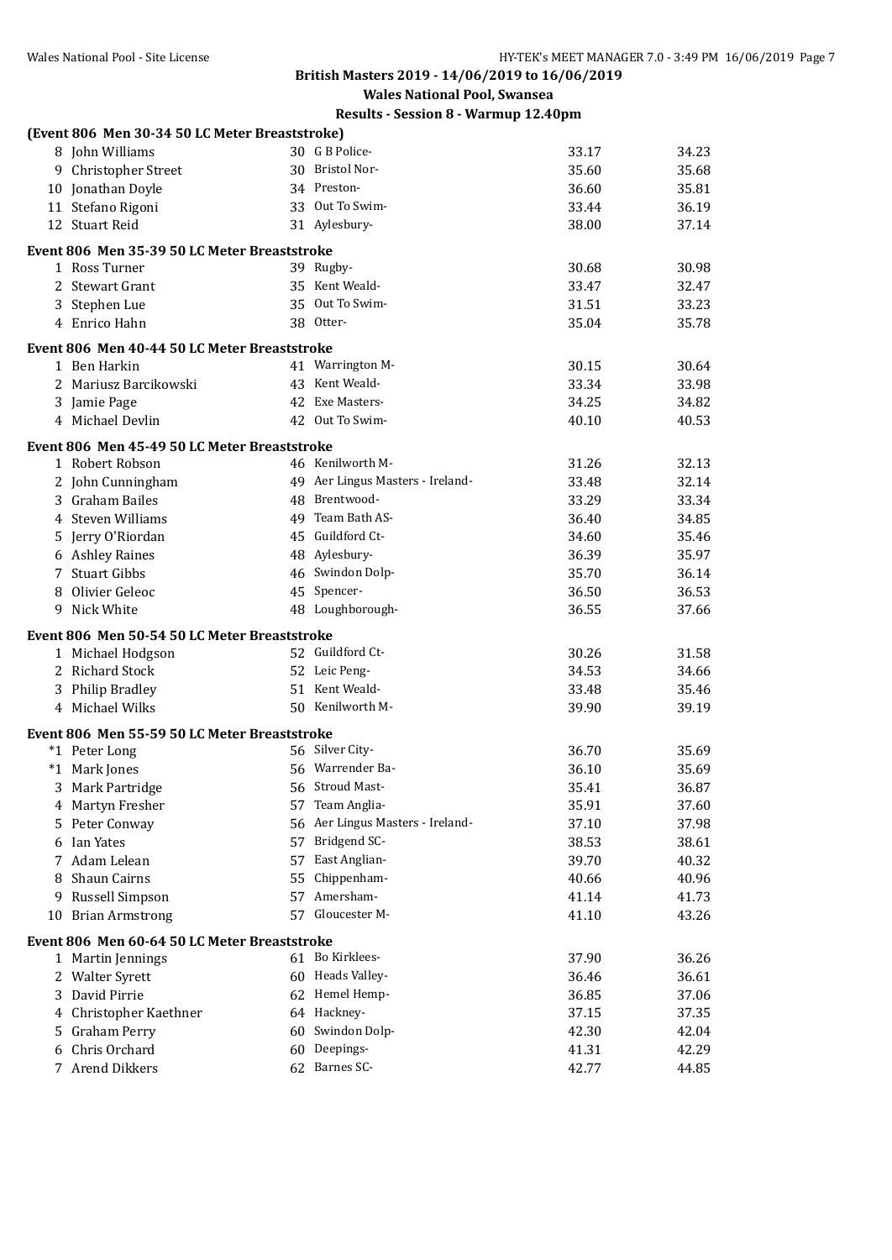**British Masters 2019 - 14/06/2019 to 16/06/2019**

**Wales National Pool, Swansea**

|   | (Event 806 Men 30-34 50 LC Meter Breaststroke) |    |                                  |       |       |
|---|------------------------------------------------|----|----------------------------------|-------|-------|
|   | 8 John Williams                                |    | 30 G B Police-                   | 33.17 | 34.23 |
|   | 9 Christopher Street                           |    | 30 Bristol Nor-                  | 35.60 | 35.68 |
|   | 10 Jonathan Doyle                              |    | 34 Preston-                      | 36.60 | 35.81 |
|   | 11 Stefano Rigoni                              |    | 33 Out To Swim-                  | 33.44 | 36.19 |
|   | 12 Stuart Reid                                 |    | 31 Aylesbury-                    | 38.00 | 37.14 |
|   | Event 806 Men 35-39 50 LC Meter Breaststroke   |    |                                  |       |       |
|   | 1 Ross Turner                                  |    | 39 Rugby-                        | 30.68 | 30.98 |
|   | 2 Stewart Grant                                |    | 35 Kent Weald-                   | 33.47 | 32.47 |
|   | 3 Stephen Lue                                  |    | 35 Out To Swim-                  | 31.51 | 33.23 |
|   | 4 Enrico Hahn                                  |    | 38 Otter-                        | 35.04 | 35.78 |
|   | Event 806 Men 40-44 50 LC Meter Breaststroke   |    |                                  |       |       |
|   | 1 Ben Harkin                                   |    | 41 Warrington M-                 | 30.15 | 30.64 |
|   | 2 Mariusz Barcikowski                          |    | 43 Kent Weald-                   | 33.34 | 33.98 |
|   | 3 Jamie Page                                   |    | 42 Exe Masters-                  | 34.25 | 34.82 |
|   | 4 Michael Devlin                               |    | 42 Out To Swim-                  | 40.10 | 40.53 |
|   |                                                |    |                                  |       |       |
|   | Event 806 Men 45-49 50 LC Meter Breaststroke   |    | 46 Kenilworth M-                 |       |       |
|   | 1 Robert Robson                                |    | 49 Aer Lingus Masters - Ireland- | 31.26 | 32.13 |
|   | 2 John Cunningham                              |    | 48 Brentwood-                    | 33.48 | 32.14 |
|   | 3 Graham Bailes                                |    | 49 Team Bath AS-                 | 33.29 | 33.34 |
|   | 4 Steven Williams                              |    | 45 Guildford Ct-                 | 36.40 | 34.85 |
|   | 5 Jerry O'Riordan                              |    |                                  | 34.60 | 35.46 |
|   | 6 Ashley Raines                                |    | 48 Aylesbury-                    | 36.39 | 35.97 |
|   | 7 Stuart Gibbs                                 |    | 46 Swindon Dolp-                 | 35.70 | 36.14 |
| 8 | Olivier Geleoc                                 |    | 45 Spencer-                      | 36.50 | 36.53 |
|   | 9 Nick White                                   |    | 48 Loughborough-                 | 36.55 | 37.66 |
|   | Event 806 Men 50-54 50 LC Meter Breaststroke   |    |                                  |       |       |
|   | 1 Michael Hodgson                              |    | 52 Guildford Ct-                 | 30.26 | 31.58 |
|   | 2 Richard Stock                                |    | 52 Leic Peng-                    | 34.53 | 34.66 |
|   | 3 Philip Bradley                               |    | 51 Kent Weald-                   | 33.48 | 35.46 |
|   | 4 Michael Wilks                                |    | 50 Kenilworth M-                 | 39.90 | 39.19 |
|   | Event 806 Men 55-59 50 LC Meter Breaststroke   |    |                                  |       |       |
|   | *1 Peter Long                                  |    | 56 Silver City-                  | 36.70 | 35.69 |
|   | *1 Mark Jones                                  |    | 56 Warrender Ba-                 | 36.10 | 35.69 |
|   | 3 Mark Partridge                               |    | 56 Stroud Mast-                  | 35.41 | 36.87 |
|   | 4 Martyn Fresher                               | 57 | Team Anglia-                     | 35.91 | 37.60 |
|   | 5 Peter Conway                                 | 56 | Aer Lingus Masters - Ireland-    | 37.10 | 37.98 |
|   | 6 Ian Yates                                    | 57 | Bridgend SC-                     | 38.53 | 38.61 |
| 7 | Adam Lelean                                    | 57 | East Anglian-                    | 39.70 | 40.32 |
| 8 | Shaun Cairns                                   | 55 | Chippenham-                      | 40.66 | 40.96 |
|   | 9 Russell Simpson                              | 57 | Amersham-                        | 41.14 | 41.73 |
|   | 10 Brian Armstrong                             |    | 57 Gloucester M-                 | 41.10 | 43.26 |
|   | Event 806 Men 60-64 50 LC Meter Breaststroke   |    |                                  |       |       |
|   | 1 Martin Jennings                              |    | 61 Bo Kirklees-                  | 37.90 | 36.26 |
|   | 2 Walter Syrett                                |    | 60 Heads Valley-                 | 36.46 | 36.61 |
| 3 | David Pirrie                                   |    | 62 Hemel Hemp-                   | 36.85 | 37.06 |
| 4 | Christopher Kaethner                           |    | 64 Hackney-                      | 37.15 | 37.35 |
| 5 | <b>Graham Perry</b>                            | 60 | Swindon Dolp-                    | 42.30 | 42.04 |
| 6 | Chris Orchard                                  | 60 | Deepings-                        | 41.31 | 42.29 |
|   | 7 Arend Dikkers                                |    | 62 Barnes SC-                    | 42.77 | 44.85 |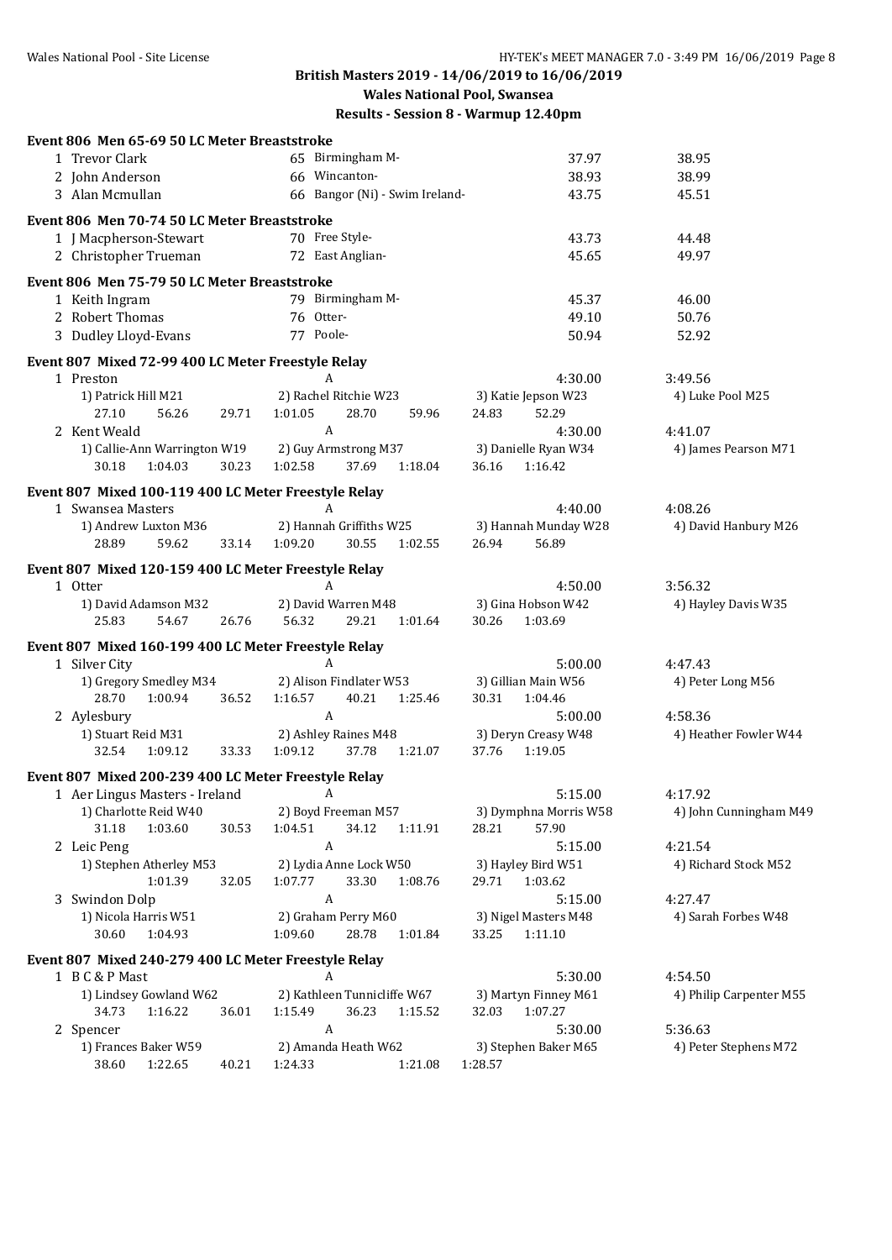#### **British Masters 2019 - 14/06/2019 to 16/06/2019 Wales National Pool, Swansea**

| Event 806 Men 65-69 50 LC Meter Breaststroke                           |                                                          |                                         |                                 |
|------------------------------------------------------------------------|----------------------------------------------------------|-----------------------------------------|---------------------------------|
| 1 Trevor Clark                                                         | 65 Birmingham M-                                         | 37.97                                   | 38.95                           |
| 2 John Anderson                                                        | 66 Wincanton-                                            | 38.93                                   | 38.99                           |
| 3 Alan Mcmullan                                                        | 66 Bangor (Ni) - Swim Ireland-                           | 43.75                                   | 45.51                           |
| Event 806 Men 70-74 50 LC Meter Breaststroke                           |                                                          |                                         |                                 |
| 1 J Macpherson-Stewart                                                 | 70 Free Style-                                           | 43.73                                   | 44.48                           |
| 2 Christopher Trueman                                                  | 72 East Anglian-                                         | 45.65                                   | 49.97                           |
| Event 806 Men 75-79 50 LC Meter Breaststroke                           |                                                          |                                         |                                 |
| 1 Keith Ingram                                                         | 79 Birmingham M-                                         | 45.37                                   | 46.00                           |
| 2 Robert Thomas                                                        | 76 Otter-                                                | 49.10                                   | 50.76                           |
| 3 Dudley Lloyd-Evans                                                   | 77 Poole-                                                | 50.94                                   | 52.92                           |
| Event 807 Mixed 72-99 400 LC Meter Freestyle Relay                     |                                                          |                                         |                                 |
| 1 Preston                                                              | A                                                        | 4:30.00                                 | 3:49.56                         |
| 1) Patrick Hill M21                                                    | 2) Rachel Ritchie W23                                    | 3) Katie Jepson W23                     | 4) Luke Pool M25                |
| 27.10<br>56.26<br>29.71                                                | 1:01.05<br>28.70<br>59.96                                | 24.83<br>52.29                          |                                 |
| 2 Kent Weald                                                           | $\boldsymbol{A}$                                         | 4:30.00                                 | 4:41.07                         |
| 1) Callie-Ann Warrington W19                                           | 2) Guy Armstrong M37                                     | 3) Danielle Ryan W34                    | 4) James Pearson M71            |
| 30.18<br>1:04.03<br>30.23                                              | 1:02.58<br>37.69<br>1:18.04                              | 36.16<br>1:16.42                        |                                 |
| Event 807 Mixed 100-119 400 LC Meter Freestyle Relay                   |                                                          |                                         |                                 |
| 1 Swansea Masters                                                      | A                                                        | 4:40.00                                 | 4:08.26                         |
| 1) Andrew Luxton M36                                                   | 2) Hannah Griffiths W25                                  | 3) Hannah Munday W28                    | 4) David Hanbury M26            |
| 28.89<br>59.62<br>33.14                                                | 1:09.20<br>30.55<br>1:02.55                              | 26.94<br>56.89                          |                                 |
| Event 807 Mixed 120-159 400 LC Meter Freestyle Relay                   |                                                          |                                         |                                 |
| 1 Otter                                                                | A                                                        | 4:50.00                                 | 3:56.32                         |
| 1) David Adamson M32                                                   | 2) David Warren M48                                      | 3) Gina Hobson W42                      | 4) Hayley Davis W35             |
| 25.83<br>54.67<br>26.76                                                | 56.32<br>29.21<br>1:01.64                                | 30.26<br>1:03.69                        |                                 |
| Event 807 Mixed 160-199 400 LC Meter Freestyle Relay                   |                                                          |                                         |                                 |
| 1 Silver City                                                          | A                                                        | 5:00.00                                 | 4:47.43                         |
| 1) Gregory Smedley M34                                                 | 2) Alison Findlater W53                                  | 3) Gillian Main W56                     | 4) Peter Long M56               |
| 28.70<br>1:00.94<br>36.52                                              | 1:16.57<br>40.21<br>1:25.46                              | 30.31<br>1:04.46                        |                                 |
| 2 Aylesbury                                                            | $\boldsymbol{A}$                                         | 5:00.00                                 | 4:58.36                         |
| 1) Stuart Reid M31<br>32.54<br>1:09.12<br>33.33                        | 2) Ashley Raines M48<br>1:09.12<br>37.78<br>1:21.07      | 3) Deryn Creasy W48<br>37.76<br>1:19.05 | 4) Heather Fowler W44           |
|                                                                        |                                                          |                                         |                                 |
| Event 807 Mixed 200-239 400 LC Meter Freestyle Relay                   |                                                          |                                         |                                 |
| 1 Aer Lingus Masters - Ireland                                         | A                                                        | 5:15.00                                 | 4:17.92                         |
| 1) Charlotte Reid W40                                                  | 2) Boyd Freeman M57                                      | 3) Dymphna Morris W58                   | 4) John Cunningham M49          |
| 1:03.60<br>31.18<br>30.53                                              | 34.12<br>1:04.51<br>1:11.91<br>$\boldsymbol{\mathsf{A}}$ | 28.21<br>57.90                          |                                 |
| 2 Leic Peng<br>1) Stephen Atherley M53                                 | 2) Lydia Anne Lock W50                                   | 5:15.00<br>3) Hayley Bird W51           | 4:21.54<br>4) Richard Stock M52 |
| 1:01.39<br>32.05                                                       | 1:07.77<br>33.30<br>1:08.76                              | 1:03.62<br>29.71                        |                                 |
| 3 Swindon Dolp                                                         | $\boldsymbol{A}$                                         | 5:15.00                                 | 4:27.47                         |
| 1) Nicola Harris W51                                                   | 2) Graham Perry M60                                      | 3) Nigel Masters M48                    | 4) Sarah Forbes W48             |
| 30.60<br>1:04.93                                                       | 1:09.60<br>28.78<br>1:01.84                              | 33.25<br>1:11.10                        |                                 |
|                                                                        |                                                          |                                         |                                 |
| Event 807 Mixed 240-279 400 LC Meter Freestyle Relay<br>1 B C & P Mast | A                                                        | 5:30.00                                 | 4:54.50                         |
| 1) Lindsey Gowland W62                                                 | 2) Kathleen Tunnicliffe W67                              | 3) Martyn Finney M61                    | 4) Philip Carpenter M55         |
| 1:16.22<br>36.01<br>34.73                                              | 1:15.49<br>36.23<br>1:15.52                              | 1:07.27<br>32.03                        |                                 |
| 2 Spencer                                                              | $\boldsymbol{A}$                                         | 5:30.00                                 | 5:36.63                         |
| 1) Frances Baker W59                                                   | 2) Amanda Heath W62                                      | 3) Stephen Baker M65                    | 4) Peter Stephens M72           |
| 1:22.65<br>38.60<br>40.21                                              | 1:24.33<br>1:21.08                                       | 1:28.57                                 |                                 |
|                                                                        |                                                          |                                         |                                 |